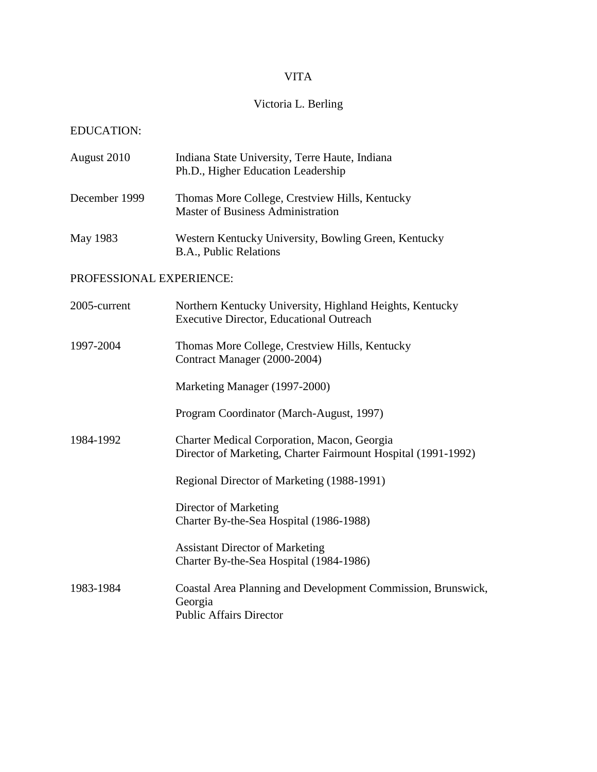# VITA

# Victoria L. Berling

# EDUCATION:

| August 2010              | Indiana State University, Terre Haute, Indiana<br>Ph.D., Higher Education Leadership                         |
|--------------------------|--------------------------------------------------------------------------------------------------------------|
| December 1999            | Thomas More College, Crestview Hills, Kentucky<br><b>Master of Business Administration</b>                   |
| May 1983                 | Western Kentucky University, Bowling Green, Kentucky<br>B.A., Public Relations                               |
| PROFESSIONAL EXPERIENCE: |                                                                                                              |
| 2005-current             | Northern Kentucky University, Highland Heights, Kentucky<br><b>Executive Director, Educational Outreach</b>  |
| 1997-2004                | Thomas More College, Crestview Hills, Kentucky<br>Contract Manager (2000-2004)                               |
|                          | Marketing Manager (1997-2000)                                                                                |
|                          | Program Coordinator (March-August, 1997)                                                                     |
| 1984-1992                | Charter Medical Corporation, Macon, Georgia<br>Director of Marketing, Charter Fairmount Hospital (1991-1992) |
|                          | Regional Director of Marketing (1988-1991)                                                                   |
|                          | Director of Marketing<br>Charter By-the-Sea Hospital (1986-1988)                                             |
|                          | <b>Assistant Director of Marketing</b><br>Charter By-the-Sea Hospital (1984-1986)                            |
| 1983-1984                | Coastal Area Planning and Development Commission, Brunswick,<br>Georgia<br><b>Public Affairs Director</b>    |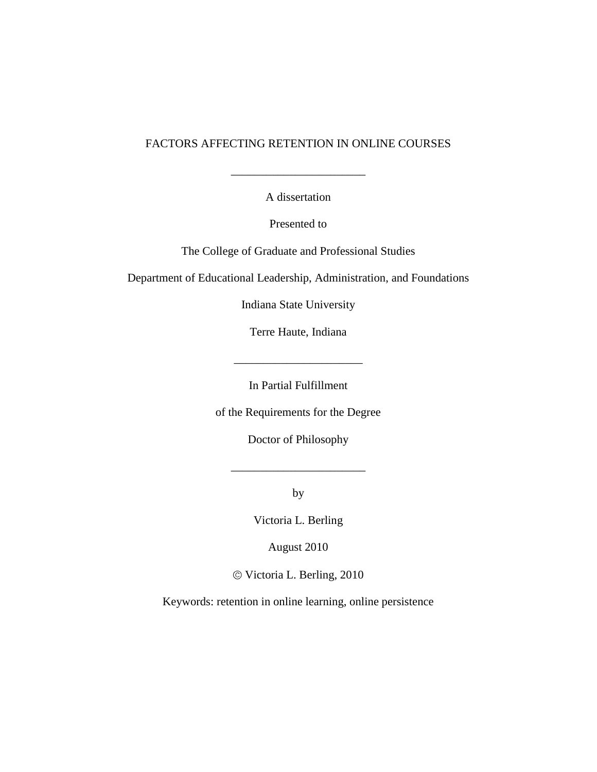# FACTORS AFFECTING RETENTION IN ONLINE COURSES

A dissertation

\_\_\_\_\_\_\_\_\_\_\_\_\_\_\_\_\_\_\_\_\_\_\_

Presented to

The College of Graduate and Professional Studies

Department of Educational Leadership, Administration, and Foundations

Indiana State University

Terre Haute, Indiana

In Partial Fulfillment

 $\mathbb{Z}^2$ 

of the Requirements for the Degree

Doctor of Philosophy

by

\_\_\_\_\_\_\_\_\_\_\_\_\_\_\_\_\_\_\_\_\_\_\_

Victoria L. Berling

August 2010

Victoria L. Berling, 2010

Keywords: retention in online learning, online persistence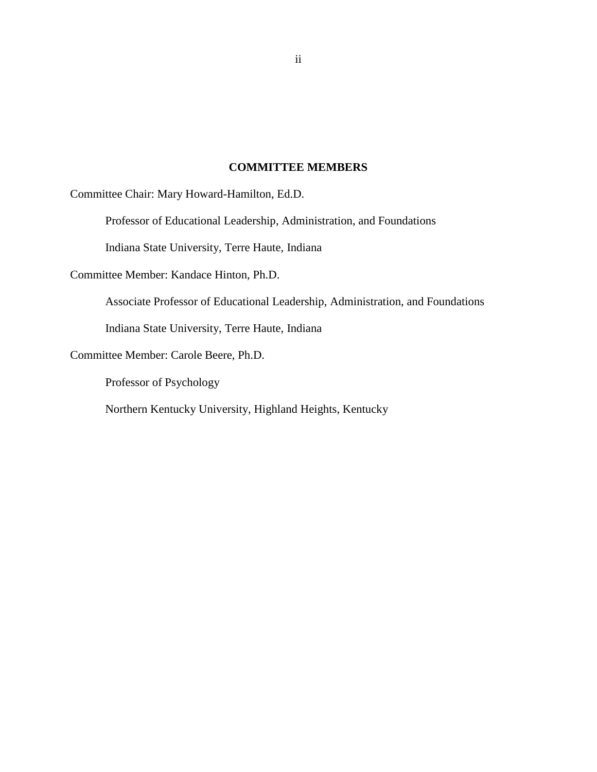# **COMMITTEE MEMBERS**

<span id="page-2-0"></span>Committee Chair: Mary Howard-Hamilton, Ed.D.

Professor of Educational Leadership, Administration, and Foundations

Indiana State University, Terre Haute, Indiana

Committee Member: Kandace Hinton, Ph.D.

Associate Professor of Educational Leadership, Administration, and Foundations

Indiana State University, Terre Haute, Indiana

Committee Member: Carole Beere, Ph.D.

Professor of Psychology

Northern Kentucky University, Highland Heights, Kentucky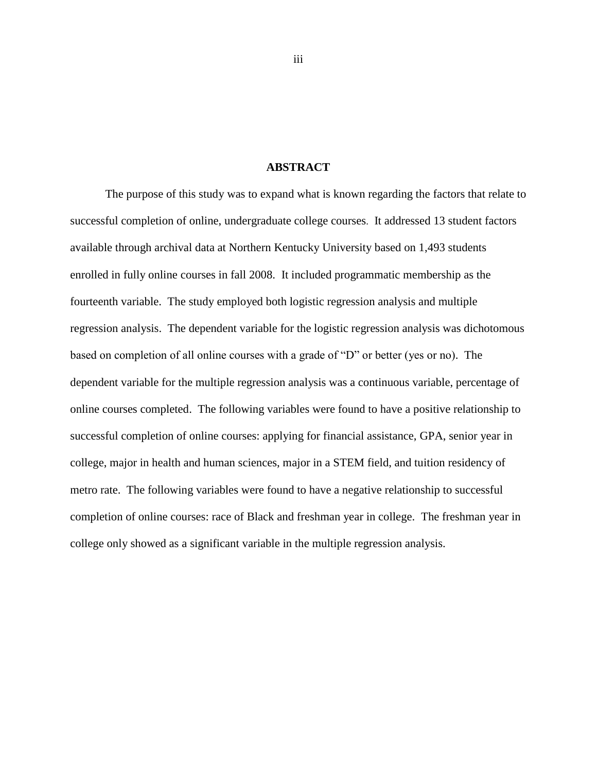## **ABSTRACT**

<span id="page-3-0"></span>The purpose of this study was to expand what is known regarding the factors that relate to successful completion of online, undergraduate college courses. It addressed 13 student factors available through archival data at Northern Kentucky University based on 1,493 students enrolled in fully online courses in fall 2008. It included programmatic membership as the fourteenth variable. The study employed both logistic regression analysis and multiple regression analysis. The dependent variable for the logistic regression analysis was dichotomous based on completion of all online courses with a grade of "D" or better (yes or no). The dependent variable for the multiple regression analysis was a continuous variable, percentage of online courses completed. The following variables were found to have a positive relationship to successful completion of online courses: applying for financial assistance, GPA, senior year in college, major in health and human sciences, major in a STEM field, and tuition residency of metro rate. The following variables were found to have a negative relationship to successful completion of online courses: race of Black and freshman year in college. The freshman year in college only showed as a significant variable in the multiple regression analysis.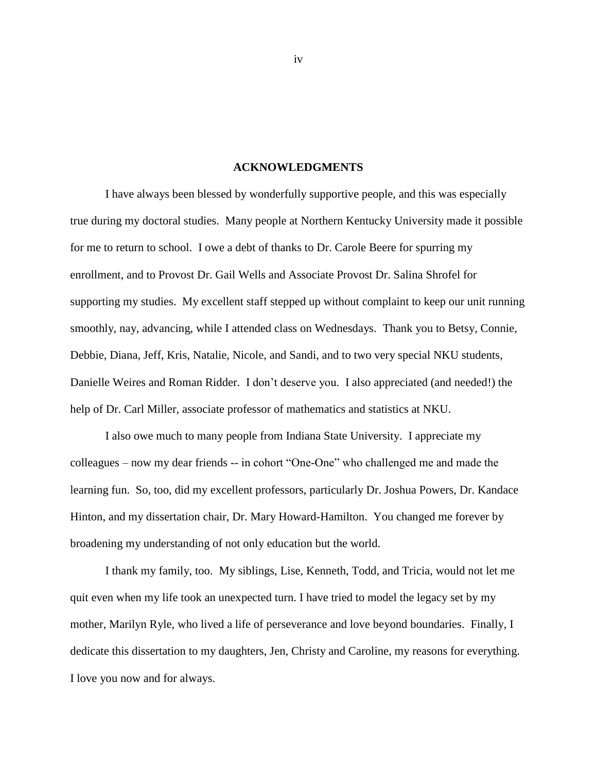#### **ACKNOWLEDGMENTS**

<span id="page-4-0"></span>I have always been blessed by wonderfully supportive people, and this was especially true during my doctoral studies. Many people at Northern Kentucky University made it possible for me to return to school. I owe a debt of thanks to Dr. Carole Beere for spurring my enrollment, and to Provost Dr. Gail Wells and Associate Provost Dr. Salina Shrofel for supporting my studies. My excellent staff stepped up without complaint to keep our unit running smoothly, nay, advancing, while I attended class on Wednesdays. Thank you to Betsy, Connie, Debbie, Diana, Jeff, Kris, Natalie, Nicole, and Sandi, and to two very special NKU students, Danielle Weires and Roman Ridder. I don't deserve you. I also appreciated (and needed!) the help of Dr. Carl Miller, associate professor of mathematics and statistics at NKU.

I also owe much to many people from Indiana State University. I appreciate my colleagues – now my dear friends -- in cohort "One-One" who challenged me and made the learning fun. So, too, did my excellent professors, particularly Dr. Joshua Powers, Dr. Kandace Hinton, and my dissertation chair, Dr. Mary Howard-Hamilton. You changed me forever by broadening my understanding of not only education but the world.

I thank my family, too. My siblings, Lise, Kenneth, Todd, and Tricia, would not let me quit even when my life took an unexpected turn. I have tried to model the legacy set by my mother, Marilyn Ryle, who lived a life of perseverance and love beyond boundaries. Finally, I dedicate this dissertation to my daughters, Jen, Christy and Caroline, my reasons for everything. I love you now and for always.

iv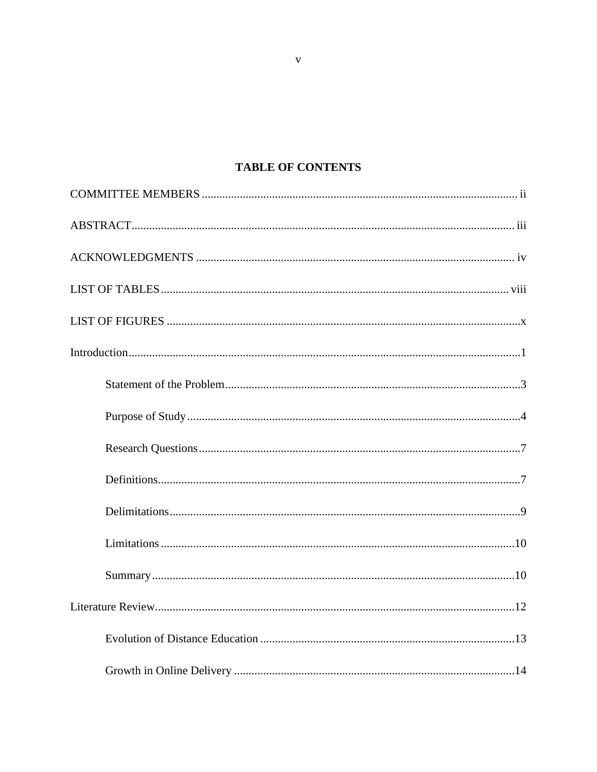# **TABLE OF CONTENTS**

 $\mathbf{V}$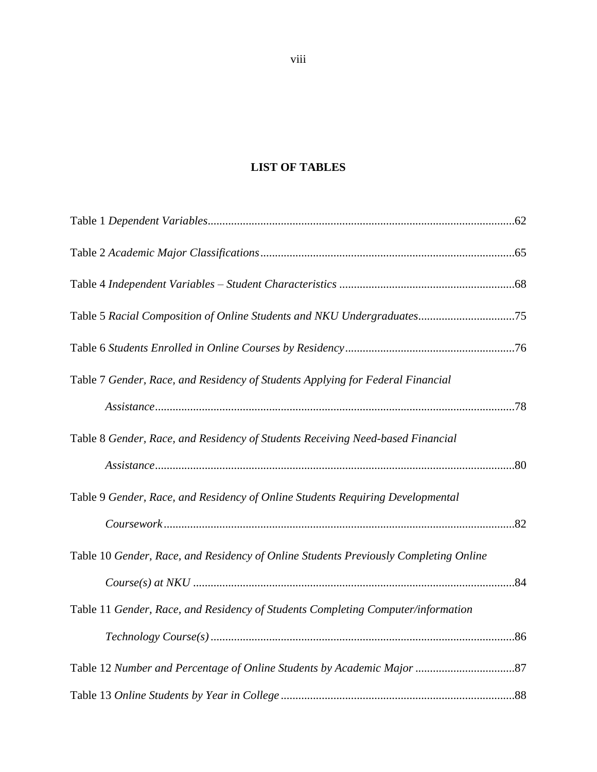# **LIST OF TABLES**

<span id="page-8-0"></span>

| Table 7 Gender, Race, and Residency of Students Applying for Federal Financial       |  |
|--------------------------------------------------------------------------------------|--|
|                                                                                      |  |
| Table 8 Gender, Race, and Residency of Students Receiving Need-based Financial       |  |
|                                                                                      |  |
| Table 9 Gender, Race, and Residency of Online Students Requiring Developmental       |  |
|                                                                                      |  |
| Table 10 Gender, Race, and Residency of Online Students Previously Completing Online |  |
|                                                                                      |  |
| Table 11 Gender, Race, and Residency of Students Completing Computer/information     |  |
|                                                                                      |  |
|                                                                                      |  |
|                                                                                      |  |

viii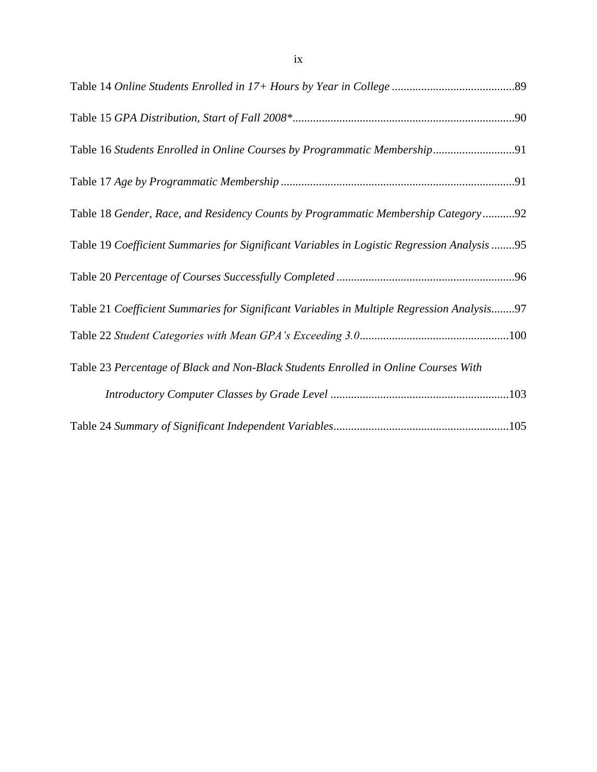| Table 18 Gender, Race, and Residency Counts by Programmatic Membership Category92           |
|---------------------------------------------------------------------------------------------|
| Table 19 Coefficient Summaries for Significant Variables in Logistic Regression Analysis 95 |
|                                                                                             |
| Table 21 Coefficient Summaries for Significant Variables in Multiple Regression Analysis97  |
|                                                                                             |
| Table 23 Percentage of Black and Non-Black Students Enrolled in Online Courses With         |
|                                                                                             |
|                                                                                             |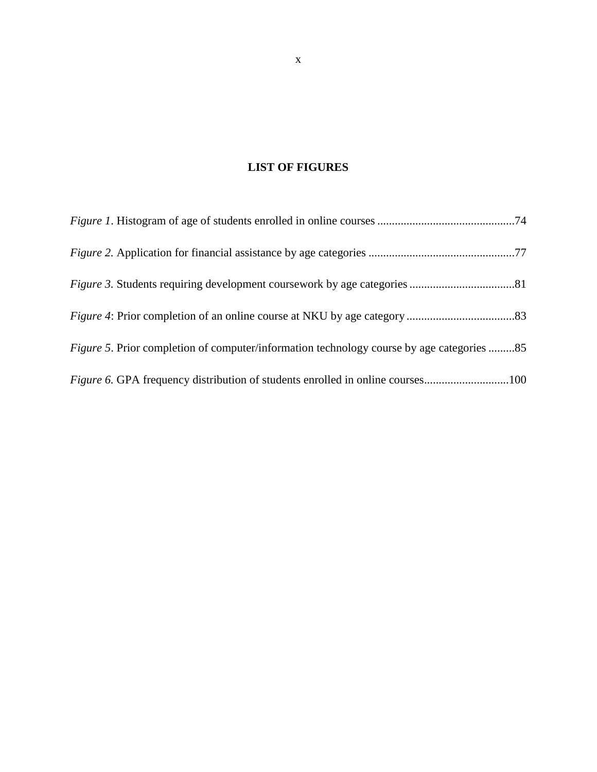# **LIST OF FIGURES**

<span id="page-10-0"></span>

| <i>Figure 5.</i> Prior completion of computer/information technology course by age categories 85 |  |
|--------------------------------------------------------------------------------------------------|--|
|                                                                                                  |  |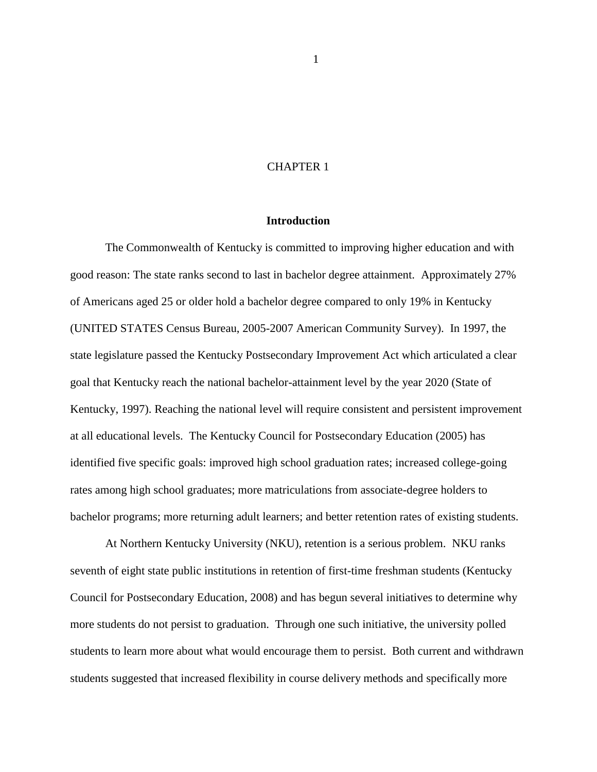# CHAPTER 1

#### **Introduction**

<span id="page-11-0"></span>The Commonwealth of Kentucky is committed to improving higher education and with good reason: The state ranks second to last in bachelor degree attainment. Approximately 27% of Americans aged 25 or older hold a bachelor degree compared to only 19% in Kentucky (UNITED STATES Census Bureau, 2005-2007 American Community Survey). In 1997, the state legislature passed the Kentucky Postsecondary Improvement Act which articulated a clear goal that Kentucky reach the national bachelor-attainment level by the year 2020 (State of Kentucky, 1997). Reaching the national level will require consistent and persistent improvement at all educational levels. The Kentucky Council for Postsecondary Education (2005) has identified five specific goals: improved high school graduation rates; increased college-going rates among high school graduates; more matriculations from associate-degree holders to bachelor programs; more returning adult learners; and better retention rates of existing students.

At Northern Kentucky University (NKU), retention is a serious problem. NKU ranks seventh of eight state public institutions in retention of first-time freshman students (Kentucky Council for Postsecondary Education, 2008) and has begun several initiatives to determine why more students do not persist to graduation. Through one such initiative, the university polled students to learn more about what would encourage them to persist. Both current and withdrawn students suggested that increased flexibility in course delivery methods and specifically more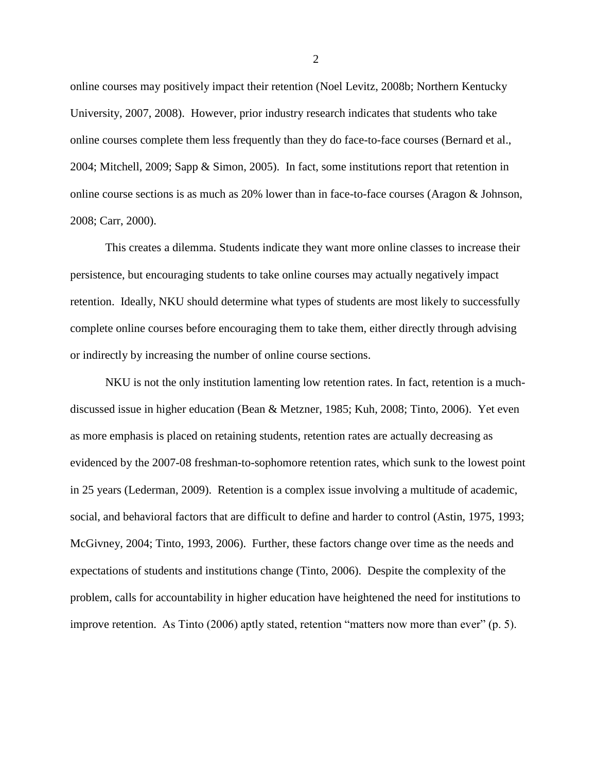online courses may positively impact their retention (Noel Levitz, 2008b; Northern Kentucky University, 2007, 2008). However, prior industry research indicates that students who take online courses complete them less frequently than they do face-to-face courses (Bernard et al., 2004; Mitchell, 2009; Sapp & Simon, 2005). In fact, some institutions report that retention in online course sections is as much as 20% lower than in face-to-face courses (Aragon & Johnson, 2008; Carr, 2000).

This creates a dilemma. Students indicate they want more online classes to increase their persistence, but encouraging students to take online courses may actually negatively impact retention. Ideally, NKU should determine what types of students are most likely to successfully complete online courses before encouraging them to take them, either directly through advising or indirectly by increasing the number of online course sections.

NKU is not the only institution lamenting low retention rates. In fact, retention is a muchdiscussed issue in higher education (Bean & Metzner, 1985; Kuh, 2008; Tinto, 2006). Yet even as more emphasis is placed on retaining students, retention rates are actually decreasing as evidenced by the 2007-08 freshman-to-sophomore retention rates, which sunk to the lowest point in 25 years (Lederman, 2009). Retention is a complex issue involving a multitude of academic, social, and behavioral factors that are difficult to define and harder to control (Astin, 1975, 1993; McGivney, 2004; Tinto, 1993, 2006). Further, these factors change over time as the needs and expectations of students and institutions change (Tinto, 2006). Despite the complexity of the problem, calls for accountability in higher education have heightened the need for institutions to improve retention. As Tinto  $(2006)$  aptly stated, retention "matters now more than ever"  $(p, 5)$ .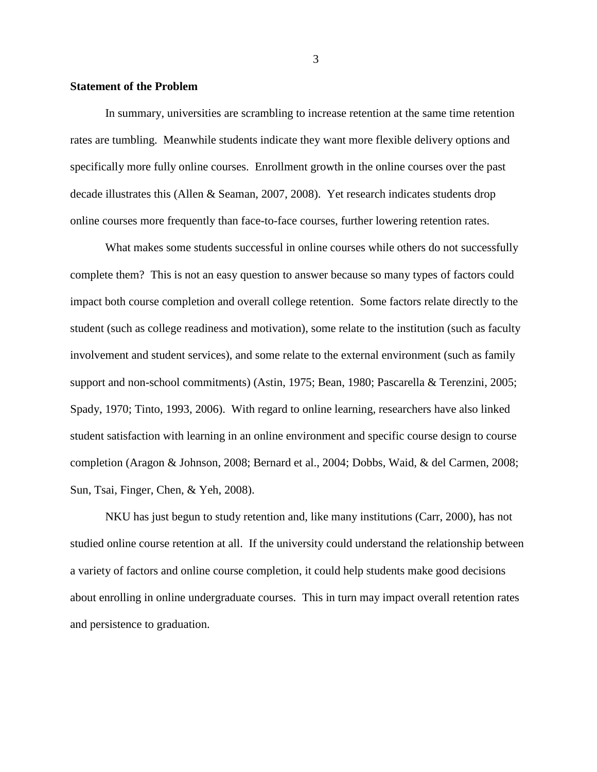## <span id="page-13-0"></span>**Statement of the Problem**

In summary, universities are scrambling to increase retention at the same time retention rates are tumbling. Meanwhile students indicate they want more flexible delivery options and specifically more fully online courses. Enrollment growth in the online courses over the past decade illustrates this (Allen & Seaman, 2007, 2008). Yet research indicates students drop online courses more frequently than face-to-face courses, further lowering retention rates.

What makes some students successful in online courses while others do not successfully complete them? This is not an easy question to answer because so many types of factors could impact both course completion and overall college retention. Some factors relate directly to the student (such as college readiness and motivation), some relate to the institution (such as faculty involvement and student services), and some relate to the external environment (such as family support and non-school commitments) (Astin, 1975; Bean, 1980; Pascarella & Terenzini, 2005; Spady, 1970; Tinto, 1993, 2006). With regard to online learning, researchers have also linked student satisfaction with learning in an online environment and specific course design to course completion (Aragon & Johnson, 2008; Bernard et al., 2004; Dobbs, Waid, & del Carmen, 2008; Sun, Tsai, Finger, Chen, & Yeh, 2008).

NKU has just begun to study retention and, like many institutions (Carr, 2000), has not studied online course retention at all. If the university could understand the relationship between a variety of factors and online course completion, it could help students make good decisions about enrolling in online undergraduate courses. This in turn may impact overall retention rates and persistence to graduation.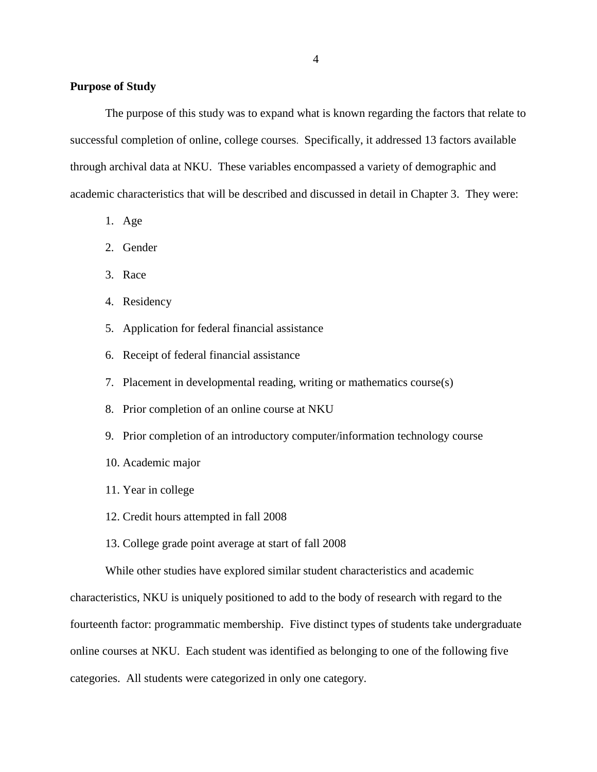## <span id="page-14-0"></span>**Purpose of Study**

The purpose of this study was to expand what is known regarding the factors that relate to successful completion of online, college courses. Specifically, it addressed 13 factors available through archival data at NKU. These variables encompassed a variety of demographic and academic characteristics that will be described and discussed in detail in Chapter 3. They were:

- 1. Age
- 2. Gender
- 3. Race
- 4. Residency
- 5. Application for federal financial assistance
- 6. Receipt of federal financial assistance
- 7. Placement in developmental reading, writing or mathematics course(s)
- 8. Prior completion of an online course at NKU
- 9. Prior completion of an introductory computer/information technology course
- 10. Academic major
- 11. Year in college
- 12. Credit hours attempted in fall 2008
- 13. College grade point average at start of fall 2008

While other studies have explored similar student characteristics and academic

characteristics, NKU is uniquely positioned to add to the body of research with regard to the fourteenth factor: programmatic membership. Five distinct types of students take undergraduate online courses at NKU. Each student was identified as belonging to one of the following five categories. All students were categorized in only one category.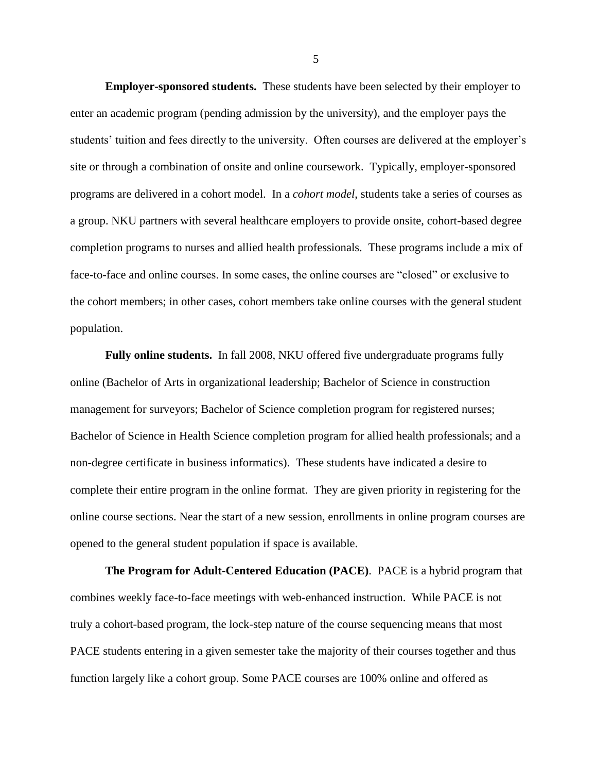**Employer-sponsored students.** These students have been selected by their employer to enter an academic program (pending admission by the university), and the employer pays the students' tuition and fees directly to the university. Often courses are delivered at the employer's site or through a combination of onsite and online coursework. Typically, employer-sponsored programs are delivered in a cohort model. In a *cohort model*, students take a series of courses as a group. NKU partners with several healthcare employers to provide onsite, cohort-based degree completion programs to nurses and allied health professionals. These programs include a mix of face-to-face and online courses. In some cases, the online courses are "closed" or exclusive to the cohort members; in other cases, cohort members take online courses with the general student population.

**Fully online students.** In fall 2008, NKU offered five undergraduate programs fully online (Bachelor of Arts in organizational leadership; Bachelor of Science in construction management for surveyors; Bachelor of Science completion program for registered nurses; Bachelor of Science in Health Science completion program for allied health professionals; and a non-degree certificate in business informatics). These students have indicated a desire to complete their entire program in the online format. They are given priority in registering for the online course sections. Near the start of a new session, enrollments in online program courses are opened to the general student population if space is available.

**The Program for Adult-Centered Education (PACE)**. PACE is a hybrid program that combines weekly face-to-face meetings with web-enhanced instruction. While PACE is not truly a cohort-based program, the lock-step nature of the course sequencing means that most PACE students entering in a given semester take the majority of their courses together and thus function largely like a cohort group. Some PACE courses are 100% online and offered as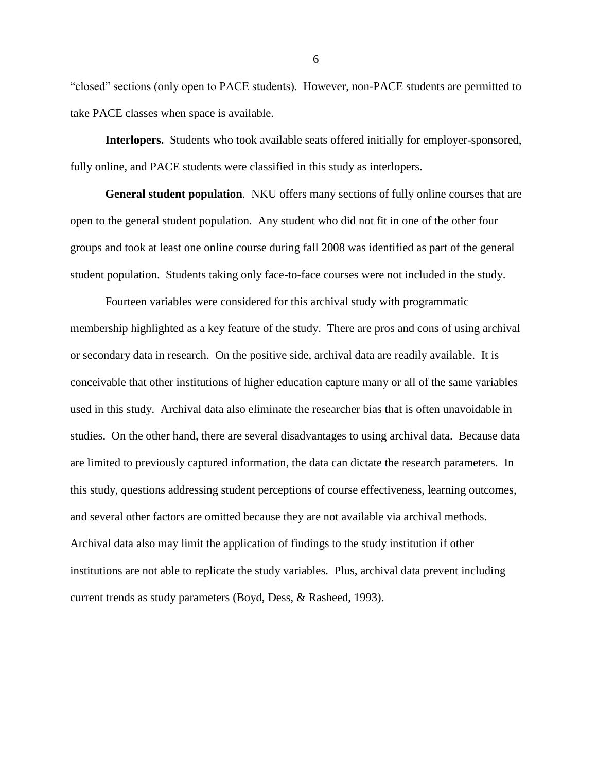"closed" sections (only open to PACE students). However, non-PACE students are permitted to take PACE classes when space is available.

**Interlopers.** Students who took available seats offered initially for employer-sponsored, fully online, and PACE students were classified in this study as interlopers.

**General student population***.* NKU offers many sections of fully online courses that are open to the general student population. Any student who did not fit in one of the other four groups and took at least one online course during fall 2008 was identified as part of the general student population. Students taking only face-to-face courses were not included in the study.

Fourteen variables were considered for this archival study with programmatic membership highlighted as a key feature of the study. There are pros and cons of using archival or secondary data in research. On the positive side, archival data are readily available. It is conceivable that other institutions of higher education capture many or all of the same variables used in this study. Archival data also eliminate the researcher bias that is often unavoidable in studies. On the other hand, there are several disadvantages to using archival data. Because data are limited to previously captured information, the data can dictate the research parameters. In this study, questions addressing student perceptions of course effectiveness, learning outcomes, and several other factors are omitted because they are not available via archival methods. Archival data also may limit the application of findings to the study institution if other institutions are not able to replicate the study variables. Plus, archival data prevent including current trends as study parameters (Boyd, Dess, & Rasheed, 1993).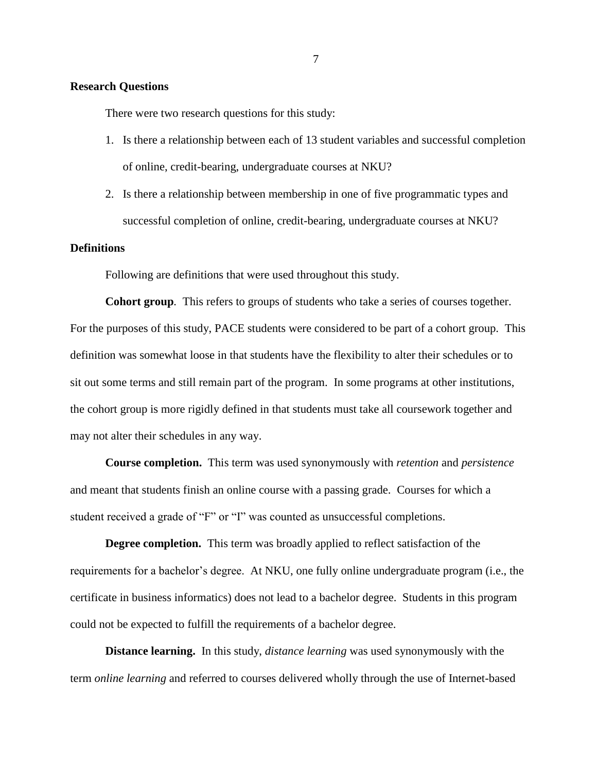# <span id="page-17-0"></span>**Research Questions**

There were two research questions for this study:

- 1. Is there a relationship between each of 13 student variables and successful completion of online, credit-bearing, undergraduate courses at NKU?
- 2. Is there a relationship between membership in one of five programmatic types and successful completion of online, credit-bearing, undergraduate courses at NKU?

# <span id="page-17-1"></span>**Definitions**

Following are definitions that were used throughout this study.

**Cohort group***.* This refers to groups of students who take a series of courses together. For the purposes of this study, PACE students were considered to be part of a cohort group. This definition was somewhat loose in that students have the flexibility to alter their schedules or to sit out some terms and still remain part of the program. In some programs at other institutions, the cohort group is more rigidly defined in that students must take all coursework together and may not alter their schedules in any way.

**Course completion.** This term was used synonymously with *retention* and *persistence*  and meant that students finish an online course with a passing grade. Courses for which a student received a grade of "F" or "I" was counted as unsuccessful completions.

**Degree completion.** This term was broadly applied to reflect satisfaction of the requirements for a bachelor's degree. At NKU, one fully online undergraduate program (i.e., the certificate in business informatics) does not lead to a bachelor degree. Students in this program could not be expected to fulfill the requirements of a bachelor degree.

**Distance learning.** In this study, *distance learning* was used synonymously with the term *online learning* and referred to courses delivered wholly through the use of Internet-based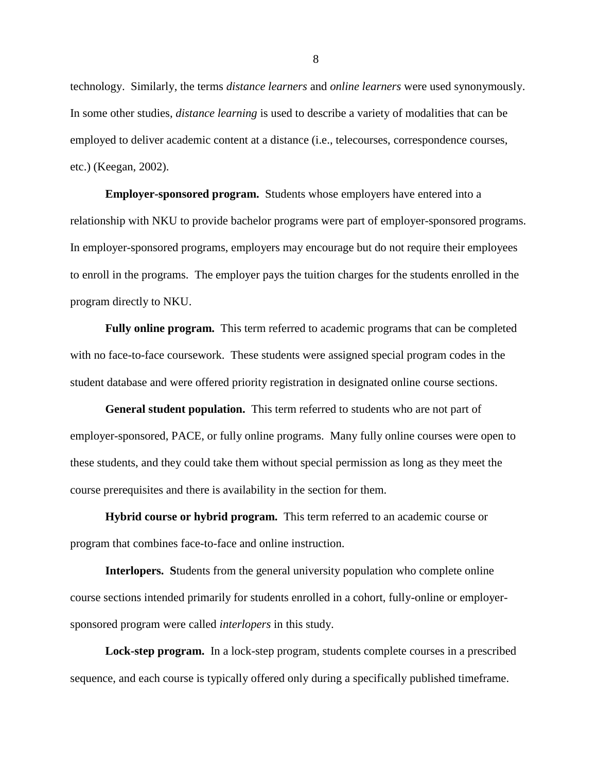technology. Similarly, the terms *distance learners* and *online learners* were used synonymously. In some other studies, *distance learning* is used to describe a variety of modalities that can be employed to deliver academic content at a distance (i.e., telecourses, correspondence courses, etc.) (Keegan, 2002).

**Employer-sponsored program.** Students whose employers have entered into a relationship with NKU to provide bachelor programs were part of employer-sponsored programs. In employer-sponsored programs, employers may encourage but do not require their employees to enroll in the programs. The employer pays the tuition charges for the students enrolled in the program directly to NKU.

**Fully online program.** This term referred to academic programs that can be completed with no face-to-face coursework. These students were assigned special program codes in the student database and were offered priority registration in designated online course sections.

**General student population.** This term referred to students who are not part of employer-sponsored, PACE, or fully online programs. Many fully online courses were open to these students, and they could take them without special permission as long as they meet the course prerequisites and there is availability in the section for them.

**Hybrid course or hybrid program.** This term referred to an academic course or program that combines face-to-face and online instruction.

**Interlopers. S**tudents from the general university population who complete online course sections intended primarily for students enrolled in a cohort, fully-online or employersponsored program were called *interlopers* in this study.

**Lock-step program.** In a lock-step program, students complete courses in a prescribed sequence, and each course is typically offered only during a specifically published timeframe.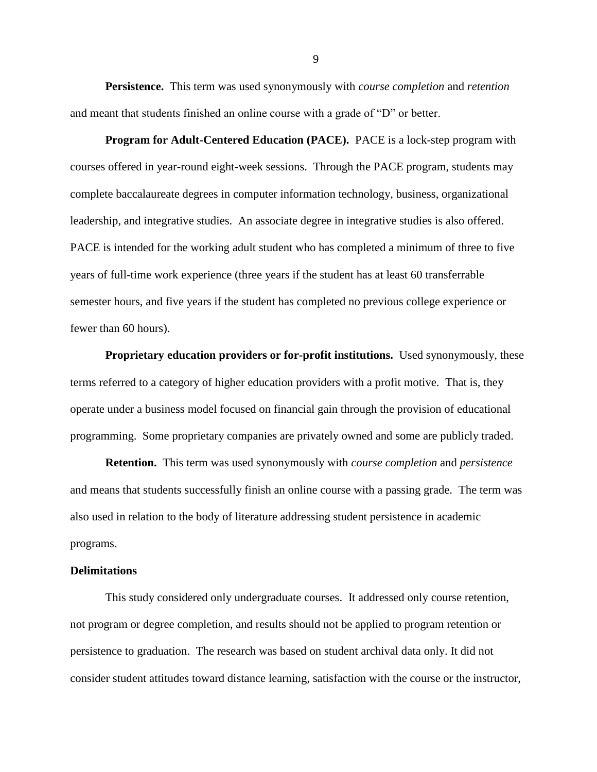**Persistence.** This term was used synonymously with *course completion* and *retention*  and meant that students finished an online course with a grade of "D" or better.

**Program for Adult-Centered Education (PACE).** PACE is a lock-step program with courses offered in year-round eight-week sessions. Through the PACE program, students may complete baccalaureate degrees in computer information technology, business, organizational leadership, and integrative studies. An associate degree in integrative studies is also offered. PACE is intended for the working adult student who has completed a minimum of three to five years of full-time work experience (three years if the student has at least 60 transferrable semester hours, and five years if the student has completed no previous college experience or fewer than 60 hours).

**Proprietary education providers or for-profit institutions.** Used synonymously, these terms referred to a category of higher education providers with a profit motive. That is, they operate under a business model focused on financial gain through the provision of educational programming. Some proprietary companies are privately owned and some are publicly traded.

**Retention.** This term was used synonymously with *course completion* and *persistence* and means that students successfully finish an online course with a passing grade. The term was also used in relation to the body of literature addressing student persistence in academic programs.

#### <span id="page-19-0"></span>**Delimitations**

This study considered only undergraduate courses. It addressed only course retention, not program or degree completion, and results should not be applied to program retention or persistence to graduation. The research was based on student archival data only. It did not consider student attitudes toward distance learning, satisfaction with the course or the instructor,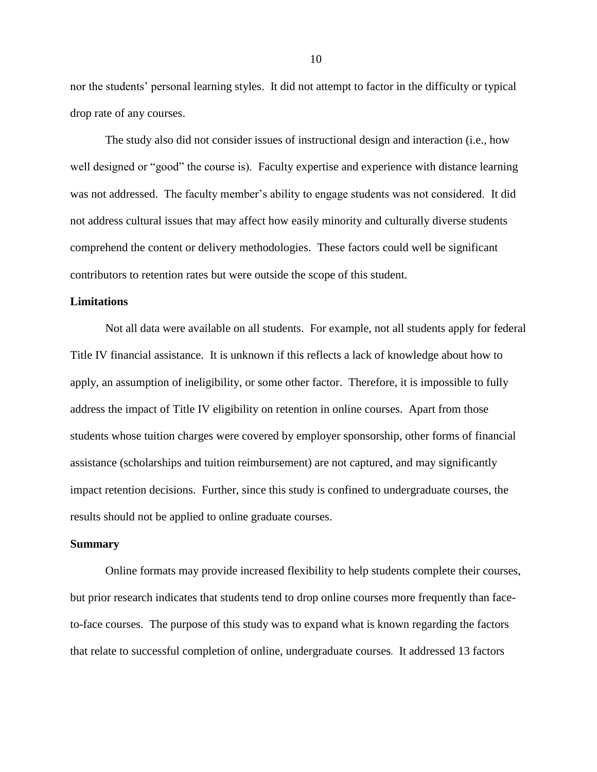nor the students' personal learning styles. It did not attempt to factor in the difficulty or typical drop rate of any courses.

The study also did not consider issues of instructional design and interaction (i.e., how well designed or "good" the course is). Faculty expertise and experience with distance learning was not addressed. The faculty member's ability to engage students was not considered. It did not address cultural issues that may affect how easily minority and culturally diverse students comprehend the content or delivery methodologies. These factors could well be significant contributors to retention rates but were outside the scope of this student.

## <span id="page-20-0"></span>**Limitations**

Not all data were available on all students. For example, not all students apply for federal Title IV financial assistance. It is unknown if this reflects a lack of knowledge about how to apply, an assumption of ineligibility, or some other factor. Therefore, it is impossible to fully address the impact of Title IV eligibility on retention in online courses. Apart from those students whose tuition charges were covered by employer sponsorship, other forms of financial assistance (scholarships and tuition reimbursement) are not captured, and may significantly impact retention decisions. Further, since this study is confined to undergraduate courses, the results should not be applied to online graduate courses.

#### <span id="page-20-1"></span>**Summary**

Online formats may provide increased flexibility to help students complete their courses, but prior research indicates that students tend to drop online courses more frequently than faceto-face courses. The purpose of this study was to expand what is known regarding the factors that relate to successful completion of online, undergraduate courses. It addressed 13 factors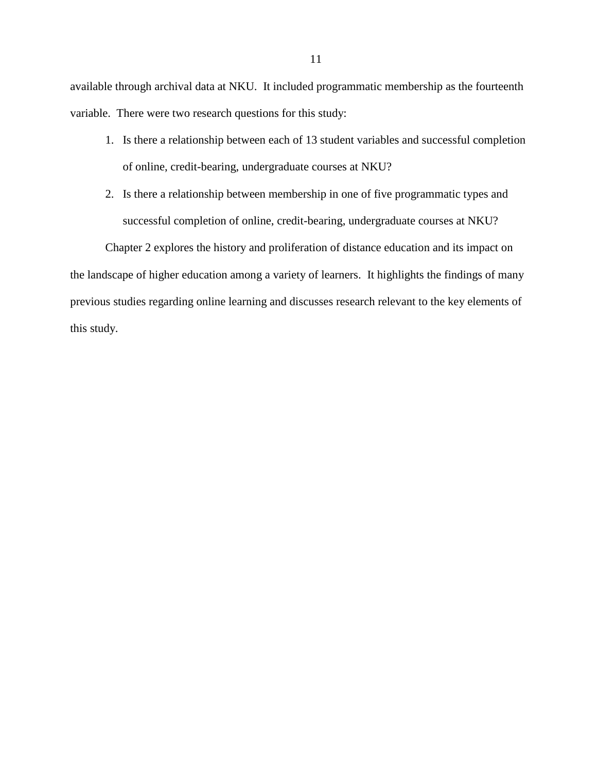available through archival data at NKU. It included programmatic membership as the fourteenth variable. There were two research questions for this study:

- 1. Is there a relationship between each of 13 student variables and successful completion of online, credit-bearing, undergraduate courses at NKU?
- 2. Is there a relationship between membership in one of five programmatic types and successful completion of online, credit-bearing, undergraduate courses at NKU?

Chapter 2 explores the history and proliferation of distance education and its impact on the landscape of higher education among a variety of learners. It highlights the findings of many previous studies regarding online learning and discusses research relevant to the key elements of this study.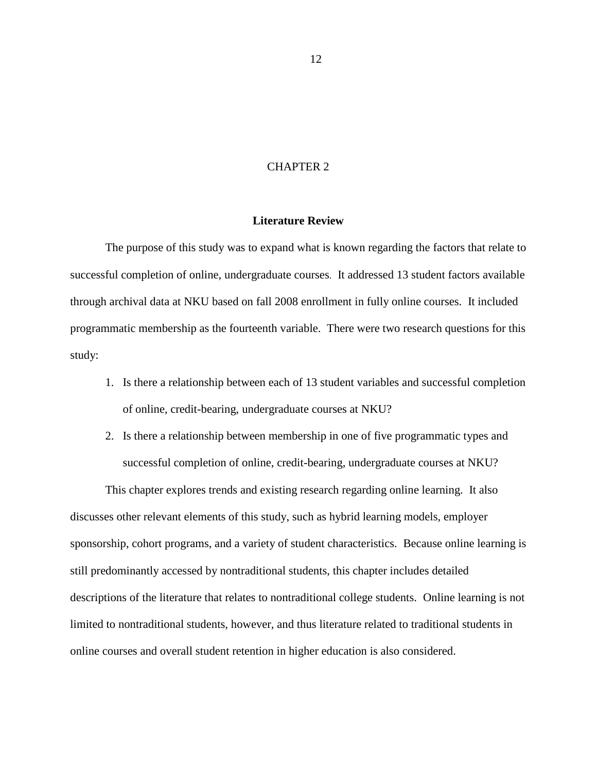## CHAPTER 2

### **Literature Review**

<span id="page-22-0"></span>The purpose of this study was to expand what is known regarding the factors that relate to successful completion of online, undergraduate courses. It addressed 13 student factors available through archival data at NKU based on fall 2008 enrollment in fully online courses. It included programmatic membership as the fourteenth variable. There were two research questions for this study:

- 1. Is there a relationship between each of 13 student variables and successful completion of online, credit-bearing, undergraduate courses at NKU?
- 2. Is there a relationship between membership in one of five programmatic types and successful completion of online, credit-bearing, undergraduate courses at NKU?

This chapter explores trends and existing research regarding online learning. It also discusses other relevant elements of this study, such as hybrid learning models, employer sponsorship, cohort programs, and a variety of student characteristics. Because online learning is still predominantly accessed by nontraditional students, this chapter includes detailed descriptions of the literature that relates to nontraditional college students. Online learning is not limited to nontraditional students, however, and thus literature related to traditional students in online courses and overall student retention in higher education is also considered.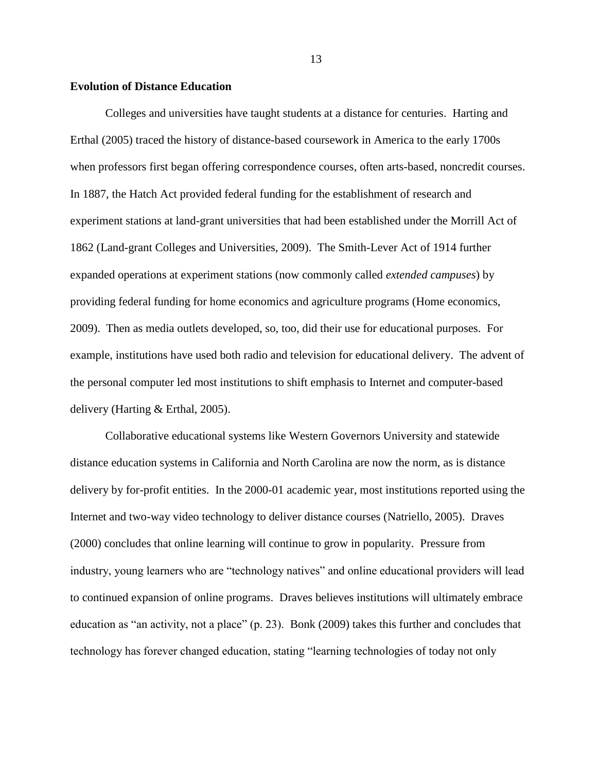#### <span id="page-23-0"></span>**Evolution of Distance Education**

Colleges and universities have taught students at a distance for centuries. Harting and Erthal (2005) traced the history of distance-based coursework in America to the early 1700s when professors first began offering correspondence courses, often arts-based, noncredit courses. In 1887, the Hatch Act provided federal funding for the establishment of research and experiment stations at land-grant universities that had been established under the Morrill Act of 1862 (Land-grant Colleges and Universities, 2009). The Smith-Lever Act of 1914 further expanded operations at experiment stations (now commonly called *extended campuses*) by providing federal funding for home economics and agriculture programs (Home economics, 2009). Then as media outlets developed, so, too, did their use for educational purposes. For example, institutions have used both radio and television for educational delivery. The advent of the personal computer led most institutions to shift emphasis to Internet and computer-based delivery (Harting & Erthal, 2005).

Collaborative educational systems like Western Governors University and statewide distance education systems in California and North Carolina are now the norm, as is distance delivery by for-profit entities. In the 2000-01 academic year, most institutions reported using the Internet and two-way video technology to deliver distance courses (Natriello, 2005). Draves (2000) concludes that online learning will continue to grow in popularity. Pressure from industry, young learners who are "technology natives" and online educational providers will lead to continued expansion of online programs. Draves believes institutions will ultimately embrace education as "an activity, not a place"  $(p. 23)$ . Bonk (2009) takes this further and concludes that technology has forever changed education, stating "learning technologies of today not only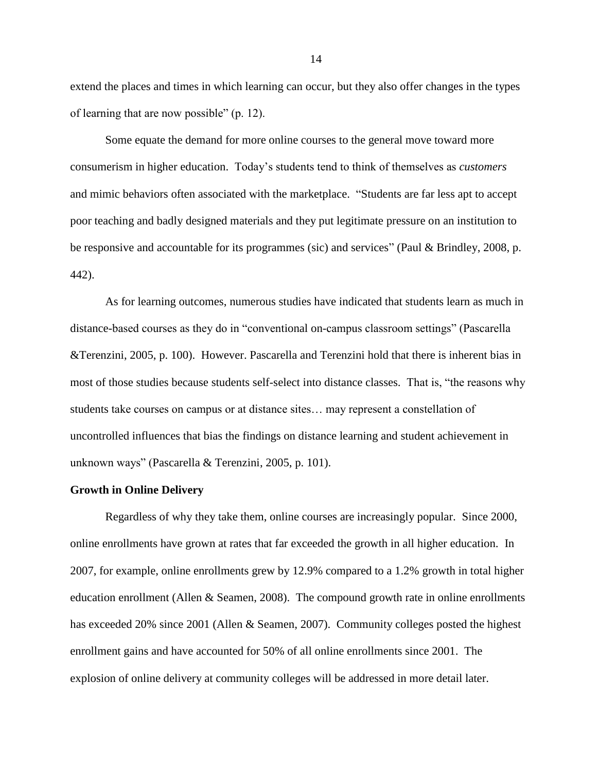extend the places and times in which learning can occur, but they also offer changes in the types of learning that are now possible" (p. 12).

Some equate the demand for more online courses to the general move toward more consumerism in higher education. Today's students tend to think of themselves as *customers* and mimic behaviors often associated with the marketplace. "Students are far less apt to accept poor teaching and badly designed materials and they put legitimate pressure on an institution to be responsive and accountable for its programmes (sic) and services" (Paul & Brindley, 2008, p. 442).

As for learning outcomes, numerous studies have indicated that students learn as much in distance-based courses as they do in "conventional on-campus classroom settings" (Pascarella &Terenzini, 2005, p. 100). However. Pascarella and Terenzini hold that there is inherent bias in most of those studies because students self-select into distance classes. That is, "the reasons why students take courses on campus or at distance sites… may represent a constellation of uncontrolled influences that bias the findings on distance learning and student achievement in unknown ways" (Pascarella & Terenzini, 2005, p. 101).

#### <span id="page-24-0"></span>**Growth in Online Delivery**

Regardless of why they take them, online courses are increasingly popular. Since 2000, online enrollments have grown at rates that far exceeded the growth in all higher education. In 2007, for example, online enrollments grew by 12.9% compared to a 1.2% growth in total higher education enrollment (Allen  $&$  Seamen, 2008). The compound growth rate in online enrollments has exceeded 20% since 2001 (Allen & Seamen, 2007). Community colleges posted the highest enrollment gains and have accounted for 50% of all online enrollments since 2001. The explosion of online delivery at community colleges will be addressed in more detail later.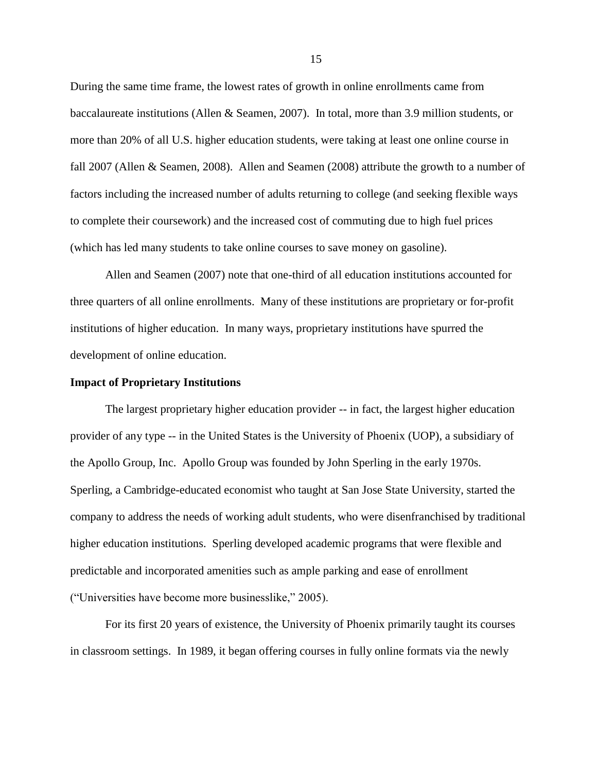During the same time frame, the lowest rates of growth in online enrollments came from baccalaureate institutions (Allen & Seamen, 2007). In total, more than 3.9 million students, or more than 20% of all U.S. higher education students, were taking at least one online course in fall 2007 (Allen & Seamen, 2008). Allen and Seamen (2008) attribute the growth to a number of factors including the increased number of adults returning to college (and seeking flexible ways to complete their coursework) and the increased cost of commuting due to high fuel prices (which has led many students to take online courses to save money on gasoline).

Allen and Seamen (2007) note that one-third of all education institutions accounted for three quarters of all online enrollments. Many of these institutions are proprietary or for-profit institutions of higher education. In many ways, proprietary institutions have spurred the development of online education.

#### <span id="page-25-0"></span>**Impact of Proprietary Institutions**

The largest proprietary higher education provider -- in fact, the largest higher education provider of any type -- in the United States is the University of Phoenix (UOP), a subsidiary of the Apollo Group, Inc. Apollo Group was founded by John Sperling in the early 1970s. Sperling, a Cambridge-educated economist who taught at San Jose State University, started the company to address the needs of working adult students, who were disenfranchised by traditional higher education institutions. Sperling developed academic programs that were flexible and predictable and incorporated amenities such as ample parking and ease of enrollment (―Universities have become more businesslike,‖ 2005).

For its first 20 years of existence, the University of Phoenix primarily taught its courses in classroom settings. In 1989, it began offering courses in fully online formats via the newly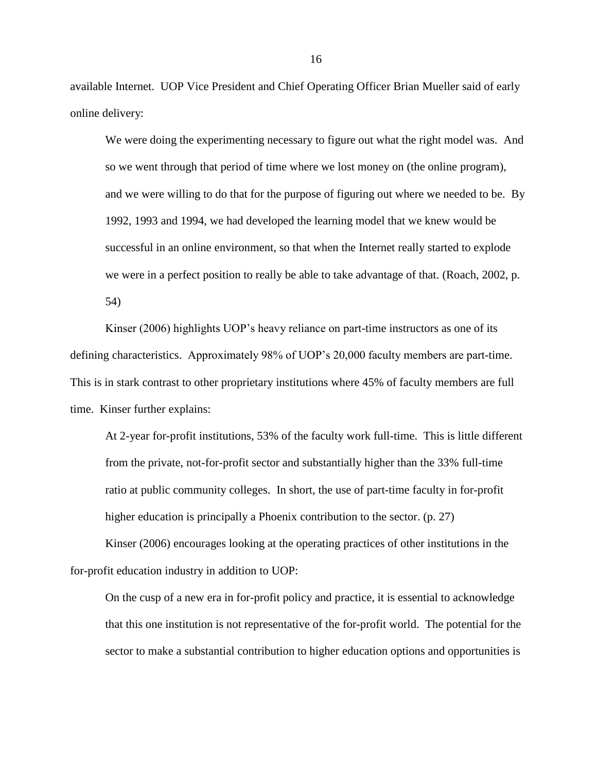available Internet. UOP Vice President and Chief Operating Officer Brian Mueller said of early online delivery:

We were doing the experimenting necessary to figure out what the right model was. And so we went through that period of time where we lost money on (the online program), and we were willing to do that for the purpose of figuring out where we needed to be. By 1992, 1993 and 1994, we had developed the learning model that we knew would be successful in an online environment, so that when the Internet really started to explode we were in a perfect position to really be able to take advantage of that. (Roach, 2002, p. 54)

Kinser (2006) highlights UOP's heavy reliance on part-time instructors as one of its defining characteristics. Approximately 98% of UOP's 20,000 faculty members are part-time. This is in stark contrast to other proprietary institutions where 45% of faculty members are full time. Kinser further explains:

At 2-year for-profit institutions, 53% of the faculty work full-time. This is little different from the private, not-for-profit sector and substantially higher than the 33% full-time ratio at public community colleges. In short, the use of part-time faculty in for-profit higher education is principally a Phoenix contribution to the sector. (p. 27)

Kinser (2006) encourages looking at the operating practices of other institutions in the for-profit education industry in addition to UOP:

On the cusp of a new era in for-profit policy and practice, it is essential to acknowledge that this one institution is not representative of the for-profit world. The potential for the sector to make a substantial contribution to higher education options and opportunities is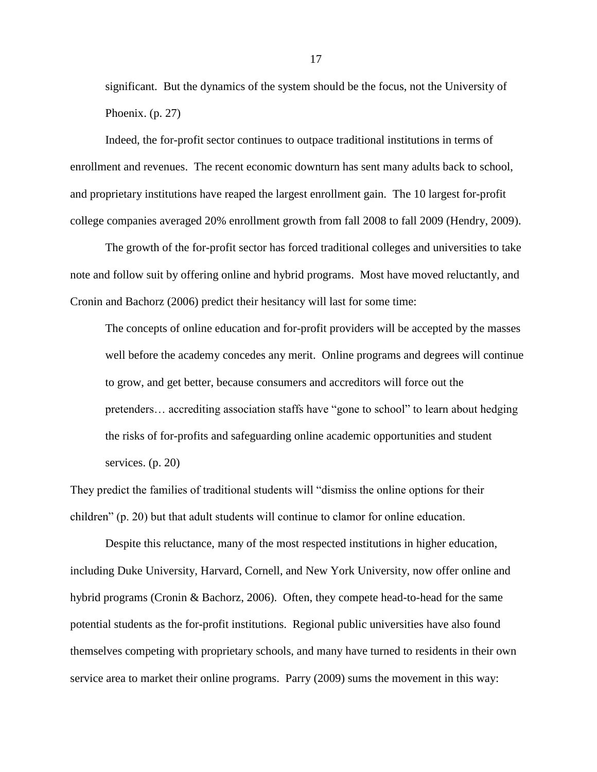significant. But the dynamics of the system should be the focus, not the University of Phoenix. (p. 27)

Indeed, the for-profit sector continues to outpace traditional institutions in terms of enrollment and revenues. The recent economic downturn has sent many adults back to school, and proprietary institutions have reaped the largest enrollment gain. The 10 largest for-profit college companies averaged 20% enrollment growth from fall 2008 to fall 2009 (Hendry, 2009).

The growth of the for-profit sector has forced traditional colleges and universities to take note and follow suit by offering online and hybrid programs. Most have moved reluctantly, and Cronin and Bachorz (2006) predict their hesitancy will last for some time:

The concepts of online education and for-profit providers will be accepted by the masses well before the academy concedes any merit. Online programs and degrees will continue to grow, and get better, because consumers and accreditors will force out the pretenders... accrediting association staffs have "gone to school" to learn about hedging the risks of for-profits and safeguarding online academic opportunities and student services. (p. 20)

They predict the families of traditional students will "dismiss the online options for their children" (p. 20) but that adult students will continue to clamor for online education.

Despite this reluctance, many of the most respected institutions in higher education, including Duke University, Harvard, Cornell, and New York University, now offer online and hybrid programs (Cronin & Bachorz, 2006). Often, they compete head-to-head for the same potential students as the for-profit institutions. Regional public universities have also found themselves competing with proprietary schools, and many have turned to residents in their own service area to market their online programs. Parry (2009) sums the movement in this way: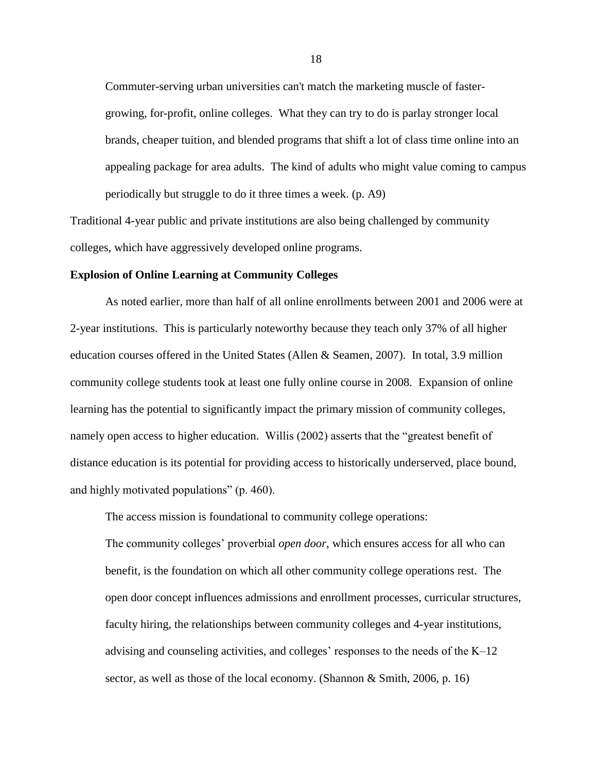Commuter-serving urban universities can't match the marketing muscle of fastergrowing, for-profit, online colleges. What they can try to do is parlay stronger local brands, cheaper tuition, and blended programs that shift a lot of class time online into an appealing package for area adults. The kind of adults who might value coming to campus periodically but struggle to do it three times a week. (p. A9)

Traditional 4-year public and private institutions are also being challenged by community colleges, which have aggressively developed online programs.

#### <span id="page-28-0"></span>**Explosion of Online Learning at Community Colleges**

As noted earlier, more than half of all online enrollments between 2001 and 2006 were at 2-year institutions. This is particularly noteworthy because they teach only 37% of all higher education courses offered in the United States (Allen & Seamen, 2007). In total, 3.9 million community college students took at least one fully online course in 2008. Expansion of online learning has the potential to significantly impact the primary mission of community colleges, namely open access to higher education. Willis (2002) asserts that the "greatest benefit of distance education is its potential for providing access to historically underserved, place bound, and highly motivated populations" (p. 460).

The access mission is foundational to community college operations:

The community colleges' proverbial *open door,* which ensures access for all who can benefit, is the foundation on which all other community college operations rest. The open door concept influences admissions and enrollment processes, curricular structures, faculty hiring, the relationships between community colleges and 4-year institutions, advising and counseling activities, and colleges' responses to the needs of the K–12 sector, as well as those of the local economy. (Shannon & Smith, 2006, p. 16)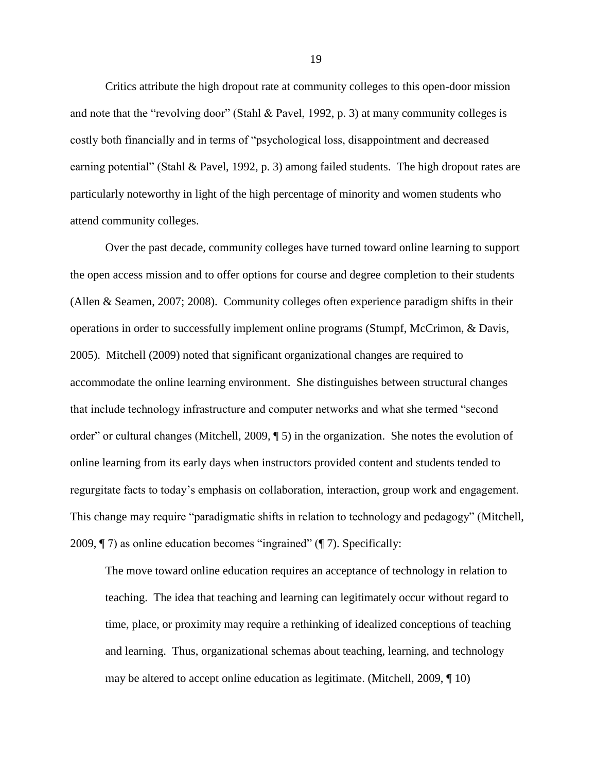Critics attribute the high dropout rate at community colleges to this open-door mission and note that the "revolving door" (Stahl & Pavel, 1992, p. 3) at many community colleges is costly both financially and in terms of "psychological loss, disappointment and decreased earning potential" (Stahl & Pavel, 1992, p. 3) among failed students. The high dropout rates are particularly noteworthy in light of the high percentage of minority and women students who attend community colleges.

Over the past decade, community colleges have turned toward online learning to support the open access mission and to offer options for course and degree completion to their students (Allen & Seamen, 2007; 2008). Community colleges often experience paradigm shifts in their operations in order to successfully implement online programs (Stumpf, McCrimon, & Davis, 2005). Mitchell (2009) noted that significant organizational changes are required to accommodate the online learning environment. She distinguishes between structural changes that include technology infrastructure and computer networks and what she termed "second" order" or cultural changes (Mitchell, 2009,  $\P$  5) in the organization. She notes the evolution of online learning from its early days when instructors provided content and students tended to regurgitate facts to today's emphasis on collaboration, interaction, group work and engagement. This change may require "paradigmatic shifts in relation to technology and pedagogy" (Mitchell, 2009,  $\P$  7) as online education becomes "ingrained" ( $\P$  7). Specifically:

The move toward online education requires an acceptance of technology in relation to teaching. The idea that teaching and learning can legitimately occur without regard to time, place, or proximity may require a rethinking of idealized conceptions of teaching and learning. Thus, organizational schemas about teaching, learning, and technology may be altered to accept online education as legitimate. (Mitchell, 2009, ¶ 10)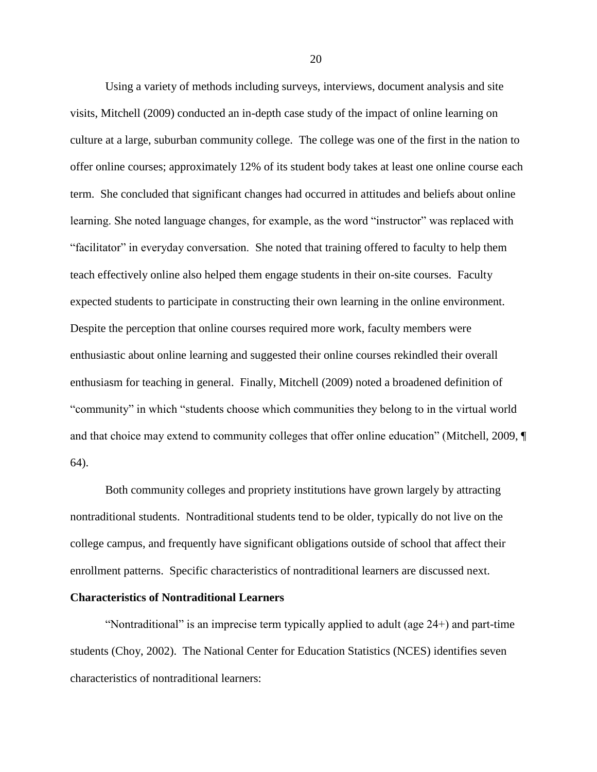Using a variety of methods including surveys, interviews, document analysis and site visits, Mitchell (2009) conducted an in-depth case study of the impact of online learning on culture at a large, suburban community college. The college was one of the first in the nation to offer online courses; approximately 12% of its student body takes at least one online course each term. She concluded that significant changes had occurred in attitudes and beliefs about online learning. She noted language changes, for example, as the word "instructor" was replaced with ―facilitator‖ in everyday conversation. She noted that training offered to faculty to help them teach effectively online also helped them engage students in their on-site courses. Faculty expected students to participate in constructing their own learning in the online environment. Despite the perception that online courses required more work, faculty members were enthusiastic about online learning and suggested their online courses rekindled their overall enthusiasm for teaching in general. Finally, Mitchell (2009) noted a broadened definition of "community" in which "students choose which communities they belong to in the virtual world and that choice may extend to community colleges that offer online education" (Mitchell, 2009,  $\P$ 64).

Both community colleges and propriety institutions have grown largely by attracting nontraditional students. Nontraditional students tend to be older, typically do not live on the college campus, and frequently have significant obligations outside of school that affect their enrollment patterns. Specific characteristics of nontraditional learners are discussed next.

#### <span id="page-30-0"></span>**Characteristics of Nontraditional Learners**

"Nontraditional" is an imprecise term typically applied to adult (age  $24+$ ) and part-time students (Choy, 2002). The National Center for Education Statistics (NCES) identifies seven characteristics of nontraditional learners: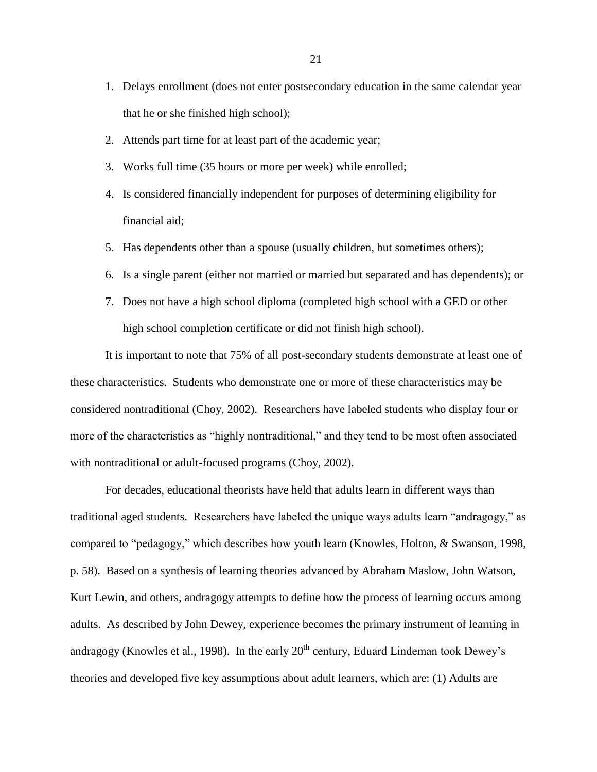- 1. Delays enrollment (does not enter postsecondary education in the same calendar year that he or she finished high school);
- 2. Attends part time for at least part of the academic year;
- 3. Works full time (35 hours or more per week) while enrolled;
- 4. Is considered financially independent for purposes of determining eligibility for financial aid;
- 5. Has dependents other than a spouse (usually children, but sometimes others);
- 6. Is a single parent (either not married or married but separated and has dependents); or
- 7. Does not have a high school diploma (completed high school with a GED or other high school completion certificate or did not finish high school).

It is important to note that 75% of all post-secondary students demonstrate at least one of these characteristics. Students who demonstrate one or more of these characteristics may be considered nontraditional (Choy, 2002). Researchers have labeled students who display four or more of the characteristics as "highly nontraditional," and they tend to be most often associated with nontraditional or adult-focused programs (Choy, 2002).

For decades, educational theorists have held that adults learn in different ways than traditional aged students. Researchers have labeled the unique ways adults learn "andragogy," as compared to "pedagogy," which describes how youth learn (Knowles, Holton, & Swanson, 1998, p. 58). Based on a synthesis of learning theories advanced by Abraham Maslow, John Watson, Kurt Lewin, and others, andragogy attempts to define how the process of learning occurs among adults. As described by John Dewey, experience becomes the primary instrument of learning in andragogy (Knowles et al., 1998). In the early  $20<sup>th</sup>$  century, Eduard Lindeman took Dewey's theories and developed five key assumptions about adult learners, which are: (1) Adults are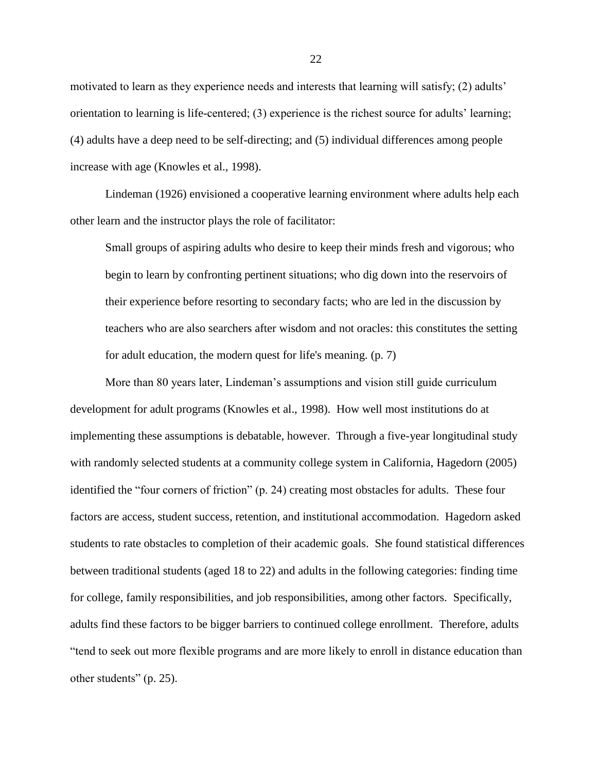motivated to learn as they experience needs and interests that learning will satisfy; (2) adults' orientation to learning is life-centered; (3) experience is the richest source for adults' learning; (4) adults have a deep need to be self-directing; and (5) individual differences among people increase with age (Knowles et al., 1998).

Lindeman (1926) envisioned a cooperative learning environment where adults help each other learn and the instructor plays the role of facilitator:

Small groups of aspiring adults who desire to keep their minds fresh and vigorous; who begin to learn by confronting pertinent situations; who dig down into the reservoirs of their experience before resorting to secondary facts; who are led in the discussion by teachers who are also searchers after wisdom and not oracles: this constitutes the setting for adult education, the modern quest for life's meaning. (p. 7)

More than 80 years later, Lindeman's assumptions and vision still guide curriculum development for adult programs (Knowles et al., 1998). How well most institutions do at implementing these assumptions is debatable, however. Through a five-year longitudinal study with randomly selected students at a community college system in California, Hagedorn (2005) identified the "four corners of friction" (p. 24) creating most obstacles for adults. These four factors are access, student success, retention, and institutional accommodation. Hagedorn asked students to rate obstacles to completion of their academic goals. She found statistical differences between traditional students (aged 18 to 22) and adults in the following categories: finding time for college, family responsibilities, and job responsibilities, among other factors. Specifically, adults find these factors to be bigger barriers to continued college enrollment. Therefore, adults ―tend to seek out more flexible programs and are more likely to enroll in distance education than other students" (p. 25).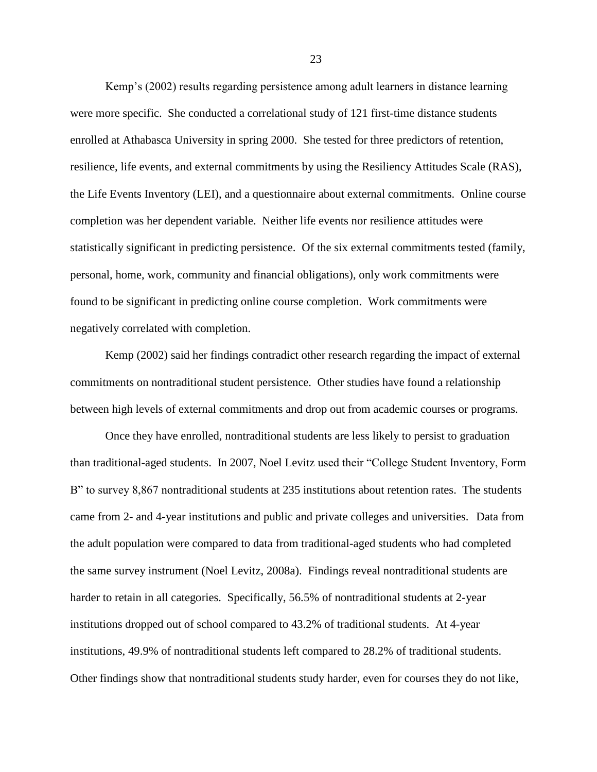Kemp's (2002) results regarding persistence among adult learners in distance learning were more specific. She conducted a correlational study of 121 first-time distance students enrolled at Athabasca University in spring 2000. She tested for three predictors of retention, resilience, life events, and external commitments by using the Resiliency Attitudes Scale (RAS), the Life Events Inventory (LEI), and a questionnaire about external commitments. Online course completion was her dependent variable. Neither life events nor resilience attitudes were statistically significant in predicting persistence. Of the six external commitments tested (family, personal, home, work, community and financial obligations), only work commitments were found to be significant in predicting online course completion. Work commitments were negatively correlated with completion.

Kemp (2002) said her findings contradict other research regarding the impact of external commitments on nontraditional student persistence. Other studies have found a relationship between high levels of external commitments and drop out from academic courses or programs.

Once they have enrolled, nontraditional students are less likely to persist to graduation than traditional-aged students. In 2007, Noel Levitz used their "College Student Inventory, Form B" to survey 8,867 nontraditional students at 235 institutions about retention rates. The students came from 2- and 4-year institutions and public and private colleges and universities. Data from the adult population were compared to data from traditional-aged students who had completed the same survey instrument (Noel Levitz, 2008a). Findings reveal nontraditional students are harder to retain in all categories. Specifically, 56.5% of nontraditional students at 2-year institutions dropped out of school compared to 43.2% of traditional students. At 4-year institutions, 49.9% of nontraditional students left compared to 28.2% of traditional students. Other findings show that nontraditional students study harder, even for courses they do not like,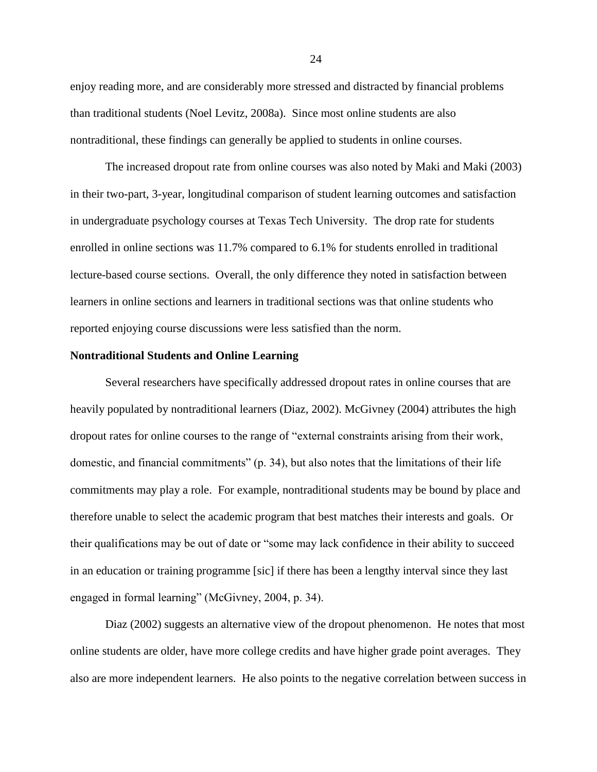enjoy reading more, and are considerably more stressed and distracted by financial problems than traditional students (Noel Levitz, 2008a). Since most online students are also nontraditional, these findings can generally be applied to students in online courses.

The increased dropout rate from online courses was also noted by Maki and Maki (2003) in their two-part, 3-year, longitudinal comparison of student learning outcomes and satisfaction in undergraduate psychology courses at Texas Tech University. The drop rate for students enrolled in online sections was 11.7% compared to 6.1% for students enrolled in traditional lecture-based course sections. Overall, the only difference they noted in satisfaction between learners in online sections and learners in traditional sections was that online students who reported enjoying course discussions were less satisfied than the norm.

#### <span id="page-34-0"></span>**Nontraditional Students and Online Learning**

Several researchers have specifically addressed dropout rates in online courses that are heavily populated by nontraditional learners (Diaz, 2002). McGivney (2004) attributes the high dropout rates for online courses to the range of "external constraints arising from their work, domestic, and financial commitments" (p. 34), but also notes that the limitations of their life commitments may play a role. For example, nontraditional students may be bound by place and therefore unable to select the academic program that best matches their interests and goals. Or their qualifications may be out of date or "some may lack confidence in their ability to succeed in an education or training programme [sic] if there has been a lengthy interval since they last engaged in formal learning" (McGivney, 2004, p. 34).

Diaz (2002) suggests an alternative view of the dropout phenomenon. He notes that most online students are older, have more college credits and have higher grade point averages. They also are more independent learners. He also points to the negative correlation between success in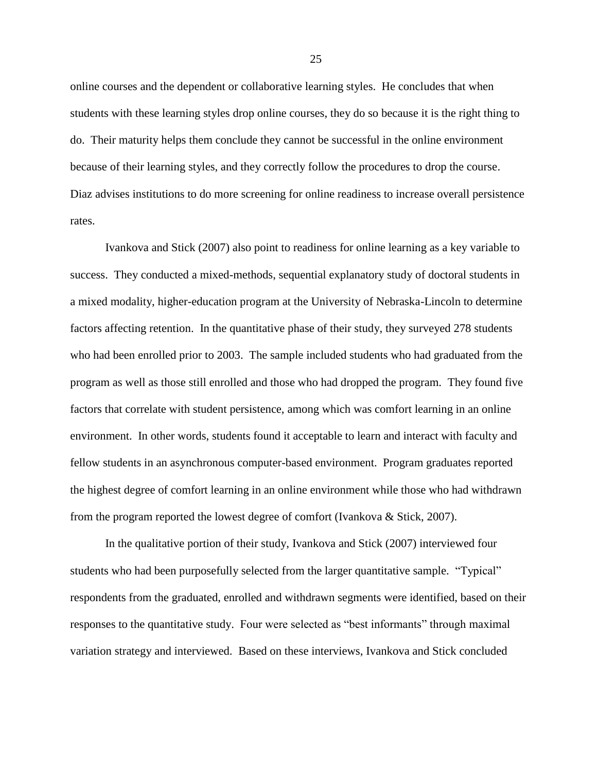online courses and the dependent or collaborative learning styles. He concludes that when students with these learning styles drop online courses, they do so because it is the right thing to do. Their maturity helps them conclude they cannot be successful in the online environment because of their learning styles, and they correctly follow the procedures to drop the course. Diaz advises institutions to do more screening for online readiness to increase overall persistence rates.

Ivankova and Stick (2007) also point to readiness for online learning as a key variable to success. They conducted a mixed-methods, sequential explanatory study of doctoral students in a mixed modality, higher-education program at the University of Nebraska-Lincoln to determine factors affecting retention. In the quantitative phase of their study, they surveyed 278 students who had been enrolled prior to 2003. The sample included students who had graduated from the program as well as those still enrolled and those who had dropped the program. They found five factors that correlate with student persistence, among which was comfort learning in an online environment. In other words, students found it acceptable to learn and interact with faculty and fellow students in an asynchronous computer-based environment. Program graduates reported the highest degree of comfort learning in an online environment while those who had withdrawn from the program reported the lowest degree of comfort (Ivankova & Stick, 2007).

In the qualitative portion of their study, Ivankova and Stick (2007) interviewed four students who had been purposefully selected from the larger quantitative sample. "Typical" respondents from the graduated, enrolled and withdrawn segments were identified, based on their responses to the quantitative study. Four were selected as "best informants" through maximal variation strategy and interviewed. Based on these interviews, Ivankova and Stick concluded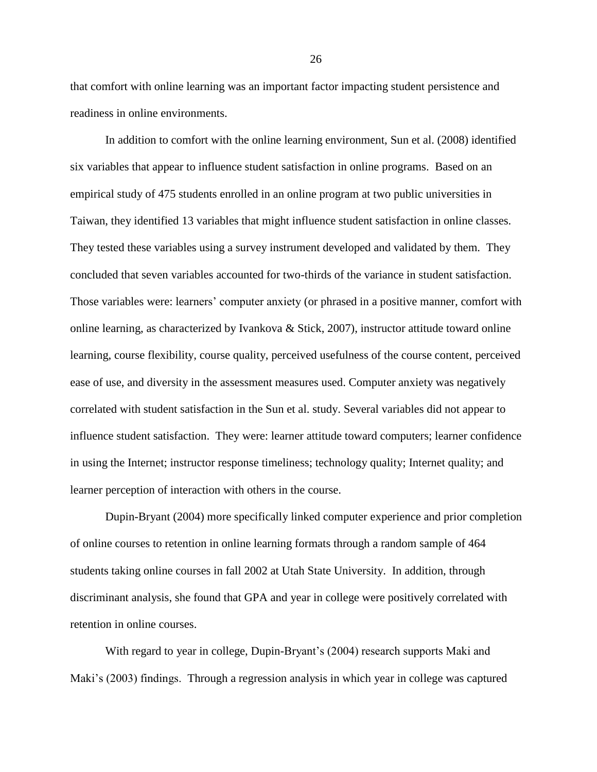that comfort with online learning was an important factor impacting student persistence and readiness in online environments.

In addition to comfort with the online learning environment, Sun et al. (2008) identified six variables that appear to influence student satisfaction in online programs. Based on an empirical study of 475 students enrolled in an online program at two public universities in Taiwan, they identified 13 variables that might influence student satisfaction in online classes. They tested these variables using a survey instrument developed and validated by them. They concluded that seven variables accounted for two-thirds of the variance in student satisfaction. Those variables were: learners' computer anxiety (or phrased in a positive manner, comfort with online learning, as characterized by Ivankova & Stick, 2007), instructor attitude toward online learning, course flexibility, course quality, perceived usefulness of the course content, perceived ease of use, and diversity in the assessment measures used. Computer anxiety was negatively correlated with student satisfaction in the Sun et al. study. Several variables did not appear to influence student satisfaction. They were: learner attitude toward computers; learner confidence in using the Internet; instructor response timeliness; technology quality; Internet quality; and learner perception of interaction with others in the course.

Dupin-Bryant (2004) more specifically linked computer experience and prior completion of online courses to retention in online learning formats through a random sample of 464 students taking online courses in fall 2002 at Utah State University. In addition, through discriminant analysis, she found that GPA and year in college were positively correlated with retention in online courses.

With regard to year in college, Dupin-Bryant's (2004) research supports Maki and Maki's (2003) findings. Through a regression analysis in which year in college was captured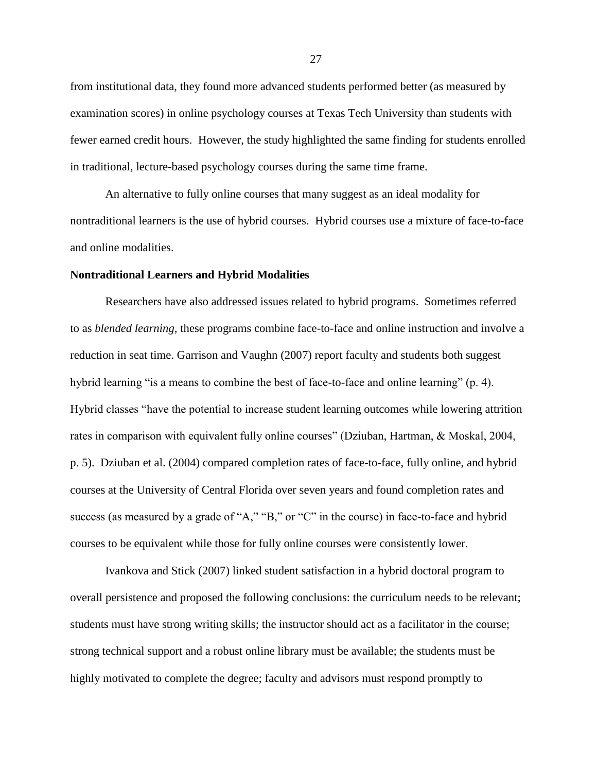from institutional data, they found more advanced students performed better (as measured by examination scores) in online psychology courses at Texas Tech University than students with fewer earned credit hours. However, the study highlighted the same finding for students enrolled in traditional, lecture-based psychology courses during the same time frame.

An alternative to fully online courses that many suggest as an ideal modality for nontraditional learners is the use of hybrid courses. Hybrid courses use a mixture of face-to-face and online modalities.

## **Nontraditional Learners and Hybrid Modalities**

Researchers have also addressed issues related to hybrid programs. Sometimes referred to as *blended learning,* these programs combine face-to-face and online instruction and involve a reduction in seat time. Garrison and Vaughn (2007) report faculty and students both suggest hybrid learning "is a means to combine the best of face-to-face and online learning" (p. 4). Hybrid classes "have the potential to increase student learning outcomes while lowering attrition rates in comparison with equivalent fully online courses" (Dziuban, Hartman, & Moskal, 2004, p. 5). Dziuban et al. (2004) compared completion rates of face-to-face, fully online, and hybrid courses at the University of Central Florida over seven years and found completion rates and success (as measured by a grade of "A," "B," or "C" in the course) in face-to-face and hybrid courses to be equivalent while those for fully online courses were consistently lower.

Ivankova and Stick (2007) linked student satisfaction in a hybrid doctoral program to overall persistence and proposed the following conclusions: the curriculum needs to be relevant; students must have strong writing skills; the instructor should act as a facilitator in the course; strong technical support and a robust online library must be available; the students must be highly motivated to complete the degree; faculty and advisors must respond promptly to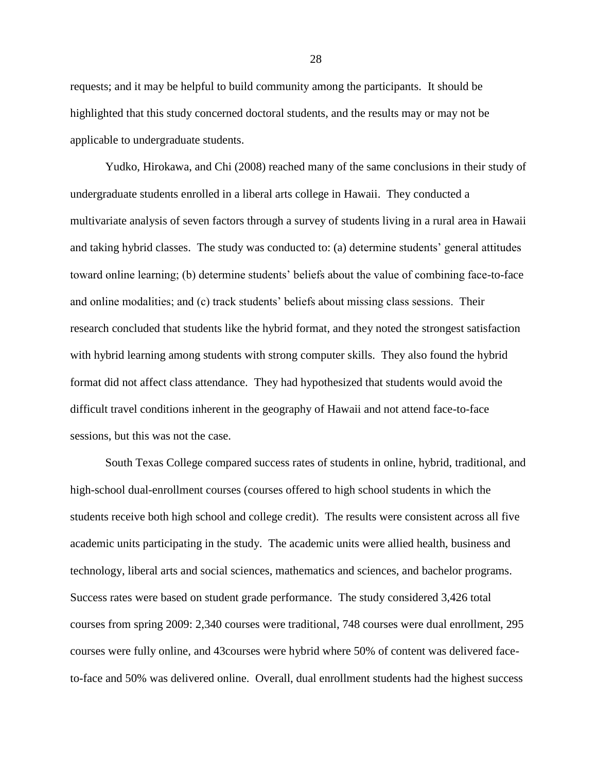requests; and it may be helpful to build community among the participants. It should be highlighted that this study concerned doctoral students, and the results may or may not be applicable to undergraduate students.

Yudko, Hirokawa, and Chi (2008) reached many of the same conclusions in their study of undergraduate students enrolled in a liberal arts college in Hawaii. They conducted a multivariate analysis of seven factors through a survey of students living in a rural area in Hawaii and taking hybrid classes. The study was conducted to: (a) determine students' general attitudes toward online learning; (b) determine students' beliefs about the value of combining face-to-face and online modalities; and (c) track students' beliefs about missing class sessions. Their research concluded that students like the hybrid format, and they noted the strongest satisfaction with hybrid learning among students with strong computer skills. They also found the hybrid format did not affect class attendance. They had hypothesized that students would avoid the difficult travel conditions inherent in the geography of Hawaii and not attend face-to-face sessions, but this was not the case.

South Texas College compared success rates of students in online, hybrid, traditional, and high-school dual-enrollment courses (courses offered to high school students in which the students receive both high school and college credit). The results were consistent across all five academic units participating in the study. The academic units were allied health, business and technology, liberal arts and social sciences, mathematics and sciences, and bachelor programs. Success rates were based on student grade performance. The study considered 3,426 total courses from spring 2009: 2,340 courses were traditional, 748 courses were dual enrollment, 295 courses were fully online, and 43courses were hybrid where 50% of content was delivered faceto-face and 50% was delivered online. Overall, dual enrollment students had the highest success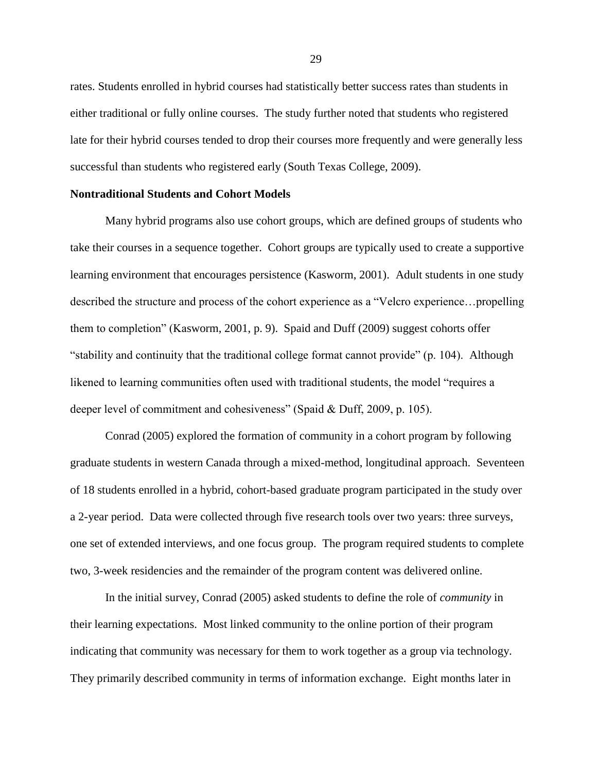rates. Students enrolled in hybrid courses had statistically better success rates than students in either traditional or fully online courses. The study further noted that students who registered late for their hybrid courses tended to drop their courses more frequently and were generally less successful than students who registered early (South Texas College, 2009).

# **Nontraditional Students and Cohort Models**

Many hybrid programs also use cohort groups, which are defined groups of students who take their courses in a sequence together. Cohort groups are typically used to create a supportive learning environment that encourages persistence (Kasworm, 2001). Adult students in one study described the structure and process of the cohort experience as a "Velcro experience...propelling them to completion" (Kasworm, 2001, p. 9). Spaid and Duff  $(2009)$  suggest cohorts offer "stability and continuity that the traditional college format cannot provide" (p. 104). Although likened to learning communities often used with traditional students, the model "requires a deeper level of commitment and cohesiveness" (Spaid  $&$  Duff, 2009, p. 105).

Conrad (2005) explored the formation of community in a cohort program by following graduate students in western Canada through a mixed-method, longitudinal approach. Seventeen of 18 students enrolled in a hybrid, cohort-based graduate program participated in the study over a 2-year period. Data were collected through five research tools over two years: three surveys, one set of extended interviews, and one focus group. The program required students to complete two, 3-week residencies and the remainder of the program content was delivered online.

In the initial survey, Conrad (2005) asked students to define the role of *community* in their learning expectations. Most linked community to the online portion of their program indicating that community was necessary for them to work together as a group via technology. They primarily described community in terms of information exchange. Eight months later in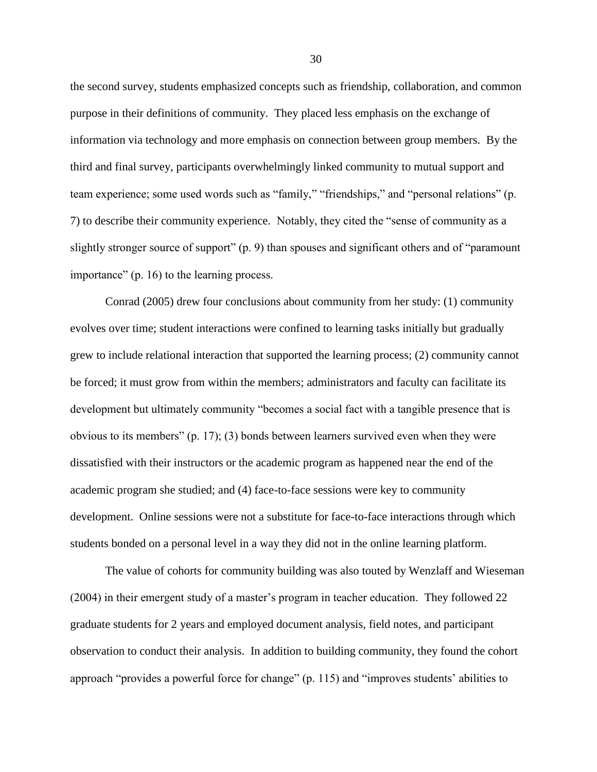the second survey, students emphasized concepts such as friendship, collaboration, and common purpose in their definitions of community. They placed less emphasis on the exchange of information via technology and more emphasis on connection between group members. By the third and final survey, participants overwhelmingly linked community to mutual support and team experience; some used words such as "family," "friendships," and "personal relations" (p. 7) to describe their community experience. Notably, they cited the "sense of community as a slightly stronger source of support" (p. 9) than spouses and significant others and of "paramount importance" (p. 16) to the learning process.

Conrad (2005) drew four conclusions about community from her study: (1) community evolves over time; student interactions were confined to learning tasks initially but gradually grew to include relational interaction that supported the learning process; (2) community cannot be forced; it must grow from within the members; administrators and faculty can facilitate its development but ultimately community "becomes a social fact with a tangible presence that is obvious to its members" (p. 17); (3) bonds between learners survived even when they were dissatisfied with their instructors or the academic program as happened near the end of the academic program she studied; and (4) face-to-face sessions were key to community development. Online sessions were not a substitute for face-to-face interactions through which students bonded on a personal level in a way they did not in the online learning platform.

The value of cohorts for community building was also touted by Wenzlaff and Wieseman (2004) in their emergent study of a master's program in teacher education. They followed 22 graduate students for 2 years and employed document analysis, field notes, and participant observation to conduct their analysis. In addition to building community, they found the cohort approach "provides a powerful force for change" (p. 115) and "improves students' abilities to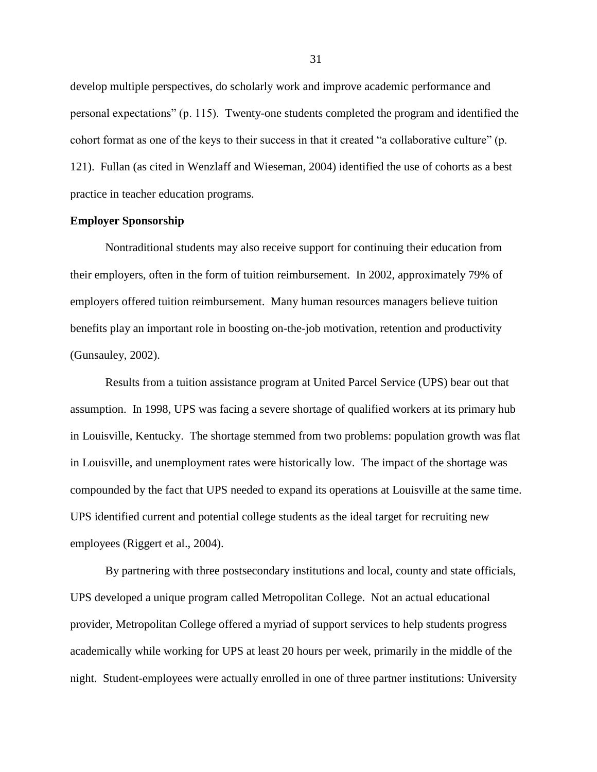develop multiple perspectives, do scholarly work and improve academic performance and personal expectations" (p. 115). Twenty-one students completed the program and identified the cohort format as one of the keys to their success in that it created "a collaborative culture" (p. 121). Fullan (as cited in Wenzlaff and Wieseman, 2004) identified the use of cohorts as a best practice in teacher education programs.

### **Employer Sponsorship**

Nontraditional students may also receive support for continuing their education from their employers, often in the form of tuition reimbursement. In 2002, approximately 79% of employers offered tuition reimbursement. Many human resources managers believe tuition benefits play an important role in boosting on-the-job motivation, retention and productivity (Gunsauley, 2002).

Results from a tuition assistance program at United Parcel Service (UPS) bear out that assumption. In 1998, UPS was facing a severe shortage of qualified workers at its primary hub in Louisville, Kentucky. The shortage stemmed from two problems: population growth was flat in Louisville, and unemployment rates were historically low. The impact of the shortage was compounded by the fact that UPS needed to expand its operations at Louisville at the same time. UPS identified current and potential college students as the ideal target for recruiting new employees (Riggert et al., 2004).

By partnering with three postsecondary institutions and local, county and state officials, UPS developed a unique program called Metropolitan College. Not an actual educational provider, Metropolitan College offered a myriad of support services to help students progress academically while working for UPS at least 20 hours per week, primarily in the middle of the night. Student-employees were actually enrolled in one of three partner institutions: University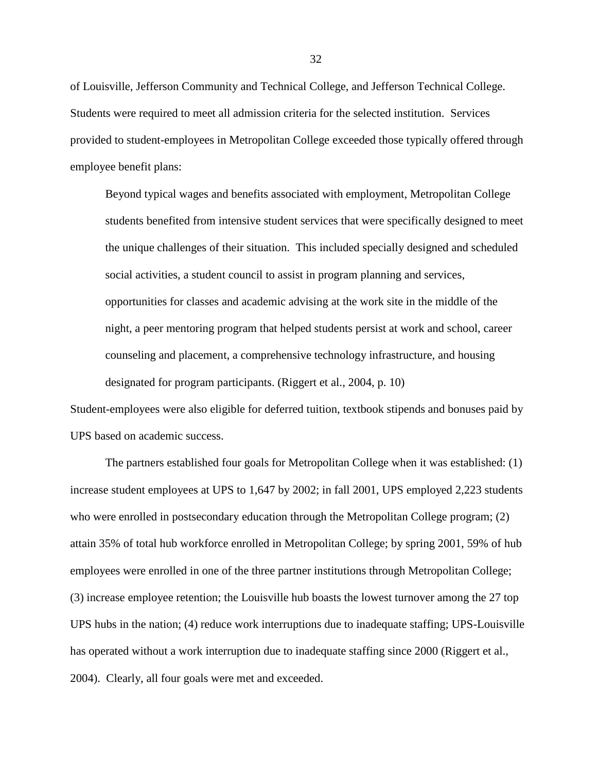of Louisville, Jefferson Community and Technical College, and Jefferson Technical College. Students were required to meet all admission criteria for the selected institution. Services provided to student-employees in Metropolitan College exceeded those typically offered through employee benefit plans:

Beyond typical wages and benefits associated with employment, Metropolitan College students benefited from intensive student services that were specifically designed to meet the unique challenges of their situation. This included specially designed and scheduled social activities, a student council to assist in program planning and services, opportunities for classes and academic advising at the work site in the middle of the night, a peer mentoring program that helped students persist at work and school, career counseling and placement, a comprehensive technology infrastructure, and housing designated for program participants. (Riggert et al., 2004, p. 10)

Student-employees were also eligible for deferred tuition, textbook stipends and bonuses paid by UPS based on academic success.

The partners established four goals for Metropolitan College when it was established: (1) increase student employees at UPS to 1,647 by 2002; in fall 2001, UPS employed 2,223 students who were enrolled in postsecondary education through the Metropolitan College program; (2) attain 35% of total hub workforce enrolled in Metropolitan College; by spring 2001, 59% of hub employees were enrolled in one of the three partner institutions through Metropolitan College; (3) increase employee retention; the Louisville hub boasts the lowest turnover among the 27 top UPS hubs in the nation; (4) reduce work interruptions due to inadequate staffing; UPS-Louisville has operated without a work interruption due to inadequate staffing since 2000 (Riggert et al., 2004). Clearly, all four goals were met and exceeded.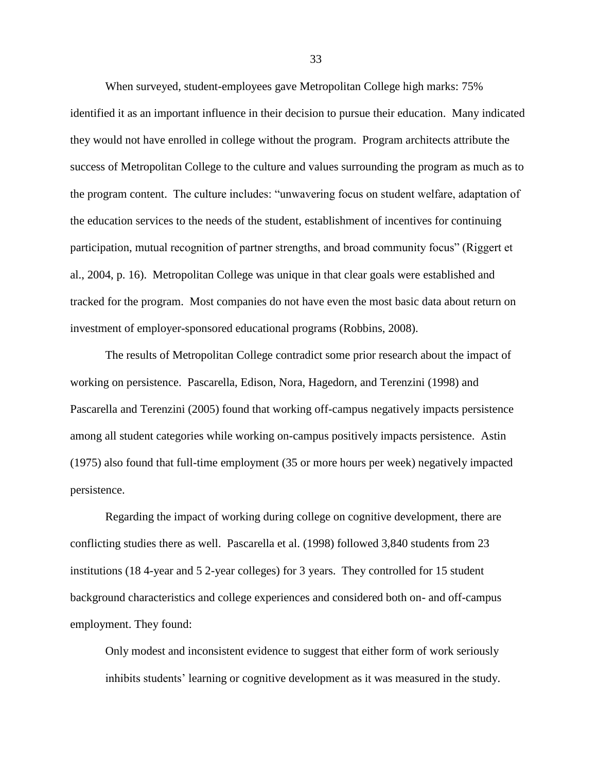When surveyed, student-employees gave Metropolitan College high marks: 75% identified it as an important influence in their decision to pursue their education. Many indicated they would not have enrolled in college without the program. Program architects attribute the success of Metropolitan College to the culture and values surrounding the program as much as to the program content. The culture includes: "unwavering focus on student welfare, adaptation of the education services to the needs of the student, establishment of incentives for continuing participation, mutual recognition of partner strengths, and broad community focus" (Riggert et al., 2004, p. 16). Metropolitan College was unique in that clear goals were established and tracked for the program. Most companies do not have even the most basic data about return on investment of employer-sponsored educational programs (Robbins, 2008).

The results of Metropolitan College contradict some prior research about the impact of working on persistence. Pascarella, Edison, Nora, Hagedorn, and Terenzini (1998) and Pascarella and Terenzini (2005) found that working off-campus negatively impacts persistence among all student categories while working on-campus positively impacts persistence. Astin (1975) also found that full-time employment (35 or more hours per week) negatively impacted persistence.

Regarding the impact of working during college on cognitive development, there are conflicting studies there as well. Pascarella et al. (1998) followed 3,840 students from 23 institutions (18 4-year and 5 2-year colleges) for 3 years. They controlled for 15 student background characteristics and college experiences and considered both on- and off-campus employment. They found:

Only modest and inconsistent evidence to suggest that either form of work seriously inhibits students' learning or cognitive development as it was measured in the study.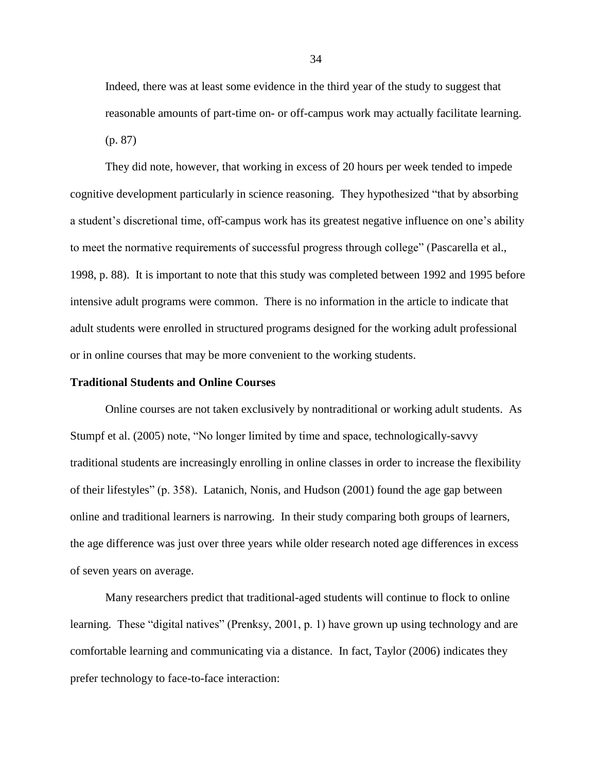Indeed, there was at least some evidence in the third year of the study to suggest that reasonable amounts of part-time on- or off-campus work may actually facilitate learning. (p. 87)

They did note, however, that working in excess of 20 hours per week tended to impede cognitive development particularly in science reasoning. They hypothesized "that by absorbing a student's discretional time, off-campus work has its greatest negative influence on one's ability to meet the normative requirements of successful progress through college" (Pascarella et al., 1998, p. 88). It is important to note that this study was completed between 1992 and 1995 before intensive adult programs were common. There is no information in the article to indicate that adult students were enrolled in structured programs designed for the working adult professional or in online courses that may be more convenient to the working students.

# **Traditional Students and Online Courses**

Online courses are not taken exclusively by nontraditional or working adult students. As Stumpf et al. (2005) note, "No longer limited by time and space, technologically-savvy traditional students are increasingly enrolling in online classes in order to increase the flexibility of their lifestyles" (p. 358). Latanich, Nonis, and Hudson (2001) found the age gap between online and traditional learners is narrowing. In their study comparing both groups of learners, the age difference was just over three years while older research noted age differences in excess of seven years on average.

Many researchers predict that traditional-aged students will continue to flock to online learning. These "digital natives" (Prenksy, 2001, p. 1) have grown up using technology and are comfortable learning and communicating via a distance. In fact, Taylor (2006) indicates they prefer technology to face-to-face interaction: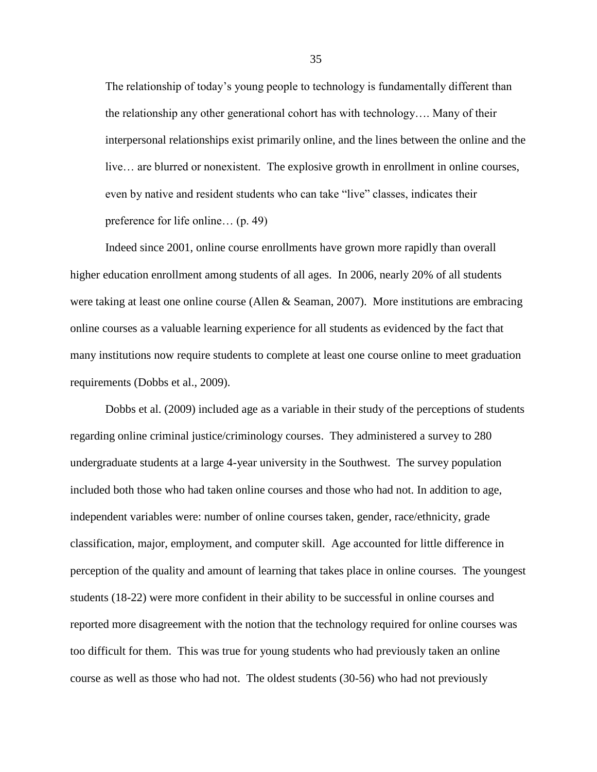The relationship of today's young people to technology is fundamentally different than the relationship any other generational cohort has with technology…. Many of their interpersonal relationships exist primarily online, and the lines between the online and the live… are blurred or nonexistent. The explosive growth in enrollment in online courses, even by native and resident students who can take "live" classes, indicates their preference for life online… (p. 49)

Indeed since 2001, online course enrollments have grown more rapidly than overall higher education enrollment among students of all ages. In 2006, nearly 20% of all students were taking at least one online course (Allen & Seaman, 2007). More institutions are embracing online courses as a valuable learning experience for all students as evidenced by the fact that many institutions now require students to complete at least one course online to meet graduation requirements (Dobbs et al., 2009).

Dobbs et al. (2009) included age as a variable in their study of the perceptions of students regarding online criminal justice/criminology courses. They administered a survey to 280 undergraduate students at a large 4-year university in the Southwest. The survey population included both those who had taken online courses and those who had not. In addition to age, independent variables were: number of online courses taken, gender, race/ethnicity, grade classification, major, employment, and computer skill. Age accounted for little difference in perception of the quality and amount of learning that takes place in online courses. The youngest students (18-22) were more confident in their ability to be successful in online courses and reported more disagreement with the notion that the technology required for online courses was too difficult for them. This was true for young students who had previously taken an online course as well as those who had not. The oldest students (30-56) who had not previously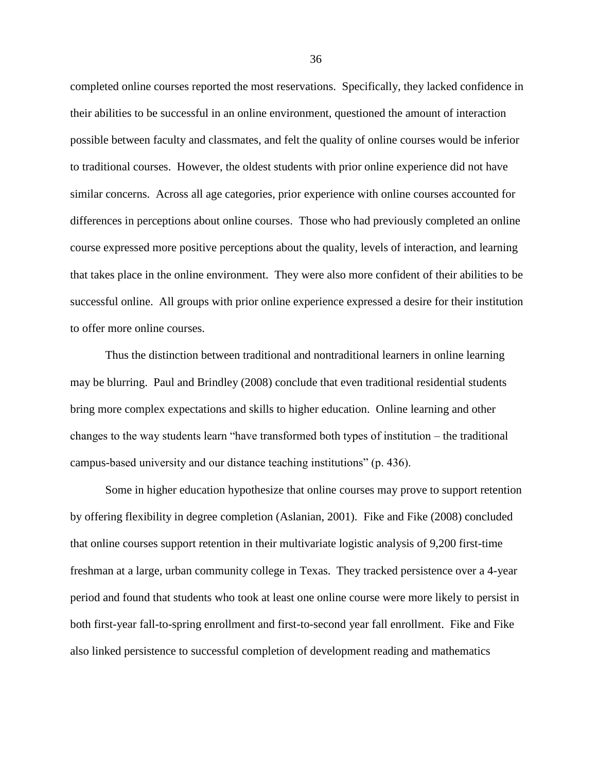completed online courses reported the most reservations. Specifically, they lacked confidence in their abilities to be successful in an online environment, questioned the amount of interaction possible between faculty and classmates, and felt the quality of online courses would be inferior to traditional courses. However, the oldest students with prior online experience did not have similar concerns. Across all age categories, prior experience with online courses accounted for differences in perceptions about online courses. Those who had previously completed an online course expressed more positive perceptions about the quality, levels of interaction, and learning that takes place in the online environment. They were also more confident of their abilities to be successful online. All groups with prior online experience expressed a desire for their institution to offer more online courses.

Thus the distinction between traditional and nontraditional learners in online learning may be blurring. Paul and Brindley (2008) conclude that even traditional residential students bring more complex expectations and skills to higher education. Online learning and other changes to the way students learn "have transformed both types of institution – the traditional campus-based university and our distance teaching institutions" (p. 436).

Some in higher education hypothesize that online courses may prove to support retention by offering flexibility in degree completion (Aslanian, 2001). Fike and Fike (2008) concluded that online courses support retention in their multivariate logistic analysis of 9,200 first-time freshman at a large, urban community college in Texas. They tracked persistence over a 4-year period and found that students who took at least one online course were more likely to persist in both first-year fall-to-spring enrollment and first-to-second year fall enrollment. Fike and Fike also linked persistence to successful completion of development reading and mathematics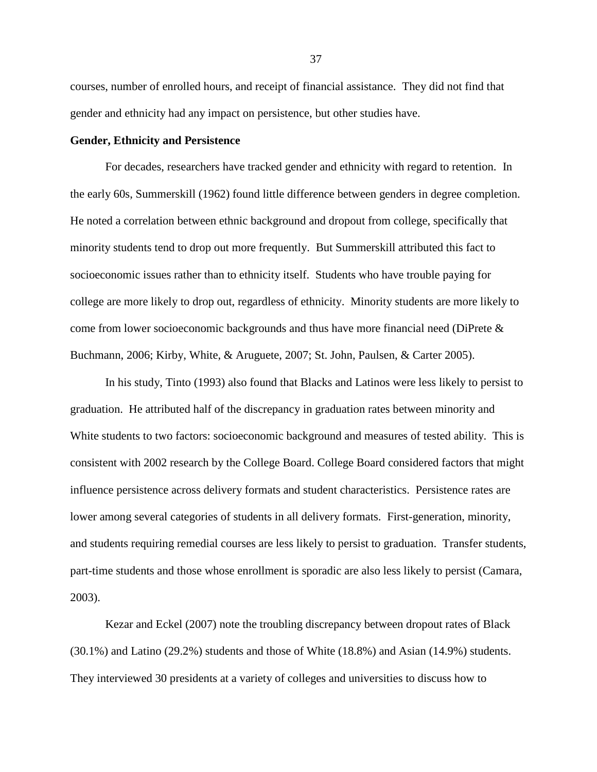courses, number of enrolled hours, and receipt of financial assistance. They did not find that gender and ethnicity had any impact on persistence, but other studies have.

## **Gender, Ethnicity and Persistence**

For decades, researchers have tracked gender and ethnicity with regard to retention. In the early 60s, Summerskill (1962) found little difference between genders in degree completion. He noted a correlation between ethnic background and dropout from college, specifically that minority students tend to drop out more frequently. But Summerskill attributed this fact to socioeconomic issues rather than to ethnicity itself. Students who have trouble paying for college are more likely to drop out, regardless of ethnicity. Minority students are more likely to come from lower socioeconomic backgrounds and thus have more financial need (DiPrete & Buchmann, 2006; Kirby, White, & Aruguete, 2007; St. John, Paulsen, & Carter 2005).

In his study, Tinto (1993) also found that Blacks and Latinos were less likely to persist to graduation. He attributed half of the discrepancy in graduation rates between minority and White students to two factors: socioeconomic background and measures of tested ability. This is consistent with 2002 research by the College Board. College Board considered factors that might influence persistence across delivery formats and student characteristics. Persistence rates are lower among several categories of students in all delivery formats. First-generation, minority, and students requiring remedial courses are less likely to persist to graduation. Transfer students, part-time students and those whose enrollment is sporadic are also less likely to persist (Camara, 2003).

Kezar and Eckel (2007) note the troubling discrepancy between dropout rates of Black (30.1%) and Latino (29.2%) students and those of White (18.8%) and Asian (14.9%) students. They interviewed 30 presidents at a variety of colleges and universities to discuss how to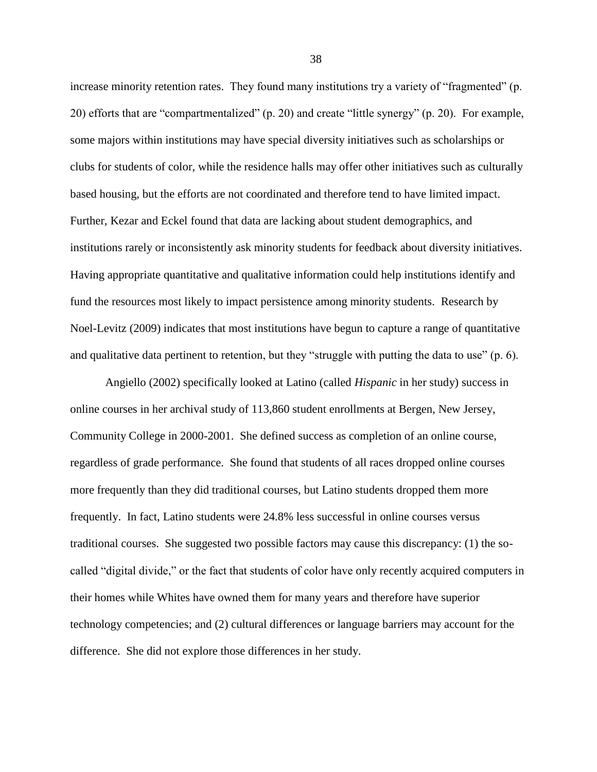increase minority retention rates. They found many institutions try a variety of "fragmented" (p. 20) efforts that are "compartmentalized" (p. 20) and create "little synergy" (p. 20). For example, some majors within institutions may have special diversity initiatives such as scholarships or clubs for students of color, while the residence halls may offer other initiatives such as culturally based housing, but the efforts are not coordinated and therefore tend to have limited impact. Further, Kezar and Eckel found that data are lacking about student demographics, and institutions rarely or inconsistently ask minority students for feedback about diversity initiatives. Having appropriate quantitative and qualitative information could help institutions identify and fund the resources most likely to impact persistence among minority students. Research by Noel-Levitz (2009) indicates that most institutions have begun to capture a range of quantitative and qualitative data pertinent to retention, but they "struggle with putting the data to use"  $(p, 6)$ .

Angiello (2002) specifically looked at Latino (called *Hispanic* in her study) success in online courses in her archival study of 113,860 student enrollments at Bergen, New Jersey, Community College in 2000-2001. She defined success as completion of an online course, regardless of grade performance. She found that students of all races dropped online courses more frequently than they did traditional courses, but Latino students dropped them more frequently. In fact, Latino students were 24.8% less successful in online courses versus traditional courses. She suggested two possible factors may cause this discrepancy: (1) the socalled "digital divide," or the fact that students of color have only recently acquired computers in their homes while Whites have owned them for many years and therefore have superior technology competencies; and (2) cultural differences or language barriers may account for the difference. She did not explore those differences in her study.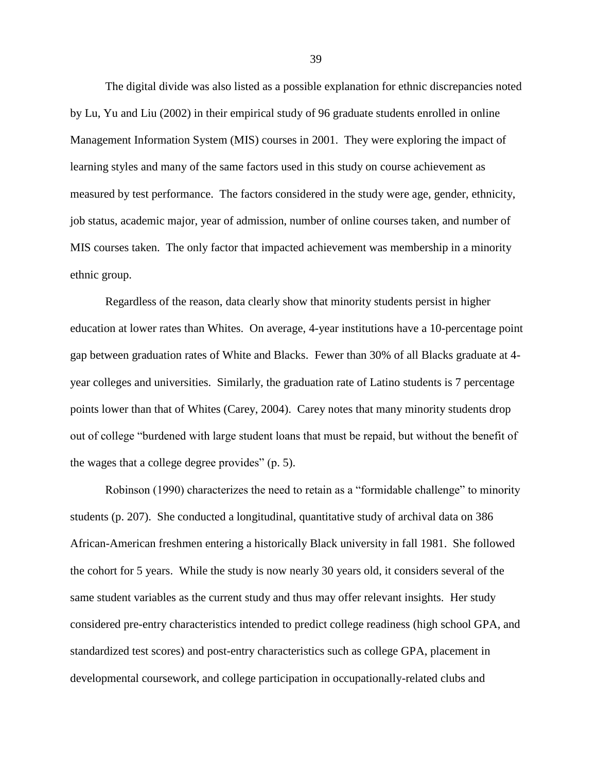The digital divide was also listed as a possible explanation for ethnic discrepancies noted by Lu, Yu and Liu (2002) in their empirical study of 96 graduate students enrolled in online Management Information System (MIS) courses in 2001. They were exploring the impact of learning styles and many of the same factors used in this study on course achievement as measured by test performance. The factors considered in the study were age, gender, ethnicity, job status, academic major, year of admission, number of online courses taken, and number of MIS courses taken. The only factor that impacted achievement was membership in a minority ethnic group.

Regardless of the reason, data clearly show that minority students persist in higher education at lower rates than Whites. On average, 4-year institutions have a 10-percentage point gap between graduation rates of White and Blacks. Fewer than 30% of all Blacks graduate at 4 year colleges and universities. Similarly, the graduation rate of Latino students is 7 percentage points lower than that of Whites (Carey, 2004). Carey notes that many minority students drop out of college "burdened with large student loans that must be repaid, but without the benefit of the wages that a college degree provides"  $(p. 5)$ .

Robinson (1990) characterizes the need to retain as a "formidable challenge" to minority students (p. 207). She conducted a longitudinal, quantitative study of archival data on 386 African-American freshmen entering a historically Black university in fall 1981. She followed the cohort for 5 years. While the study is now nearly 30 years old, it considers several of the same student variables as the current study and thus may offer relevant insights. Her study considered pre-entry characteristics intended to predict college readiness (high school GPA, and standardized test scores) and post-entry characteristics such as college GPA, placement in developmental coursework, and college participation in occupationally-related clubs and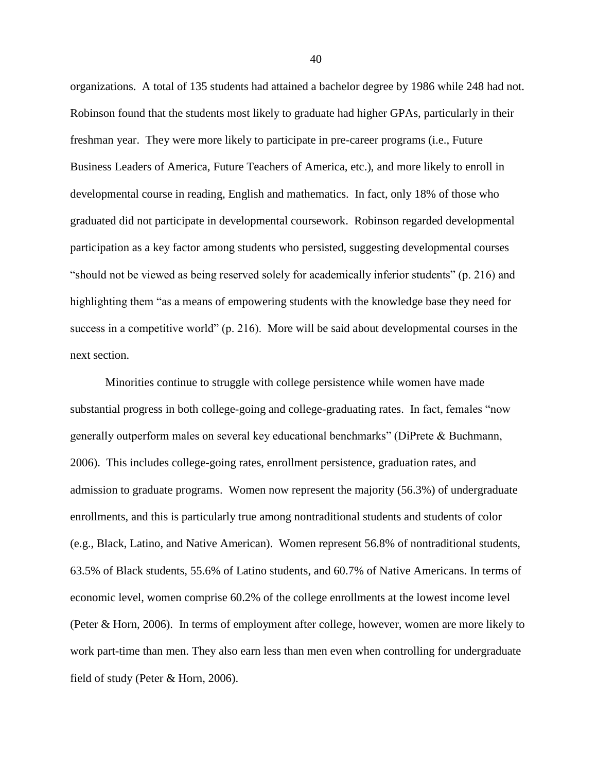organizations. A total of 135 students had attained a bachelor degree by 1986 while 248 had not. Robinson found that the students most likely to graduate had higher GPAs, particularly in their freshman year. They were more likely to participate in pre-career programs (i.e., Future Business Leaders of America, Future Teachers of America, etc.), and more likely to enroll in developmental course in reading, English and mathematics. In fact, only 18% of those who graduated did not participate in developmental coursework. Robinson regarded developmental participation as a key factor among students who persisted, suggesting developmental courses "should not be viewed as being reserved solely for academically inferior students" (p. 216) and highlighting them "as a means of empowering students with the knowledge base they need for success in a competitive world" (p. 216). More will be said about developmental courses in the next section.

Minorities continue to struggle with college persistence while women have made substantial progress in both college-going and college-graduating rates. In fact, females "now generally outperform males on several key educational benchmarks" (DiPrete  $& Buchmann$ , 2006). This includes college-going rates, enrollment persistence, graduation rates, and admission to graduate programs. Women now represent the majority (56.3%) of undergraduate enrollments, and this is particularly true among nontraditional students and students of color (e.g., Black, Latino, and Native American). Women represent 56.8% of nontraditional students, 63.5% of Black students, 55.6% of Latino students, and 60.7% of Native Americans. In terms of economic level, women comprise 60.2% of the college enrollments at the lowest income level (Peter & Horn, 2006). In terms of employment after college, however, women are more likely to work part-time than men. They also earn less than men even when controlling for undergraduate field of study (Peter & Horn, 2006).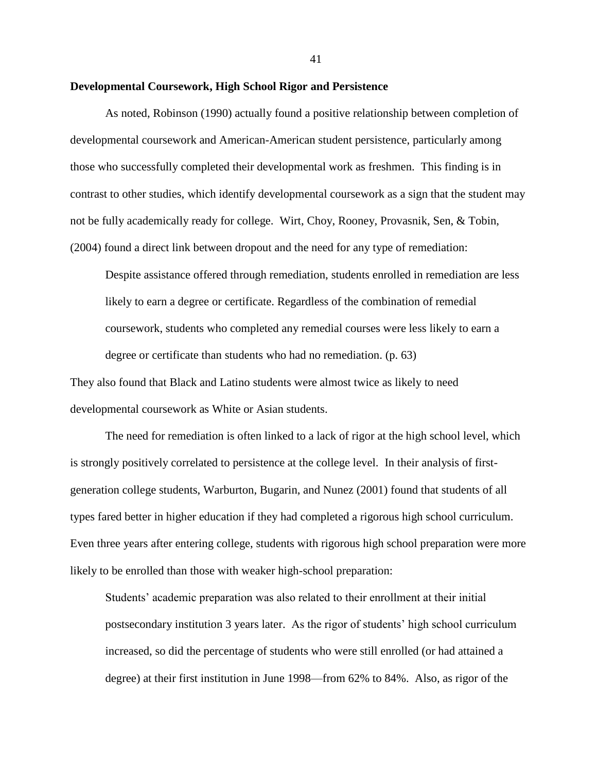### **Developmental Coursework, High School Rigor and Persistence**

As noted, Robinson (1990) actually found a positive relationship between completion of developmental coursework and American-American student persistence, particularly among those who successfully completed their developmental work as freshmen. This finding is in contrast to other studies, which identify developmental coursework as a sign that the student may not be fully academically ready for college. Wirt, Choy, Rooney, Provasnik, Sen, & Tobin, (2004) found a direct link between dropout and the need for any type of remediation:

Despite assistance offered through remediation, students enrolled in remediation are less likely to earn a degree or certificate. Regardless of the combination of remedial coursework, students who completed any remedial courses were less likely to earn a degree or certificate than students who had no remediation. (p. 63)

They also found that Black and Latino students were almost twice as likely to need developmental coursework as White or Asian students.

The need for remediation is often linked to a lack of rigor at the high school level, which is strongly positively correlated to persistence at the college level. In their analysis of firstgeneration college students, Warburton, Bugarin, and Nunez (2001) found that students of all types fared better in higher education if they had completed a rigorous high school curriculum. Even three years after entering college, students with rigorous high school preparation were more likely to be enrolled than those with weaker high-school preparation:

Students' academic preparation was also related to their enrollment at their initial postsecondary institution 3 years later. As the rigor of students' high school curriculum increased, so did the percentage of students who were still enrolled (or had attained a degree) at their first institution in June 1998—from 62% to 84%. Also, as rigor of the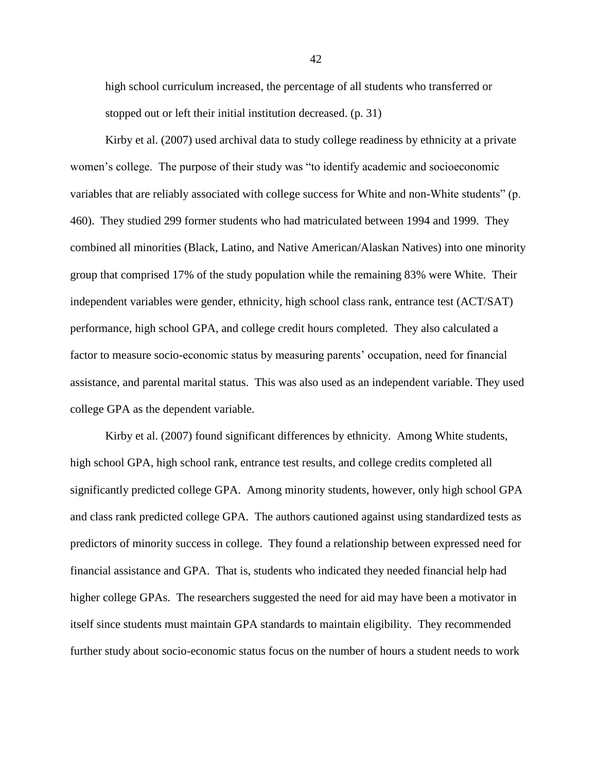high school curriculum increased, the percentage of all students who transferred or stopped out or left their initial institution decreased. (p. 31)

Kirby et al. (2007) used archival data to study college readiness by ethnicity at a private women's college. The purpose of their study was "to identify academic and socioeconomic variables that are reliably associated with college success for White and non-White students" (p. 460). They studied 299 former students who had matriculated between 1994 and 1999. They combined all minorities (Black, Latino, and Native American/Alaskan Natives) into one minority group that comprised 17% of the study population while the remaining 83% were White. Their independent variables were gender, ethnicity, high school class rank, entrance test (ACT/SAT) performance, high school GPA, and college credit hours completed. They also calculated a factor to measure socio-economic status by measuring parents' occupation, need for financial assistance, and parental marital status. This was also used as an independent variable. They used college GPA as the dependent variable.

Kirby et al. (2007) found significant differences by ethnicity. Among White students, high school GPA, high school rank, entrance test results, and college credits completed all significantly predicted college GPA. Among minority students, however, only high school GPA and class rank predicted college GPA. The authors cautioned against using standardized tests as predictors of minority success in college. They found a relationship between expressed need for financial assistance and GPA. That is, students who indicated they needed financial help had higher college GPAs. The researchers suggested the need for aid may have been a motivator in itself since students must maintain GPA standards to maintain eligibility. They recommended further study about socio-economic status focus on the number of hours a student needs to work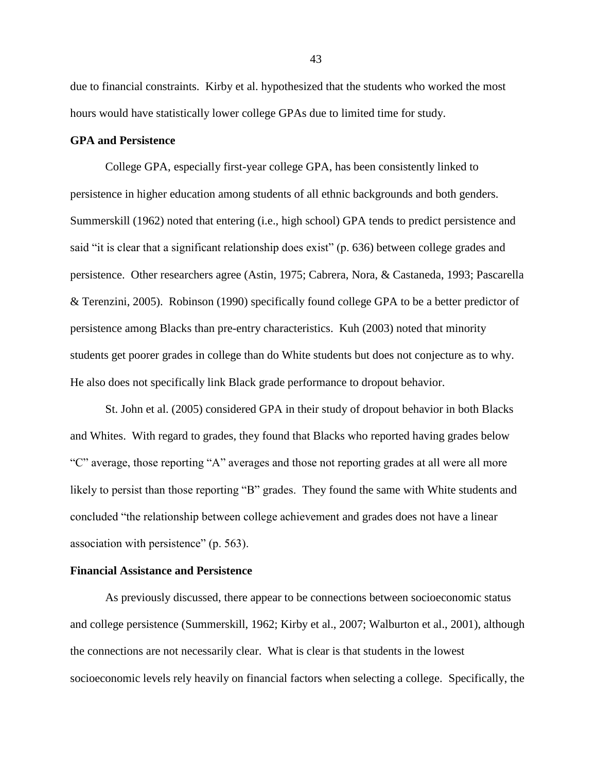due to financial constraints. Kirby et al. hypothesized that the students who worked the most hours would have statistically lower college GPAs due to limited time for study.

# **GPA and Persistence**

College GPA, especially first-year college GPA, has been consistently linked to persistence in higher education among students of all ethnic backgrounds and both genders. Summerskill (1962) noted that entering (i.e., high school) GPA tends to predict persistence and said "it is clear that a significant relationship does exist" (p. 636) between college grades and persistence. Other researchers agree (Astin, 1975; Cabrera, Nora, & Castaneda, 1993; Pascarella & Terenzini, 2005). Robinson (1990) specifically found college GPA to be a better predictor of persistence among Blacks than pre-entry characteristics. Kuh (2003) noted that minority students get poorer grades in college than do White students but does not conjecture as to why. He also does not specifically link Black grade performance to dropout behavior.

St. John et al. (2005) considered GPA in their study of dropout behavior in both Blacks and Whites. With regard to grades, they found that Blacks who reported having grades below "C" average, those reporting "A" averages and those not reporting grades at all were all more likely to persist than those reporting "B" grades. They found the same with White students and concluded "the relationship between college achievement and grades does not have a linear association with persistence" (p. 563).

## **Financial Assistance and Persistence**

As previously discussed, there appear to be connections between socioeconomic status and college persistence (Summerskill, 1962; Kirby et al., 2007; Walburton et al., 2001), although the connections are not necessarily clear. What is clear is that students in the lowest socioeconomic levels rely heavily on financial factors when selecting a college. Specifically, the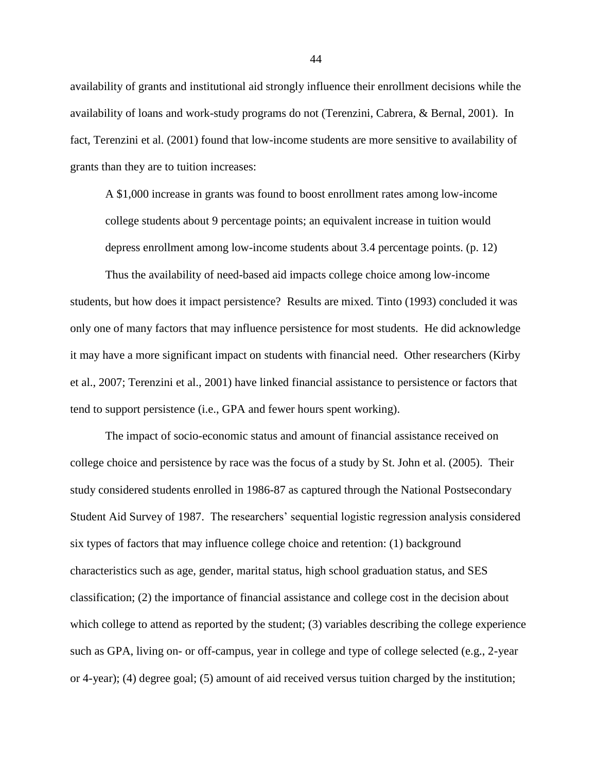availability of grants and institutional aid strongly influence their enrollment decisions while the availability of loans and work-study programs do not (Terenzini, Cabrera, & Bernal, 2001). In fact, Terenzini et al. (2001) found that low-income students are more sensitive to availability of grants than they are to tuition increases:

A \$1,000 increase in grants was found to boost enrollment rates among low-income college students about 9 percentage points; an equivalent increase in tuition would depress enrollment among low-income students about 3.4 percentage points. (p. 12)

Thus the availability of need-based aid impacts college choice among low-income students, but how does it impact persistence? Results are mixed. Tinto (1993) concluded it was only one of many factors that may influence persistence for most students. He did acknowledge it may have a more significant impact on students with financial need. Other researchers (Kirby et al., 2007; Terenzini et al., 2001) have linked financial assistance to persistence or factors that tend to support persistence (i.e., GPA and fewer hours spent working).

The impact of socio-economic status and amount of financial assistance received on college choice and persistence by race was the focus of a study by St. John et al. (2005). Their study considered students enrolled in 1986-87 as captured through the National Postsecondary Student Aid Survey of 1987. The researchers' sequential logistic regression analysis considered six types of factors that may influence college choice and retention: (1) background characteristics such as age, gender, marital status, high school graduation status, and SES classification; (2) the importance of financial assistance and college cost in the decision about which college to attend as reported by the student; (3) variables describing the college experience such as GPA, living on- or off-campus, year in college and type of college selected (e.g., 2-year or 4-year); (4) degree goal; (5) amount of aid received versus tuition charged by the institution;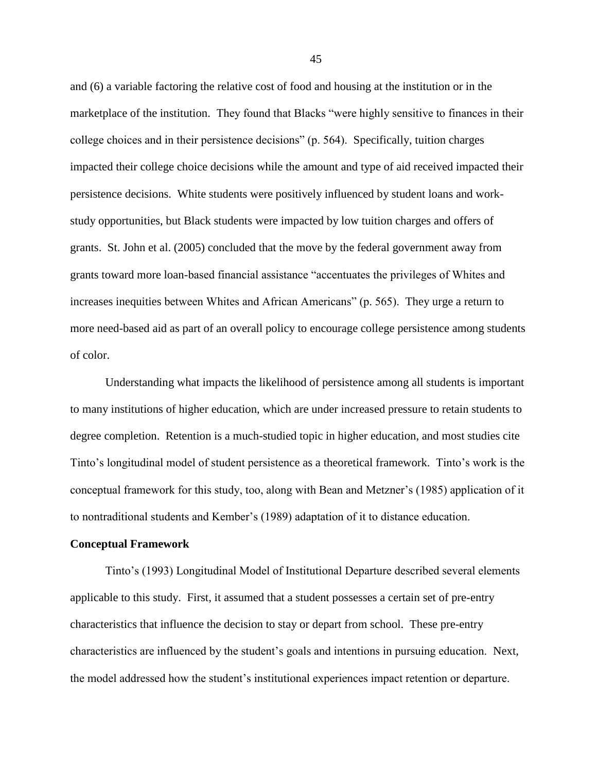and (6) a variable factoring the relative cost of food and housing at the institution or in the marketplace of the institution. They found that Blacks "were highly sensitive to finances in their college choices and in their persistence decisions" (p. 564). Specifically, tuition charges impacted their college choice decisions while the amount and type of aid received impacted their persistence decisions. White students were positively influenced by student loans and workstudy opportunities, but Black students were impacted by low tuition charges and offers of grants. St. John et al. (2005) concluded that the move by the federal government away from grants toward more loan-based financial assistance "accentuates the privileges of Whites and increases inequities between Whites and African Americans" (p. 565). They urge a return to more need-based aid as part of an overall policy to encourage college persistence among students of color.

Understanding what impacts the likelihood of persistence among all students is important to many institutions of higher education, which are under increased pressure to retain students to degree completion. Retention is a much-studied topic in higher education, and most studies cite Tinto's longitudinal model of student persistence as a theoretical framework. Tinto's work is the conceptual framework for this study, too, along with Bean and Metzner's (1985) application of it to nontraditional students and Kember's (1989) adaptation of it to distance education.

### **Conceptual Framework**

Tinto's (1993) Longitudinal Model of Institutional Departure described several elements applicable to this study. First, it assumed that a student possesses a certain set of pre-entry characteristics that influence the decision to stay or depart from school. These pre-entry characteristics are influenced by the student's goals and intentions in pursuing education. Next, the model addressed how the student's institutional experiences impact retention or departure.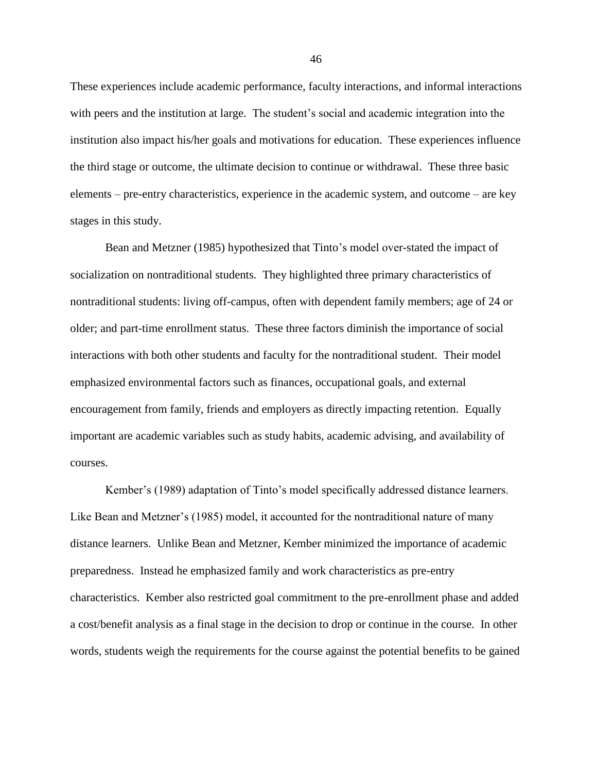These experiences include academic performance, faculty interactions, and informal interactions with peers and the institution at large. The student's social and academic integration into the institution also impact his/her goals and motivations for education. These experiences influence the third stage or outcome, the ultimate decision to continue or withdrawal. These three basic elements – pre-entry characteristics, experience in the academic system, and outcome – are key stages in this study.

Bean and Metzner (1985) hypothesized that Tinto's model over-stated the impact of socialization on nontraditional students. They highlighted three primary characteristics of nontraditional students: living off-campus, often with dependent family members; age of 24 or older; and part-time enrollment status. These three factors diminish the importance of social interactions with both other students and faculty for the nontraditional student. Their model emphasized environmental factors such as finances, occupational goals, and external encouragement from family, friends and employers as directly impacting retention. Equally important are academic variables such as study habits, academic advising, and availability of courses.

Kember's (1989) adaptation of Tinto's model specifically addressed distance learners. Like Bean and Metzner's (1985) model, it accounted for the nontraditional nature of many distance learners. Unlike Bean and Metzner, Kember minimized the importance of academic preparedness. Instead he emphasized family and work characteristics as pre-entry characteristics. Kember also restricted goal commitment to the pre-enrollment phase and added a cost/benefit analysis as a final stage in the decision to drop or continue in the course. In other words, students weigh the requirements for the course against the potential benefits to be gained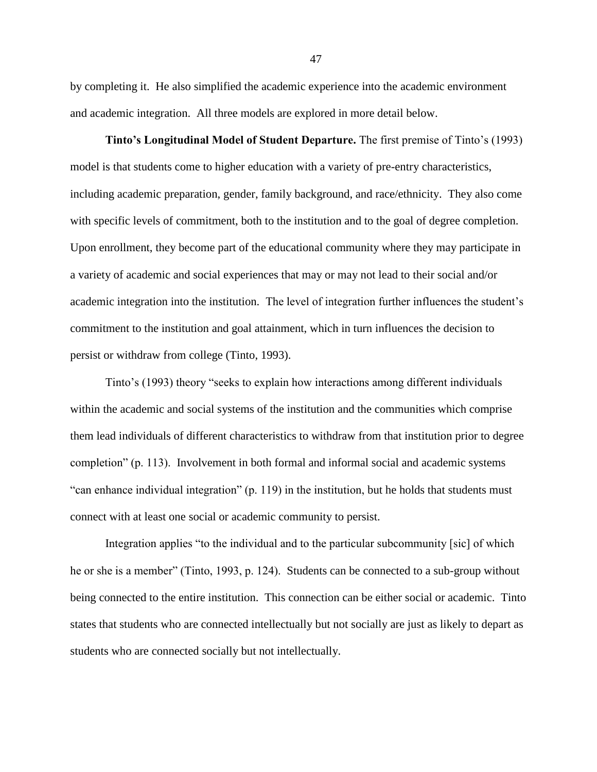by completing it. He also simplified the academic experience into the academic environment and academic integration. All three models are explored in more detail below.

**Tinto's Longitudinal Model of Student Departure.** The first premise of Tinto's (1993) model is that students come to higher education with a variety of pre-entry characteristics, including academic preparation, gender, family background, and race/ethnicity. They also come with specific levels of commitment, both to the institution and to the goal of degree completion. Upon enrollment, they become part of the educational community where they may participate in a variety of academic and social experiences that may or may not lead to their social and/or academic integration into the institution. The level of integration further influences the student's commitment to the institution and goal attainment, which in turn influences the decision to persist or withdraw from college (Tinto, 1993).

Tinto's (1993) theory "seeks to explain how interactions among different individuals within the academic and social systems of the institution and the communities which comprise them lead individuals of different characteristics to withdraw from that institution prior to degree completion" (p. 113). Involvement in both formal and informal social and academic systems ―can enhance individual integration‖ (p. 119) in the institution, but he holds that students must connect with at least one social or academic community to persist.

Integration applies "to the individual and to the particular subcommunity [sic] of which he or she is a member" (Tinto, 1993, p. 124). Students can be connected to a sub-group without being connected to the entire institution. This connection can be either social or academic. Tinto states that students who are connected intellectually but not socially are just as likely to depart as students who are connected socially but not intellectually.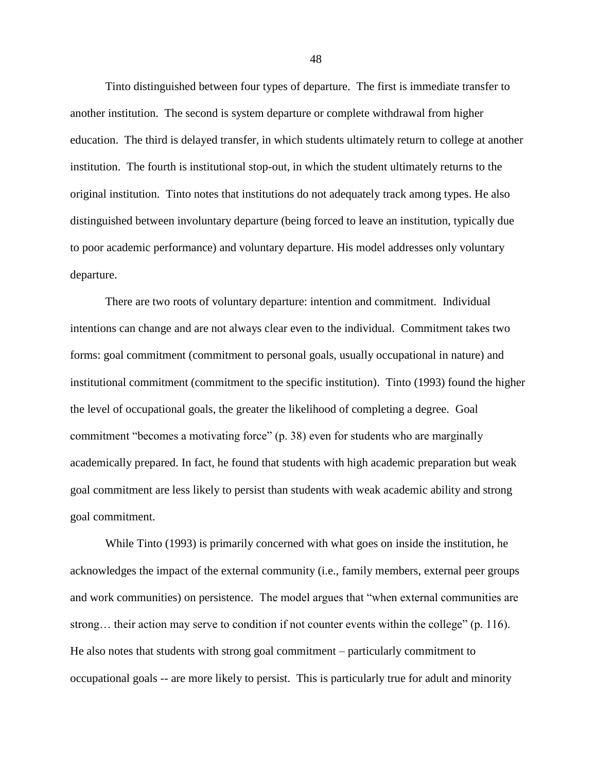Tinto distinguished between four types of departure. The first is immediate transfer to another institution. The second is system departure or complete withdrawal from higher education. The third is delayed transfer, in which students ultimately return to college at another institution. The fourth is institutional stop-out, in which the student ultimately returns to the original institution. Tinto notes that institutions do not adequately track among types. He also distinguished between involuntary departure (being forced to leave an institution, typically due to poor academic performance) and voluntary departure. His model addresses only voluntary departure.

There are two roots of voluntary departure: intention and commitment. Individual intentions can change and are not always clear even to the individual. Commitment takes two forms: goal commitment (commitment to personal goals, usually occupational in nature) and institutional commitment (commitment to the specific institution). Tinto (1993) found the higher the level of occupational goals, the greater the likelihood of completing a degree. Goal commitment "becomes a motivating force" (p. 38) even for students who are marginally academically prepared. In fact, he found that students with high academic preparation but weak goal commitment are less likely to persist than students with weak academic ability and strong goal commitment.

While Tinto (1993) is primarily concerned with what goes on inside the institution, he acknowledges the impact of the external community (i.e., family members, external peer groups and work communities) on persistence. The model argues that "when external communities are strong... their action may serve to condition if not counter events within the college" (p. 116). He also notes that students with strong goal commitment – particularly commitment to occupational goals -- are more likely to persist. This is particularly true for adult and minority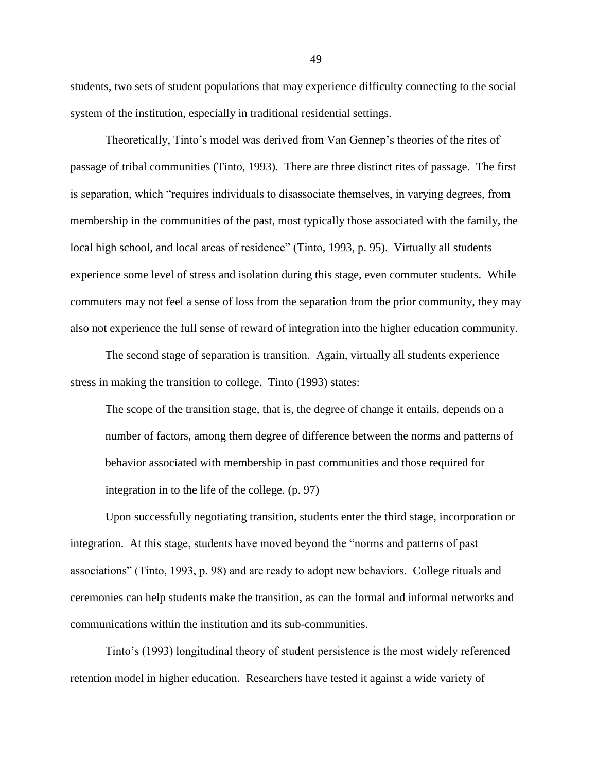students, two sets of student populations that may experience difficulty connecting to the social system of the institution, especially in traditional residential settings.

Theoretically, Tinto's model was derived from Van Gennep's theories of the rites of passage of tribal communities (Tinto, 1993). There are three distinct rites of passage. The first is separation, which "requires individuals to disassociate themselves, in varying degrees, from membership in the communities of the past, most typically those associated with the family, the local high school, and local areas of residence" (Tinto, 1993, p. 95). Virtually all students experience some level of stress and isolation during this stage, even commuter students. While commuters may not feel a sense of loss from the separation from the prior community, they may also not experience the full sense of reward of integration into the higher education community.

The second stage of separation is transition. Again, virtually all students experience stress in making the transition to college. Tinto (1993) states:

The scope of the transition stage, that is, the degree of change it entails, depends on a number of factors, among them degree of difference between the norms and patterns of behavior associated with membership in past communities and those required for integration in to the life of the college. (p. 97)

Upon successfully negotiating transition, students enter the third stage, incorporation or integration. At this stage, students have moved beyond the "norms and patterns of past associations‖ (Tinto, 1993, p. 98) and are ready to adopt new behaviors. College rituals and ceremonies can help students make the transition, as can the formal and informal networks and communications within the institution and its sub-communities.

Tinto's (1993) longitudinal theory of student persistence is the most widely referenced retention model in higher education. Researchers have tested it against a wide variety of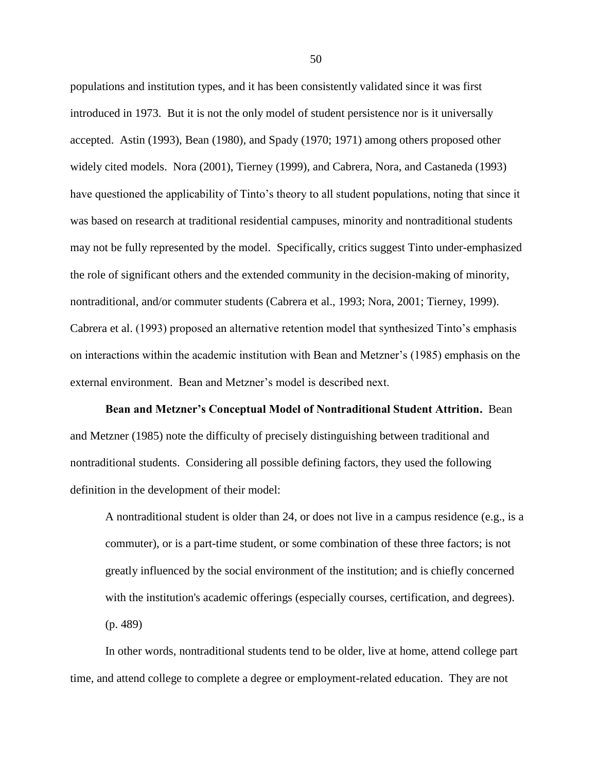populations and institution types, and it has been consistently validated since it was first introduced in 1973. But it is not the only model of student persistence nor is it universally accepted. Astin (1993), Bean (1980), and Spady (1970; 1971) among others proposed other widely cited models. Nora (2001), Tierney (1999), and Cabrera, Nora, and Castaneda (1993) have questioned the applicability of Tinto's theory to all student populations, noting that since it was based on research at traditional residential campuses, minority and nontraditional students may not be fully represented by the model. Specifically, critics suggest Tinto under-emphasized the role of significant others and the extended community in the decision-making of minority, nontraditional, and/or commuter students (Cabrera et al., 1993; Nora, 2001; Tierney, 1999). Cabrera et al. (1993) proposed an alternative retention model that synthesized Tinto's emphasis on interactions within the academic institution with Bean and Metzner's (1985) emphasis on the external environment. Bean and Metzner's model is described next.

**Bean and Metzner's Conceptual Model of Nontraditional Student Attrition.** Bean and Metzner (1985) note the difficulty of precisely distinguishing between traditional and nontraditional students. Considering all possible defining factors, they used the following definition in the development of their model:

A nontraditional student is older than 24, or does not live in a campus residence (e.g., is a commuter), or is a part-time student, or some combination of these three factors; is not greatly influenced by the social environment of the institution; and is chiefly concerned with the institution's academic offerings (especially courses, certification, and degrees). (p. 489)

In other words, nontraditional students tend to be older, live at home, attend college part time, and attend college to complete a degree or employment-related education. They are not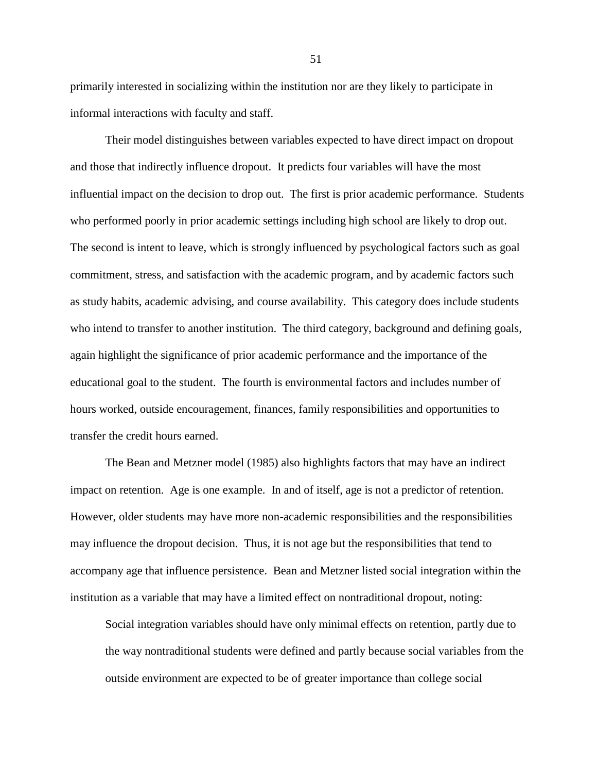primarily interested in socializing within the institution nor are they likely to participate in informal interactions with faculty and staff.

Their model distinguishes between variables expected to have direct impact on dropout and those that indirectly influence dropout. It predicts four variables will have the most influential impact on the decision to drop out. The first is prior academic performance. Students who performed poorly in prior academic settings including high school are likely to drop out. The second is intent to leave, which is strongly influenced by psychological factors such as goal commitment, stress, and satisfaction with the academic program, and by academic factors such as study habits, academic advising, and course availability. This category does include students who intend to transfer to another institution. The third category, background and defining goals, again highlight the significance of prior academic performance and the importance of the educational goal to the student. The fourth is environmental factors and includes number of hours worked, outside encouragement, finances, family responsibilities and opportunities to transfer the credit hours earned.

The Bean and Metzner model (1985) also highlights factors that may have an indirect impact on retention. Age is one example. In and of itself, age is not a predictor of retention. However, older students may have more non-academic responsibilities and the responsibilities may influence the dropout decision. Thus, it is not age but the responsibilities that tend to accompany age that influence persistence. Bean and Metzner listed social integration within the institution as a variable that may have a limited effect on nontraditional dropout, noting:

Social integration variables should have only minimal effects on retention, partly due to the way nontraditional students were defined and partly because social variables from the outside environment are expected to be of greater importance than college social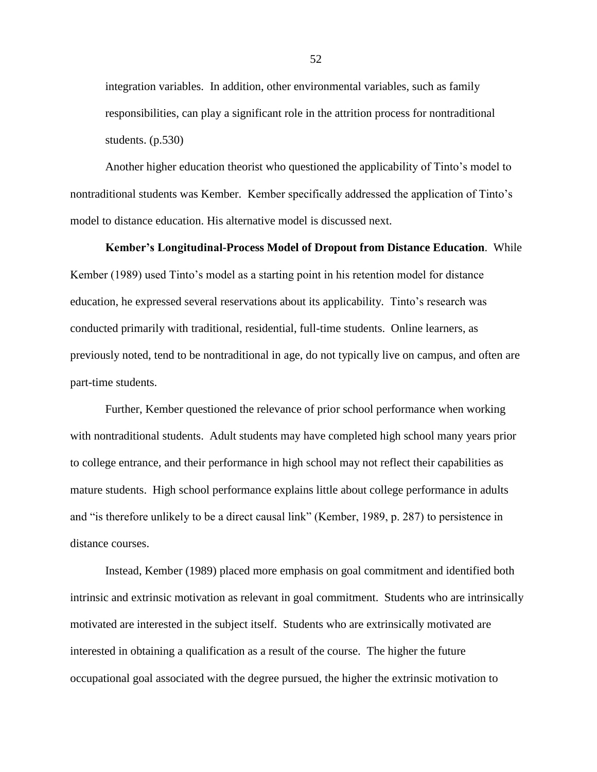integration variables. In addition, other environmental variables, such as family responsibilities, can play a significant role in the attrition process for nontraditional students. (p.530)

Another higher education theorist who questioned the applicability of Tinto's model to nontraditional students was Kember. Kember specifically addressed the application of Tinto's model to distance education. His alternative model is discussed next.

#### **Kember's Longitudinal-Process Model of Dropout from Distance Education**. While

Kember (1989) used Tinto's model as a starting point in his retention model for distance education, he expressed several reservations about its applicability. Tinto's research was conducted primarily with traditional, residential, full-time students. Online learners, as previously noted, tend to be nontraditional in age, do not typically live on campus, and often are part-time students.

Further, Kember questioned the relevance of prior school performance when working with nontraditional students. Adult students may have completed high school many years prior to college entrance, and their performance in high school may not reflect their capabilities as mature students. High school performance explains little about college performance in adults and "is therefore unlikely to be a direct causal link" (Kember, 1989, p. 287) to persistence in distance courses.

Instead, Kember (1989) placed more emphasis on goal commitment and identified both intrinsic and extrinsic motivation as relevant in goal commitment. Students who are intrinsically motivated are interested in the subject itself. Students who are extrinsically motivated are interested in obtaining a qualification as a result of the course. The higher the future occupational goal associated with the degree pursued, the higher the extrinsic motivation to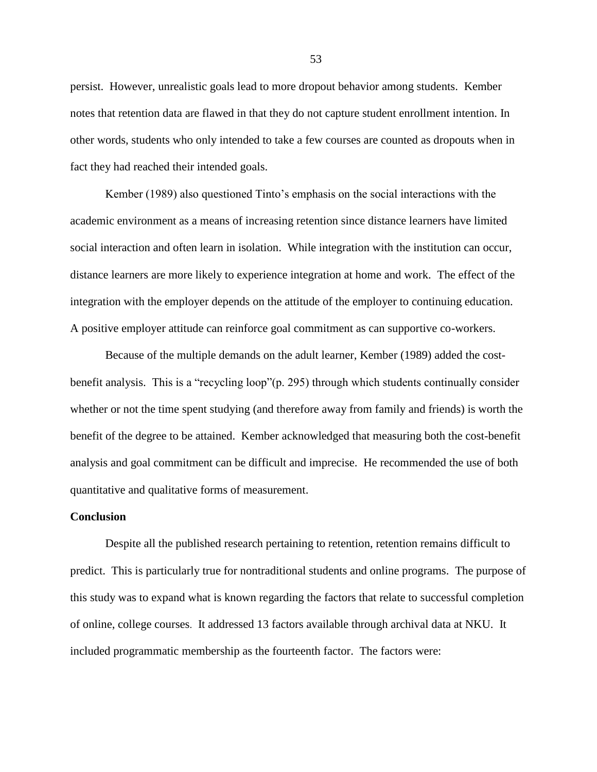persist. However, unrealistic goals lead to more dropout behavior among students. Kember notes that retention data are flawed in that they do not capture student enrollment intention. In other words, students who only intended to take a few courses are counted as dropouts when in fact they had reached their intended goals.

Kember (1989) also questioned Tinto's emphasis on the social interactions with the academic environment as a means of increasing retention since distance learners have limited social interaction and often learn in isolation. While integration with the institution can occur, distance learners are more likely to experience integration at home and work. The effect of the integration with the employer depends on the attitude of the employer to continuing education. A positive employer attitude can reinforce goal commitment as can supportive co-workers.

Because of the multiple demands on the adult learner, Kember (1989) added the costbenefit analysis. This is a "recycling loop" $(p. 295)$  through which students continually consider whether or not the time spent studying (and therefore away from family and friends) is worth the benefit of the degree to be attained. Kember acknowledged that measuring both the cost-benefit analysis and goal commitment can be difficult and imprecise. He recommended the use of both quantitative and qualitative forms of measurement.

# **Conclusion**

Despite all the published research pertaining to retention, retention remains difficult to predict. This is particularly true for nontraditional students and online programs. The purpose of this study was to expand what is known regarding the factors that relate to successful completion of online, college courses. It addressed 13 factors available through archival data at NKU. It included programmatic membership as the fourteenth factor. The factors were: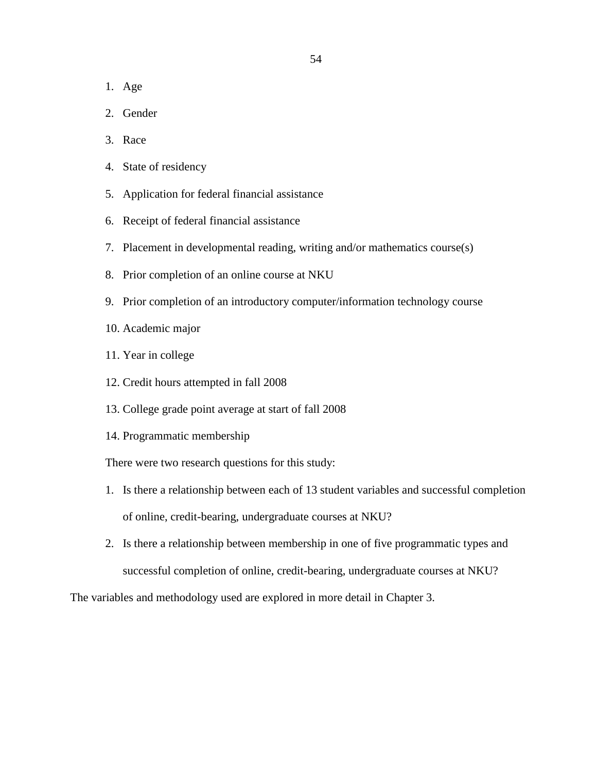- 1. Age
- 2. Gender
- 3. Race
- 4. State of residency
- 5. Application for federal financial assistance
- 6. Receipt of federal financial assistance
- 7. Placement in developmental reading, writing and/or mathematics course(s)
- 8. Prior completion of an online course at NKU
- 9. Prior completion of an introductory computer/information technology course
- 10. Academic major
- 11. Year in college
- 12. Credit hours attempted in fall 2008
- 13. College grade point average at start of fall 2008
- 14. Programmatic membership

There were two research questions for this study:

- 1. Is there a relationship between each of 13 student variables and successful completion of online, credit-bearing, undergraduate courses at NKU?
- 2. Is there a relationship between membership in one of five programmatic types and successful completion of online, credit-bearing, undergraduate courses at NKU?

The variables and methodology used are explored in more detail in Chapter 3.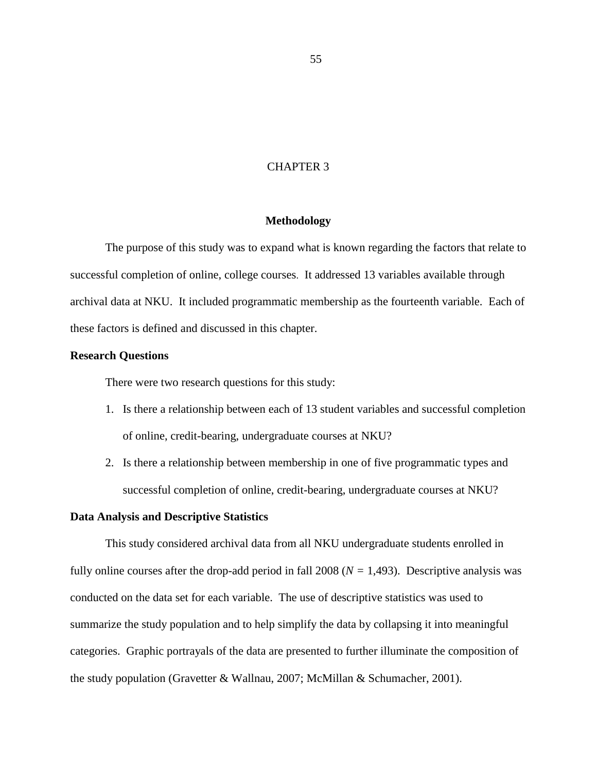# CHAPTER 3

## **Methodology**

The purpose of this study was to expand what is known regarding the factors that relate to successful completion of online, college courses. It addressed 13 variables available through archival data at NKU. It included programmatic membership as the fourteenth variable. Each of these factors is defined and discussed in this chapter.

### **Research Questions**

There were two research questions for this study:

- 1. Is there a relationship between each of 13 student variables and successful completion of online, credit-bearing, undergraduate courses at NKU?
- 2. Is there a relationship between membership in one of five programmatic types and successful completion of online, credit-bearing, undergraduate courses at NKU?

### **Data Analysis and Descriptive Statistics**

This study considered archival data from all NKU undergraduate students enrolled in fully online courses after the drop-add period in fall  $2008 (N = 1,493)$ . Descriptive analysis was conducted on the data set for each variable. The use of descriptive statistics was used to summarize the study population and to help simplify the data by collapsing it into meaningful categories. Graphic portrayals of the data are presented to further illuminate the composition of the study population (Gravetter & Wallnau, 2007; McMillan & Schumacher, 2001).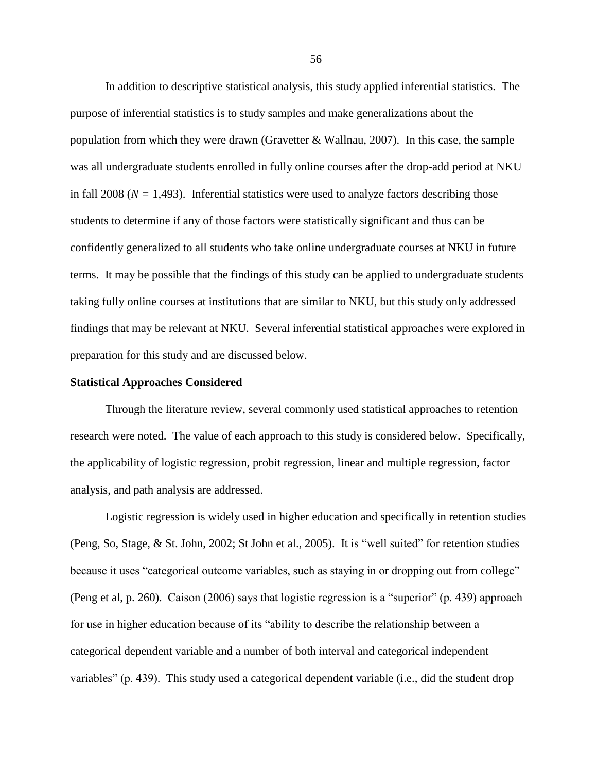In addition to descriptive statistical analysis, this study applied inferential statistics. The purpose of inferential statistics is to study samples and make generalizations about the population from which they were drawn (Gravetter & Wallnau, 2007). In this case, the sample was all undergraduate students enrolled in fully online courses after the drop-add period at NKU in fall 2008 ( $N = 1,493$ ). Inferential statistics were used to analyze factors describing those students to determine if any of those factors were statistically significant and thus can be confidently generalized to all students who take online undergraduate courses at NKU in future terms. It may be possible that the findings of this study can be applied to undergraduate students taking fully online courses at institutions that are similar to NKU, but this study only addressed findings that may be relevant at NKU. Several inferential statistical approaches were explored in preparation for this study and are discussed below.

### **Statistical Approaches Considered**

Through the literature review, several commonly used statistical approaches to retention research were noted. The value of each approach to this study is considered below. Specifically, the applicability of logistic regression, probit regression, linear and multiple regression, factor analysis, and path analysis are addressed.

Logistic regression is widely used in higher education and specifically in retention studies (Peng, So, Stage,  $&$  St. John, 2002; St John et al., 2005). It is "well suited" for retention studies because it uses "categorical outcome variables, such as staying in or dropping out from college" (Peng et al, p. 260). Caison (2006) says that logistic regression is a "superior" (p. 439) approach for use in higher education because of its "ability to describe the relationship between a categorical dependent variable and a number of both interval and categorical independent variables" (p. 439). This study used a categorical dependent variable (i.e., did the student drop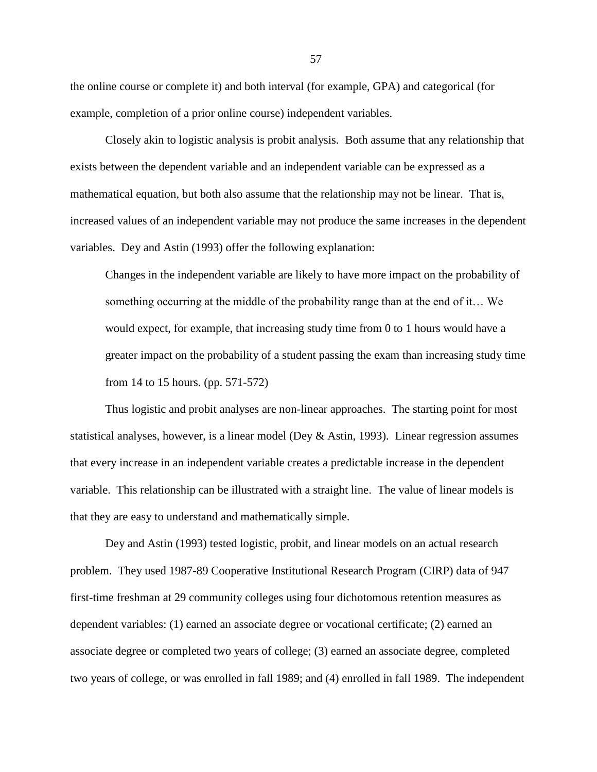the online course or complete it) and both interval (for example, GPA) and categorical (for example, completion of a prior online course) independent variables.

Closely akin to logistic analysis is probit analysis. Both assume that any relationship that exists between the dependent variable and an independent variable can be expressed as a mathematical equation, but both also assume that the relationship may not be linear. That is, increased values of an independent variable may not produce the same increases in the dependent variables. Dey and Astin (1993) offer the following explanation:

Changes in the independent variable are likely to have more impact on the probability of something occurring at the middle of the probability range than at the end of it… We would expect, for example, that increasing study time from 0 to 1 hours would have a greater impact on the probability of a student passing the exam than increasing study time from 14 to 15 hours. (pp. 571-572)

Thus logistic and probit analyses are non-linear approaches. The starting point for most statistical analyses, however, is a linear model (Dey & Astin, 1993). Linear regression assumes that every increase in an independent variable creates a predictable increase in the dependent variable. This relationship can be illustrated with a straight line. The value of linear models is that they are easy to understand and mathematically simple.

Dey and Astin (1993) tested logistic, probit, and linear models on an actual research problem. They used 1987-89 Cooperative Institutional Research Program (CIRP) data of 947 first-time freshman at 29 community colleges using four dichotomous retention measures as dependent variables: (1) earned an associate degree or vocational certificate; (2) earned an associate degree or completed two years of college; (3) earned an associate degree, completed two years of college, or was enrolled in fall 1989; and (4) enrolled in fall 1989. The independent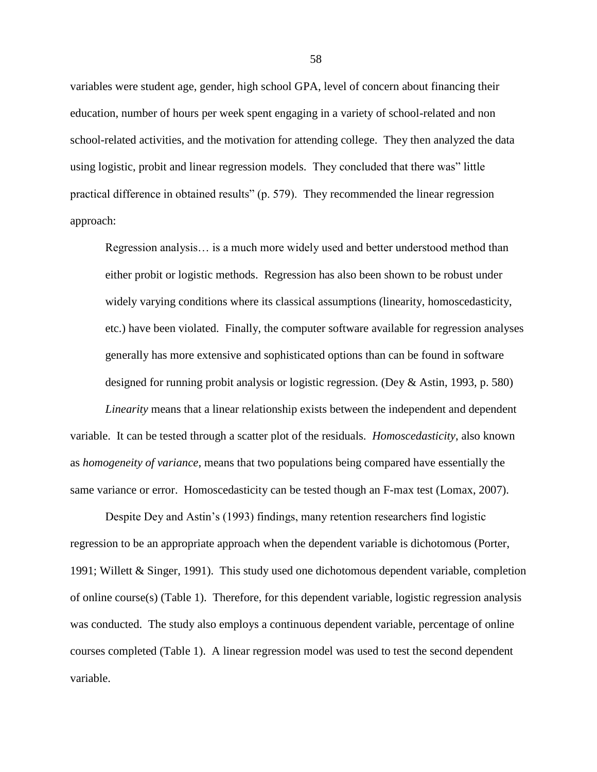variables were student age, gender, high school GPA, level of concern about financing their education, number of hours per week spent engaging in a variety of school-related and non school-related activities, and the motivation for attending college. They then analyzed the data using logistic, probit and linear regression models. They concluded that there was" little practical difference in obtained results" (p. 579). They recommended the linear regression approach:

Regression analysis… is a much more widely used and better understood method than either probit or logistic methods. Regression has also been shown to be robust under widely varying conditions where its classical assumptions (linearity, homoscedasticity, etc.) have been violated. Finally, the computer software available for regression analyses generally has more extensive and sophisticated options than can be found in software designed for running probit analysis or logistic regression. (Dey & Astin, 1993, p. 580)

*Linearity* means that a linear relationship exists between the independent and dependent variable. It can be tested through a scatter plot of the residuals. *Homoscedasticity*, also known as *homogeneity of variance*, means that two populations being compared have essentially the same variance or error. Homoscedasticity can be tested though an F-max test (Lomax, 2007).

Despite Dey and Astin's (1993) findings, many retention researchers find logistic regression to be an appropriate approach when the dependent variable is dichotomous (Porter, 1991; Willett & Singer, 1991). This study used one dichotomous dependent variable, completion of online course(s) (Table 1). Therefore, for this dependent variable, logistic regression analysis was conducted. The study also employs a continuous dependent variable, percentage of online courses completed (Table 1). A linear regression model was used to test the second dependent variable.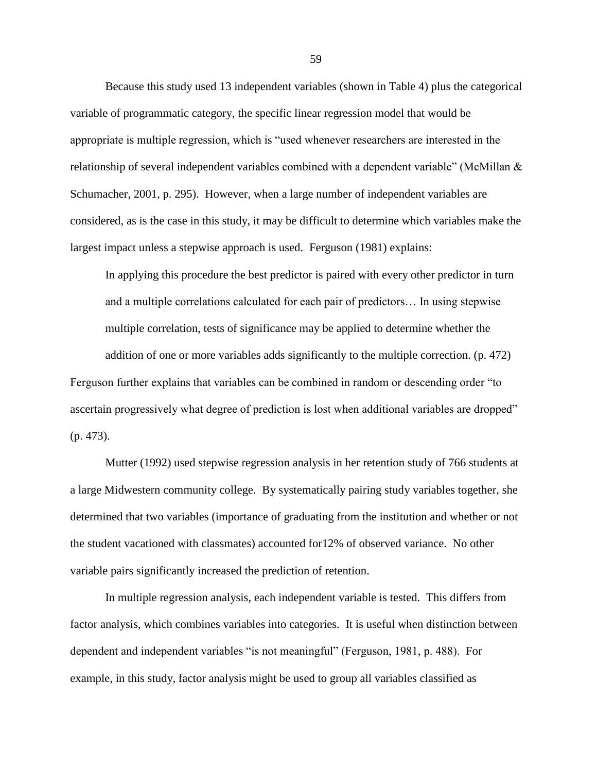Because this study used 13 independent variables (shown in Table 4) plus the categorical variable of programmatic category, the specific linear regression model that would be appropriate is multiple regression, which is "used whenever researchers are interested in the relationship of several independent variables combined with a dependent variable" (McMillan  $&$ Schumacher, 2001, p. 295). However, when a large number of independent variables are considered, as is the case in this study, it may be difficult to determine which variables make the largest impact unless a stepwise approach is used. Ferguson (1981) explains:

In applying this procedure the best predictor is paired with every other predictor in turn and a multiple correlations calculated for each pair of predictors… In using stepwise multiple correlation, tests of significance may be applied to determine whether the

addition of one or more variables adds significantly to the multiple correction. (p. 472)

Ferguson further explains that variables can be combined in random or descending order "to" ascertain progressively what degree of prediction is lost when additional variables are dropped" (p. 473).

Mutter (1992) used stepwise regression analysis in her retention study of 766 students at a large Midwestern community college. By systematically pairing study variables together, she determined that two variables (importance of graduating from the institution and whether or not the student vacationed with classmates) accounted for12% of observed variance. No other variable pairs significantly increased the prediction of retention.

In multiple regression analysis, each independent variable is tested. This differs from factor analysis, which combines variables into categories. It is useful when distinction between dependent and independent variables "is not meaningful" (Ferguson, 1981, p. 488). For example, in this study, factor analysis might be used to group all variables classified as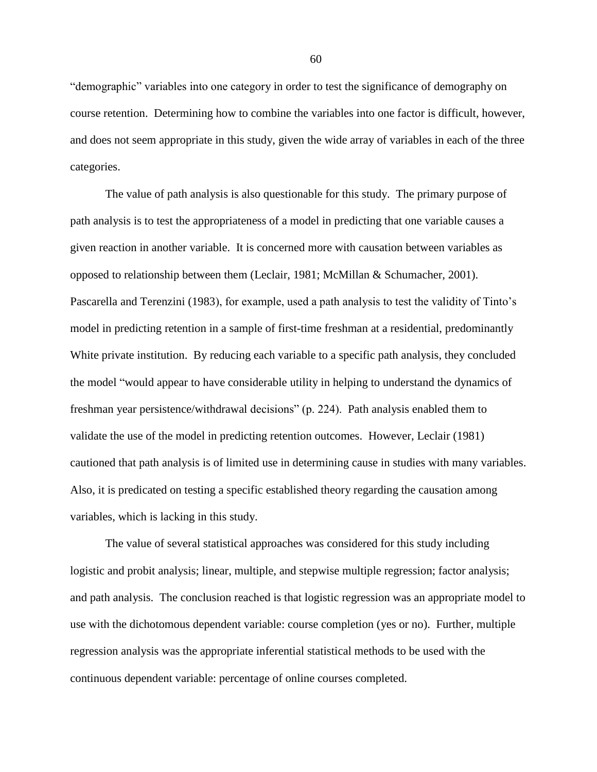"demographic" variables into one category in order to test the significance of demography on course retention. Determining how to combine the variables into one factor is difficult, however, and does not seem appropriate in this study, given the wide array of variables in each of the three categories.

The value of path analysis is also questionable for this study. The primary purpose of path analysis is to test the appropriateness of a model in predicting that one variable causes a given reaction in another variable. It is concerned more with causation between variables as opposed to relationship between them (Leclair, 1981; McMillan & Schumacher, 2001). Pascarella and Terenzini (1983), for example, used a path analysis to test the validity of Tinto's model in predicting retention in a sample of first-time freshman at a residential, predominantly White private institution. By reducing each variable to a specific path analysis, they concluded the model "would appear to have considerable utility in helping to understand the dynamics of freshman year persistence/withdrawal decisions" (p. 224). Path analysis enabled them to validate the use of the model in predicting retention outcomes. However, Leclair (1981) cautioned that path analysis is of limited use in determining cause in studies with many variables. Also, it is predicated on testing a specific established theory regarding the causation among variables, which is lacking in this study.

The value of several statistical approaches was considered for this study including logistic and probit analysis; linear, multiple, and stepwise multiple regression; factor analysis; and path analysis. The conclusion reached is that logistic regression was an appropriate model to use with the dichotomous dependent variable: course completion (yes or no). Further, multiple regression analysis was the appropriate inferential statistical methods to be used with the continuous dependent variable: percentage of online courses completed.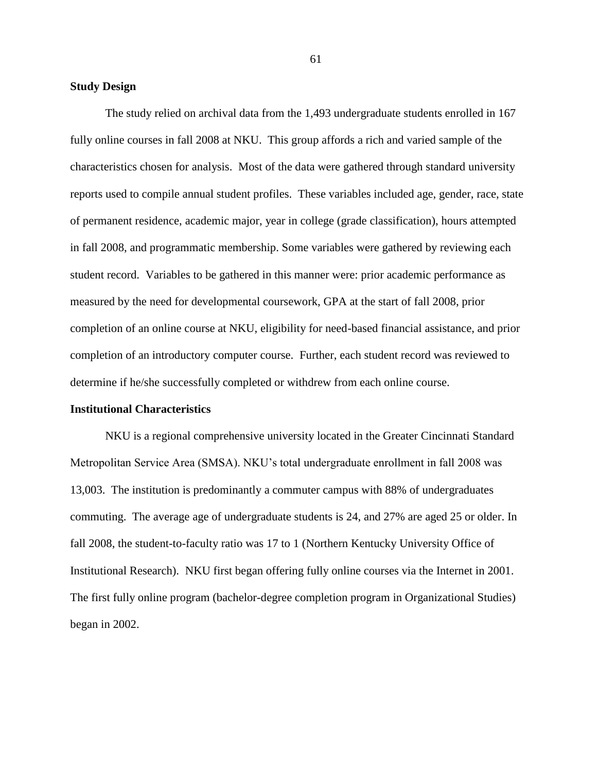# **Study Design**

The study relied on archival data from the 1,493 undergraduate students enrolled in 167 fully online courses in fall 2008 at NKU. This group affords a rich and varied sample of the characteristics chosen for analysis. Most of the data were gathered through standard university reports used to compile annual student profiles. These variables included age, gender, race, state of permanent residence, academic major, year in college (grade classification), hours attempted in fall 2008, and programmatic membership. Some variables were gathered by reviewing each student record. Variables to be gathered in this manner were: prior academic performance as measured by the need for developmental coursework, GPA at the start of fall 2008, prior completion of an online course at NKU, eligibility for need-based financial assistance, and prior completion of an introductory computer course. Further, each student record was reviewed to determine if he/she successfully completed or withdrew from each online course.

#### **Institutional Characteristics**

NKU is a regional comprehensive university located in the Greater Cincinnati Standard Metropolitan Service Area (SMSA). NKU's total undergraduate enrollment in fall 2008 was 13,003. The institution is predominantly a commuter campus with 88% of undergraduates commuting. The average age of undergraduate students is 24, and 27% are aged 25 or older. In fall 2008, the student-to-faculty ratio was 17 to 1 (Northern Kentucky University Office of Institutional Research). NKU first began offering fully online courses via the Internet in 2001. The first fully online program (bachelor-degree completion program in Organizational Studies) began in 2002.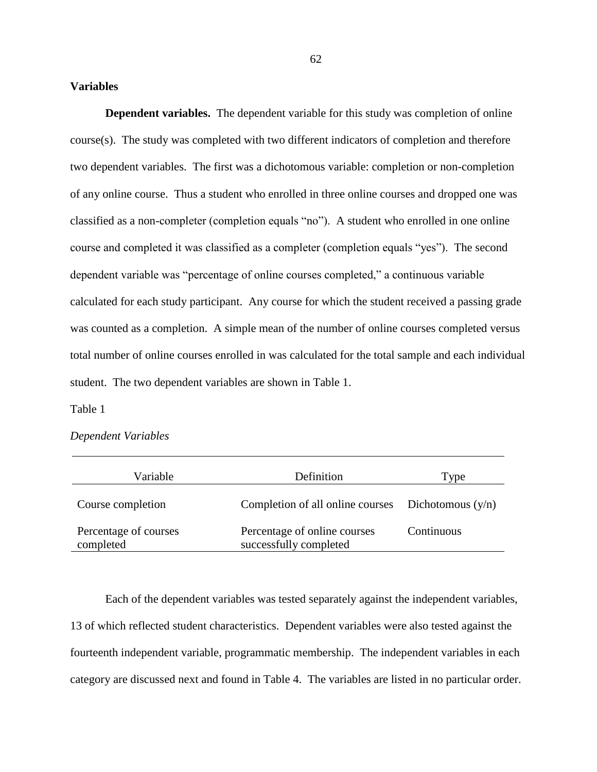### **Variables**

**Dependent variables.** The dependent variable for this study was completion of online course(s). The study was completed with two different indicators of completion and therefore two dependent variables. The first was a dichotomous variable: completion or non-completion of any online course. Thus a student who enrolled in three online courses and dropped one was classified as a non-completer (completion equals "no"). A student who enrolled in one online course and completed it was classified as a completer (completion equals "yes"). The second dependent variable was "percentage of online courses completed," a continuous variable calculated for each study participant. Any course for which the student received a passing grade was counted as a completion. A simple mean of the number of online courses completed versus total number of online courses enrolled in was calculated for the total sample and each individual student. The two dependent variables are shown in Table 1.

Table 1

# *Dependent Variables*

| Variable                           | Definition                                             | Type       |
|------------------------------------|--------------------------------------------------------|------------|
| Course completion                  | Completion of all online courses Dichotomous $(y/n)$   |            |
| Percentage of courses<br>completed | Percentage of online courses<br>successfully completed | Continuous |

Each of the dependent variables was tested separately against the independent variables, 13 of which reflected student characteristics. Dependent variables were also tested against the fourteenth independent variable, programmatic membership. The independent variables in each category are discussed next and found in Table 4. The variables are listed in no particular order.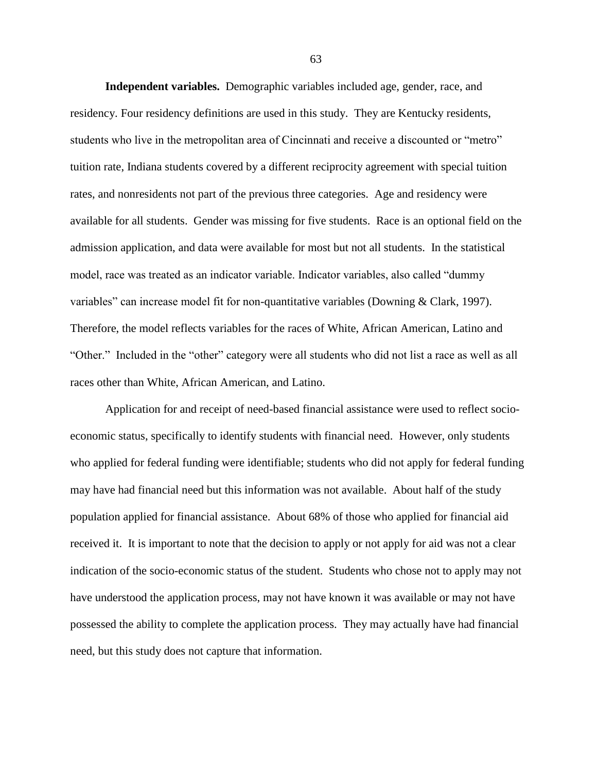**Independent variables.** Demographic variables included age, gender, race, and residency. Four residency definitions are used in this study. They are Kentucky residents, students who live in the metropolitan area of Cincinnati and receive a discounted or "metro" tuition rate, Indiana students covered by a different reciprocity agreement with special tuition rates, and nonresidents not part of the previous three categories. Age and residency were available for all students. Gender was missing for five students. Race is an optional field on the admission application, and data were available for most but not all students. In the statistical model, race was treated as an indicator variable. Indicator variables, also called "dummy" variables" can increase model fit for non-quantitative variables (Downing & Clark, 1997). Therefore, the model reflects variables for the races of White, African American, Latino and "Other." Included in the "other" category were all students who did not list a race as well as all races other than White, African American, and Latino.

Application for and receipt of need-based financial assistance were used to reflect socioeconomic status, specifically to identify students with financial need. However, only students who applied for federal funding were identifiable; students who did not apply for federal funding may have had financial need but this information was not available. About half of the study population applied for financial assistance. About 68% of those who applied for financial aid received it. It is important to note that the decision to apply or not apply for aid was not a clear indication of the socio-economic status of the student. Students who chose not to apply may not have understood the application process, may not have known it was available or may not have possessed the ability to complete the application process. They may actually have had financial need, but this study does not capture that information.

63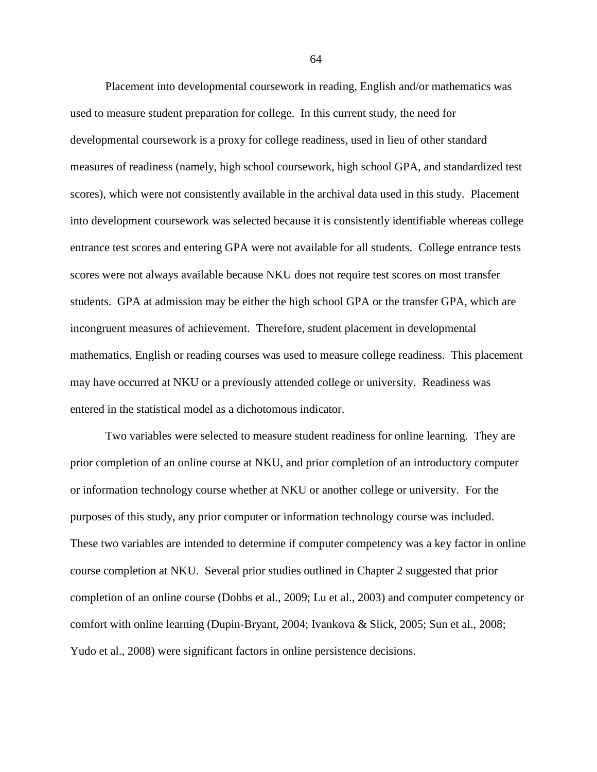Placement into developmental coursework in reading, English and/or mathematics was used to measure student preparation for college. In this current study, the need for developmental coursework is a proxy for college readiness, used in lieu of other standard measures of readiness (namely, high school coursework, high school GPA, and standardized test scores), which were not consistently available in the archival data used in this study. Placement into development coursework was selected because it is consistently identifiable whereas college entrance test scores and entering GPA were not available for all students. College entrance tests scores were not always available because NKU does not require test scores on most transfer students. GPA at admission may be either the high school GPA or the transfer GPA, which are incongruent measures of achievement. Therefore, student placement in developmental mathematics, English or reading courses was used to measure college readiness. This placement may have occurred at NKU or a previously attended college or university. Readiness was entered in the statistical model as a dichotomous indicator.

Two variables were selected to measure student readiness for online learning. They are prior completion of an online course at NKU, and prior completion of an introductory computer or information technology course whether at NKU or another college or university. For the purposes of this study, any prior computer or information technology course was included. These two variables are intended to determine if computer competency was a key factor in online course completion at NKU. Several prior studies outlined in Chapter 2 suggested that prior completion of an online course (Dobbs et al., 2009; Lu et al., 2003) and computer competency or comfort with online learning (Dupin-Bryant, 2004; Ivankova & Slick, 2005; Sun et al., 2008; Yudo et al., 2008) were significant factors in online persistence decisions.

64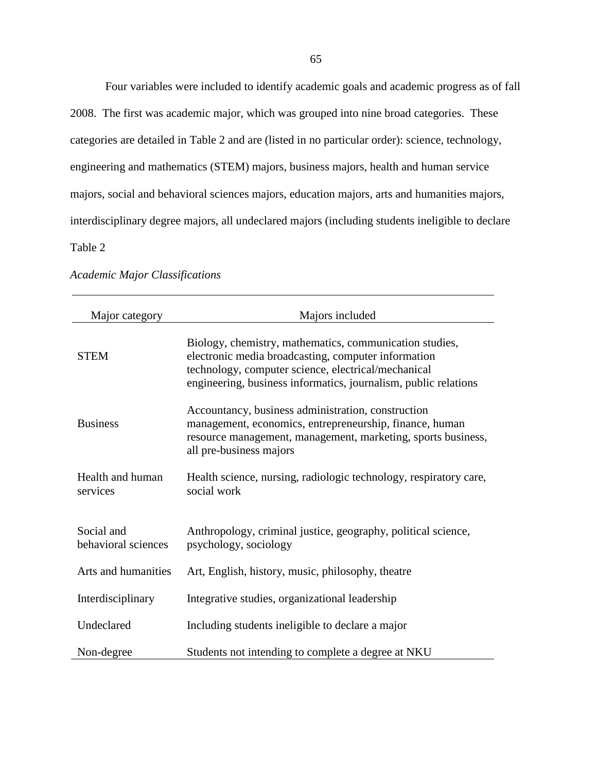Four variables were included to identify academic goals and academic progress as of fall

2008. The first was academic major, which was grouped into nine broad categories. These categories are detailed in Table 2 and are (listed in no particular order): science, technology, engineering and mathematics (STEM) majors, business majors, health and human service majors, social and behavioral sciences majors, education majors, arts and humanities majors, interdisciplinary degree majors, all undeclared majors (including students ineligible to declare Table 2

| Major category                    | Majors included                                                                                                                                                                                                                          |
|-----------------------------------|------------------------------------------------------------------------------------------------------------------------------------------------------------------------------------------------------------------------------------------|
| <b>STEM</b>                       | Biology, chemistry, mathematics, communication studies,<br>electronic media broadcasting, computer information<br>technology, computer science, electrical/mechanical<br>engineering, business informatics, journalism, public relations |
| <b>Business</b>                   | Accountancy, business administration, construction<br>management, economics, entrepreneurship, finance, human<br>resource management, management, marketing, sports business,<br>all pre-business majors                                 |
| Health and human<br>services      | Health science, nursing, radiologic technology, respiratory care,<br>social work                                                                                                                                                         |
| Social and<br>behavioral sciences | Anthropology, criminal justice, geography, political science,<br>psychology, sociology                                                                                                                                                   |
| Arts and humanities               | Art, English, history, music, philosophy, theatre                                                                                                                                                                                        |
| Interdisciplinary                 | Integrative studies, organizational leadership                                                                                                                                                                                           |
| Undeclared                        | Including students ineligible to declare a major                                                                                                                                                                                         |
| Non-degree                        | Students not intending to complete a degree at NKU                                                                                                                                                                                       |

*Academic Major Classifications*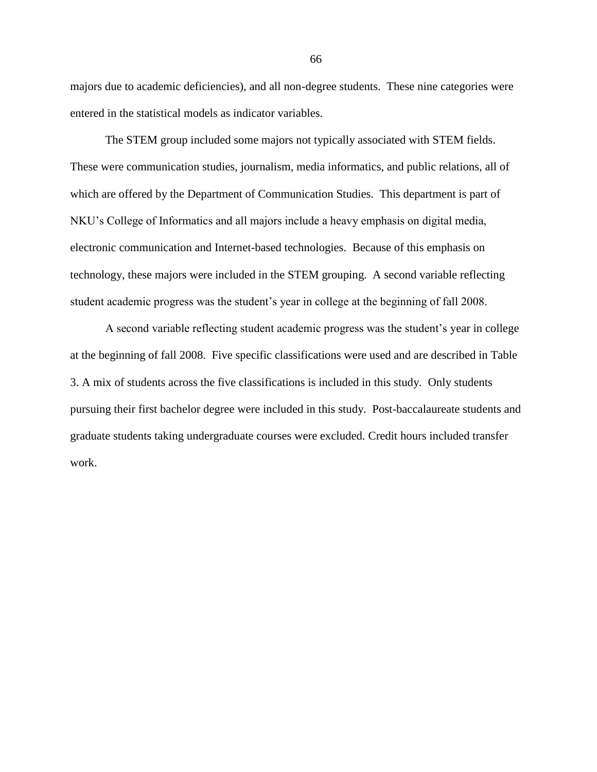majors due to academic deficiencies), and all non-degree students. These nine categories were entered in the statistical models as indicator variables.

The STEM group included some majors not typically associated with STEM fields. These were communication studies, journalism, media informatics, and public relations, all of which are offered by the Department of Communication Studies. This department is part of NKU's College of Informatics and all majors include a heavy emphasis on digital media, electronic communication and Internet-based technologies. Because of this emphasis on technology, these majors were included in the STEM grouping. A second variable reflecting student academic progress was the student's year in college at the beginning of fall 2008.

A second variable reflecting student academic progress was the student's year in college at the beginning of fall 2008. Five specific classifications were used and are described in Table 3. A mix of students across the five classifications is included in this study. Only students pursuing their first bachelor degree were included in this study. Post-baccalaureate students and graduate students taking undergraduate courses were excluded. Credit hours included transfer work.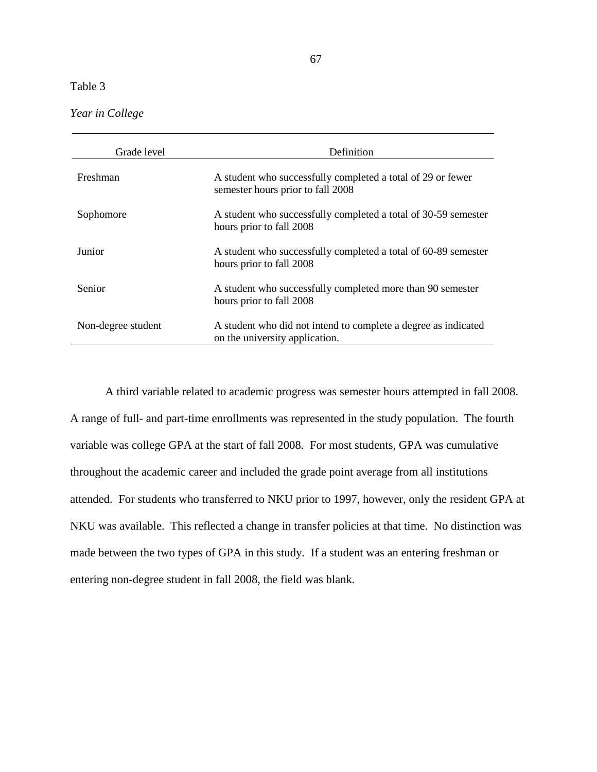| Year in College |  |  |
|-----------------|--|--|
|                 |  |  |

| Grade level        | <b>Definition</b>                                                                                |
|--------------------|--------------------------------------------------------------------------------------------------|
| Freshman           | A student who successfully completed a total of 29 or fewer<br>semester hours prior to fall 2008 |
| Sophomore          | A student who successfully completed a total of 30-59 semester<br>hours prior to fall 2008       |
| Junior             | A student who successfully completed a total of 60-89 semester<br>hours prior to fall 2008       |
| Senior             | A student who successfully completed more than 90 semester<br>hours prior to fall 2008           |
| Non-degree student | A student who did not intend to complete a degree as indicated<br>on the university application. |

A third variable related to academic progress was semester hours attempted in fall 2008. A range of full- and part-time enrollments was represented in the study population. The fourth variable was college GPA at the start of fall 2008. For most students, GPA was cumulative throughout the academic career and included the grade point average from all institutions attended. For students who transferred to NKU prior to 1997, however, only the resident GPA at NKU was available. This reflected a change in transfer policies at that time. No distinction was made between the two types of GPA in this study. If a student was an entering freshman or entering non-degree student in fall 2008, the field was blank.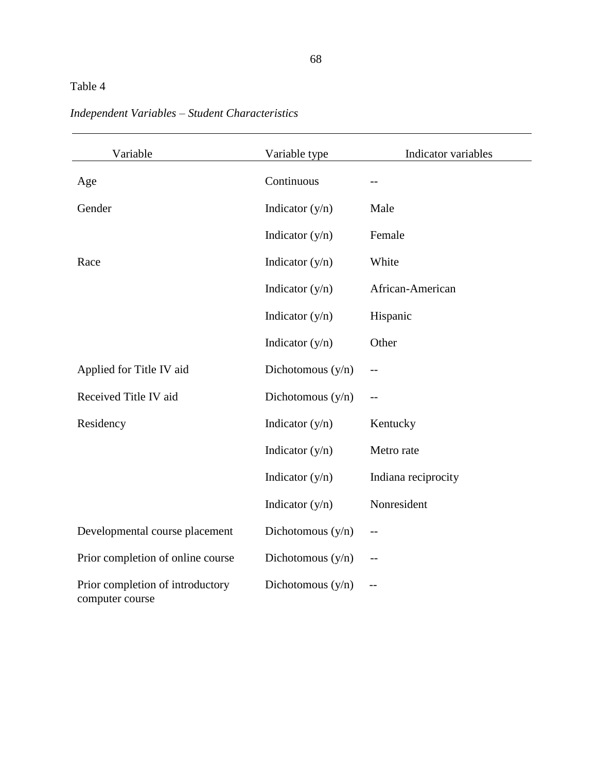| Variable                                            | Variable type       | Indicator variables |
|-----------------------------------------------------|---------------------|---------------------|
| Age                                                 | Continuous          | --                  |
| Gender                                              | Indicator $(y/n)$   | Male                |
|                                                     | Indicator $(y/n)$   | Female              |
| Race                                                | Indicator $(y/n)$   | White               |
|                                                     | Indicator $(y/n)$   | African-American    |
|                                                     | Indicator $(y/n)$   | Hispanic            |
|                                                     | Indicator $(y/n)$   | Other               |
| Applied for Title IV aid                            | Dichotomous $(y/n)$ |                     |
| Received Title IV aid                               | Dichotomous $(y/n)$ |                     |
| Residency                                           | Indicator $(y/n)$   | Kentucky            |
|                                                     | Indicator $(y/n)$   | Metro rate          |
|                                                     | Indicator $(y/n)$   | Indiana reciprocity |
|                                                     | Indicator $(y/n)$   | Nonresident         |
| Developmental course placement                      | Dichotomous $(y/n)$ |                     |
| Prior completion of online course                   | Dichotomous $(y/n)$ |                     |
| Prior completion of introductory<br>computer course | Dichotomous $(y/n)$ |                     |

# *Independent Variables – Student Characteristics*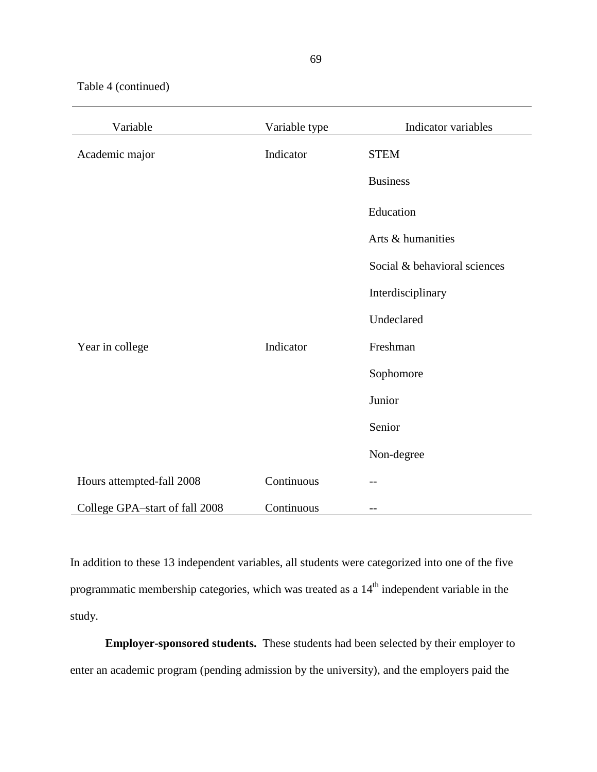Table 4 (continued)

| Variable                       | Variable type | Indicator variables          |
|--------------------------------|---------------|------------------------------|
| Academic major                 | Indicator     | <b>STEM</b>                  |
|                                |               | <b>Business</b>              |
|                                |               | Education                    |
|                                |               | Arts & humanities            |
|                                |               | Social & behavioral sciences |
|                                |               | Interdisciplinary            |
|                                |               | Undeclared                   |
| Year in college                | Indicator     | Freshman                     |
|                                |               | Sophomore                    |
|                                |               | Junior                       |
|                                |               | Senior                       |
|                                |               | Non-degree                   |
| Hours attempted-fall 2008      | Continuous    |                              |
| College GPA-start of fall 2008 | Continuous    | $- -$                        |

In addition to these 13 independent variables, all students were categorized into one of the five programmatic membership categories, which was treated as a 14<sup>th</sup> independent variable in the study.

**Employer-sponsored students.** These students had been selected by their employer to enter an academic program (pending admission by the university), and the employers paid the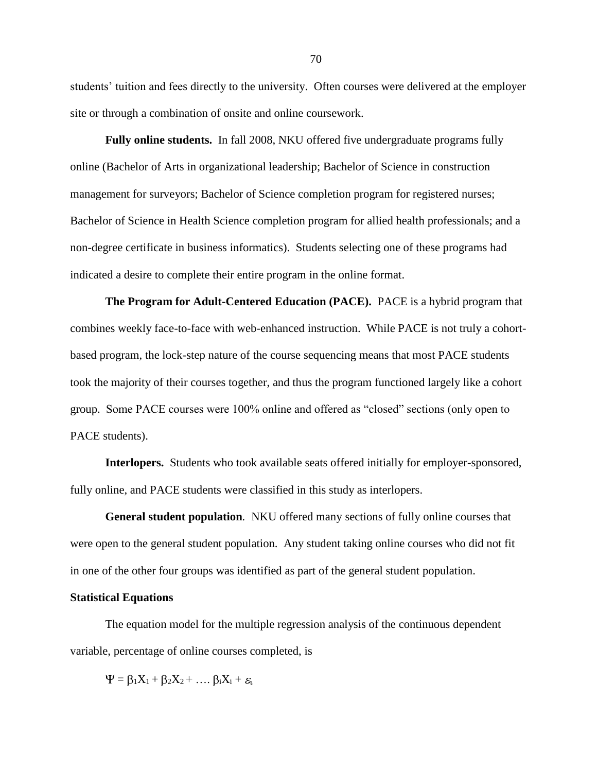students' tuition and fees directly to the university. Often courses were delivered at the employer site or through a combination of onsite and online coursework.

**Fully online students.** In fall 2008, NKU offered five undergraduate programs fully online (Bachelor of Arts in organizational leadership; Bachelor of Science in construction management for surveyors; Bachelor of Science completion program for registered nurses; Bachelor of Science in Health Science completion program for allied health professionals; and a non-degree certificate in business informatics). Students selecting one of these programs had indicated a desire to complete their entire program in the online format.

**The Program for Adult-Centered Education (PACE).** PACE is a hybrid program that combines weekly face-to-face with web-enhanced instruction. While PACE is not truly a cohortbased program, the lock-step nature of the course sequencing means that most PACE students took the majority of their courses together, and thus the program functioned largely like a cohort group. Some PACE courses were 100% online and offered as "closed" sections (only open to PACE students).

**Interlopers.** Students who took available seats offered initially for employer-sponsored, fully online, and PACE students were classified in this study as interlopers.

**General student population***.* NKU offered many sections of fully online courses that were open to the general student population. Any student taking online courses who did not fit in one of the other four groups was identified as part of the general student population.

### **Statistical Equations**

The equation model for the multiple regression analysis of the continuous dependent variable, percentage of online courses completed, is

 $\Psi = \beta_1 X_1 + \beta_2 X_2 + \dots \beta_i X_i + \varepsilon_i$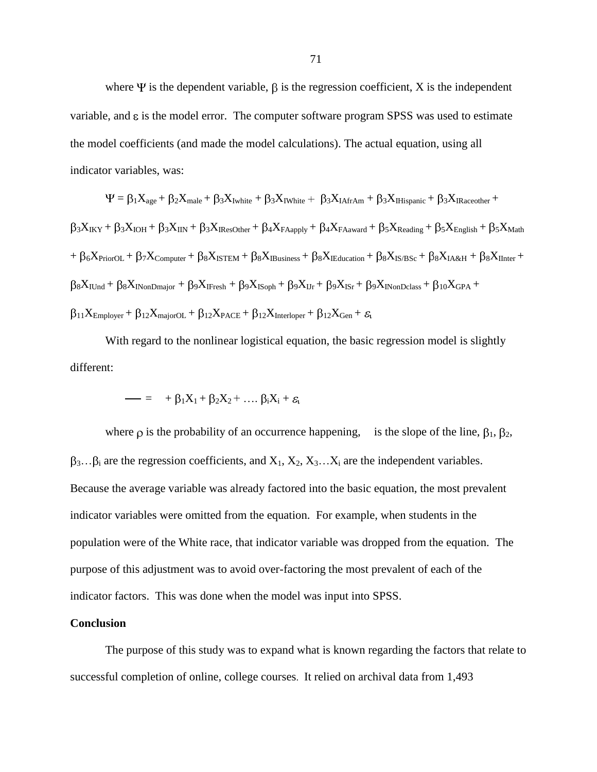where  $\Psi$  is the dependent variable,  $\beta$  is the regression coefficient, X is the independent variable, and  $\varepsilon$  is the model error. The computer software program SPSS was used to estimate the model coefficients (and made the model calculations). The actual equation, using all indicator variables, was:

$$
\Psi = \beta_1 X_{age} + \beta_2 X_{male} + \beta_3 X_{Iwhite} + \beta_3 X_{IWhite} + \beta_3 X_{IAfrAm} + \beta_3 X_{IHispanic} + \beta_3 X_{IRaceother} +
$$
  
\n
$$
\beta_3 X_{IKY} + \beta_3 X_{IOH} + \beta_3 X_{IIN} + \beta_3 X_{IResOther} + \beta_4 X_{FAapply} + \beta_4 X_{FAaward} + \beta_5 X_{Reading} + \beta_5 X_{English} + \beta_5 X_{Math}
$$
  
\n+ 
$$
\beta_6 X_{PriorOL} + \beta_7 X_{Computer} + \beta_8 X_{ISTEM} + \beta_8 X_{IBusiness} + \beta_8 X_{IEducation} + \beta_8 X_{IS/BSc} + \beta_8 X_{IA&H} + \beta_8 X_{IInter} +
$$
  
\n
$$
\beta_8 X_{IUnd} + \beta_8 X_{INonDmajor} + \beta_9 X_{IFresh} + \beta_9 X_{ISoph} + \beta_9 X_{IJr} + \beta_9 X_{ISr} + \beta_9 X_{INonDclass} + \beta_{10} X_{GPA} +
$$
  
\n
$$
\beta_{11} X_{Employer} + \beta_{12} X_{majorOL} + \beta_{12} X_{PACE} + \beta_{12} X_{Interloper} + \beta_{12} X_{Gen} + \varepsilon_t
$$

With regard to the nonlinear logistical equation, the basic regression model is slightly different:

$$
- = + \beta_1 X_1 + \beta_2 X_2 + \dots \beta_i X_i + \varepsilon_i
$$

where  $\rho$  is the probability of an occurrence happening, is the slope of the line,  $\beta_1$ ,  $\beta_2$ ,  $\beta_3...\beta_i$  are the regression coefficients, and  $X_1, X_2, X_3...X_i$  are the independent variables. Because the average variable was already factored into the basic equation, the most prevalent indicator variables were omitted from the equation. For example, when students in the population were of the White race, that indicator variable was dropped from the equation. The purpose of this adjustment was to avoid over-factoring the most prevalent of each of the indicator factors. This was done when the model was input into SPSS.

## **Conclusion**

The purpose of this study was to expand what is known regarding the factors that relate to successful completion of online, college courses. It relied on archival data from 1,493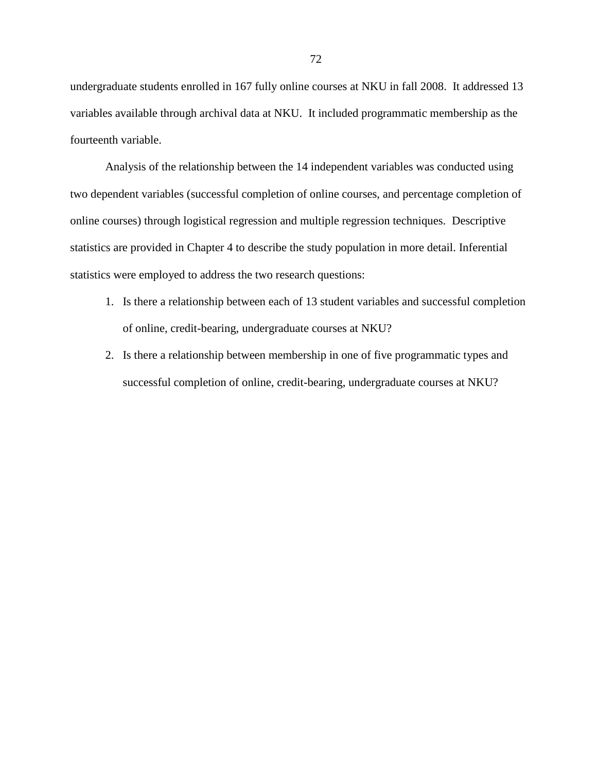undergraduate students enrolled in 167 fully online courses at NKU in fall 2008. It addressed 13 variables available through archival data at NKU. It included programmatic membership as the fourteenth variable.

Analysis of the relationship between the 14 independent variables was conducted using two dependent variables (successful completion of online courses, and percentage completion of online courses) through logistical regression and multiple regression techniques. Descriptive statistics are provided in Chapter 4 to describe the study population in more detail. Inferential statistics were employed to address the two research questions:

- 1. Is there a relationship between each of 13 student variables and successful completion of online, credit-bearing, undergraduate courses at NKU?
- 2. Is there a relationship between membership in one of five programmatic types and successful completion of online, credit-bearing, undergraduate courses at NKU?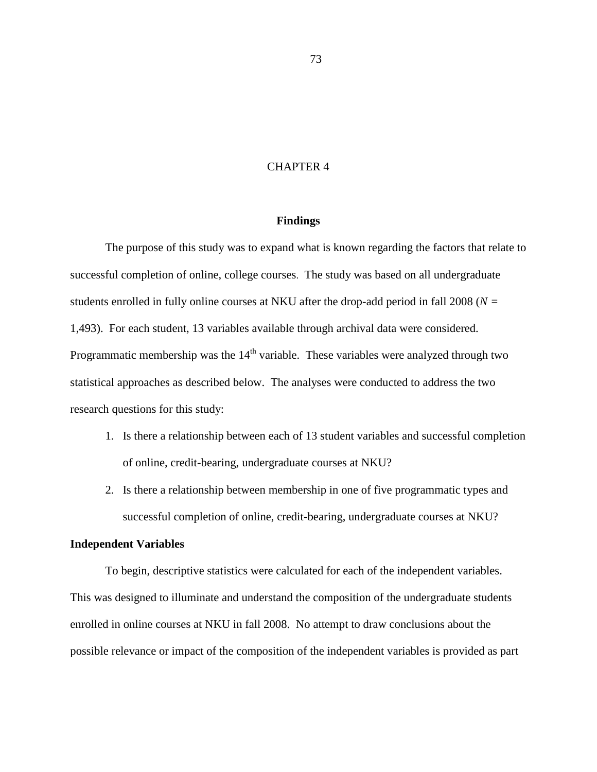## CHAPTER 4

#### **Findings**

The purpose of this study was to expand what is known regarding the factors that relate to successful completion of online, college courses. The study was based on all undergraduate students enrolled in fully online courses at NKU after the drop-add period in fall 2008 (*N =*  1,493). For each student, 13 variables available through archival data were considered. Programmatic membership was the  $14<sup>th</sup>$  variable. These variables were analyzed through two statistical approaches as described below. The analyses were conducted to address the two research questions for this study:

- 1. Is there a relationship between each of 13 student variables and successful completion of online, credit-bearing, undergraduate courses at NKU?
- 2. Is there a relationship between membership in one of five programmatic types and successful completion of online, credit-bearing, undergraduate courses at NKU?

# **Independent Variables**

To begin, descriptive statistics were calculated for each of the independent variables. This was designed to illuminate and understand the composition of the undergraduate students enrolled in online courses at NKU in fall 2008. No attempt to draw conclusions about the possible relevance or impact of the composition of the independent variables is provided as part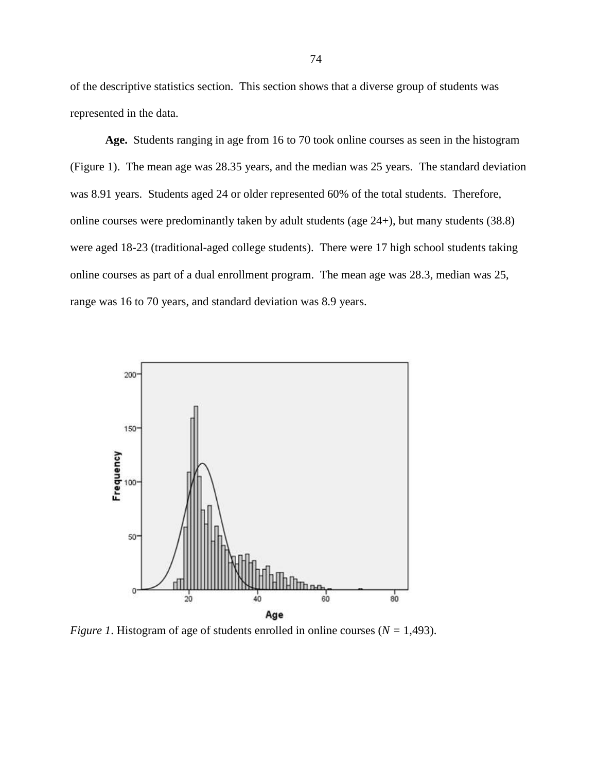of the descriptive statistics section. This section shows that a diverse group of students was represented in the data.

**Age.** Students ranging in age from 16 to 70 took online courses as seen in the histogram (Figure 1). The mean age was 28.35 years, and the median was 25 years. The standard deviation was 8.91 years. Students aged 24 or older represented 60% of the total students. Therefore, online courses were predominantly taken by adult students (age 24+), but many students (38.8) were aged 18-23 (traditional-aged college students). There were 17 high school students taking online courses as part of a dual enrollment program. The mean age was 28.3, median was 25, range was 16 to 70 years, and standard deviation was 8.9 years.



*Figure 1*. Histogram of age of students enrolled in online courses (*N =* 1,493).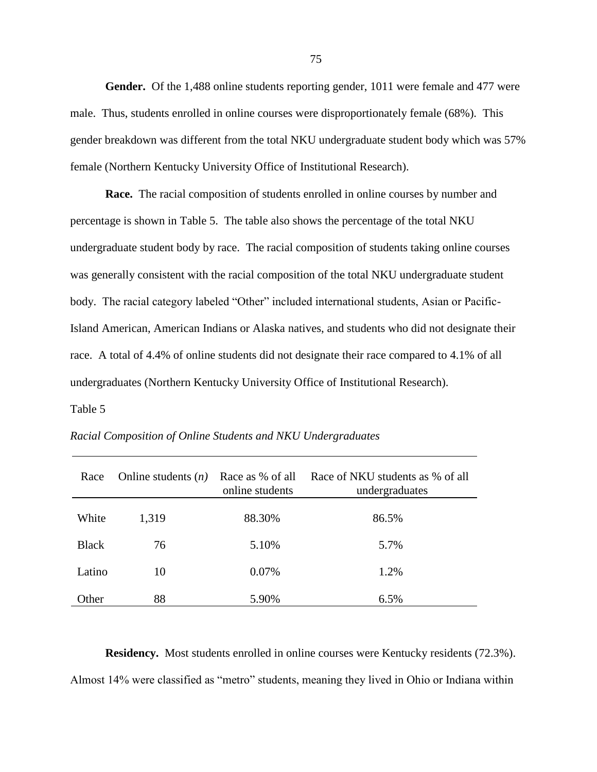**Gender.** Of the 1,488 online students reporting gender, 1011 were female and 477 were male. Thus, students enrolled in online courses were disproportionately female (68%). This gender breakdown was different from the total NKU undergraduate student body which was 57% female (Northern Kentucky University Office of Institutional Research).

**Race.** The racial composition of students enrolled in online courses by number and percentage is shown in Table 5. The table also shows the percentage of the total NKU undergraduate student body by race. The racial composition of students taking online courses was generally consistent with the racial composition of the total NKU undergraduate student body. The racial category labeled "Other" included international students, Asian or Pacific-Island American, American Indians or Alaska natives, and students who did not designate their race. A total of 4.4% of online students did not designate their race compared to 4.1% of all undergraduates (Northern Kentucky University Office of Institutional Research).

Table 5

| Race         | Online students $(n)$ | Race as % of all<br>online students | Race of NKU students as % of all<br>undergraduates |
|--------------|-----------------------|-------------------------------------|----------------------------------------------------|
| White        | 1,319                 | 88.30%                              | 86.5%                                              |
| <b>Black</b> | 76                    | 5.10%                               | 5.7%                                               |
| Latino       | 10                    | 0.07%                               | 1.2%                                               |
| Other        | 88                    | 5.90%                               | 6.5%                                               |

*Racial Composition of Online Students and NKU Undergraduates*

**Residency.** Most students enrolled in online courses were Kentucky residents (72.3%). Almost 14% were classified as "metro" students, meaning they lived in Ohio or Indiana within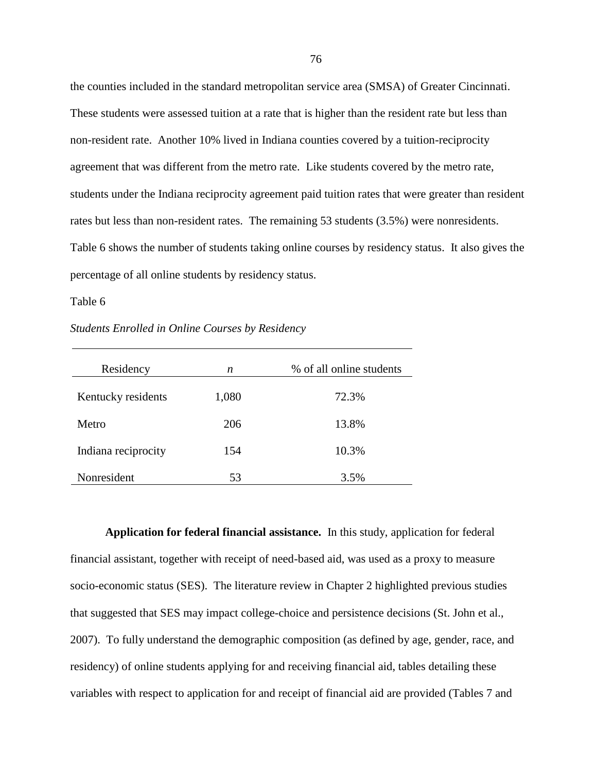the counties included in the standard metropolitan service area (SMSA) of Greater Cincinnati. These students were assessed tuition at a rate that is higher than the resident rate but less than non-resident rate. Another 10% lived in Indiana counties covered by a tuition-reciprocity agreement that was different from the metro rate. Like students covered by the metro rate, students under the Indiana reciprocity agreement paid tuition rates that were greater than resident rates but less than non-resident rates. The remaining 53 students (3.5%) were nonresidents. Table 6 shows the number of students taking online courses by residency status. It also gives the percentage of all online students by residency status.

### Table 6

*Students Enrolled in Online Courses by Residency*

| Residency           | n     | % of all online students |
|---------------------|-------|--------------------------|
| Kentucky residents  | 1,080 | 72.3%                    |
| Metro               | 206   | 13.8%                    |
| Indiana reciprocity | 154   | 10.3%                    |
| Nonresident         | 53    | 3.5%                     |

**Application for federal financial assistance.** In this study, application for federal financial assistant, together with receipt of need-based aid, was used as a proxy to measure socio-economic status (SES). The literature review in Chapter 2 highlighted previous studies that suggested that SES may impact college-choice and persistence decisions (St. John et al., 2007). To fully understand the demographic composition (as defined by age, gender, race, and residency) of online students applying for and receiving financial aid, tables detailing these variables with respect to application for and receipt of financial aid are provided (Tables 7 and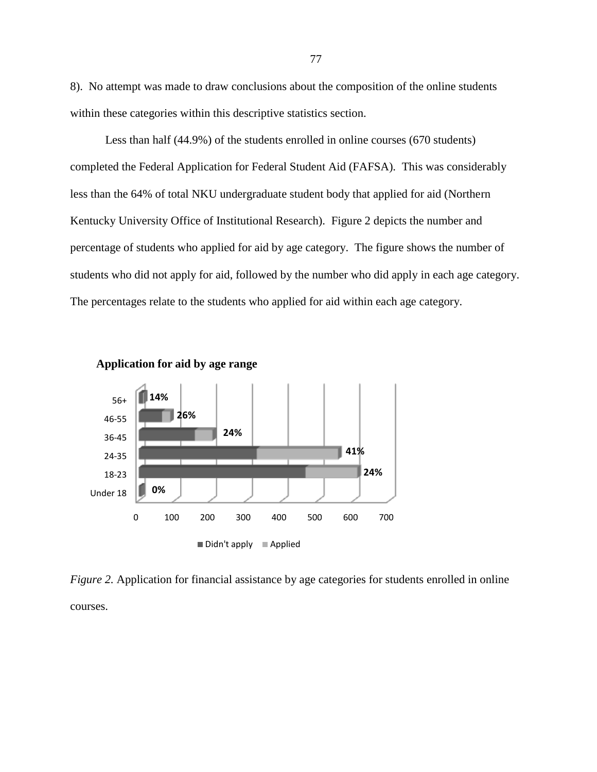8). No attempt was made to draw conclusions about the composition of the online students within these categories within this descriptive statistics section.

Less than half (44.9%) of the students enrolled in online courses (670 students) completed the Federal Application for Federal Student Aid (FAFSA). This was considerably less than the 64% of total NKU undergraduate student body that applied for aid (Northern Kentucky University Office of Institutional Research). Figure 2 depicts the number and percentage of students who applied for aid by age category. The figure shows the number of students who did not apply for aid, followed by the number who did apply in each age category. The percentages relate to the students who applied for aid within each age category.



**Application for aid by age range**

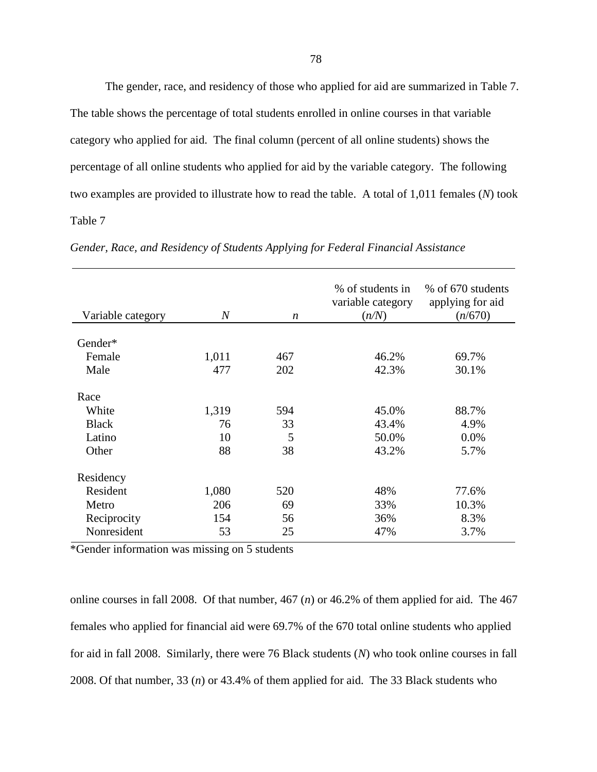The gender, race, and residency of those who applied for aid are summarized in Table 7. The table shows the percentage of total students enrolled in online courses in that variable category who applied for aid. The final column (percent of all online students) shows the percentage of all online students who applied for aid by the variable category. The following two examples are provided to illustrate how to read the table. A total of 1,011 females (*N*) took Table 7

| Variable category | $\boldsymbol{N}$ | n   | % of students in<br>variable category<br>(n/N) | % of 670 students<br>applying for aid<br>(n/670) |
|-------------------|------------------|-----|------------------------------------------------|--------------------------------------------------|
|                   |                  |     |                                                |                                                  |
| Gender*           |                  |     |                                                |                                                  |
| Female            | 1,011            | 467 | 46.2%                                          | 69.7%                                            |
| Male              | 477              | 202 | 42.3%                                          | 30.1%                                            |
| Race              |                  |     |                                                |                                                  |
| White             | 1,319            | 594 | 45.0%                                          | 88.7%                                            |
| <b>Black</b>      | 76               | 33  | 43.4%                                          | 4.9%                                             |
| Latino            | 10               | 5   | 50.0%                                          | 0.0%                                             |
| Other             | 88               | 38  | 43.2%                                          | 5.7%                                             |
| Residency         |                  |     |                                                |                                                  |
| Resident          | 1,080            | 520 | 48%                                            | 77.6%                                            |
| Metro             | 206              | 69  | 33%                                            | 10.3%                                            |
| Reciprocity       | 154              | 56  | 36%                                            | 8.3%                                             |
| Nonresident       | 53               | 25  | 47%                                            | 3.7%                                             |

*Gender, Race, and Residency of Students Applying for Federal Financial Assistance*

\*Gender information was missing on 5 students

online courses in fall 2008. Of that number, 467 (*n*) or 46.2% of them applied for aid. The 467 females who applied for financial aid were 69.7% of the 670 total online students who applied for aid in fall 2008. Similarly, there were 76 Black students (*N*) who took online courses in fall 2008. Of that number, 33 (*n*) or 43.4% of them applied for aid. The 33 Black students who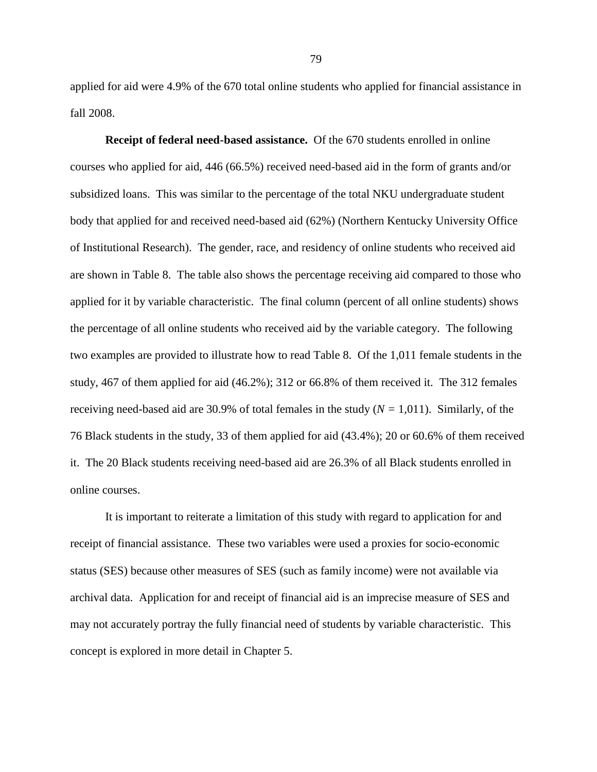applied for aid were 4.9% of the 670 total online students who applied for financial assistance in fall 2008.

**Receipt of federal need-based assistance.** Of the 670 students enrolled in online courses who applied for aid, 446 (66.5%) received need-based aid in the form of grants and/or subsidized loans. This was similar to the percentage of the total NKU undergraduate student body that applied for and received need-based aid (62%) (Northern Kentucky University Office of Institutional Research). The gender, race, and residency of online students who received aid are shown in Table 8. The table also shows the percentage receiving aid compared to those who applied for it by variable characteristic. The final column (percent of all online students) shows the percentage of all online students who received aid by the variable category. The following two examples are provided to illustrate how to read Table 8. Of the 1,011 female students in the study, 467 of them applied for aid (46.2%); 312 or 66.8% of them received it. The 312 females receiving need-based aid are 30.9% of total females in the study (*N =* 1,011). Similarly, of the 76 Black students in the study, 33 of them applied for aid (43.4%); 20 or 60.6% of them received it. The 20 Black students receiving need-based aid are 26.3% of all Black students enrolled in online courses.

It is important to reiterate a limitation of this study with regard to application for and receipt of financial assistance. These two variables were used a proxies for socio-economic status (SES) because other measures of SES (such as family income) were not available via archival data. Application for and receipt of financial aid is an imprecise measure of SES and may not accurately portray the fully financial need of students by variable characteristic. This concept is explored in more detail in Chapter 5.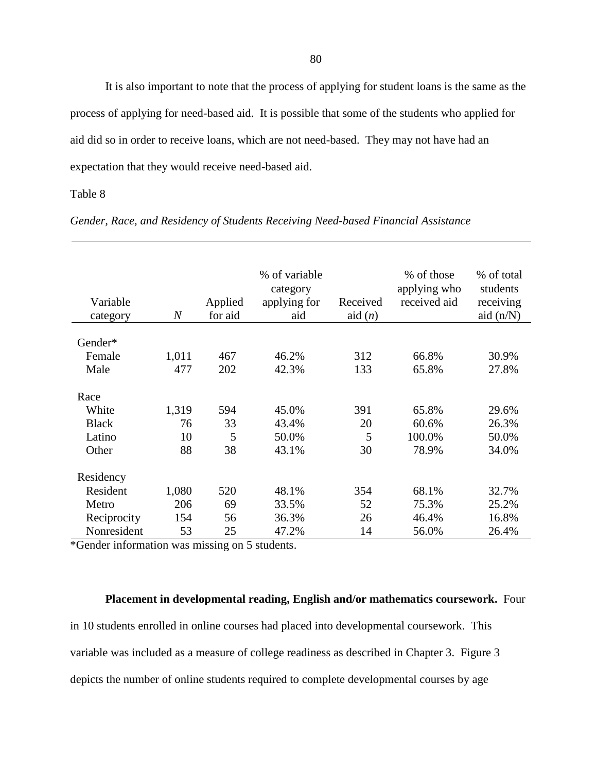It is also important to note that the process of applying for student loans is the same as the process of applying for need-based aid. It is possible that some of the students who applied for aid did so in order to receive loans, which are not need-based. They may not have had an expectation that they would receive need-based aid.

## Table 8

| Variable<br>category | $\overline{N}$ | Applied<br>for aid | % of variable<br>category<br>applying for<br>aid | Received<br>aid $(n)$ | % of those<br>applying who<br>received aid | % of total<br>students<br>receiving<br>aid $(n/N)$ |
|----------------------|----------------|--------------------|--------------------------------------------------|-----------------------|--------------------------------------------|----------------------------------------------------|
| Gender*              |                |                    |                                                  |                       |                                            |                                                    |
|                      |                |                    |                                                  |                       |                                            | 30.9%                                              |
| Female               | 1,011          | 467                | 46.2%                                            | 312                   | 66.8%                                      |                                                    |
| Male                 | 477            | 202                | 42.3%                                            | 133                   | 65.8%                                      | 27.8%                                              |
| Race                 |                |                    |                                                  |                       |                                            |                                                    |
| White                | 1,319          | 594                | 45.0%                                            | 391                   | 65.8%                                      | 29.6%                                              |
| <b>Black</b>         | 76             | 33                 | 43.4%                                            | 20                    | 60.6%                                      | 26.3%                                              |
| Latino               | 10             | 5                  | 50.0%                                            | 5                     | 100.0%                                     | 50.0%                                              |
| Other                | 88             | 38                 | 43.1%                                            | 30                    | 78.9%                                      | 34.0%                                              |
|                      |                |                    |                                                  |                       |                                            |                                                    |
| Residency            |                |                    |                                                  |                       |                                            |                                                    |
| Resident             | 1,080          | 520                | 48.1%                                            | 354                   | 68.1%                                      | 32.7%                                              |
| Metro                | 206            | 69                 | 33.5%                                            | 52                    | 75.3%                                      | 25.2%                                              |
| Reciprocity          | 154            | 56                 | 36.3%                                            | 26                    | 46.4%                                      | 16.8%                                              |
| Nonresident          | 53             | 25                 | 47.2%                                            | 14                    | 56.0%                                      | 26.4%                                              |

*Gender, Race, and Residency of Students Receiving Need-based Financial Assistance*

\*Gender information was missing on 5 students.

# **Placement in developmental reading, English and/or mathematics coursework.** Four

in 10 students enrolled in online courses had placed into developmental coursework. This variable was included as a measure of college readiness as described in Chapter 3. Figure 3 depicts the number of online students required to complete developmental courses by age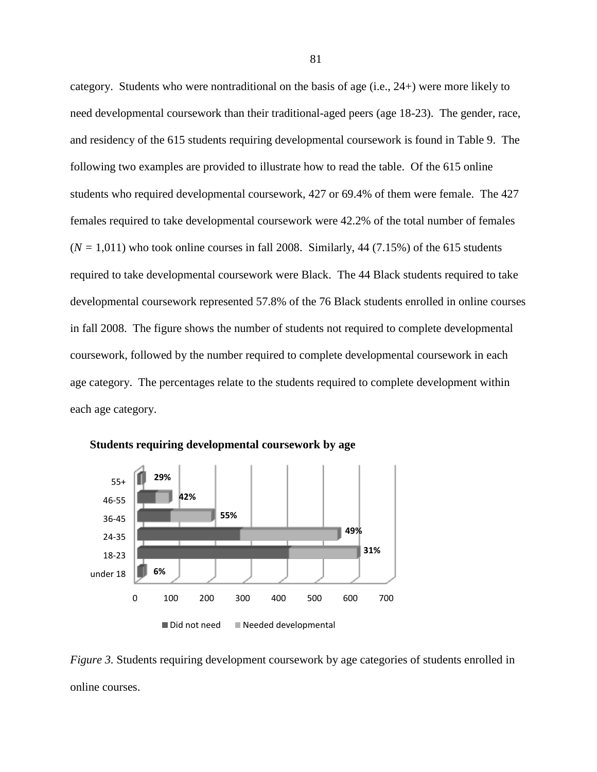category. Students who were nontraditional on the basis of age (i.e., 24+) were more likely to need developmental coursework than their traditional-aged peers (age 18-23). The gender, race, and residency of the 615 students requiring developmental coursework is found in Table 9. The following two examples are provided to illustrate how to read the table. Of the 615 online students who required developmental coursework, 427 or 69.4% of them were female. The 427 females required to take developmental coursework were 42.2% of the total number of females  $(N = 1,011)$  who took online courses in fall 2008. Similarly, 44 (7.15%) of the 615 students required to take developmental coursework were Black. The 44 Black students required to take developmental coursework represented 57.8% of the 76 Black students enrolled in online courses in fall 2008. The figure shows the number of students not required to complete developmental coursework, followed by the number required to complete developmental coursework in each age category. The percentages relate to the students required to complete development within each age category.



**Students requiring developmental coursework by age**

*Figure 3.* Students requiring development coursework by age categories of students enrolled in online courses.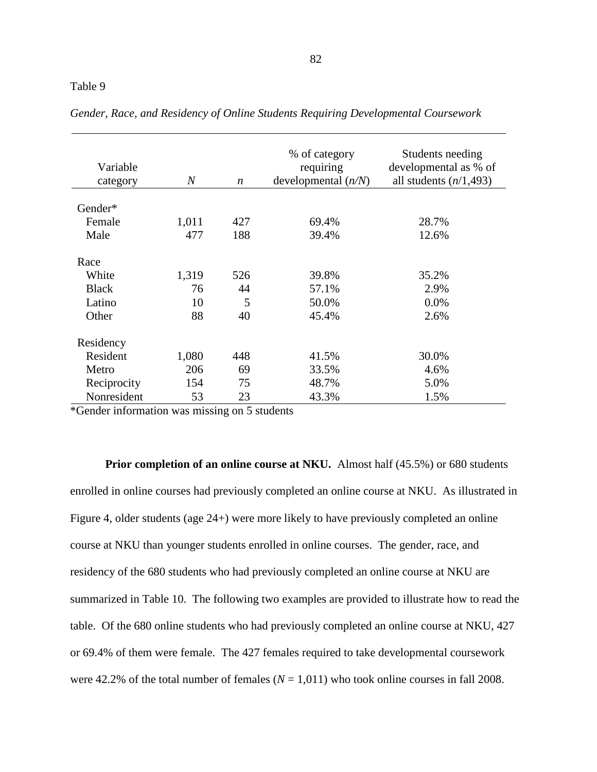| Variable<br>category | $\boldsymbol{N}$ | $\boldsymbol{n}$ | % of category<br>requiring<br>developmental $(n/N)$ | Students needing<br>developmental as % of<br>all students $(n/1, 493)$ |
|----------------------|------------------|------------------|-----------------------------------------------------|------------------------------------------------------------------------|
| Gender*              |                  |                  |                                                     |                                                                        |
| Female               | 1,011            | 427              | 69.4%                                               | 28.7%                                                                  |
| Male                 | 477              | 188              | 39.4%                                               | 12.6%                                                                  |
| Race                 |                  |                  |                                                     |                                                                        |
| White                | 1,319            | 526              | 39.8%                                               | 35.2%                                                                  |
| <b>Black</b>         | 76               | 44               | 57.1%                                               | 2.9%                                                                   |
| Latino               | 10               | 5                | 50.0%                                               | 0.0%                                                                   |
| Other                | 88               | 40               | 45.4%                                               | 2.6%                                                                   |
| Residency            |                  |                  |                                                     |                                                                        |
| Resident             | 1,080            | 448              | 41.5%                                               | 30.0%                                                                  |
| Metro                | 206              | 69               | 33.5%                                               | 4.6%                                                                   |
| Reciprocity          | 154              | 75               | 48.7%                                               | 5.0%                                                                   |
| Nonresident          | 53               | 23               | 43.3%                                               | 1.5%                                                                   |

*Gender, Race, and Residency of Online Students Requiring Developmental Coursework*

\*Gender information was missing on 5 students

**Prior completion of an online course at NKU.** Almost half (45.5%) or 680 students enrolled in online courses had previously completed an online course at NKU. As illustrated in Figure 4, older students (age 24+) were more likely to have previously completed an online course at NKU than younger students enrolled in online courses. The gender, race, and residency of the 680 students who had previously completed an online course at NKU are summarized in Table 10. The following two examples are provided to illustrate how to read the table. Of the 680 online students who had previously completed an online course at NKU, 427 or 69.4% of them were female. The 427 females required to take developmental coursework were 42.2% of the total number of females  $(N = 1,011)$  who took online courses in fall 2008.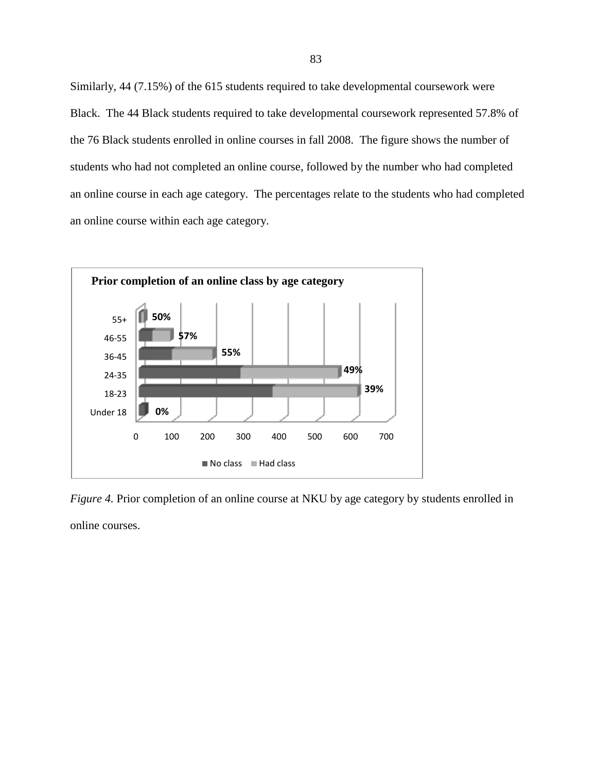Similarly, 44 (7.15%) of the 615 students required to take developmental coursework were Black. The 44 Black students required to take developmental coursework represented 57.8% of the 76 Black students enrolled in online courses in fall 2008. The figure shows the number of students who had not completed an online course, followed by the number who had completed an online course in each age category. The percentages relate to the students who had completed an online course within each age category.



*Figure 4.* Prior completion of an online course at NKU by age category by students enrolled in online courses.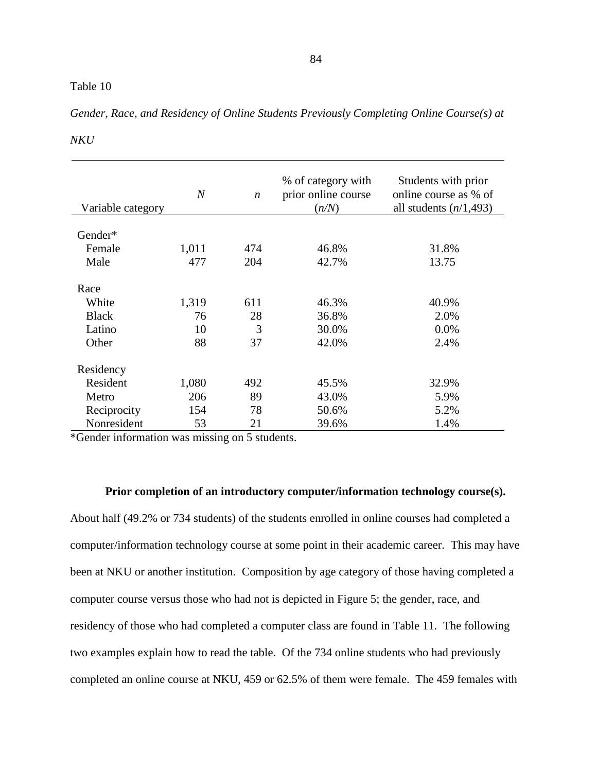| Variable category | $\boldsymbol{N}$ | $\boldsymbol{n}$ | % of category with<br>prior online course<br>(n/N) | Students with prior<br>online course as % of<br>all students $(n/1, 493)$ |
|-------------------|------------------|------------------|----------------------------------------------------|---------------------------------------------------------------------------|
| Gender*           |                  |                  |                                                    |                                                                           |
|                   |                  |                  |                                                    |                                                                           |
| Female            | 1,011            | 474              | 46.8%                                              | 31.8%                                                                     |
| Male              | 477              | 204              | 42.7%                                              | 13.75                                                                     |
|                   |                  |                  |                                                    |                                                                           |
| Race              |                  |                  |                                                    |                                                                           |
| White             | 1,319            | 611              | 46.3%                                              | 40.9%                                                                     |
| <b>Black</b>      | 76               | 28               | 36.8%                                              | 2.0%                                                                      |
| Latino            | 10               | 3                | 30.0%                                              | 0.0%                                                                      |
| Other             | 88               | 37               | 42.0%                                              | 2.4%                                                                      |
|                   |                  |                  |                                                    |                                                                           |
| Residency         |                  |                  |                                                    |                                                                           |
| Resident          | 1,080            | 492              | 45.5%                                              | 32.9%                                                                     |
| Metro             | 206              | 89               | 43.0%                                              | 5.9%                                                                      |
| Reciprocity       | 154              | 78               | 50.6%                                              | 5.2%                                                                      |
| Nonresident       | 53               | 21               | 39.6%                                              | 1.4%                                                                      |

*Gender, Race, and Residency of Online Students Previously Completing Online Course(s) at* 

#### *NKU*

\*Gender information was missing on 5 students.

#### **Prior completion of an introductory computer/information technology course(s).**

About half (49.2% or 734 students) of the students enrolled in online courses had completed a computer/information technology course at some point in their academic career. This may have been at NKU or another institution. Composition by age category of those having completed a computer course versus those who had not is depicted in Figure 5; the gender, race, and residency of those who had completed a computer class are found in Table 11. The following two examples explain how to read the table. Of the 734 online students who had previously completed an online course at NKU, 459 or 62.5% of them were female. The 459 females with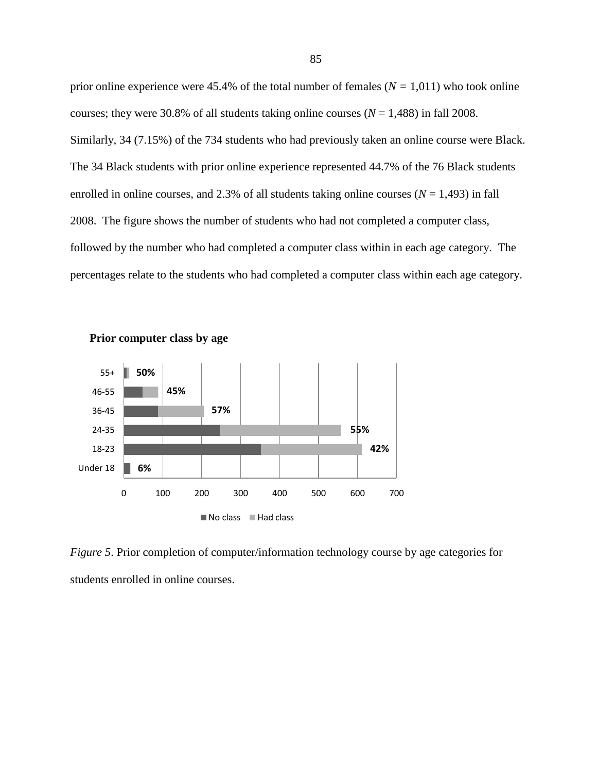prior online experience were 45.4% of the total number of females (*N =* 1,011) who took online courses; they were 30.8% of all students taking online courses  $(N = 1,488)$  in fall 2008. Similarly, 34 (7.15%) of the 734 students who had previously taken an online course were Black. The 34 Black students with prior online experience represented 44.7% of the 76 Black students enrolled in online courses, and 2.3% of all students taking online courses  $(N = 1,493)$  in fall 2008. The figure shows the number of students who had not completed a computer class, followed by the number who had completed a computer class within in each age category. The percentages relate to the students who had completed a computer class within each age category.





*Figure 5*. Prior completion of computer/information technology course by age categories for students enrolled in online courses.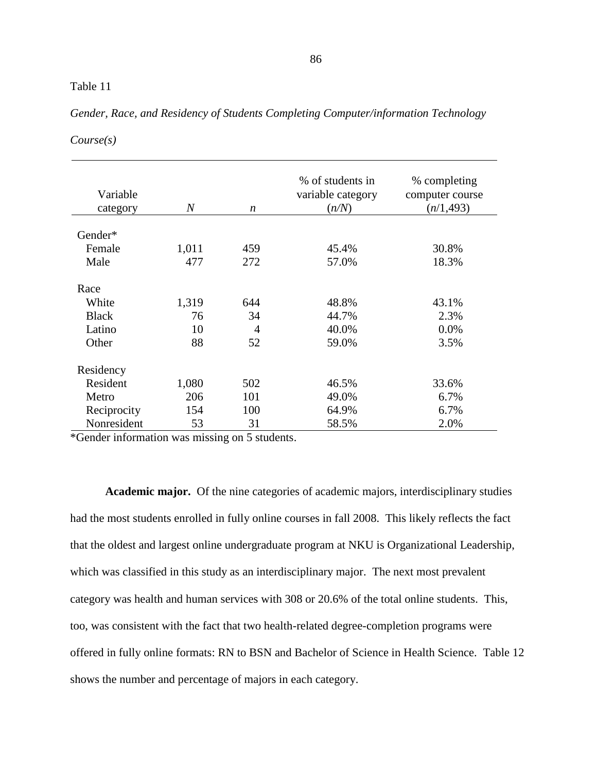| Variable<br>category                             | $\overline{N}$          | $\boldsymbol{n}$                  | % of students in<br>variable category<br>(n/N) | % completing<br>computer course<br>(n/1, 493) |
|--------------------------------------------------|-------------------------|-----------------------------------|------------------------------------------------|-----------------------------------------------|
| Gender*                                          |                         |                                   |                                                |                                               |
|                                                  |                         |                                   | 45.4%                                          |                                               |
| Female                                           | 1,011                   | 459                               |                                                | 30.8%                                         |
| Male                                             | 477                     | 272                               | 57.0%                                          | 18.3%                                         |
| Race<br>White<br><b>Black</b><br>Latino<br>Other | 1,319<br>76<br>10<br>88 | 644<br>34<br>$\overline{4}$<br>52 | 48.8%<br>44.7%<br>40.0%<br>59.0%               | 43.1%<br>2.3%<br>$0.0\%$<br>3.5%              |
| Residency                                        |                         |                                   |                                                |                                               |
| Resident                                         | 1,080                   | 502                               | 46.5%                                          | 33.6%                                         |
| Metro                                            | 206                     | 101                               | 49.0%                                          | 6.7%                                          |
| Reciprocity                                      | 154                     | 100                               | 64.9%                                          | 6.7%                                          |
| Nonresident                                      | 53                      | 31                                | 58.5%                                          | 2.0%                                          |

# *Gender, Race, and Residency of Students Completing Computer/information Technology*

*Course(s)*

\*Gender information was missing on 5 students.

**Academic major.** Of the nine categories of academic majors, interdisciplinary studies had the most students enrolled in fully online courses in fall 2008. This likely reflects the fact that the oldest and largest online undergraduate program at NKU is Organizational Leadership, which was classified in this study as an interdisciplinary major. The next most prevalent category was health and human services with 308 or 20.6% of the total online students. This, too, was consistent with the fact that two health-related degree-completion programs were offered in fully online formats: RN to BSN and Bachelor of Science in Health Science. Table 12 shows the number and percentage of majors in each category.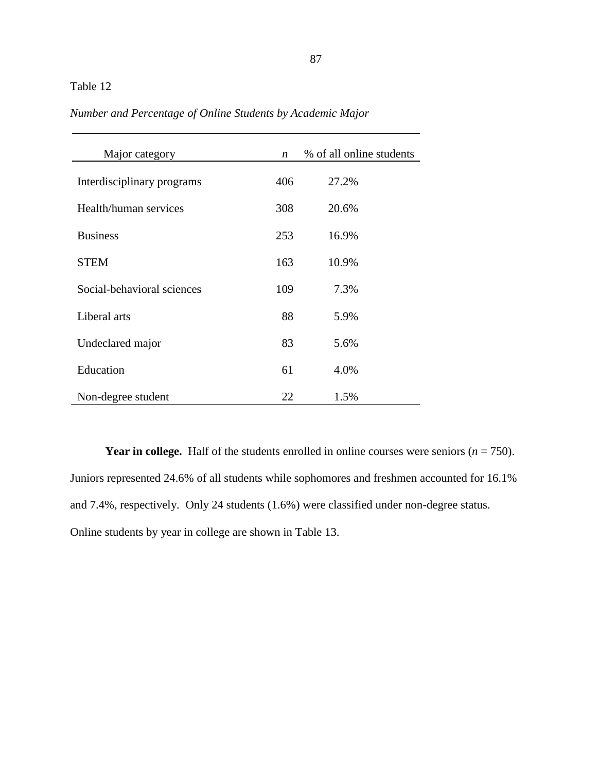| Major category             | $\boldsymbol{n}$ | % of all online students |
|----------------------------|------------------|--------------------------|
| Interdisciplinary programs | 406              | 27.2%                    |
| Health/human services      | 308              | 20.6%                    |
| <b>Business</b>            | 253              | 16.9%                    |
| <b>STEM</b>                | 163              | 10.9%                    |
| Social-behavioral sciences | 109              | 7.3%                     |
| Liberal arts               | 88               | 5.9%                     |
| Undeclared major           | 83               | 5.6%                     |
| Education                  | 61               | 4.0%                     |
| Non-degree student         | 22               | 1.5%                     |

*Number and Percentage of Online Students by Academic Major*

**Year in college.** Half of the students enrolled in online courses were seniors  $(n = 750)$ . Juniors represented 24.6% of all students while sophomores and freshmen accounted for 16.1% and 7.4%, respectively. Only 24 students (1.6%) were classified under non-degree status. Online students by year in college are shown in Table 13.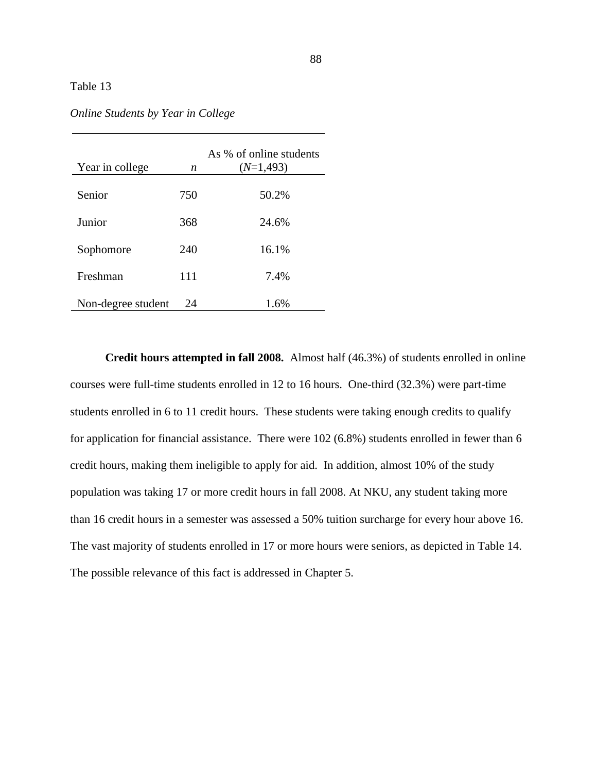| Year in college    | n   | As % of online students<br>$(N=1, 493)$ |
|--------------------|-----|-----------------------------------------|
| Senior             | 750 | 50.2%                                   |
| Junior             | 368 | 24.6%                                   |
| Sophomore          | 240 | 16.1%                                   |
| Freshman           | 111 | 7.4%                                    |
| Non-degree student | 24  | 1.6%                                    |

*Online Students by Year in College*

**Credit hours attempted in fall 2008.** Almost half (46.3%) of students enrolled in online courses were full-time students enrolled in 12 to 16 hours. One-third (32.3%) were part-time students enrolled in 6 to 11 credit hours. These students were taking enough credits to qualify for application for financial assistance. There were 102 (6.8%) students enrolled in fewer than 6 credit hours, making them ineligible to apply for aid. In addition, almost 10% of the study population was taking 17 or more credit hours in fall 2008. At NKU, any student taking more than 16 credit hours in a semester was assessed a 50% tuition surcharge for every hour above 16. The vast majority of students enrolled in 17 or more hours were seniors, as depicted in Table 14. The possible relevance of this fact is addressed in Chapter 5.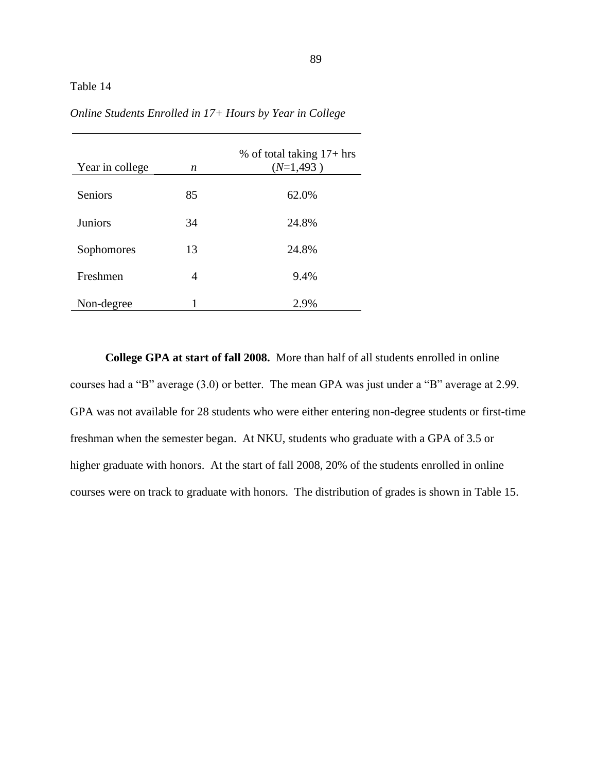| Year in college | n  | % of total taking $17+$ hrs<br>$(N=1,493)$ |
|-----------------|----|--------------------------------------------|
| Seniors         | 85 | 62.0%                                      |
| <b>Juniors</b>  | 34 | 24.8%                                      |
| Sophomores      | 13 | 24.8%                                      |
| Freshmen        | 4  | 9.4%                                       |
| Non-degree      |    | 2.9%                                       |

*Online Students Enrolled in 17+ Hours by Year in College*

**College GPA at start of fall 2008.** More than half of all students enrolled in online courses had a "B" average  $(3.0)$  or better. The mean GPA was just under a "B" average at 2.99. GPA was not available for 28 students who were either entering non-degree students or first-time freshman when the semester began. At NKU, students who graduate with a GPA of 3.5 or higher graduate with honors. At the start of fall 2008, 20% of the students enrolled in online courses were on track to graduate with honors. The distribution of grades is shown in Table 15.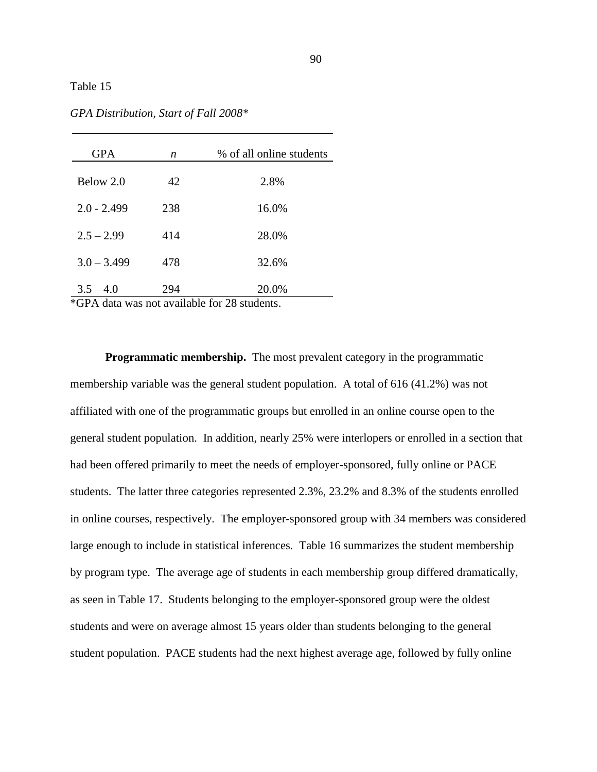| <b>GPA</b>    | n   | % of all online students |
|---------------|-----|--------------------------|
| Below 2.0     | 42  | 2.8%                     |
| $2.0 - 2.499$ | 238 | 16.0%                    |
| $2.5 - 2.99$  | 414 | 28.0%                    |
| $3.0 - 3.499$ | 478 | 32.6%                    |
| $3.5 - 4.0$   | 294 | 20.0%                    |

*GPA Distribution, Start of Fall 2008\**

\*GPA data was not available for 28 students.

**Programmatic membership.** The most prevalent category in the programmatic membership variable was the general student population. A total of 616 (41.2%) was not affiliated with one of the programmatic groups but enrolled in an online course open to the general student population. In addition, nearly 25% were interlopers or enrolled in a section that had been offered primarily to meet the needs of employer-sponsored, fully online or PACE students. The latter three categories represented 2.3%, 23.2% and 8.3% of the students enrolled in online courses, respectively. The employer-sponsored group with 34 members was considered large enough to include in statistical inferences. Table 16 summarizes the student membership by program type. The average age of students in each membership group differed dramatically, as seen in Table 17. Students belonging to the employer-sponsored group were the oldest students and were on average almost 15 years older than students belonging to the general student population. PACE students had the next highest average age, followed by fully online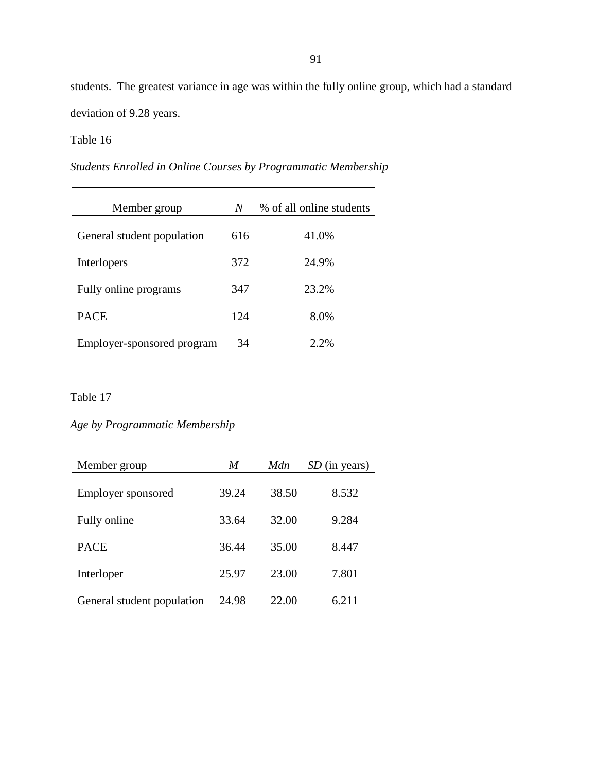students. The greatest variance in age was within the fully online group, which had a standard deviation of 9.28 years.

# Table 16

*Students Enrolled in Online Courses by Programmatic Membership*

| Member group               | N   | % of all online students |
|----------------------------|-----|--------------------------|
| General student population | 616 | 41.0%                    |
| Interlopers                | 372 | 24.9%                    |
| Fully online programs      | 347 | 23.2%                    |
| <b>PACE</b>                | 124 | 8.0%                     |
| Employer-sponsored program | 34  | 2.2%                     |

# Table 17

# *Age by Programmatic Membership*

| Member group               | M     | Mdn   | SD (in years) |
|----------------------------|-------|-------|---------------|
| Employer sponsored         | 39.24 | 38.50 | 8.532         |
| Fully online               | 33.64 | 32.00 | 9.284         |
| <b>PACE</b>                | 36.44 | 35.00 | 8.447         |
| Interloper                 | 25.97 | 23.00 | 7.801         |
| General student population | 24.98 | 22.00 | 6.211         |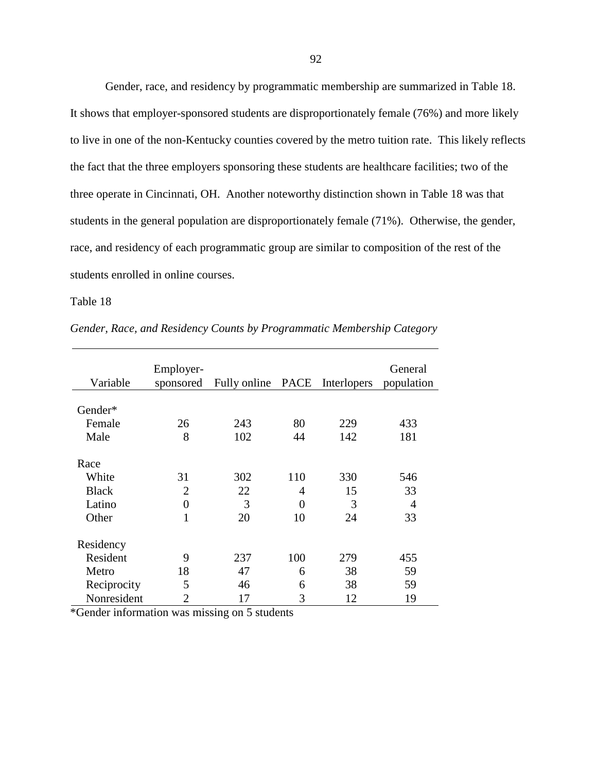Gender, race, and residency by programmatic membership are summarized in Table 18. It shows that employer-sponsored students are disproportionately female (76%) and more likely to live in one of the non-Kentucky counties covered by the metro tuition rate. This likely reflects the fact that the three employers sponsoring these students are healthcare facilities; two of the three operate in Cincinnati, OH. Another noteworthy distinction shown in Table 18 was that students in the general population are disproportionately female (71%). Otherwise, the gender, race, and residency of each programmatic group are similar to composition of the rest of the students enrolled in online courses.

Table 18

| Variable     | Employer-<br>sponsored | Fully online PACE Interlopers |          |     | General<br>population |
|--------------|------------------------|-------------------------------|----------|-----|-----------------------|
| Gender*      |                        |                               |          |     |                       |
|              |                        |                               |          |     |                       |
| Female       | 26                     | 243                           | 80       | 229 | 433                   |
| Male         | 8                      | 102                           | 44       | 142 | 181                   |
| Race         |                        |                               |          |     |                       |
| White        | 31                     | 302                           | 110      | 330 | 546                   |
| <b>Black</b> | $\overline{2}$         | 22                            | 4        | 15  | 33                    |
| Latino       | $\overline{0}$         | 3                             | $\theta$ | 3   | 4                     |
| Other        | $\mathbf{1}$           | 20                            | 10       | 24  | 33                    |
| Residency    |                        |                               |          |     |                       |
| Resident     | 9                      | 237                           | 100      | 279 | 455                   |
| Metro        | 18                     | 47                            | 6        | 38  | 59                    |
| Reciprocity  | 5                      | 46                            | 6        | 38  | 59                    |
| Nonresident  | $\overline{2}$         | 17                            | 3        | 12  | 19                    |

*Gender, Race, and Residency Counts by Programmatic Membership Category*

\*Gender information was missing on 5 students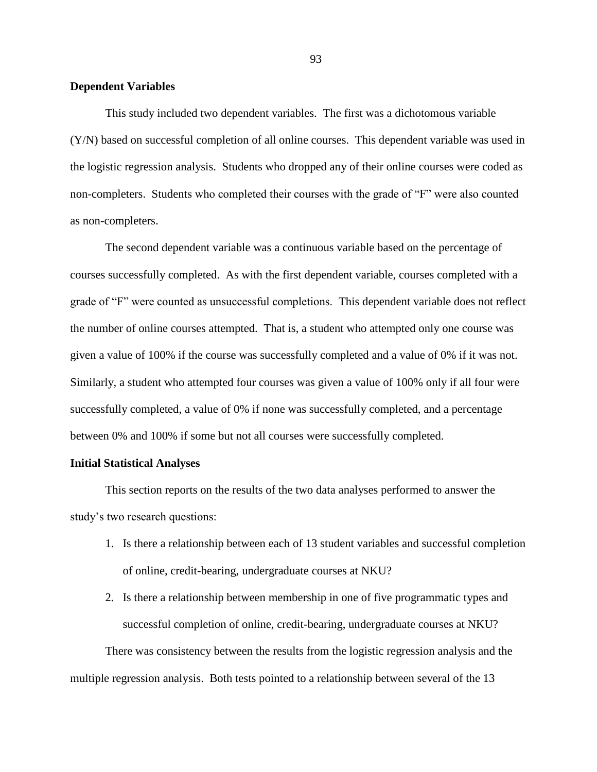#### **Dependent Variables**

This study included two dependent variables. The first was a dichotomous variable (Y/N) based on successful completion of all online courses. This dependent variable was used in the logistic regression analysis. Students who dropped any of their online courses were coded as non-completers. Students who completed their courses with the grade of "F" were also counted as non-completers.

The second dependent variable was a continuous variable based on the percentage of courses successfully completed. As with the first dependent variable, courses completed with a grade of "F" were counted as unsuccessful completions. This dependent variable does not reflect the number of online courses attempted. That is, a student who attempted only one course was given a value of 100% if the course was successfully completed and a value of 0% if it was not. Similarly, a student who attempted four courses was given a value of 100% only if all four were successfully completed, a value of 0% if none was successfully completed, and a percentage between 0% and 100% if some but not all courses were successfully completed.

### **Initial Statistical Analyses**

This section reports on the results of the two data analyses performed to answer the study's two research questions:

- 1. Is there a relationship between each of 13 student variables and successful completion of online, credit-bearing, undergraduate courses at NKU?
- 2. Is there a relationship between membership in one of five programmatic types and successful completion of online, credit-bearing, undergraduate courses at NKU?

There was consistency between the results from the logistic regression analysis and the multiple regression analysis. Both tests pointed to a relationship between several of the 13

93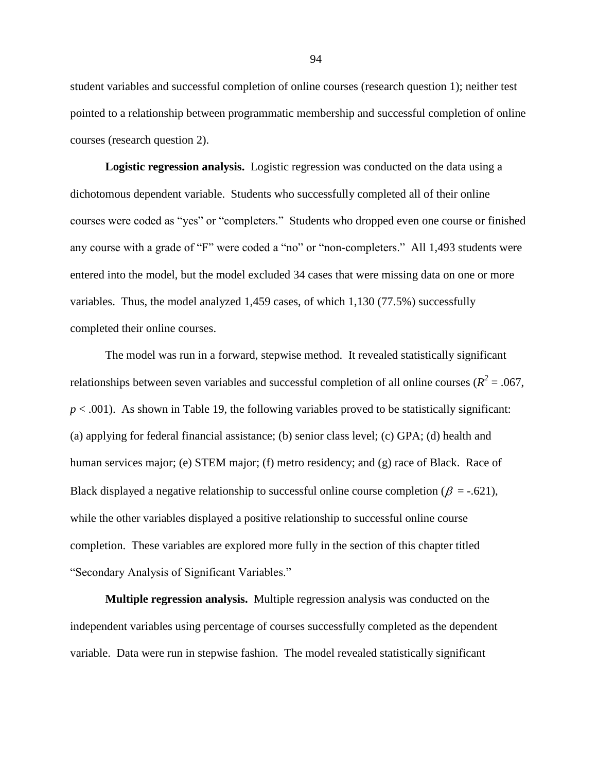student variables and successful completion of online courses (research question 1); neither test pointed to a relationship between programmatic membership and successful completion of online courses (research question 2).

**Logistic regression analysis.** Logistic regression was conducted on the data using a dichotomous dependent variable. Students who successfully completed all of their online courses were coded as "yes" or "completers." Students who dropped even one course or finished any course with a grade of "F" were coded a "no" or "non-completers." All 1,493 students were entered into the model, but the model excluded 34 cases that were missing data on one or more variables. Thus, the model analyzed 1,459 cases, of which 1,130 (77.5%) successfully completed their online courses.

The model was run in a forward, stepwise method. It revealed statistically significant relationships between seven variables and successful completion of all online courses ( $R^2 = .067$ ,  $p < .001$ ). As shown in Table 19, the following variables proved to be statistically significant: (a) applying for federal financial assistance; (b) senior class level; (c) GPA; (d) health and human services major; (e) STEM major; (f) metro residency; and (g) race of Black. Race of Black displayed a negative relationship to successful online course completion ( $\beta = -0.621$ ), while the other variables displayed a positive relationship to successful online course completion. These variables are explored more fully in the section of this chapter titled "Secondary Analysis of Significant Variables."

**Multiple regression analysis.** Multiple regression analysis was conducted on the independent variables using percentage of courses successfully completed as the dependent variable. Data were run in stepwise fashion. The model revealed statistically significant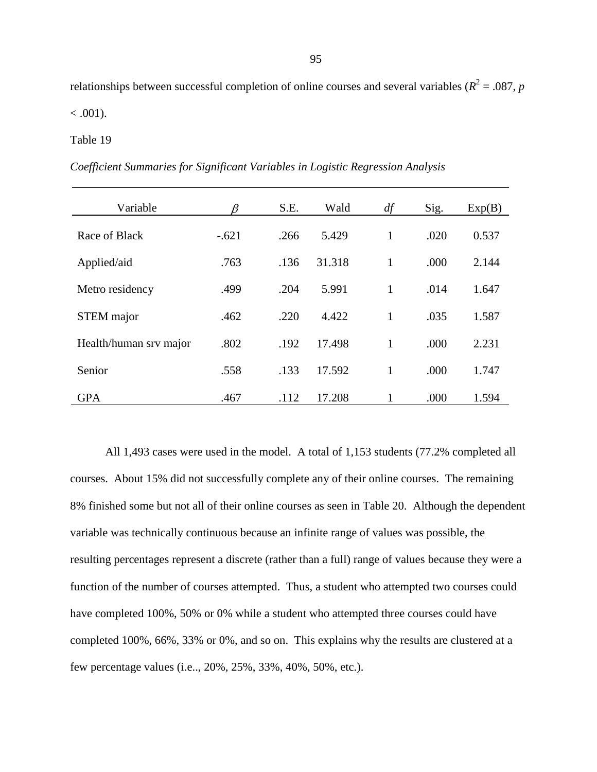relationships between successful completion of online courses and several variables ( $R^2 = .087$ , *p* 

 $< .001$ ).

#### Table 19

*Coefficient Summaries for Significant Variables in Logistic Regression Analysis*

| Variable               | ß       | S.E. | Wald   | df           | Sig. | Exp(B) |
|------------------------|---------|------|--------|--------------|------|--------|
| Race of Black          | $-.621$ | .266 | 5.429  | $\mathbf{1}$ | .020 | 0.537  |
| Applied/aid            | .763    | .136 | 31.318 | 1            | .000 | 2.144  |
| Metro residency        | .499    | .204 | 5.991  | 1            | .014 | 1.647  |
| <b>STEM</b> major      | .462    | .220 | 4.422  | $\mathbf{1}$ | .035 | 1.587  |
| Health/human srv major | .802    | .192 | 17.498 | 1            | .000 | 2.231  |
| Senior                 | .558    | .133 | 17.592 | 1            | .000 | 1.747  |
| <b>GPA</b>             | .467    | .112 | 17.208 |              | .000 | 1.594  |

All 1,493 cases were used in the model. A total of 1,153 students (77.2% completed all courses. About 15% did not successfully complete any of their online courses. The remaining 8% finished some but not all of their online courses as seen in Table 20. Although the dependent variable was technically continuous because an infinite range of values was possible, the resulting percentages represent a discrete (rather than a full) range of values because they were a function of the number of courses attempted. Thus, a student who attempted two courses could have completed 100%, 50% or 0% while a student who attempted three courses could have completed 100%, 66%, 33% or 0%, and so on. This explains why the results are clustered at a few percentage values (i.e.., 20%, 25%, 33%, 40%, 50%, etc.).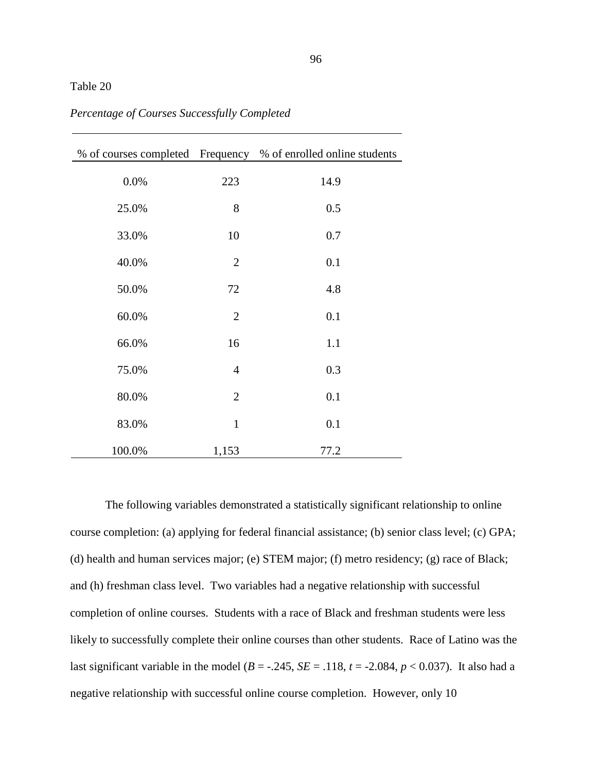|        |                | % of courses completed Frequency % of enrolled online students |
|--------|----------------|----------------------------------------------------------------|
| 0.0%   | 223            | 14.9                                                           |
| 25.0%  | 8              | 0.5                                                            |
| 33.0%  | 10             | 0.7                                                            |
| 40.0%  | $\overline{2}$ | 0.1                                                            |
| 50.0%  | 72             | 4.8                                                            |
| 60.0%  | $\overline{2}$ | 0.1                                                            |
| 66.0%  | 16             | 1.1                                                            |
| 75.0%  | $\overline{4}$ | 0.3                                                            |
| 80.0%  | $\overline{2}$ | 0.1                                                            |
| 83.0%  | $\mathbf{1}$   | 0.1                                                            |
| 100.0% | 1,153          | 77.2                                                           |

*Percentage of Courses Successfully Completed*

The following variables demonstrated a statistically significant relationship to online course completion: (a) applying for federal financial assistance; (b) senior class level; (c) GPA; (d) health and human services major; (e) STEM major; (f) metro residency; (g) race of Black; and (h) freshman class level. Two variables had a negative relationship with successful completion of online courses. Students with a race of Black and freshman students were less likely to successfully complete their online courses than other students. Race of Latino was the last significant variable in the model ( $B = -.245$ ,  $SE = .118$ ,  $t = -2.084$ ,  $p < 0.037$ ). It also had a negative relationship with successful online course completion. However, only 10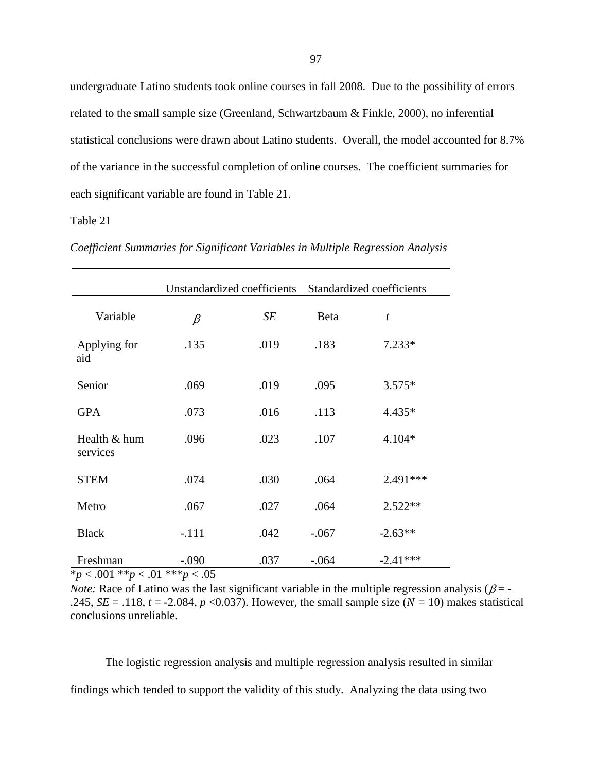undergraduate Latino students took online courses in fall 2008. Due to the possibility of errors related to the small sample size (Greenland, Schwartzbaum & Finkle, 2000), no inferential statistical conclusions were drawn about Latino students. Overall, the model accounted for 8.7% of the variance in the successful completion of online courses. The coefficient summaries for each significant variable are found in Table 21.

## Table 21

|                          |         | Unstandardized coefficients |         | Standardized coefficients |
|--------------------------|---------|-----------------------------|---------|---------------------------|
| Variable                 | $\beta$ | SE                          | Beta    | $\boldsymbol{t}$          |
| Applying for<br>aid      | .135    | .019                        | .183    | $7.233*$                  |
| Senior                   | .069    | .019                        | .095    | $3.575*$                  |
| <b>GPA</b>               | .073    | .016                        | .113    | 4.435*                    |
| Health & hum<br>services | .096    | .023                        | .107    | $4.104*$                  |
| <b>STEM</b>              | .074    | .030                        | .064    | $2.491***$                |
| Metro                    | .067    | .027                        | .064    | $2.522**$                 |
| <b>Black</b>             | $-.111$ | .042                        | $-.067$ | $-2.63**$                 |
| Freshman                 | $-.090$ | .037                        | $-.064$ | $-2.41***$                |

*Coefficient Summaries for Significant Variables in Multiple Regression Analysis*

\**p* < .001 \*\**p* < .01 \*\*\**p* < .05

*Note:* Race of Latino was the last significant variable in the multiple regression analysis ( $\beta$  = -.245, *SE* = .118,  $t = -2.084$ ,  $p < 0.037$ ). However, the small sample size ( $N = 10$ ) makes statistical conclusions unreliable.

The logistic regression analysis and multiple regression analysis resulted in similar findings which tended to support the validity of this study. Analyzing the data using two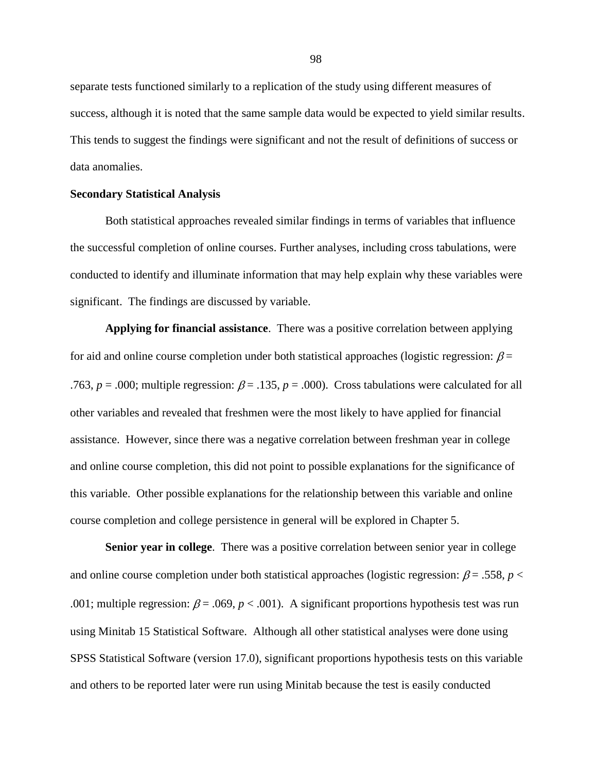separate tests functioned similarly to a replication of the study using different measures of success, although it is noted that the same sample data would be expected to yield similar results. This tends to suggest the findings were significant and not the result of definitions of success or data anomalies.

#### **Secondary Statistical Analysis**

Both statistical approaches revealed similar findings in terms of variables that influence the successful completion of online courses. Further analyses, including cross tabulations, were conducted to identify and illuminate information that may help explain why these variables were significant. The findings are discussed by variable.

**Applying for financial assistance**. There was a positive correlation between applying for aid and online course completion under both statistical approaches (logistic regression:  $\beta$  = .763,  $p = .000$ ; multiple regression:  $\beta = .135$ ,  $p = .000$ ). Cross tabulations were calculated for all other variables and revealed that freshmen were the most likely to have applied for financial assistance. However, since there was a negative correlation between freshman year in college and online course completion, this did not point to possible explanations for the significance of this variable. Other possible explanations for the relationship between this variable and online course completion and college persistence in general will be explored in Chapter 5.

**Senior year in college**. There was a positive correlation between senior year in college and online course completion under both statistical approaches (logistic regression:  $\beta = .558$ ,  $p <$ .001; multiple regression:  $\beta$  = .069,  $p$  < .001). A significant proportions hypothesis test was run using Minitab 15 Statistical Software. Although all other statistical analyses were done using SPSS Statistical Software (version 17.0), significant proportions hypothesis tests on this variable and others to be reported later were run using Minitab because the test is easily conducted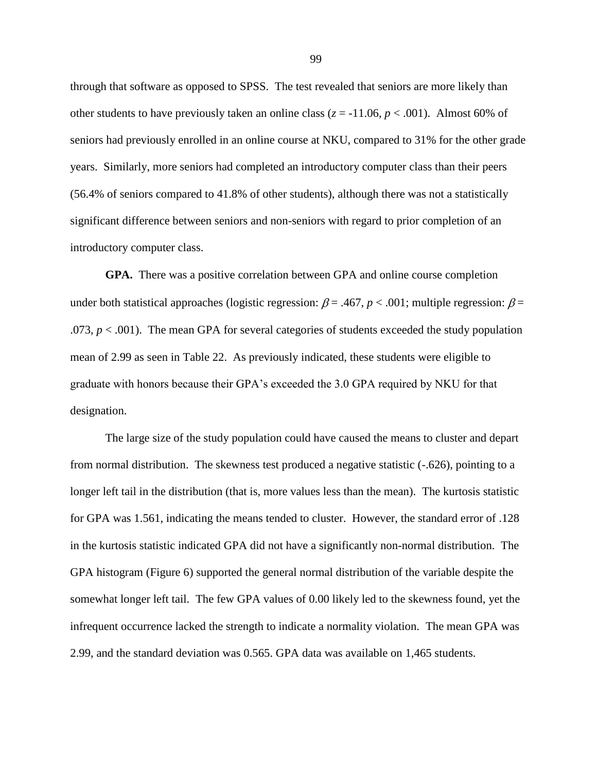through that software as opposed to SPSS. The test revealed that seniors are more likely than other students to have previously taken an online class ( $z = -11.06$ ,  $p < .001$ ). Almost 60% of seniors had previously enrolled in an online course at NKU, compared to 31% for the other grade years. Similarly, more seniors had completed an introductory computer class than their peers (56.4% of seniors compared to 41.8% of other students), although there was not a statistically significant difference between seniors and non-seniors with regard to prior completion of an introductory computer class.

**GPA.** There was a positive correlation between GPA and online course completion under both statistical approaches (logistic regression:  $\beta$  = .467, *p* < .001; multiple regression:  $\beta$  = .073,  $p < .001$ ). The mean GPA for several categories of students exceeded the study population mean of 2.99 as seen in Table 22. As previously indicated, these students were eligible to graduate with honors because their GPA's exceeded the 3.0 GPA required by NKU for that designation.

The large size of the study population could have caused the means to cluster and depart from normal distribution. The skewness test produced a negative statistic (-.626), pointing to a longer left tail in the distribution (that is, more values less than the mean). The kurtosis statistic for GPA was 1.561, indicating the means tended to cluster. However, the standard error of .128 in the kurtosis statistic indicated GPA did not have a significantly non-normal distribution. The GPA histogram (Figure 6) supported the general normal distribution of the variable despite the somewhat longer left tail. The few GPA values of 0.00 likely led to the skewness found, yet the infrequent occurrence lacked the strength to indicate a normality violation. The mean GPA was 2.99, and the standard deviation was 0.565. GPA data was available on 1,465 students.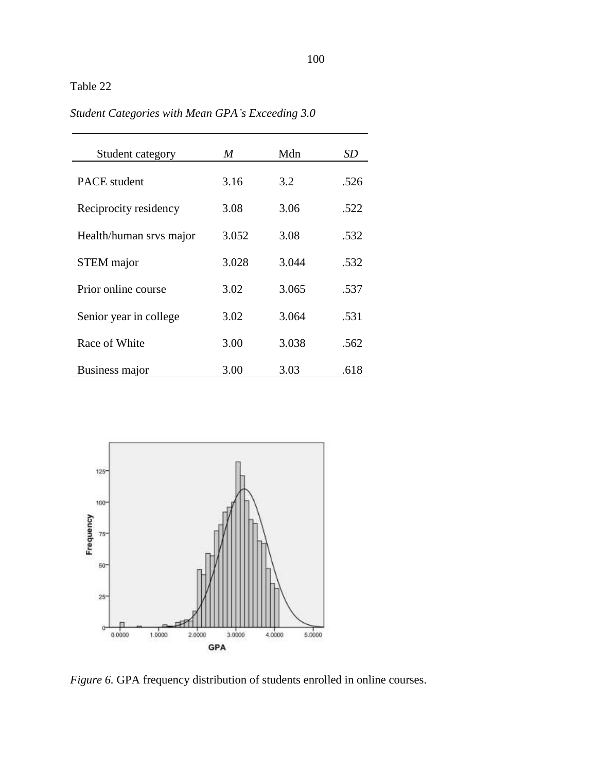# Table 22

*Student Categories with Mean GPA's Exceeding 3.0*

| Student category        | M     | Mdn   | SD   |
|-------------------------|-------|-------|------|
| <b>PACE</b> student     | 3.16  | 3.2   | .526 |
| Reciprocity residency   | 3.08  | 3.06  | .522 |
| Health/human srvs major | 3.052 | 3.08  | .532 |
| <b>STEM</b> major       | 3.028 | 3.044 | .532 |
| Prior online course     | 3.02  | 3.065 | .537 |
| Senior year in college  | 3.02  | 3.064 | .531 |
| Race of White           | 3.00  | 3.038 | .562 |
| Business major          | 3.00  | 3.03  | .618 |



*Figure 6.* GPA frequency distribution of students enrolled in online courses.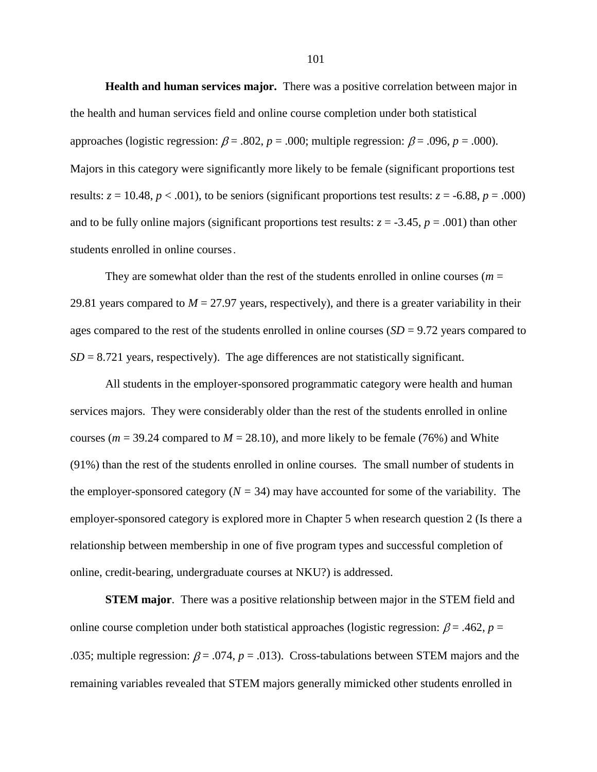**Health and human services major.** There was a positive correlation between major in the health and human services field and online course completion under both statistical approaches (logistic regression:  $\beta$  = .802,  $p$  = .000; multiple regression:  $\beta$  = .096,  $p$  = .000). Majors in this category were significantly more likely to be female (significant proportions test results:  $z = 10.48$ ,  $p < .001$ ), to be seniors (significant proportions test results:  $z = -6.88$ ,  $p = .000$ ) and to be fully online majors (significant proportions test results:  $z = -3.45$ ,  $p = .001$ ) than other students enrolled in online courses.

They are somewhat older than the rest of the students enrolled in online courses ( $m =$ 29.81 years compared to  $M = 27.97$  years, respectively), and there is a greater variability in their ages compared to the rest of the students enrolled in online courses (*SD* = 9.72 years compared to  $SD = 8.721$  years, respectively). The age differences are not statistically significant.

All students in the employer-sponsored programmatic category were health and human services majors. They were considerably older than the rest of the students enrolled in online courses ( $m = 39.24$  compared to  $M = 28.10$ ), and more likely to be female (76%) and White (91%) than the rest of the students enrolled in online courses. The small number of students in the employer-sponsored category  $(N = 34)$  may have accounted for some of the variability. The employer-sponsored category is explored more in Chapter 5 when research question 2 (Is there a relationship between membership in one of five program types and successful completion of online, credit-bearing, undergraduate courses at NKU?) is addressed.

**STEM major**. There was a positive relationship between major in the STEM field and online course completion under both statistical approaches (logistic regression:  $\beta$  = .462, *p* = .035; multiple regression:  $\beta$  = .074,  $p$  = .013). Cross-tabulations between STEM majors and the remaining variables revealed that STEM majors generally mimicked other students enrolled in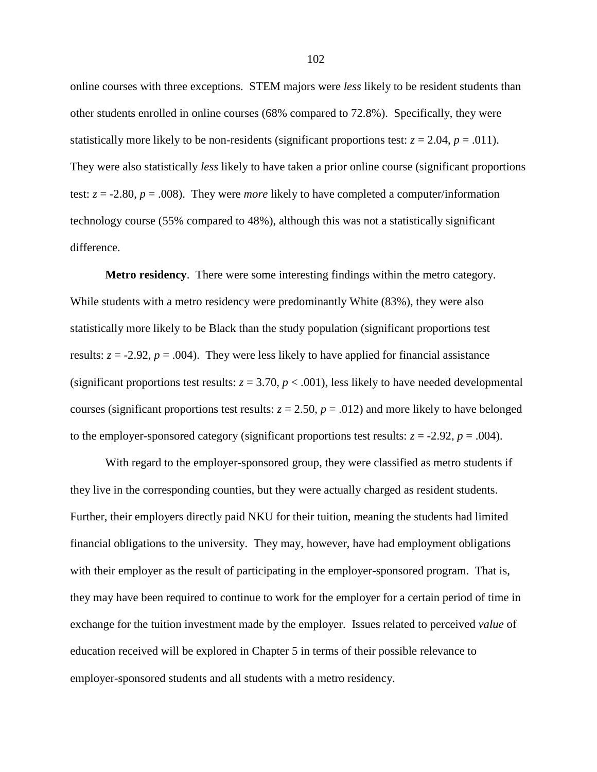online courses with three exceptions. STEM majors were *less* likely to be resident students than other students enrolled in online courses (68% compared to 72.8%). Specifically, they were statistically more likely to be non-residents (significant proportions test:  $z = 2.04$ ,  $p = .011$ ). They were also statistically *less* likely to have taken a prior online course (significant proportions test:  $z = -2.80$ ,  $p = .008$ ). They were *more* likely to have completed a computer/information technology course (55% compared to 48%), although this was not a statistically significant difference.

**Metro residency**. There were some interesting findings within the metro category. While students with a metro residency were predominantly White (83%), they were also statistically more likely to be Black than the study population (significant proportions test results:  $z = -2.92$ ,  $p = .004$ ). They were less likely to have applied for financial assistance (significant proportions test results:  $z = 3.70$ ,  $p < .001$ ), less likely to have needed developmental courses (significant proportions test results:  $z = 2.50$ ,  $p = .012$ ) and more likely to have belonged to the employer-sponsored category (significant proportions test results:  $z = -2.92$ ,  $p = .004$ ).

With regard to the employer-sponsored group, they were classified as metro students if they live in the corresponding counties, but they were actually charged as resident students. Further, their employers directly paid NKU for their tuition, meaning the students had limited financial obligations to the university. They may, however, have had employment obligations with their employer as the result of participating in the employer-sponsored program. That is, they may have been required to continue to work for the employer for a certain period of time in exchange for the tuition investment made by the employer. Issues related to perceived *value* of education received will be explored in Chapter 5 in terms of their possible relevance to employer-sponsored students and all students with a metro residency.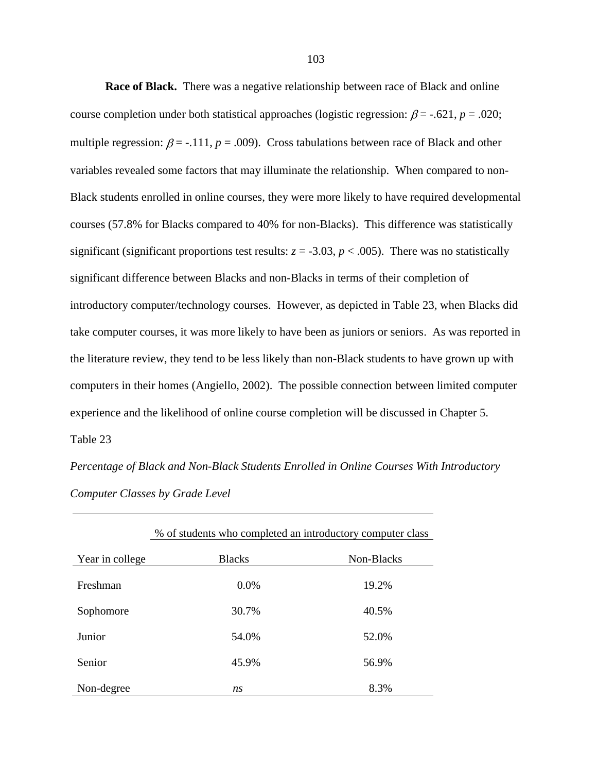**Race of Black.** There was a negative relationship between race of Black and online course completion under both statistical approaches (logistic regression:  $\beta$  = -.621, *p* = .020; multiple regression:  $\beta$  = -.111,  $p$  = .009). Cross tabulations between race of Black and other variables revealed some factors that may illuminate the relationship. When compared to non-Black students enrolled in online courses, they were more likely to have required developmental courses (57.8% for Blacks compared to 40% for non-Blacks). This difference was statistically significant (significant proportions test results:  $z = -3.03$ ,  $p < .005$ ). There was no statistically significant difference between Blacks and non-Blacks in terms of their completion of introductory computer/technology courses. However, as depicted in Table 23, when Blacks did take computer courses, it was more likely to have been as juniors or seniors. As was reported in the literature review, they tend to be less likely than non-Black students to have grown up with computers in their homes (Angiello, 2002). The possible connection between limited computer experience and the likelihood of online course completion will be discussed in Chapter 5. Table 23

*Percentage of Black and Non-Black Students Enrolled in Online Courses With Introductory Computer Classes by Grade Level*

|                 | % of students who completed an introductory computer class |            |  |
|-----------------|------------------------------------------------------------|------------|--|
| Year in college | <b>Blacks</b>                                              | Non-Blacks |  |
| Freshman        | 0.0%                                                       | 19.2%      |  |
| Sophomore       | 30.7%                                                      | 40.5%      |  |
| Junior          | 54.0%                                                      | 52.0%      |  |
| Senior          | 45.9%                                                      | 56.9%      |  |
| Non-degree      | ns                                                         | 8.3%       |  |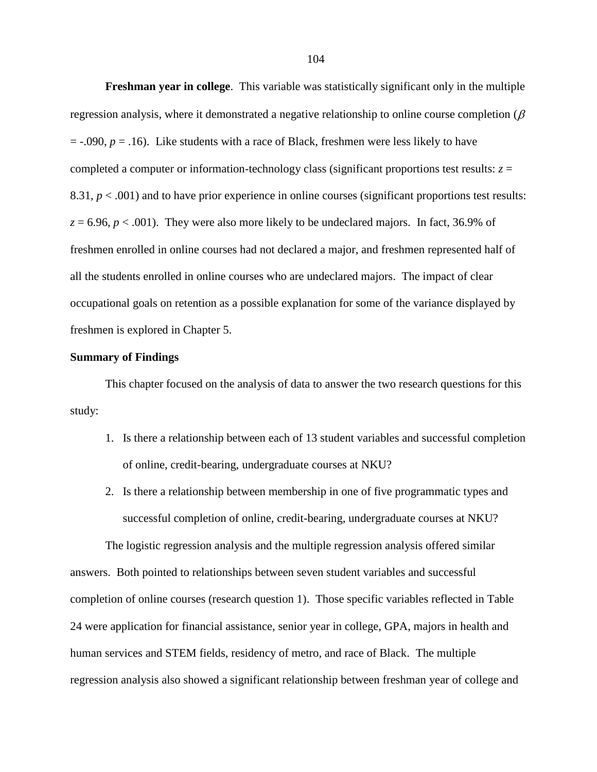**Freshman year in college**. This variable was statistically significant only in the multiple regression analysis, where it demonstrated a negative relationship to online course completion  $(\beta$  $=$  -.090,  $p = 0.16$ ). Like students with a race of Black, freshmen were less likely to have completed a computer or information-technology class (significant proportions test results:  $z =$ 8.31,  $p < .001$ ) and to have prior experience in online courses (significant proportions test results:  $z = 6.96$ ,  $p < .001$ ). They were also more likely to be undeclared majors. In fact, 36.9% of freshmen enrolled in online courses had not declared a major, and freshmen represented half of all the students enrolled in online courses who are undeclared majors. The impact of clear occupational goals on retention as a possible explanation for some of the variance displayed by freshmen is explored in Chapter 5.

## **Summary of Findings**

This chapter focused on the analysis of data to answer the two research questions for this study:

- 1. Is there a relationship between each of 13 student variables and successful completion of online, credit-bearing, undergraduate courses at NKU?
- 2. Is there a relationship between membership in one of five programmatic types and successful completion of online, credit-bearing, undergraduate courses at NKU?

The logistic regression analysis and the multiple regression analysis offered similar answers. Both pointed to relationships between seven student variables and successful completion of online courses (research question 1). Those specific variables reflected in Table 24 were application for financial assistance, senior year in college, GPA, majors in health and human services and STEM fields, residency of metro, and race of Black. The multiple regression analysis also showed a significant relationship between freshman year of college and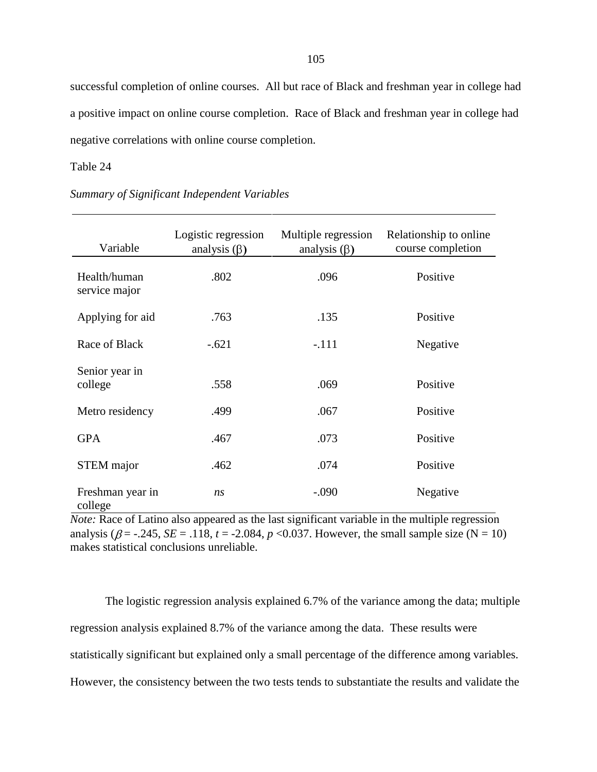successful completion of online courses. All but race of Black and freshman year in college had a positive impact on online course completion. Race of Black and freshman year in college had negative correlations with online course completion.

## Table 24

| Variable                      | Logistic regression<br>analysis $(\beta)$ | Multiple regression<br>analysis $(\beta)$ | Relationship to online<br>course completion |
|-------------------------------|-------------------------------------------|-------------------------------------------|---------------------------------------------|
| Health/human<br>service major | .802                                      | .096                                      | Positive                                    |
| Applying for aid              | .763                                      | .135                                      | Positive                                    |
| Race of Black                 | $-.621$                                   | $-.111$                                   | Negative                                    |
| Senior year in<br>college     | .558                                      | .069                                      | Positive                                    |
| Metro residency               | .499                                      | .067                                      | Positive                                    |
| <b>GPA</b>                    | .467                                      | .073                                      | Positive                                    |
| STEM major                    | .462                                      | .074                                      | Positive                                    |
| Freshman year in<br>college   | ns                                        | $-.090$                                   | Negative                                    |

*Summary of Significant Independent Variables*

*Note:* Race of Latino also appeared as the last significant variable in the multiple regression analysis ( $\beta$  = -.245, *SE* = .118, *t* = -2.084, *p* <0.037. However, the small sample size (N = 10) makes statistical conclusions unreliable.

The logistic regression analysis explained 6.7% of the variance among the data; multiple regression analysis explained 8.7% of the variance among the data. These results were statistically significant but explained only a small percentage of the difference among variables. However, the consistency between the two tests tends to substantiate the results and validate the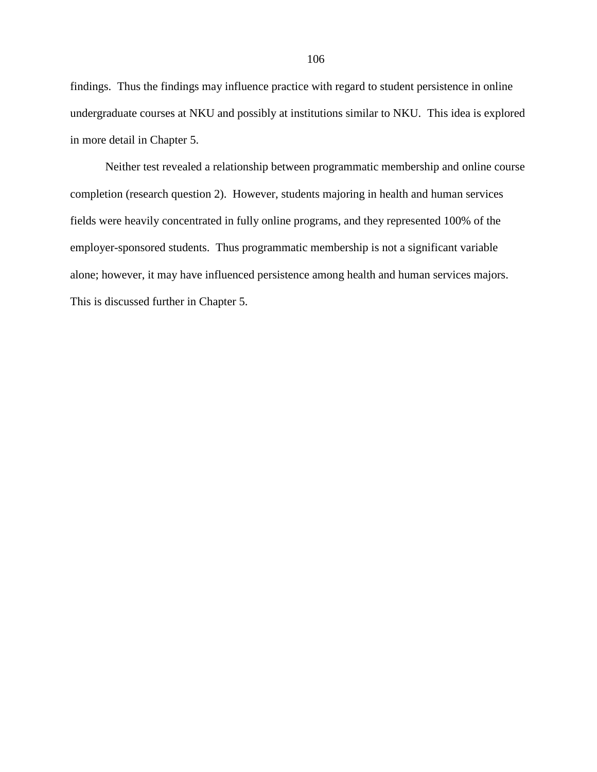findings. Thus the findings may influence practice with regard to student persistence in online undergraduate courses at NKU and possibly at institutions similar to NKU. This idea is explored in more detail in Chapter 5.

Neither test revealed a relationship between programmatic membership and online course completion (research question 2). However, students majoring in health and human services fields were heavily concentrated in fully online programs, and they represented 100% of the employer-sponsored students. Thus programmatic membership is not a significant variable alone; however, it may have influenced persistence among health and human services majors. This is discussed further in Chapter 5.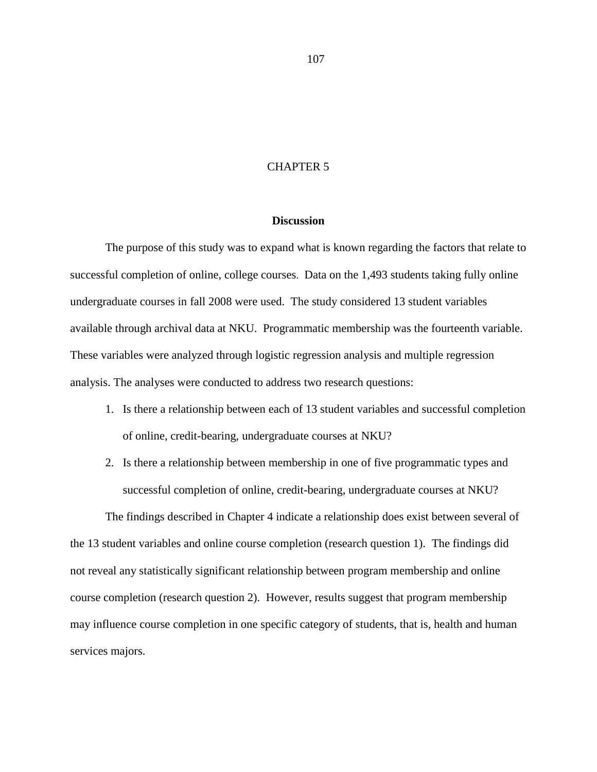## CHAPTER 5

## **Discussion**

The purpose of this study was to expand what is known regarding the factors that relate to successful completion of online, college courses. Data on the 1,493 students taking fully online undergraduate courses in fall 2008 were used. The study considered 13 student variables available through archival data at NKU. Programmatic membership was the fourteenth variable. These variables were analyzed through logistic regression analysis and multiple regression analysis. The analyses were conducted to address two research questions:

- 1. Is there a relationship between each of 13 student variables and successful completion of online, credit-bearing, undergraduate courses at NKU?
- 2. Is there a relationship between membership in one of five programmatic types and successful completion of online, credit-bearing, undergraduate courses at NKU?

The findings described in Chapter 4 indicate a relationship does exist between several of the 13 student variables and online course completion (research question 1). The findings did not reveal any statistically significant relationship between program membership and online course completion (research question 2). However, results suggest that program membership may influence course completion in one specific category of students, that is, health and human services majors.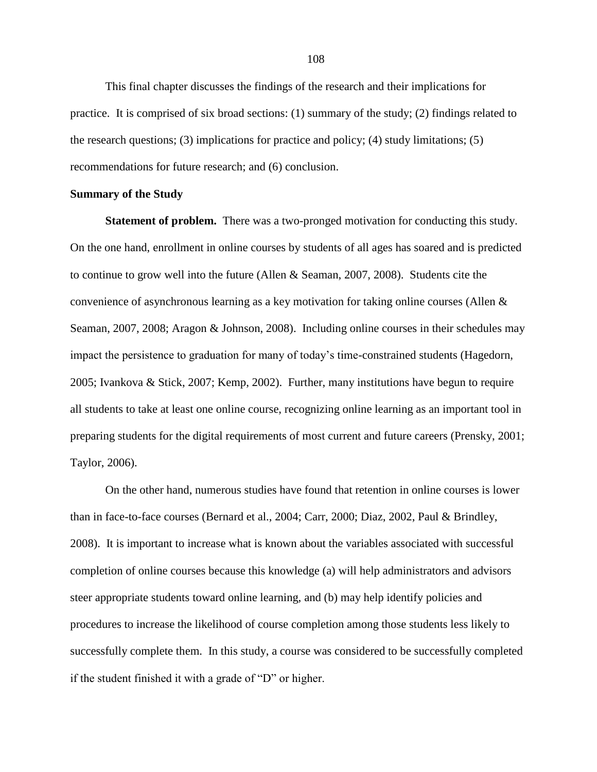This final chapter discusses the findings of the research and their implications for practice. It is comprised of six broad sections: (1) summary of the study; (2) findings related to the research questions; (3) implications for practice and policy; (4) study limitations; (5) recommendations for future research; and (6) conclusion.

## **Summary of the Study**

**Statement of problem.** There was a two-pronged motivation for conducting this study. On the one hand, enrollment in online courses by students of all ages has soared and is predicted to continue to grow well into the future (Allen & Seaman, 2007, 2008). Students cite the convenience of asynchronous learning as a key motivation for taking online courses (Allen & Seaman, 2007, 2008; Aragon & Johnson, 2008). Including online courses in their schedules may impact the persistence to graduation for many of today's time-constrained students (Hagedorn, 2005; Ivankova & Stick, 2007; Kemp, 2002). Further, many institutions have begun to require all students to take at least one online course, recognizing online learning as an important tool in preparing students for the digital requirements of most current and future careers (Prensky, 2001; Taylor, 2006).

On the other hand, numerous studies have found that retention in online courses is lower than in face-to-face courses (Bernard et al., 2004; Carr, 2000; Diaz, 2002, Paul & Brindley, 2008). It is important to increase what is known about the variables associated with successful completion of online courses because this knowledge (a) will help administrators and advisors steer appropriate students toward online learning, and (b) may help identify policies and procedures to increase the likelihood of course completion among those students less likely to successfully complete them. In this study, a course was considered to be successfully completed if the student finished it with a grade of  $\mathcal{D}$ " or higher.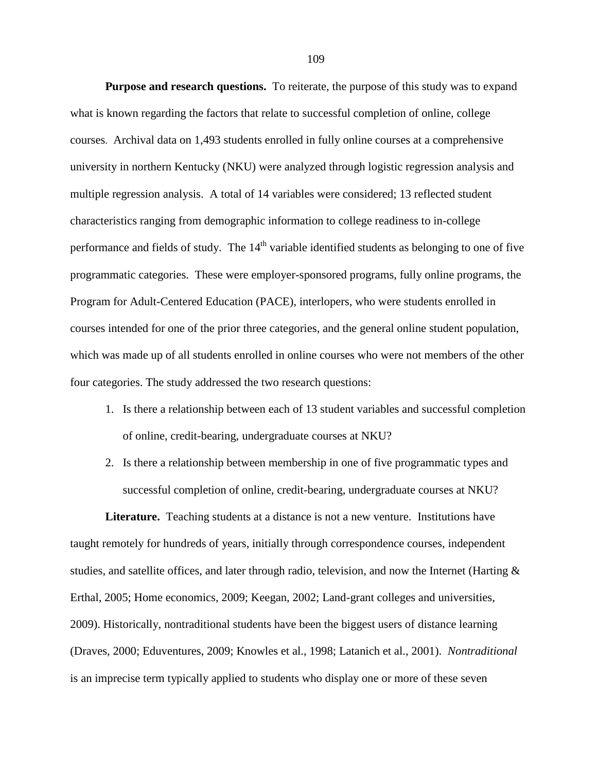**Purpose and research questions.** To reiterate, the purpose of this study was to expand what is known regarding the factors that relate to successful completion of online, college courses. Archival data on 1,493 students enrolled in fully online courses at a comprehensive university in northern Kentucky (NKU) were analyzed through logistic regression analysis and multiple regression analysis. A total of 14 variables were considered; 13 reflected student characteristics ranging from demographic information to college readiness to in-college performance and fields of study. The  $14<sup>th</sup>$  variable identified students as belonging to one of five programmatic categories. These were employer-sponsored programs, fully online programs, the Program for Adult-Centered Education (PACE), interlopers, who were students enrolled in courses intended for one of the prior three categories, and the general online student population, which was made up of all students enrolled in online courses who were not members of the other four categories. The study addressed the two research questions:

- 1. Is there a relationship between each of 13 student variables and successful completion of online, credit-bearing, undergraduate courses at NKU?
- 2. Is there a relationship between membership in one of five programmatic types and successful completion of online, credit-bearing, undergraduate courses at NKU?

**Literature.** Teaching students at a distance is not a new venture. Institutions have taught remotely for hundreds of years, initially through correspondence courses, independent studies, and satellite offices, and later through radio, television, and now the Internet (Harting  $\&$ Erthal, 2005; Home economics, 2009; Keegan, 2002; Land-grant colleges and universities, 2009). Historically, nontraditional students have been the biggest users of distance learning (Draves, 2000; Eduventures, 2009; Knowles et al., 1998; Latanich et al., 2001). *Nontraditional*  is an imprecise term typically applied to students who display one or more of these seven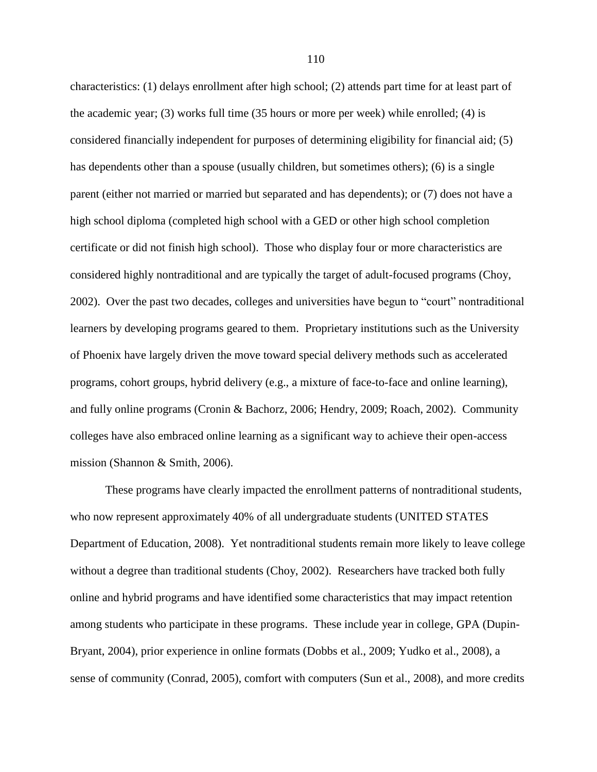characteristics: (1) delays enrollment after high school; (2) attends part time for at least part of the academic year; (3) works full time (35 hours or more per week) while enrolled; (4) is considered financially independent for purposes of determining eligibility for financial aid; (5) has dependents other than a spouse (usually children, but sometimes others); (6) is a single parent (either not married or married but separated and has dependents); or (7) does not have a high school diploma (completed high school with a GED or other high school completion certificate or did not finish high school). Those who display four or more characteristics are considered highly nontraditional and are typically the target of adult-focused programs (Choy, 2002). Over the past two decades, colleges and universities have begun to "court" nontraditional learners by developing programs geared to them. Proprietary institutions such as the University of Phoenix have largely driven the move toward special delivery methods such as accelerated programs, cohort groups, hybrid delivery (e.g., a mixture of face-to-face and online learning), and fully online programs (Cronin & Bachorz, 2006; Hendry, 2009; Roach, 2002). Community colleges have also embraced online learning as a significant way to achieve their open-access mission (Shannon & Smith, 2006).

These programs have clearly impacted the enrollment patterns of nontraditional students, who now represent approximately 40% of all undergraduate students (UNITED STATES Department of Education, 2008). Yet nontraditional students remain more likely to leave college without a degree than traditional students (Choy, 2002). Researchers have tracked both fully online and hybrid programs and have identified some characteristics that may impact retention among students who participate in these programs. These include year in college, GPA (Dupin-Bryant, 2004), prior experience in online formats (Dobbs et al., 2009; Yudko et al., 2008), a sense of community (Conrad, 2005), comfort with computers (Sun et al., 2008), and more credits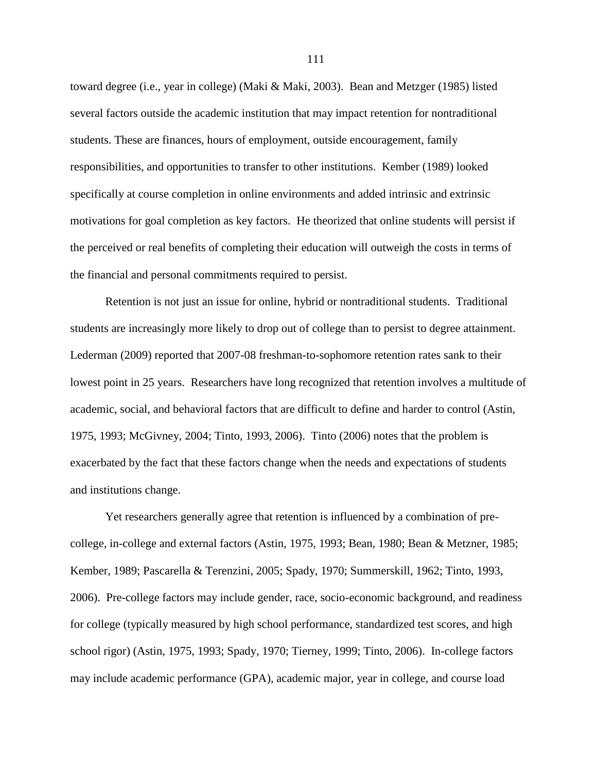toward degree (i.e., year in college) (Maki & Maki, 2003). Bean and Metzger (1985) listed several factors outside the academic institution that may impact retention for nontraditional students. These are finances, hours of employment, outside encouragement, family responsibilities, and opportunities to transfer to other institutions. Kember (1989) looked specifically at course completion in online environments and added intrinsic and extrinsic motivations for goal completion as key factors. He theorized that online students will persist if the perceived or real benefits of completing their education will outweigh the costs in terms of the financial and personal commitments required to persist.

Retention is not just an issue for online, hybrid or nontraditional students. Traditional students are increasingly more likely to drop out of college than to persist to degree attainment. Lederman (2009) reported that 2007-08 freshman-to-sophomore retention rates sank to their lowest point in 25 years. Researchers have long recognized that retention involves a multitude of academic, social, and behavioral factors that are difficult to define and harder to control (Astin, 1975, 1993; McGivney, 2004; Tinto, 1993, 2006). Tinto (2006) notes that the problem is exacerbated by the fact that these factors change when the needs and expectations of students and institutions change.

Yet researchers generally agree that retention is influenced by a combination of precollege, in-college and external factors (Astin, 1975, 1993; Bean, 1980; Bean & Metzner, 1985; Kember, 1989; Pascarella & Terenzini, 2005; Spady, 1970; Summerskill, 1962; Tinto, 1993, 2006). Pre-college factors may include gender, race, socio-economic background, and readiness for college (typically measured by high school performance, standardized test scores, and high school rigor) (Astin, 1975, 1993; Spady, 1970; Tierney, 1999; Tinto, 2006). In-college factors may include academic performance (GPA), academic major, year in college, and course load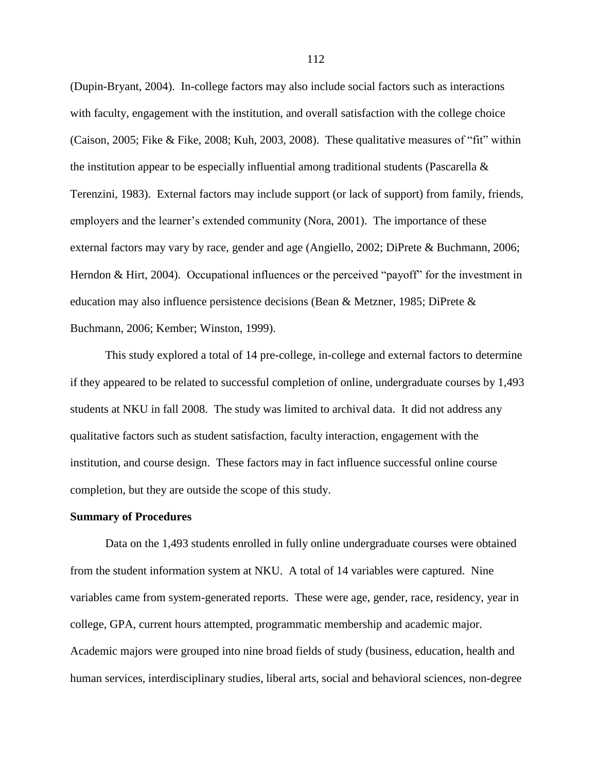(Dupin-Bryant, 2004). In-college factors may also include social factors such as interactions with faculty, engagement with the institution, and overall satisfaction with the college choice (Caison, 2005; Fike & Fike, 2008; Kuh, 2003, 2008). These qualitative measures of "fit" within the institution appear to be especially influential among traditional students (Pascarella  $\&$ Terenzini, 1983). External factors may include support (or lack of support) from family, friends, employers and the learner's extended community (Nora, 2001). The importance of these external factors may vary by race, gender and age (Angiello, 2002; DiPrete & Buchmann, 2006; Herndon & Hirt, 2004). Occupational influences or the perceived "payoff" for the investment in education may also influence persistence decisions (Bean & Metzner, 1985; DiPrete & Buchmann, 2006; Kember; Winston, 1999).

This study explored a total of 14 pre-college, in-college and external factors to determine if they appeared to be related to successful completion of online, undergraduate courses by 1,493 students at NKU in fall 2008. The study was limited to archival data. It did not address any qualitative factors such as student satisfaction, faculty interaction, engagement with the institution, and course design. These factors may in fact influence successful online course completion, but they are outside the scope of this study.

## **Summary of Procedures**

Data on the 1,493 students enrolled in fully online undergraduate courses were obtained from the student information system at NKU. A total of 14 variables were captured. Nine variables came from system-generated reports. These were age, gender, race, residency, year in college, GPA, current hours attempted, programmatic membership and academic major. Academic majors were grouped into nine broad fields of study (business, education, health and human services, interdisciplinary studies, liberal arts, social and behavioral sciences, non-degree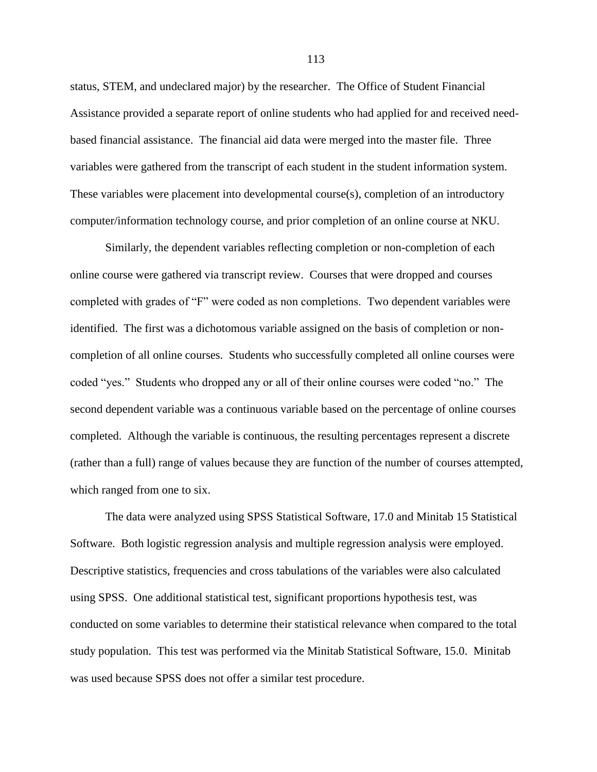status, STEM, and undeclared major) by the researcher. The Office of Student Financial Assistance provided a separate report of online students who had applied for and received needbased financial assistance. The financial aid data were merged into the master file. Three variables were gathered from the transcript of each student in the student information system. These variables were placement into developmental course(s), completion of an introductory computer/information technology course, and prior completion of an online course at NKU.

Similarly, the dependent variables reflecting completion or non-completion of each online course were gathered via transcript review. Courses that were dropped and courses completed with grades of "F" were coded as non completions. Two dependent variables were identified. The first was a dichotomous variable assigned on the basis of completion or noncompletion of all online courses. Students who successfully completed all online courses were coded "yes." Students who dropped any or all of their online courses were coded "no." The second dependent variable was a continuous variable based on the percentage of online courses completed. Although the variable is continuous, the resulting percentages represent a discrete (rather than a full) range of values because they are function of the number of courses attempted, which ranged from one to six.

The data were analyzed using SPSS Statistical Software, 17.0 and Minitab 15 Statistical Software. Both logistic regression analysis and multiple regression analysis were employed. Descriptive statistics, frequencies and cross tabulations of the variables were also calculated using SPSS. One additional statistical test, significant proportions hypothesis test, was conducted on some variables to determine their statistical relevance when compared to the total study population. This test was performed via the Minitab Statistical Software, 15.0. Minitab was used because SPSS does not offer a similar test procedure.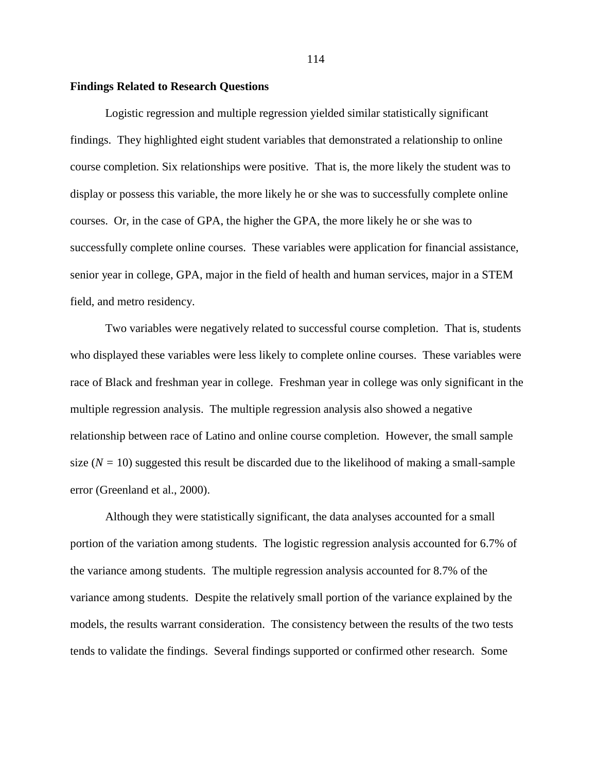## **Findings Related to Research Questions**

Logistic regression and multiple regression yielded similar statistically significant findings. They highlighted eight student variables that demonstrated a relationship to online course completion. Six relationships were positive. That is, the more likely the student was to display or possess this variable, the more likely he or she was to successfully complete online courses. Or, in the case of GPA, the higher the GPA, the more likely he or she was to successfully complete online courses. These variables were application for financial assistance, senior year in college, GPA, major in the field of health and human services, major in a STEM field, and metro residency.

Two variables were negatively related to successful course completion. That is, students who displayed these variables were less likely to complete online courses. These variables were race of Black and freshman year in college. Freshman year in college was only significant in the multiple regression analysis. The multiple regression analysis also showed a negative relationship between race of Latino and online course completion. However, the small sample size  $(N = 10)$  suggested this result be discarded due to the likelihood of making a small-sample error (Greenland et al., 2000).

Although they were statistically significant, the data analyses accounted for a small portion of the variation among students. The logistic regression analysis accounted for 6.7% of the variance among students. The multiple regression analysis accounted for 8.7% of the variance among students. Despite the relatively small portion of the variance explained by the models, the results warrant consideration. The consistency between the results of the two tests tends to validate the findings. Several findings supported or confirmed other research. Some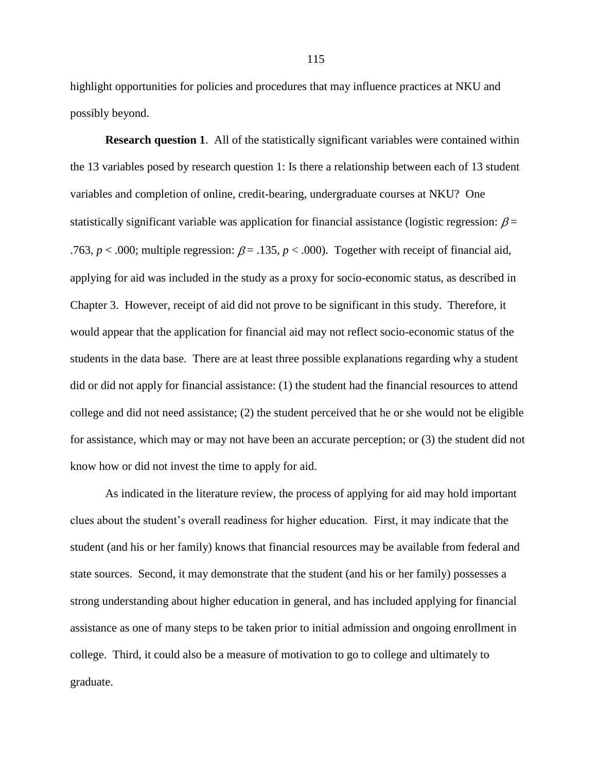highlight opportunities for policies and procedures that may influence practices at NKU and possibly beyond.

**Research question 1.** All of the statistically significant variables were contained within the 13 variables posed by research question 1: Is there a relationship between each of 13 student variables and completion of online, credit-bearing, undergraduate courses at NKU? One statistically significant variable was application for financial assistance (logistic regression:  $\beta$  = .763,  $p < .000$ ; multiple regression:  $\beta = .135$ ,  $p < .000$ ). Together with receipt of financial aid, applying for aid was included in the study as a proxy for socio-economic status, as described in Chapter 3. However, receipt of aid did not prove to be significant in this study. Therefore, it would appear that the application for financial aid may not reflect socio-economic status of the students in the data base. There are at least three possible explanations regarding why a student did or did not apply for financial assistance: (1) the student had the financial resources to attend college and did not need assistance; (2) the student perceived that he or she would not be eligible for assistance, which may or may not have been an accurate perception; or (3) the student did not know how or did not invest the time to apply for aid.

As indicated in the literature review, the process of applying for aid may hold important clues about the student's overall readiness for higher education. First, it may indicate that the student (and his or her family) knows that financial resources may be available from federal and state sources. Second, it may demonstrate that the student (and his or her family) possesses a strong understanding about higher education in general, and has included applying for financial assistance as one of many steps to be taken prior to initial admission and ongoing enrollment in college. Third, it could also be a measure of motivation to go to college and ultimately to graduate.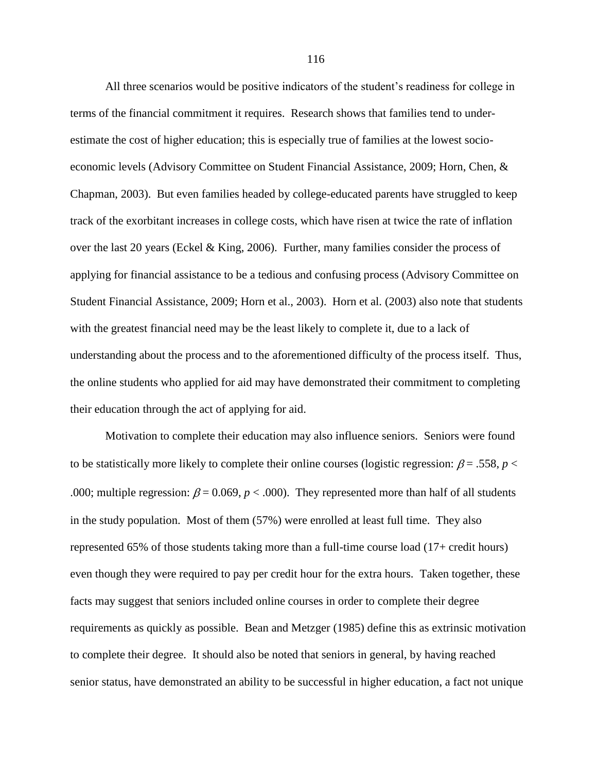All three scenarios would be positive indicators of the student's readiness for college in terms of the financial commitment it requires. Research shows that families tend to underestimate the cost of higher education; this is especially true of families at the lowest socioeconomic levels (Advisory Committee on Student Financial Assistance, 2009; Horn, Chen, & Chapman, 2003). But even families headed by college-educated parents have struggled to keep track of the exorbitant increases in college costs, which have risen at twice the rate of inflation over the last 20 years (Eckel & King, 2006). Further, many families consider the process of applying for financial assistance to be a tedious and confusing process (Advisory Committee on Student Financial Assistance, 2009; Horn et al., 2003). Horn et al. (2003) also note that students with the greatest financial need may be the least likely to complete it, due to a lack of understanding about the process and to the aforementioned difficulty of the process itself. Thus, the online students who applied for aid may have demonstrated their commitment to completing their education through the act of applying for aid.

Motivation to complete their education may also influence seniors. Seniors were found to be statistically more likely to complete their online courses (logistic regression:  $\beta = .558$ ,  $p <$ .000; multiple regression:  $\beta = 0.069$ ,  $p < .000$ ). They represented more than half of all students in the study population. Most of them (57%) were enrolled at least full time. They also represented 65% of those students taking more than a full-time course load (17+ credit hours) even though they were required to pay per credit hour for the extra hours. Taken together, these facts may suggest that seniors included online courses in order to complete their degree requirements as quickly as possible. Bean and Metzger (1985) define this as extrinsic motivation to complete their degree. It should also be noted that seniors in general, by having reached senior status, have demonstrated an ability to be successful in higher education, a fact not unique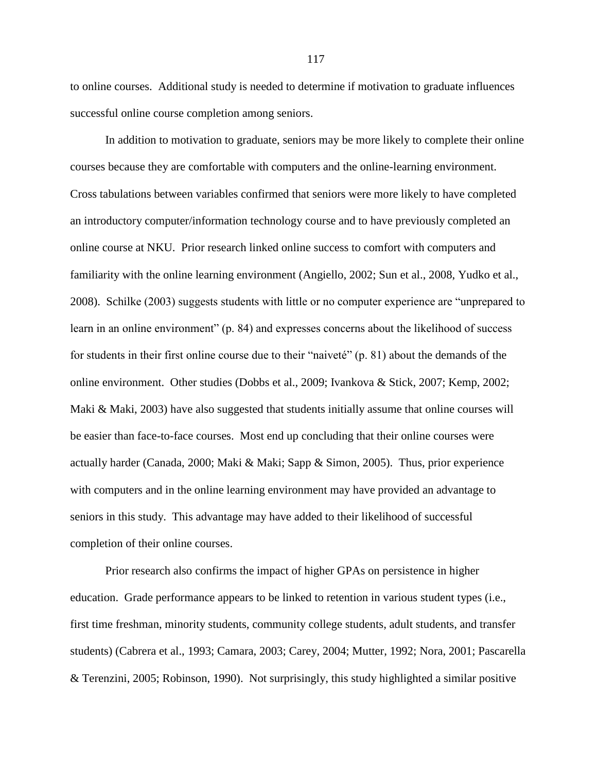to online courses. Additional study is needed to determine if motivation to graduate influences successful online course completion among seniors.

In addition to motivation to graduate, seniors may be more likely to complete their online courses because they are comfortable with computers and the online-learning environment. Cross tabulations between variables confirmed that seniors were more likely to have completed an introductory computer/information technology course and to have previously completed an online course at NKU. Prior research linked online success to comfort with computers and familiarity with the online learning environment (Angiello, 2002; Sun et al., 2008, Yudko et al., 2008). Schilke (2003) suggests students with little or no computer experience are "unprepared to learn in an online environment" (p. 84) and expresses concerns about the likelihood of success for students in their first online course due to their "naiveté" (p. 81) about the demands of the online environment. Other studies (Dobbs et al., 2009; Ivankova & Stick, 2007; Kemp, 2002; Maki & Maki, 2003) have also suggested that students initially assume that online courses will be easier than face-to-face courses. Most end up concluding that their online courses were actually harder (Canada, 2000; Maki & Maki; Sapp & Simon, 2005). Thus, prior experience with computers and in the online learning environment may have provided an advantage to seniors in this study. This advantage may have added to their likelihood of successful completion of their online courses.

Prior research also confirms the impact of higher GPAs on persistence in higher education. Grade performance appears to be linked to retention in various student types (i.e., first time freshman, minority students, community college students, adult students, and transfer students) (Cabrera et al., 1993; Camara, 2003; Carey, 2004; Mutter, 1992; Nora, 2001; Pascarella & Terenzini, 2005; Robinson, 1990). Not surprisingly, this study highlighted a similar positive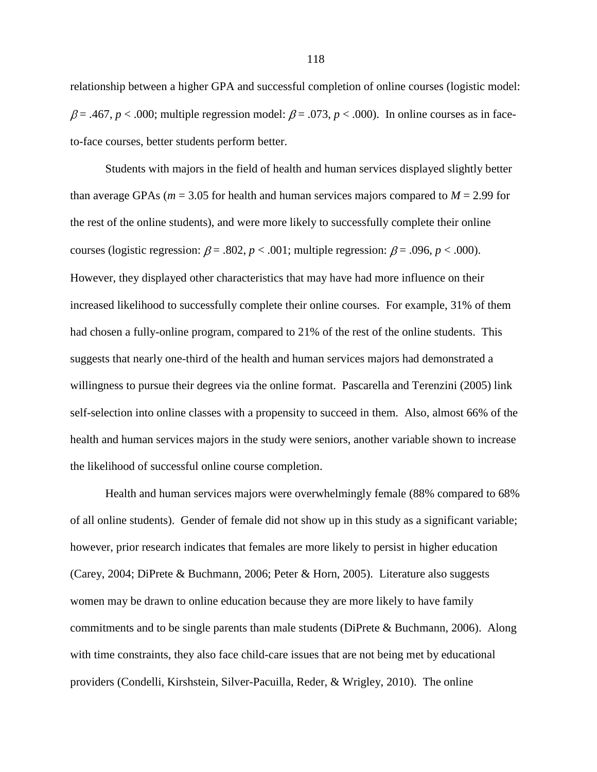relationship between a higher GPA and successful completion of online courses (logistic model:  $\beta = .467$ ,  $p < .000$ ; multiple regression model:  $\beta = .073$ ,  $p < .000$ ). In online courses as in faceto-face courses, better students perform better.

Students with majors in the field of health and human services displayed slightly better than average GPAs ( $m = 3.05$  for health and human services majors compared to  $M = 2.99$  for the rest of the online students), and were more likely to successfully complete their online courses (logistic regression:  $\beta$  = .802,  $p$  < .001; multiple regression:  $\beta$  = .096,  $p$  < .000). However, they displayed other characteristics that may have had more influence on their increased likelihood to successfully complete their online courses. For example, 31% of them had chosen a fully-online program, compared to 21% of the rest of the online students. This suggests that nearly one-third of the health and human services majors had demonstrated a willingness to pursue their degrees via the online format. Pascarella and Terenzini (2005) link self-selection into online classes with a propensity to succeed in them. Also, almost 66% of the health and human services majors in the study were seniors, another variable shown to increase the likelihood of successful online course completion.

Health and human services majors were overwhelmingly female (88% compared to 68% of all online students). Gender of female did not show up in this study as a significant variable; however, prior research indicates that females are more likely to persist in higher education (Carey, 2004; DiPrete & Buchmann, 2006; Peter & Horn, 2005). Literature also suggests women may be drawn to online education because they are more likely to have family commitments and to be single parents than male students (DiPrete & Buchmann, 2006). Along with time constraints, they also face child-care issues that are not being met by educational providers (Condelli, Kirshstein, Silver-Pacuilla, Reder, & Wrigley, 2010). The online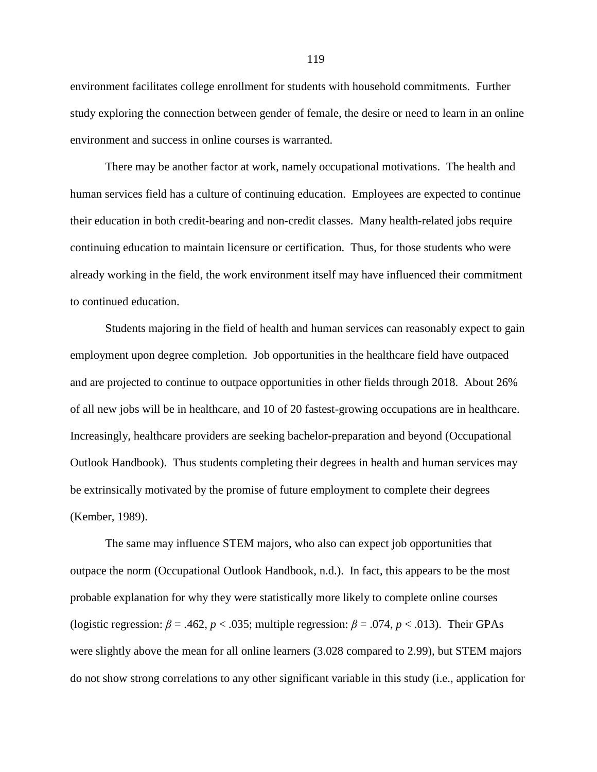environment facilitates college enrollment for students with household commitments. Further study exploring the connection between gender of female, the desire or need to learn in an online environment and success in online courses is warranted.

There may be another factor at work, namely occupational motivations. The health and human services field has a culture of continuing education. Employees are expected to continue their education in both credit-bearing and non-credit classes. Many health-related jobs require continuing education to maintain licensure or certification. Thus, for those students who were already working in the field, the work environment itself may have influenced their commitment to continued education.

Students majoring in the field of health and human services can reasonably expect to gain employment upon degree completion. Job opportunities in the healthcare field have outpaced and are projected to continue to outpace opportunities in other fields through 2018. About 26% of all new jobs will be in healthcare, and 10 of 20 fastest-growing occupations are in healthcare. Increasingly, healthcare providers are seeking bachelor-preparation and beyond (Occupational Outlook Handbook). Thus students completing their degrees in health and human services may be extrinsically motivated by the promise of future employment to complete their degrees (Kember, 1989).

The same may influence STEM majors, who also can expect job opportunities that outpace the norm (Occupational Outlook Handbook, n.d.). In fact, this appears to be the most probable explanation for why they were statistically more likely to complete online courses (logistic regression:  $\beta = .462$ ,  $p < .035$ ; multiple regression:  $\beta = .074$ ,  $p < .013$ ). Their GPAs were slightly above the mean for all online learners (3.028 compared to 2.99), but STEM majors do not show strong correlations to any other significant variable in this study (i.e., application for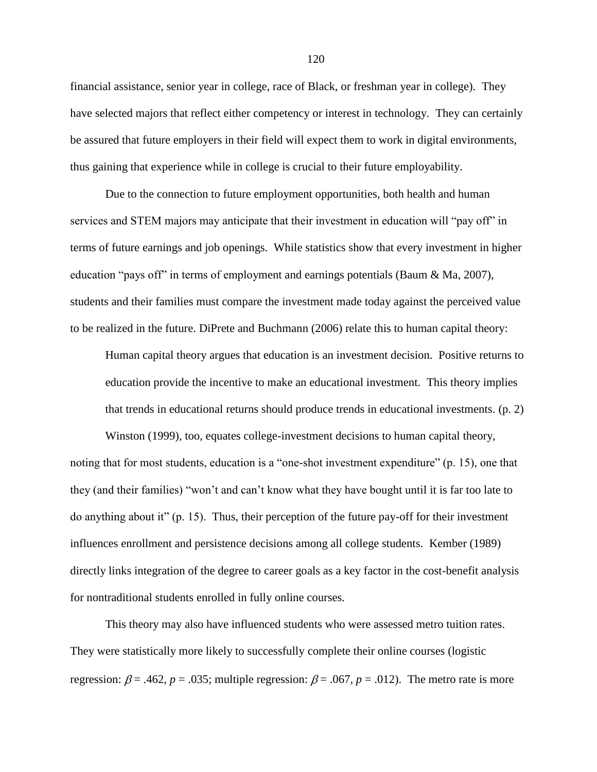financial assistance, senior year in college, race of Black, or freshman year in college). They have selected majors that reflect either competency or interest in technology. They can certainly be assured that future employers in their field will expect them to work in digital environments, thus gaining that experience while in college is crucial to their future employability.

Due to the connection to future employment opportunities, both health and human services and STEM majors may anticipate that their investment in education will "pay off" in terms of future earnings and job openings. While statistics show that every investment in higher education "pays off" in terms of employment and earnings potentials (Baum  $\&$  Ma, 2007), students and their families must compare the investment made today against the perceived value to be realized in the future. DiPrete and Buchmann (2006) relate this to human capital theory:

Human capital theory argues that education is an investment decision. Positive returns to education provide the incentive to make an educational investment. This theory implies that trends in educational returns should produce trends in educational investments. (p. 2)

Winston (1999), too, equates college-investment decisions to human capital theory, noting that for most students, education is a "one-shot investment expenditure" (p. 15), one that they (and their families) "won't and can't know what they have bought until it is far too late to do anything about it"  $(p. 15)$ . Thus, their perception of the future pay-off for their investment influences enrollment and persistence decisions among all college students. Kember (1989) directly links integration of the degree to career goals as a key factor in the cost-benefit analysis for nontraditional students enrolled in fully online courses.

This theory may also have influenced students who were assessed metro tuition rates. They were statistically more likely to successfully complete their online courses (logistic regression:  $\beta$  = .462, *p* = .035; multiple regression:  $\beta$  = .067, *p* = .012). The metro rate is more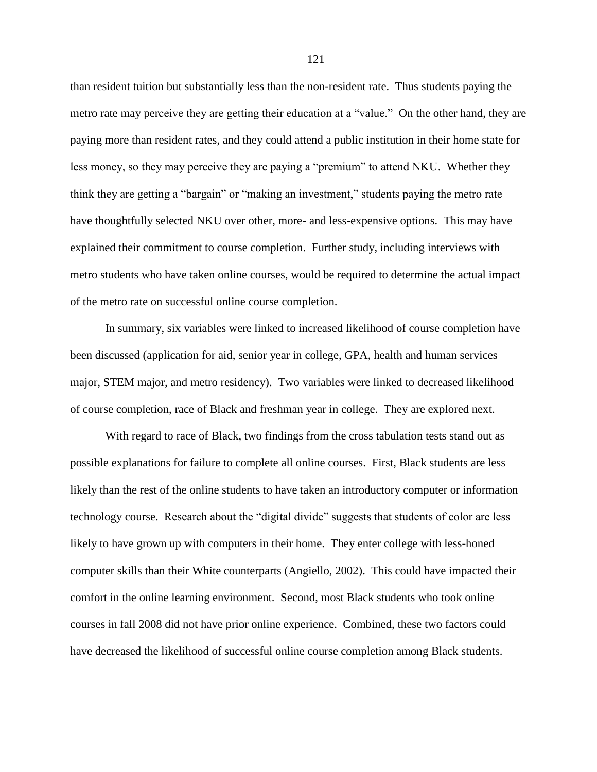than resident tuition but substantially less than the non-resident rate. Thus students paying the metro rate may perceive they are getting their education at a "value." On the other hand, they are paying more than resident rates, and they could attend a public institution in their home state for less money, so they may perceive they are paying a "premium" to attend NKU. Whether they think they are getting a "bargain" or "making an investment," students paying the metro rate have thoughtfully selected NKU over other, more- and less-expensive options. This may have explained their commitment to course completion. Further study, including interviews with metro students who have taken online courses, would be required to determine the actual impact of the metro rate on successful online course completion.

In summary, six variables were linked to increased likelihood of course completion have been discussed (application for aid, senior year in college, GPA, health and human services major, STEM major, and metro residency). Two variables were linked to decreased likelihood of course completion, race of Black and freshman year in college. They are explored next.

With regard to race of Black, two findings from the cross tabulation tests stand out as possible explanations for failure to complete all online courses. First, Black students are less likely than the rest of the online students to have taken an introductory computer or information technology course. Research about the "digital divide" suggests that students of color are less likely to have grown up with computers in their home. They enter college with less-honed computer skills than their White counterparts (Angiello, 2002). This could have impacted their comfort in the online learning environment. Second, most Black students who took online courses in fall 2008 did not have prior online experience. Combined, these two factors could have decreased the likelihood of successful online course completion among Black students.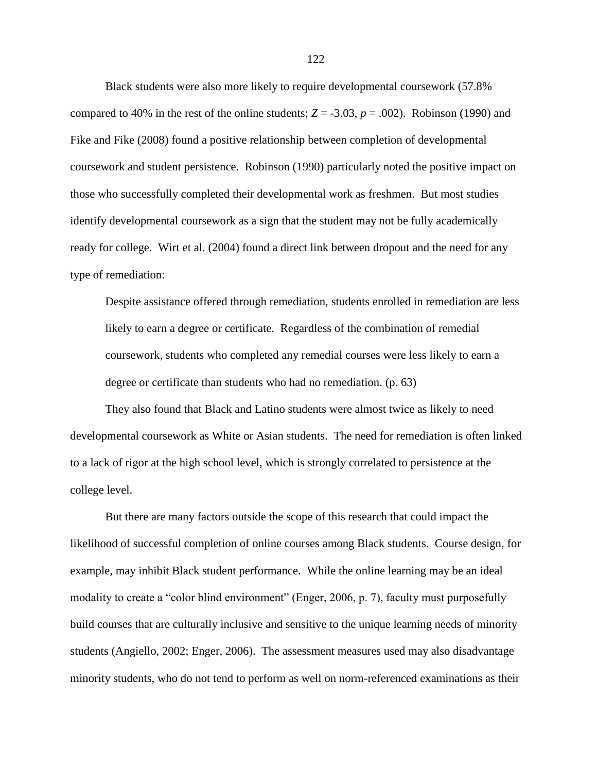Black students were also more likely to require developmental coursework (57.8% compared to 40% in the rest of the online students;  $Z = -3.03$ ,  $p = .002$ ). Robinson (1990) and Fike and Fike (2008) found a positive relationship between completion of developmental coursework and student persistence. Robinson (1990) particularly noted the positive impact on those who successfully completed their developmental work as freshmen. But most studies identify developmental coursework as a sign that the student may not be fully academically ready for college. Wirt et al. (2004) found a direct link between dropout and the need for any type of remediation:

Despite assistance offered through remediation, students enrolled in remediation are less likely to earn a degree or certificate. Regardless of the combination of remedial coursework, students who completed any remedial courses were less likely to earn a degree or certificate than students who had no remediation. (p. 63)

They also found that Black and Latino students were almost twice as likely to need developmental coursework as White or Asian students. The need for remediation is often linked to a lack of rigor at the high school level, which is strongly correlated to persistence at the college level.

But there are many factors outside the scope of this research that could impact the likelihood of successful completion of online courses among Black students. Course design, for example, may inhibit Black student performance. While the online learning may be an ideal modality to create a "color blind environment" (Enger, 2006, p. 7), faculty must purposefully build courses that are culturally inclusive and sensitive to the unique learning needs of minority students (Angiello, 2002; Enger, 2006). The assessment measures used may also disadvantage minority students, who do not tend to perform as well on norm-referenced examinations as their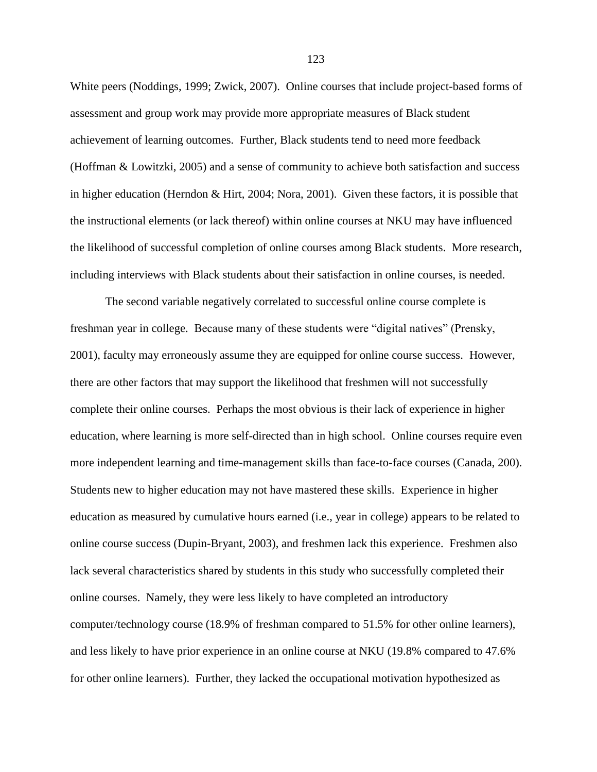White peers (Noddings, 1999; Zwick, 2007). Online courses that include project-based forms of assessment and group work may provide more appropriate measures of Black student achievement of learning outcomes. Further, Black students tend to need more feedback (Hoffman & Lowitzki, 2005) and a sense of community to achieve both satisfaction and success in higher education (Herndon & Hirt, 2004; Nora, 2001). Given these factors, it is possible that the instructional elements (or lack thereof) within online courses at NKU may have influenced the likelihood of successful completion of online courses among Black students. More research, including interviews with Black students about their satisfaction in online courses, is needed.

The second variable negatively correlated to successful online course complete is freshman year in college. Because many of these students were "digital natives" (Prensky, 2001), faculty may erroneously assume they are equipped for online course success. However, there are other factors that may support the likelihood that freshmen will not successfully complete their online courses. Perhaps the most obvious is their lack of experience in higher education, where learning is more self-directed than in high school. Online courses require even more independent learning and time-management skills than face-to-face courses (Canada, 200). Students new to higher education may not have mastered these skills. Experience in higher education as measured by cumulative hours earned (i.e., year in college) appears to be related to online course success (Dupin-Bryant, 2003), and freshmen lack this experience. Freshmen also lack several characteristics shared by students in this study who successfully completed their online courses. Namely, they were less likely to have completed an introductory computer/technology course (18.9% of freshman compared to 51.5% for other online learners), and less likely to have prior experience in an online course at NKU (19.8% compared to 47.6% for other online learners). Further, they lacked the occupational motivation hypothesized as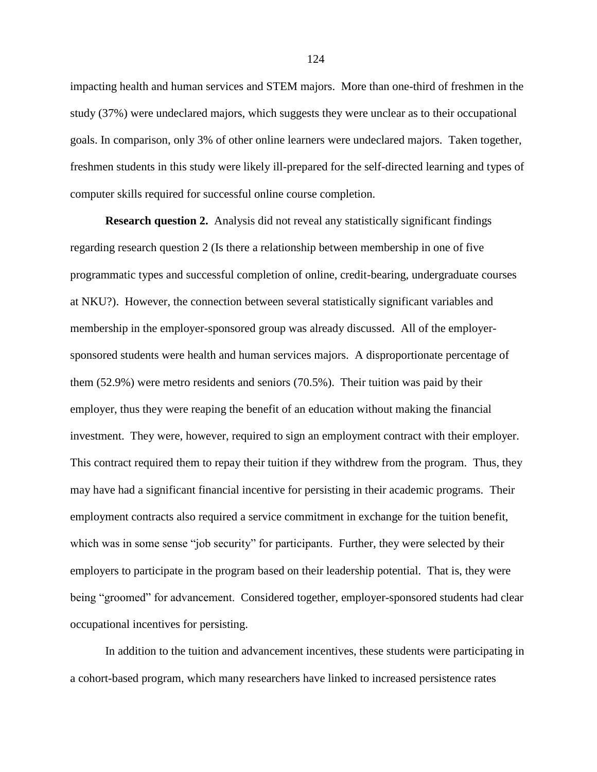impacting health and human services and STEM majors. More than one-third of freshmen in the study (37%) were undeclared majors, which suggests they were unclear as to their occupational goals. In comparison, only 3% of other online learners were undeclared majors. Taken together, freshmen students in this study were likely ill-prepared for the self-directed learning and types of computer skills required for successful online course completion.

**Research question 2.** Analysis did not reveal any statistically significant findings regarding research question 2 (Is there a relationship between membership in one of five programmatic types and successful completion of online, credit-bearing, undergraduate courses at NKU?). However, the connection between several statistically significant variables and membership in the employer-sponsored group was already discussed. All of the employersponsored students were health and human services majors. A disproportionate percentage of them (52.9%) were metro residents and seniors (70.5%). Their tuition was paid by their employer, thus they were reaping the benefit of an education without making the financial investment. They were, however, required to sign an employment contract with their employer. This contract required them to repay their tuition if they withdrew from the program. Thus, they may have had a significant financial incentive for persisting in their academic programs. Their employment contracts also required a service commitment in exchange for the tuition benefit, which was in some sense "job security" for participants. Further, they were selected by their employers to participate in the program based on their leadership potential. That is, they were being "groomed" for advancement. Considered together, employer-sponsored students had clear occupational incentives for persisting.

In addition to the tuition and advancement incentives, these students were participating in a cohort-based program, which many researchers have linked to increased persistence rates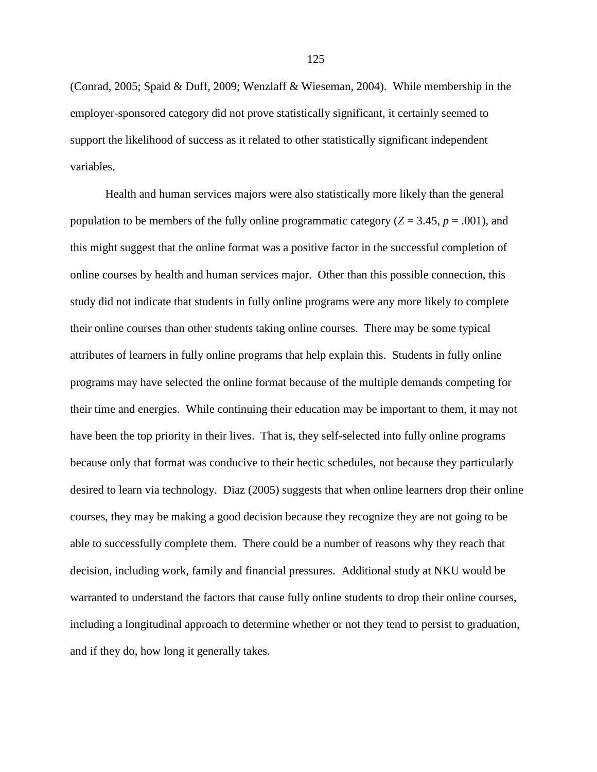(Conrad, 2005; Spaid & Duff, 2009; Wenzlaff & Wieseman, 2004). While membership in the employer-sponsored category did not prove statistically significant, it certainly seemed to support the likelihood of success as it related to other statistically significant independent variables.

Health and human services majors were also statistically more likely than the general population to be members of the fully online programmatic category ( $Z = 3.45$ ,  $p = .001$ ), and this might suggest that the online format was a positive factor in the successful completion of online courses by health and human services major. Other than this possible connection, this study did not indicate that students in fully online programs were any more likely to complete their online courses than other students taking online courses. There may be some typical attributes of learners in fully online programs that help explain this. Students in fully online programs may have selected the online format because of the multiple demands competing for their time and energies. While continuing their education may be important to them, it may not have been the top priority in their lives. That is, they self-selected into fully online programs because only that format was conducive to their hectic schedules, not because they particularly desired to learn via technology. Diaz (2005) suggests that when online learners drop their online courses, they may be making a good decision because they recognize they are not going to be able to successfully complete them. There could be a number of reasons why they reach that decision, including work, family and financial pressures. Additional study at NKU would be warranted to understand the factors that cause fully online students to drop their online courses, including a longitudinal approach to determine whether or not they tend to persist to graduation, and if they do, how long it generally takes.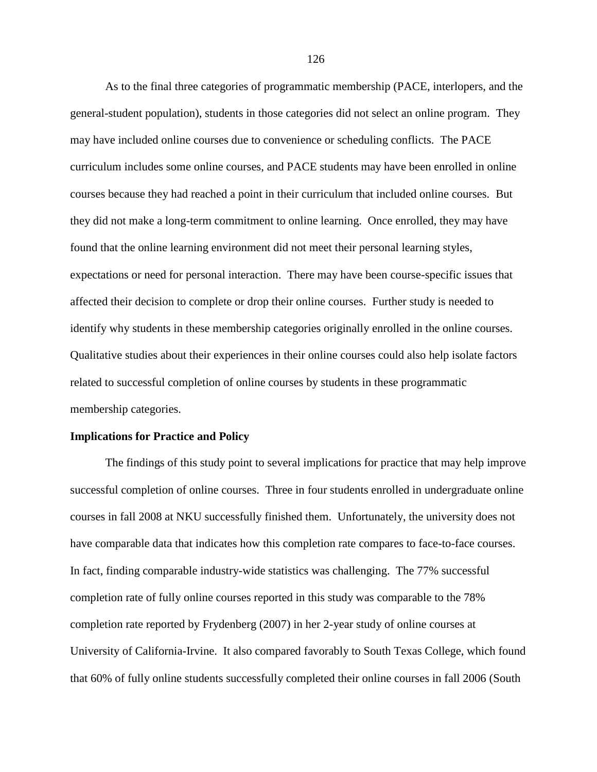As to the final three categories of programmatic membership (PACE, interlopers, and the general-student population), students in those categories did not select an online program. They may have included online courses due to convenience or scheduling conflicts. The PACE curriculum includes some online courses, and PACE students may have been enrolled in online courses because they had reached a point in their curriculum that included online courses. But they did not make a long-term commitment to online learning. Once enrolled, they may have found that the online learning environment did not meet their personal learning styles, expectations or need for personal interaction. There may have been course-specific issues that affected their decision to complete or drop their online courses. Further study is needed to identify why students in these membership categories originally enrolled in the online courses. Qualitative studies about their experiences in their online courses could also help isolate factors related to successful completion of online courses by students in these programmatic membership categories.

## **Implications for Practice and Policy**

The findings of this study point to several implications for practice that may help improve successful completion of online courses. Three in four students enrolled in undergraduate online courses in fall 2008 at NKU successfully finished them. Unfortunately, the university does not have comparable data that indicates how this completion rate compares to face-to-face courses. In fact, finding comparable industry-wide statistics was challenging. The 77% successful completion rate of fully online courses reported in this study was comparable to the 78% completion rate reported by Frydenberg (2007) in her 2-year study of online courses at University of California-Irvine. It also compared favorably to South Texas College, which found that 60% of fully online students successfully completed their online courses in fall 2006 (South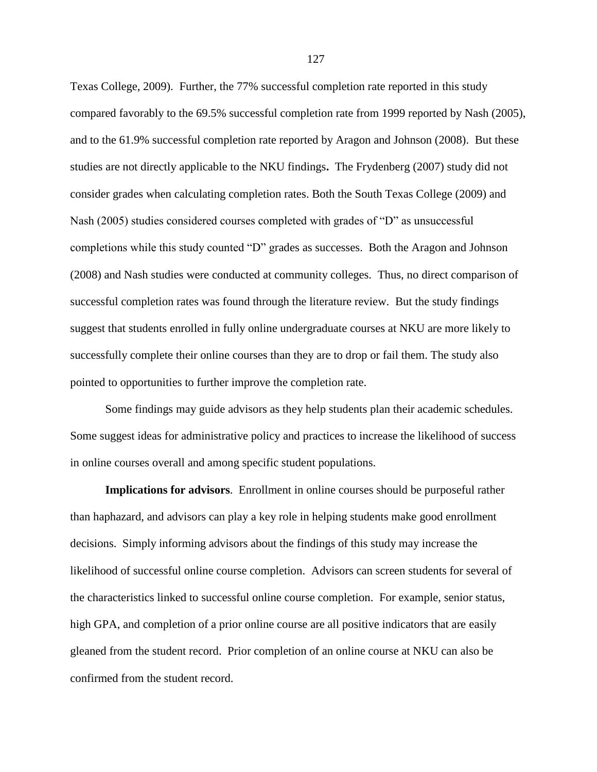Texas College, 2009). Further, the 77% successful completion rate reported in this study compared favorably to the 69.5% successful completion rate from 1999 reported by Nash (2005), and to the 61.9% successful completion rate reported by Aragon and Johnson (2008). But these studies are not directly applicable to the NKU findings**.** The Frydenberg (2007) study did not consider grades when calculating completion rates. Both the South Texas College (2009) and Nash (2005) studies considered courses completed with grades of "D" as unsuccessful completions while this study counted "D" grades as successes. Both the Aragon and Johnson (2008) and Nash studies were conducted at community colleges. Thus, no direct comparison of successful completion rates was found through the literature review. But the study findings suggest that students enrolled in fully online undergraduate courses at NKU are more likely to successfully complete their online courses than they are to drop or fail them. The study also pointed to opportunities to further improve the completion rate.

Some findings may guide advisors as they help students plan their academic schedules. Some suggest ideas for administrative policy and practices to increase the likelihood of success in online courses overall and among specific student populations.

**Implications for advisors**. Enrollment in online courses should be purposeful rather than haphazard, and advisors can play a key role in helping students make good enrollment decisions. Simply informing advisors about the findings of this study may increase the likelihood of successful online course completion. Advisors can screen students for several of the characteristics linked to successful online course completion. For example, senior status, high GPA, and completion of a prior online course are all positive indicators that are easily gleaned from the student record. Prior completion of an online course at NKU can also be confirmed from the student record.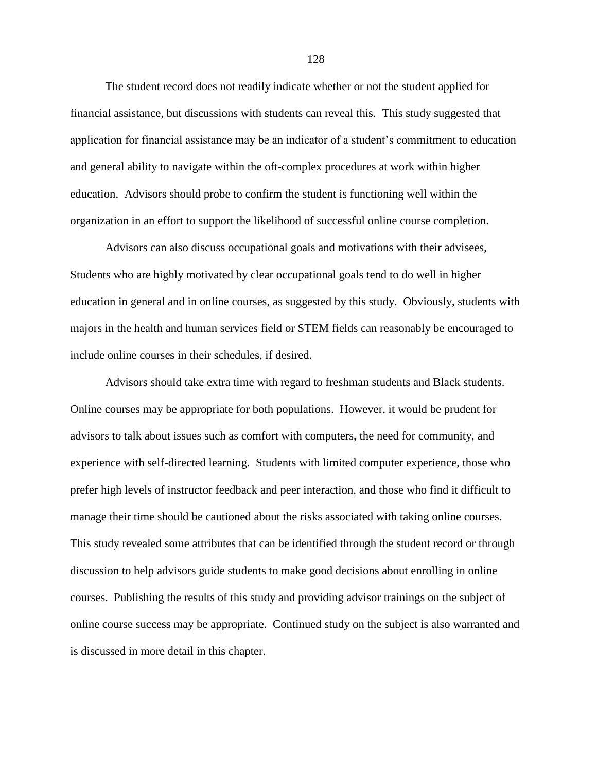The student record does not readily indicate whether or not the student applied for financial assistance, but discussions with students can reveal this. This study suggested that application for financial assistance may be an indicator of a student's commitment to education and general ability to navigate within the oft-complex procedures at work within higher education. Advisors should probe to confirm the student is functioning well within the organization in an effort to support the likelihood of successful online course completion.

Advisors can also discuss occupational goals and motivations with their advisees, Students who are highly motivated by clear occupational goals tend to do well in higher education in general and in online courses, as suggested by this study. Obviously, students with majors in the health and human services field or STEM fields can reasonably be encouraged to include online courses in their schedules, if desired.

Advisors should take extra time with regard to freshman students and Black students. Online courses may be appropriate for both populations. However, it would be prudent for advisors to talk about issues such as comfort with computers, the need for community, and experience with self-directed learning. Students with limited computer experience, those who prefer high levels of instructor feedback and peer interaction, and those who find it difficult to manage their time should be cautioned about the risks associated with taking online courses. This study revealed some attributes that can be identified through the student record or through discussion to help advisors guide students to make good decisions about enrolling in online courses. Publishing the results of this study and providing advisor trainings on the subject of online course success may be appropriate. Continued study on the subject is also warranted and is discussed in more detail in this chapter.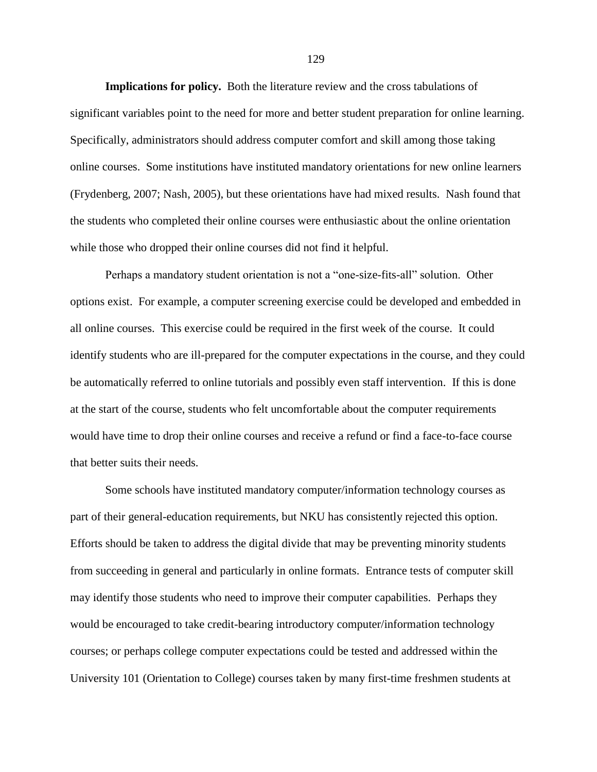**Implications for policy.** Both the literature review and the cross tabulations of significant variables point to the need for more and better student preparation for online learning. Specifically, administrators should address computer comfort and skill among those taking online courses. Some institutions have instituted mandatory orientations for new online learners (Frydenberg, 2007; Nash, 2005), but these orientations have had mixed results. Nash found that the students who completed their online courses were enthusiastic about the online orientation while those who dropped their online courses did not find it helpful.

Perhaps a mandatory student orientation is not a "one-size-fits-all" solution. Other options exist. For example, a computer screening exercise could be developed and embedded in all online courses. This exercise could be required in the first week of the course. It could identify students who are ill-prepared for the computer expectations in the course, and they could be automatically referred to online tutorials and possibly even staff intervention. If this is done at the start of the course, students who felt uncomfortable about the computer requirements would have time to drop their online courses and receive a refund or find a face-to-face course that better suits their needs.

Some schools have instituted mandatory computer/information technology courses as part of their general-education requirements, but NKU has consistently rejected this option. Efforts should be taken to address the digital divide that may be preventing minority students from succeeding in general and particularly in online formats. Entrance tests of computer skill may identify those students who need to improve their computer capabilities. Perhaps they would be encouraged to take credit-bearing introductory computer/information technology courses; or perhaps college computer expectations could be tested and addressed within the University 101 (Orientation to College) courses taken by many first-time freshmen students at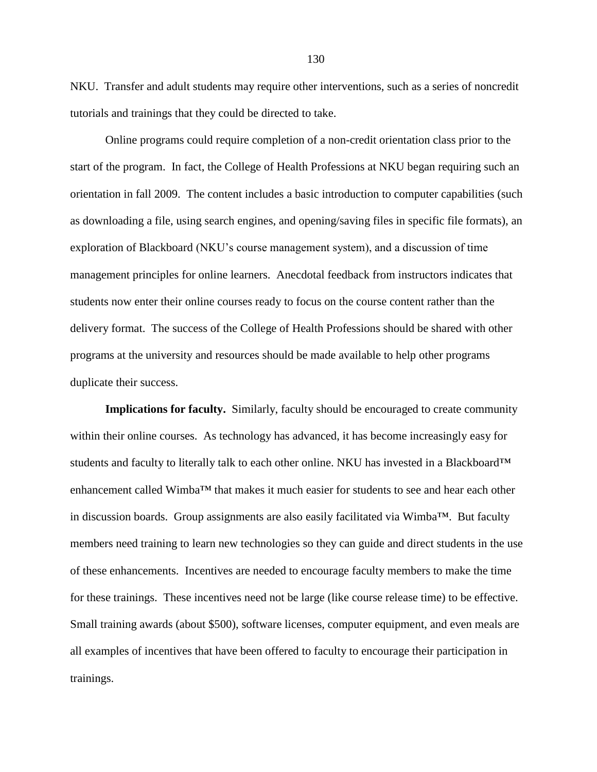NKU. Transfer and adult students may require other interventions, such as a series of noncredit tutorials and trainings that they could be directed to take.

Online programs could require completion of a non-credit orientation class prior to the start of the program. In fact, the College of Health Professions at NKU began requiring such an orientation in fall 2009. The content includes a basic introduction to computer capabilities (such as downloading a file, using search engines, and opening/saving files in specific file formats), an exploration of Blackboard (NKU's course management system), and a discussion of time management principles for online learners. Anecdotal feedback from instructors indicates that students now enter their online courses ready to focus on the course content rather than the delivery format. The success of the College of Health Professions should be shared with other programs at the university and resources should be made available to help other programs duplicate their success.

**Implications for faculty.** Similarly, faculty should be encouraged to create community within their online courses. As technology has advanced, it has become increasingly easy for students and faculty to literally talk to each other online. NKU has invested in a Blackboard™ enhancement called Wimba™ that makes it much easier for students to see and hear each other in discussion boards. Group assignments are also easily facilitated via Wimba™. But faculty members need training to learn new technologies so they can guide and direct students in the use of these enhancements. Incentives are needed to encourage faculty members to make the time for these trainings. These incentives need not be large (like course release time) to be effective. Small training awards (about \$500), software licenses, computer equipment, and even meals are all examples of incentives that have been offered to faculty to encourage their participation in trainings.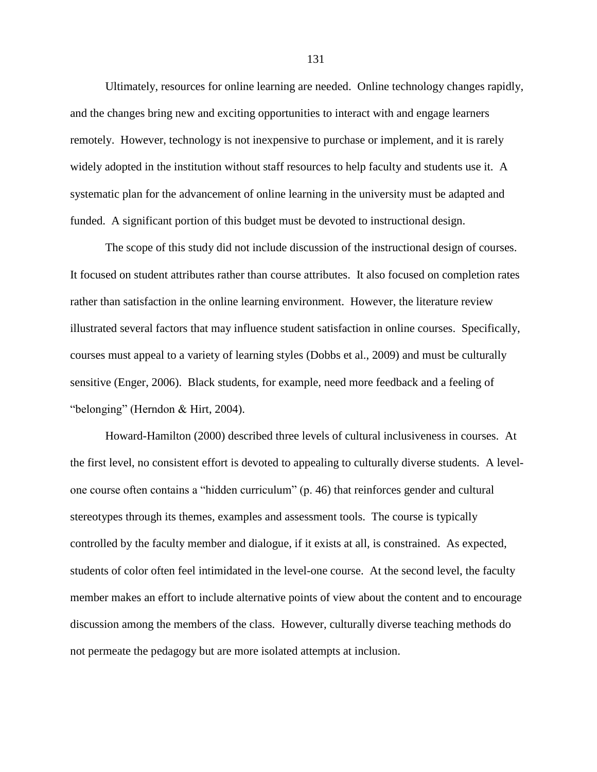Ultimately, resources for online learning are needed. Online technology changes rapidly, and the changes bring new and exciting opportunities to interact with and engage learners remotely. However, technology is not inexpensive to purchase or implement, and it is rarely widely adopted in the institution without staff resources to help faculty and students use it. A systematic plan for the advancement of online learning in the university must be adapted and funded. A significant portion of this budget must be devoted to instructional design.

The scope of this study did not include discussion of the instructional design of courses. It focused on student attributes rather than course attributes. It also focused on completion rates rather than satisfaction in the online learning environment. However, the literature review illustrated several factors that may influence student satisfaction in online courses. Specifically, courses must appeal to a variety of learning styles (Dobbs et al., 2009) and must be culturally sensitive (Enger, 2006). Black students, for example, need more feedback and a feeling of "belonging" (Herndon & Hirt, 2004).

Howard-Hamilton (2000) described three levels of cultural inclusiveness in courses. At the first level, no consistent effort is devoted to appealing to culturally diverse students. A levelone course often contains a "hidden curriculum" (p. 46) that reinforces gender and cultural stereotypes through its themes, examples and assessment tools. The course is typically controlled by the faculty member and dialogue, if it exists at all, is constrained. As expected, students of color often feel intimidated in the level-one course. At the second level, the faculty member makes an effort to include alternative points of view about the content and to encourage discussion among the members of the class. However, culturally diverse teaching methods do not permeate the pedagogy but are more isolated attempts at inclusion.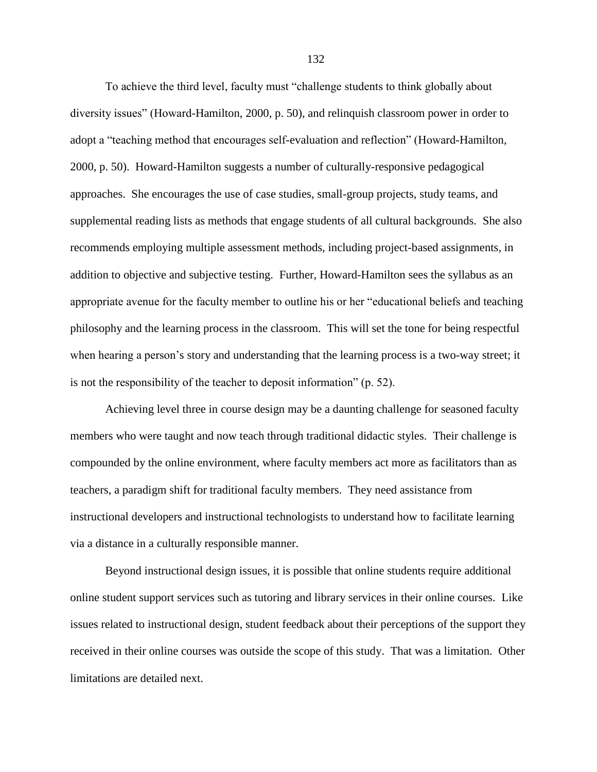To achieve the third level, faculty must "challenge students to think globally about diversity issues" (Howard-Hamilton, 2000, p. 50), and relinquish classroom power in order to adopt a "teaching method that encourages self-evaluation and reflection" (Howard-Hamilton, 2000, p. 50). Howard-Hamilton suggests a number of culturally-responsive pedagogical approaches. She encourages the use of case studies, small-group projects, study teams, and supplemental reading lists as methods that engage students of all cultural backgrounds. She also recommends employing multiple assessment methods, including project-based assignments, in addition to objective and subjective testing. Further, Howard-Hamilton sees the syllabus as an appropriate avenue for the faculty member to outline his or her "educational beliefs and teaching philosophy and the learning process in the classroom. This will set the tone for being respectful when hearing a person's story and understanding that the learning process is a two-way street; it is not the responsibility of the teacher to deposit information"  $(p. 52)$ .

Achieving level three in course design may be a daunting challenge for seasoned faculty members who were taught and now teach through traditional didactic styles. Their challenge is compounded by the online environment, where faculty members act more as facilitators than as teachers, a paradigm shift for traditional faculty members. They need assistance from instructional developers and instructional technologists to understand how to facilitate learning via a distance in a culturally responsible manner.

Beyond instructional design issues, it is possible that online students require additional online student support services such as tutoring and library services in their online courses. Like issues related to instructional design, student feedback about their perceptions of the support they received in their online courses was outside the scope of this study. That was a limitation. Other limitations are detailed next.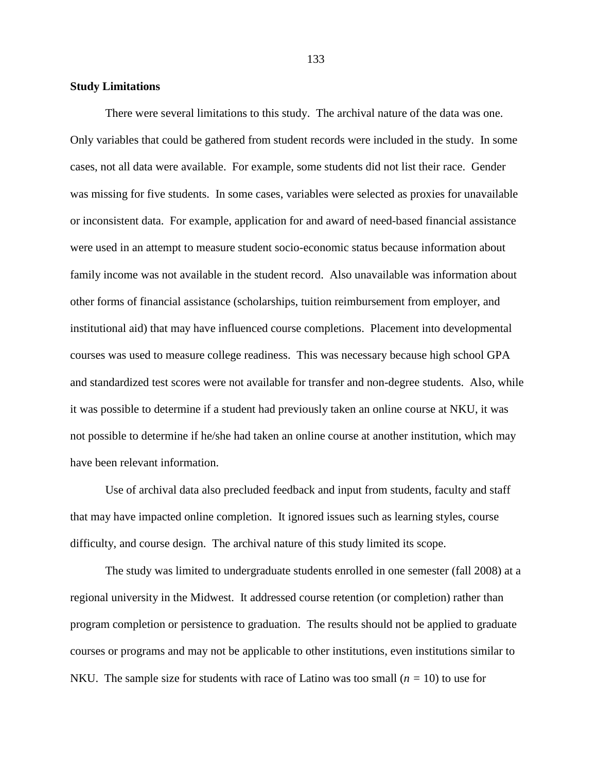#### **Study Limitations**

There were several limitations to this study. The archival nature of the data was one. Only variables that could be gathered from student records were included in the study. In some cases, not all data were available. For example, some students did not list their race. Gender was missing for five students. In some cases, variables were selected as proxies for unavailable or inconsistent data. For example, application for and award of need-based financial assistance were used in an attempt to measure student socio-economic status because information about family income was not available in the student record. Also unavailable was information about other forms of financial assistance (scholarships, tuition reimbursement from employer, and institutional aid) that may have influenced course completions. Placement into developmental courses was used to measure college readiness. This was necessary because high school GPA and standardized test scores were not available for transfer and non-degree students. Also, while it was possible to determine if a student had previously taken an online course at NKU, it was not possible to determine if he/she had taken an online course at another institution, which may have been relevant information.

Use of archival data also precluded feedback and input from students, faculty and staff that may have impacted online completion. It ignored issues such as learning styles, course difficulty, and course design. The archival nature of this study limited its scope.

The study was limited to undergraduate students enrolled in one semester (fall 2008) at a regional university in the Midwest. It addressed course retention (or completion) rather than program completion or persistence to graduation. The results should not be applied to graduate courses or programs and may not be applicable to other institutions, even institutions similar to NKU. The sample size for students with race of Latino was too small  $(n = 10)$  to use for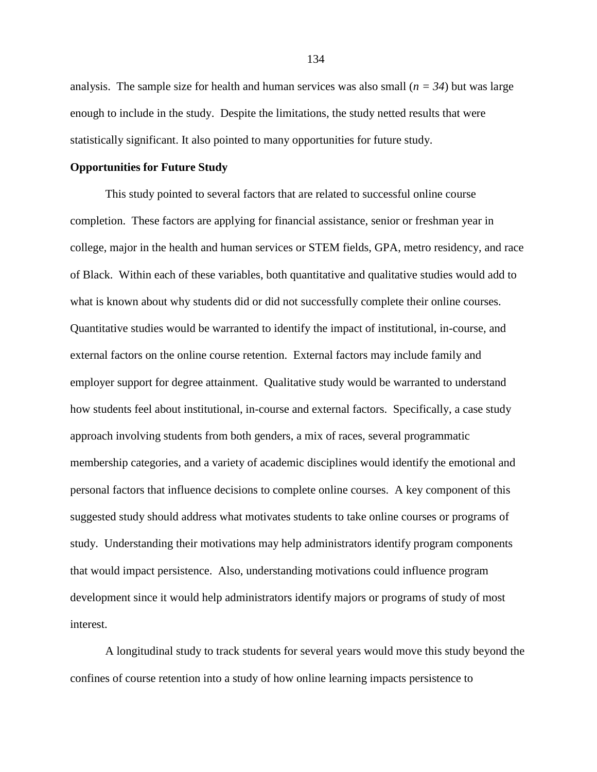analysis. The sample size for health and human services was also small  $(n = 34)$  but was large enough to include in the study. Despite the limitations, the study netted results that were statistically significant. It also pointed to many opportunities for future study.

## **Opportunities for Future Study**

This study pointed to several factors that are related to successful online course completion. These factors are applying for financial assistance, senior or freshman year in college, major in the health and human services or STEM fields, GPA, metro residency, and race of Black. Within each of these variables, both quantitative and qualitative studies would add to what is known about why students did or did not successfully complete their online courses. Quantitative studies would be warranted to identify the impact of institutional, in-course, and external factors on the online course retention. External factors may include family and employer support for degree attainment. Qualitative study would be warranted to understand how students feel about institutional, in-course and external factors. Specifically, a case study approach involving students from both genders, a mix of races, several programmatic membership categories, and a variety of academic disciplines would identify the emotional and personal factors that influence decisions to complete online courses. A key component of this suggested study should address what motivates students to take online courses or programs of study. Understanding their motivations may help administrators identify program components that would impact persistence. Also, understanding motivations could influence program development since it would help administrators identify majors or programs of study of most interest.

A longitudinal study to track students for several years would move this study beyond the confines of course retention into a study of how online learning impacts persistence to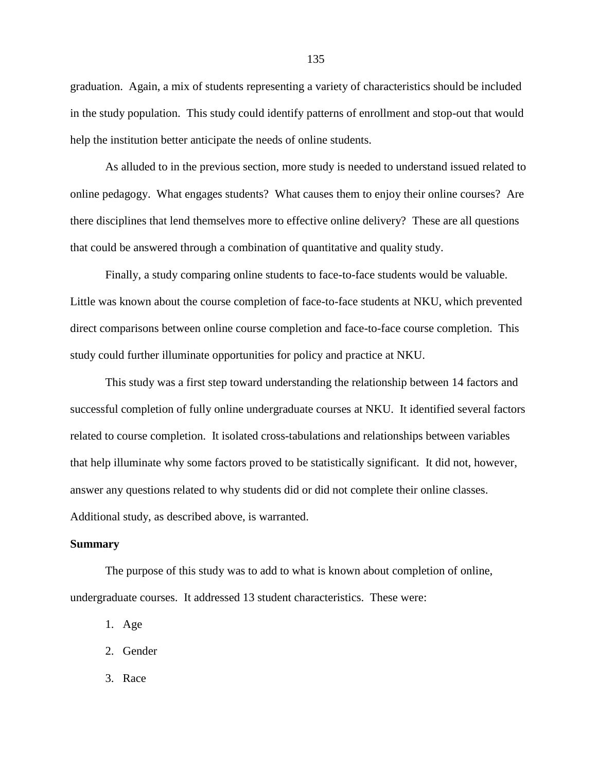graduation. Again, a mix of students representing a variety of characteristics should be included in the study population. This study could identify patterns of enrollment and stop-out that would help the institution better anticipate the needs of online students.

As alluded to in the previous section, more study is needed to understand issued related to online pedagogy. What engages students? What causes them to enjoy their online courses? Are there disciplines that lend themselves more to effective online delivery? These are all questions that could be answered through a combination of quantitative and quality study.

Finally, a study comparing online students to face-to-face students would be valuable. Little was known about the course completion of face-to-face students at NKU, which prevented direct comparisons between online course completion and face-to-face course completion. This study could further illuminate opportunities for policy and practice at NKU.

This study was a first step toward understanding the relationship between 14 factors and successful completion of fully online undergraduate courses at NKU. It identified several factors related to course completion. It isolated cross-tabulations and relationships between variables that help illuminate why some factors proved to be statistically significant. It did not, however, answer any questions related to why students did or did not complete their online classes. Additional study, as described above, is warranted.

## **Summary**

The purpose of this study was to add to what is known about completion of online, undergraduate courses. It addressed 13 student characteristics. These were:

- 1. Age
- 2. Gender
- 3. Race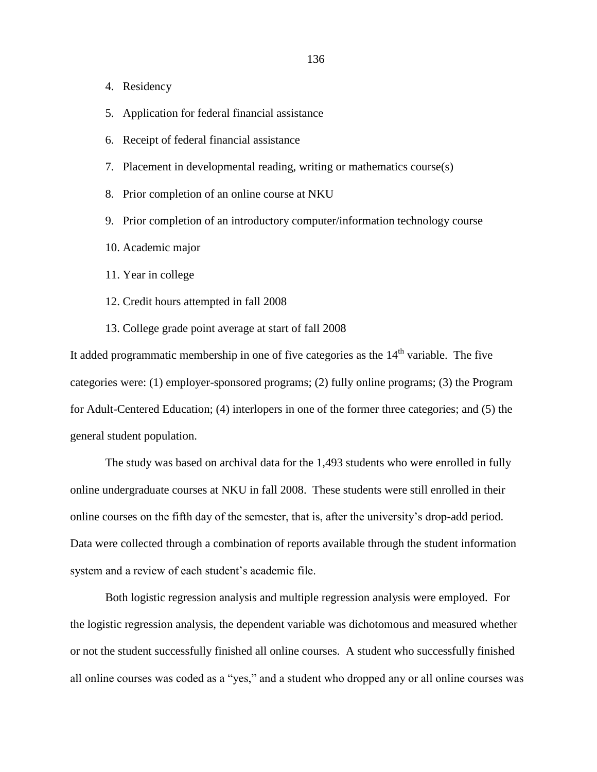- 4. Residency
- 5. Application for federal financial assistance
- 6. Receipt of federal financial assistance
- 7. Placement in developmental reading, writing or mathematics course(s)
- 8. Prior completion of an online course at NKU
- 9. Prior completion of an introductory computer/information technology course
- 10. Academic major
- 11. Year in college
- 12. Credit hours attempted in fall 2008
- 13. College grade point average at start of fall 2008

It added programmatic membership in one of five categories as the  $14<sup>th</sup>$  variable. The five categories were: (1) employer-sponsored programs; (2) fully online programs; (3) the Program for Adult-Centered Education; (4) interlopers in one of the former three categories; and (5) the general student population.

The study was based on archival data for the 1,493 students who were enrolled in fully online undergraduate courses at NKU in fall 2008. These students were still enrolled in their online courses on the fifth day of the semester, that is, after the university's drop-add period. Data were collected through a combination of reports available through the student information system and a review of each student's academic file.

Both logistic regression analysis and multiple regression analysis were employed. For the logistic regression analysis, the dependent variable was dichotomous and measured whether or not the student successfully finished all online courses. A student who successfully finished all online courses was coded as a "yes," and a student who dropped any or all online courses was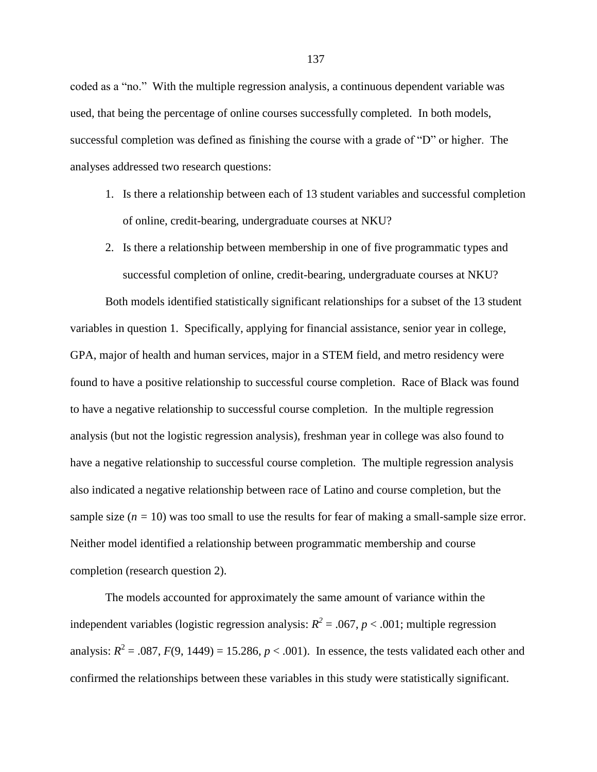coded as a "no." With the multiple regression analysis, a continuous dependent variable was used, that being the percentage of online courses successfully completed. In both models, successful completion was defined as finishing the course with a grade of "D" or higher. The analyses addressed two research questions:

- 1. Is there a relationship between each of 13 student variables and successful completion of online, credit-bearing, undergraduate courses at NKU?
- 2. Is there a relationship between membership in one of five programmatic types and successful completion of online, credit-bearing, undergraduate courses at NKU?

Both models identified statistically significant relationships for a subset of the 13 student variables in question 1. Specifically, applying for financial assistance, senior year in college, GPA, major of health and human services, major in a STEM field, and metro residency were found to have a positive relationship to successful course completion. Race of Black was found to have a negative relationship to successful course completion. In the multiple regression analysis (but not the logistic regression analysis), freshman year in college was also found to have a negative relationship to successful course completion. The multiple regression analysis also indicated a negative relationship between race of Latino and course completion, but the sample size  $(n = 10)$  was too small to use the results for fear of making a small-sample size error. Neither model identified a relationship between programmatic membership and course completion (research question 2).

The models accounted for approximately the same amount of variance within the independent variables (logistic regression analysis:  $R^2 = .067$ ,  $p < .001$ ; multiple regression analysis:  $R^2 = .087$ ,  $F(9, 1449) = 15.286$ ,  $p < .001$ ). In essence, the tests validated each other and confirmed the relationships between these variables in this study were statistically significant.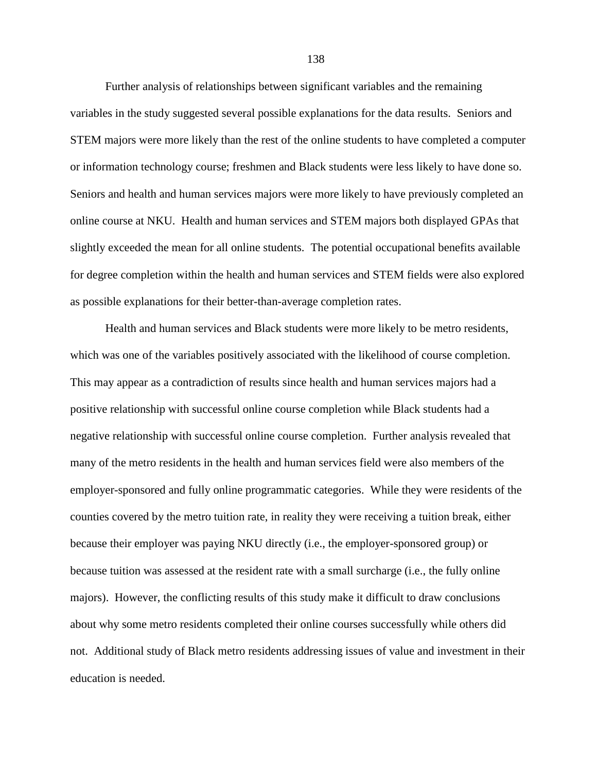Further analysis of relationships between significant variables and the remaining variables in the study suggested several possible explanations for the data results. Seniors and STEM majors were more likely than the rest of the online students to have completed a computer or information technology course; freshmen and Black students were less likely to have done so. Seniors and health and human services majors were more likely to have previously completed an online course at NKU. Health and human services and STEM majors both displayed GPAs that slightly exceeded the mean for all online students. The potential occupational benefits available for degree completion within the health and human services and STEM fields were also explored as possible explanations for their better-than-average completion rates.

Health and human services and Black students were more likely to be metro residents, which was one of the variables positively associated with the likelihood of course completion. This may appear as a contradiction of results since health and human services majors had a positive relationship with successful online course completion while Black students had a negative relationship with successful online course completion. Further analysis revealed that many of the metro residents in the health and human services field were also members of the employer-sponsored and fully online programmatic categories. While they were residents of the counties covered by the metro tuition rate, in reality they were receiving a tuition break, either because their employer was paying NKU directly (i.e., the employer-sponsored group) or because tuition was assessed at the resident rate with a small surcharge (i.e., the fully online majors). However, the conflicting results of this study make it difficult to draw conclusions about why some metro residents completed their online courses successfully while others did not. Additional study of Black metro residents addressing issues of value and investment in their education is needed.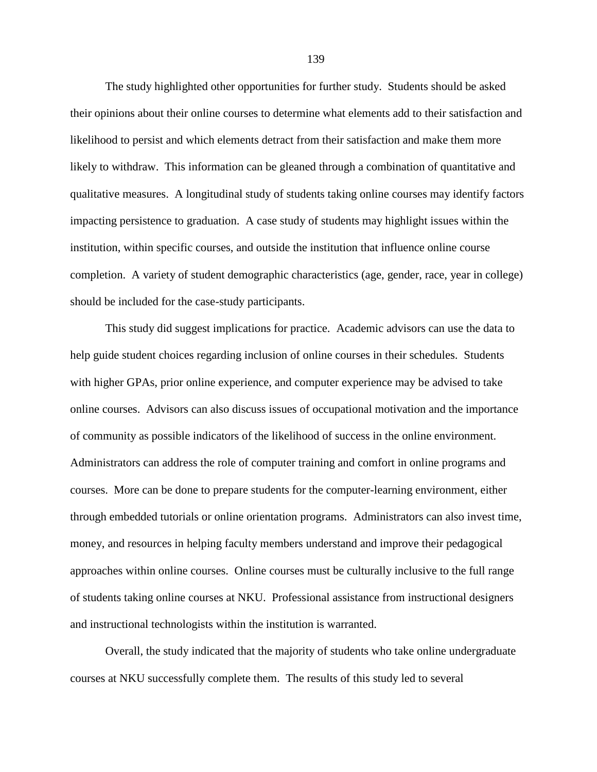The study highlighted other opportunities for further study. Students should be asked their opinions about their online courses to determine what elements add to their satisfaction and likelihood to persist and which elements detract from their satisfaction and make them more likely to withdraw. This information can be gleaned through a combination of quantitative and qualitative measures. A longitudinal study of students taking online courses may identify factors impacting persistence to graduation. A case study of students may highlight issues within the institution, within specific courses, and outside the institution that influence online course completion. A variety of student demographic characteristics (age, gender, race, year in college) should be included for the case-study participants.

This study did suggest implications for practice. Academic advisors can use the data to help guide student choices regarding inclusion of online courses in their schedules. Students with higher GPAs, prior online experience, and computer experience may be advised to take online courses. Advisors can also discuss issues of occupational motivation and the importance of community as possible indicators of the likelihood of success in the online environment. Administrators can address the role of computer training and comfort in online programs and courses. More can be done to prepare students for the computer-learning environment, either through embedded tutorials or online orientation programs. Administrators can also invest time, money, and resources in helping faculty members understand and improve their pedagogical approaches within online courses. Online courses must be culturally inclusive to the full range of students taking online courses at NKU. Professional assistance from instructional designers and instructional technologists within the institution is warranted.

Overall, the study indicated that the majority of students who take online undergraduate courses at NKU successfully complete them. The results of this study led to several

139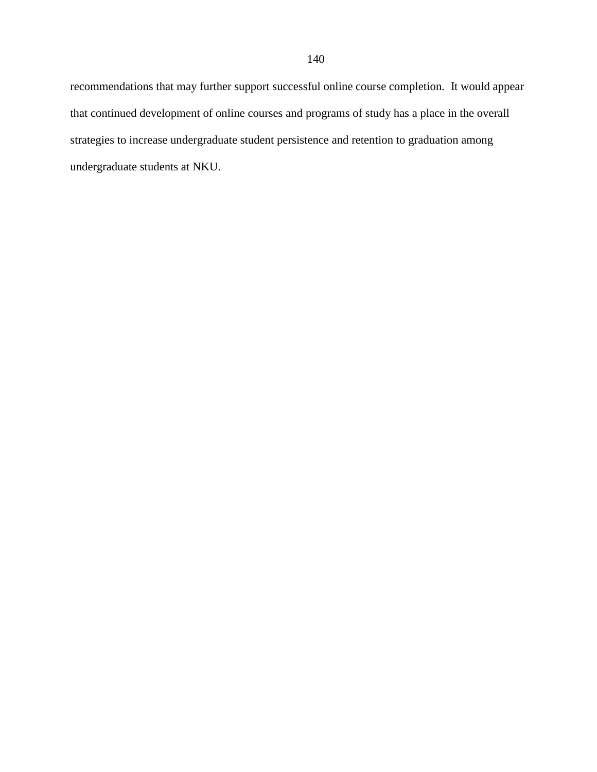recommendations that may further support successful online course completion. It would appear that continued development of online courses and programs of study has a place in the overall strategies to increase undergraduate student persistence and retention to graduation among undergraduate students at NKU.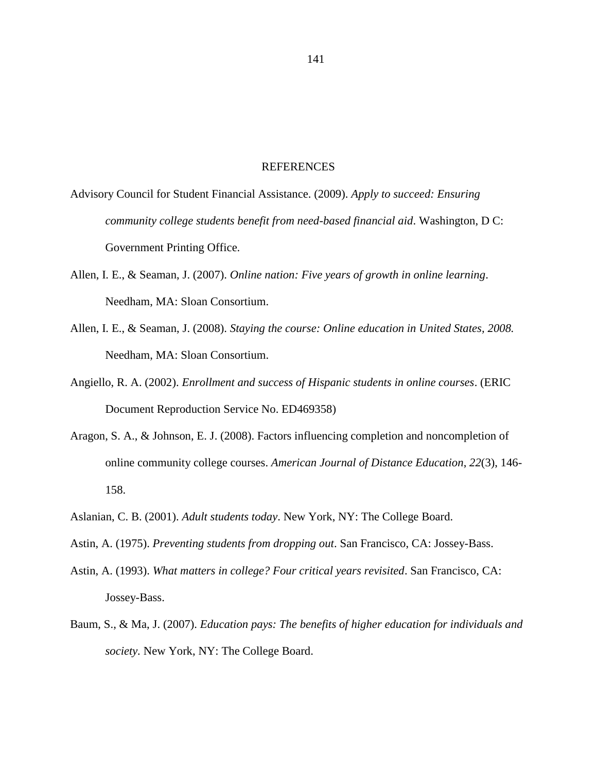## REFERENCES

Advisory Council for Student Financial Assistance. (2009). *Apply to succeed: Ensuring community college students benefit from need-based financial aid*. Washington, D C: Government Printing Office.

- Allen, I. E., & Seaman, J. (2007). *Online nation: Five years of growth in online learning*. Needham, MA: Sloan Consortium.
- Allen, I. E., & Seaman, J. (2008). *Staying the course: Online education in United States, 2008.* Needham, MA: Sloan Consortium.
- Angiello, R. A. (2002). *Enrollment and success of Hispanic students in online courses*. (ERIC Document Reproduction Service No. ED469358)
- Aragon, S. A., & Johnson, E. J. (2008). Factors influencing completion and noncompletion of online community college courses. *American Journal of Distance Education*, *22*(3), 146- 158.
- Aslanian, C. B. (2001). *Adult students today*. New York, NY: The College Board.
- Astin, A. (1975). *Preventing students from dropping out*. San Francisco, CA: Jossey-Bass.
- Astin, A. (1993). *What matters in college? Four critical years revisited*. San Francisco, CA: Jossey-Bass.
- Baum, S., & Ma, J. (2007). *Education pays: The benefits of higher education for individuals and society.* New York, NY: The College Board.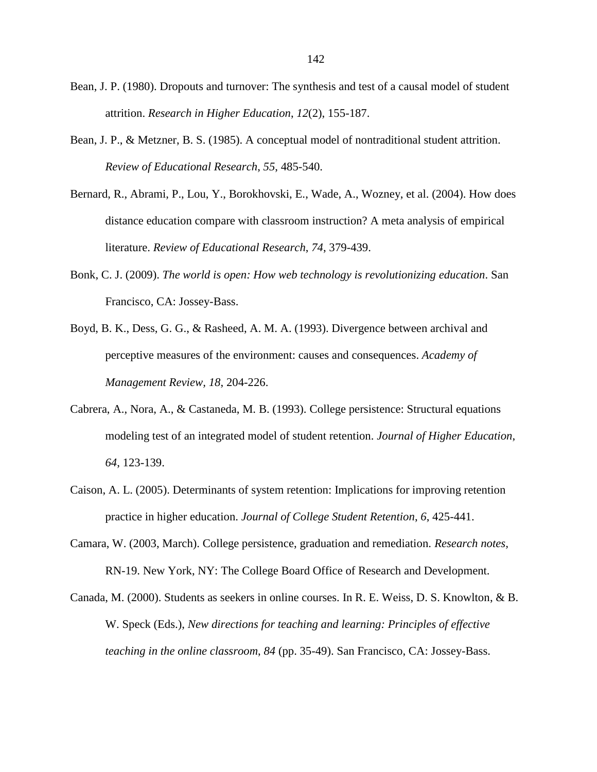- Bean, J. P. (1980). Dropouts and turnover: The synthesis and test of a causal model of student attrition. *Research in Higher Education*, *12*(2), 155-187.
- Bean, J. P., & Metzner, B. S. (1985). A conceptual model of nontraditional student attrition. *Review of Educational Research*, *55*, 485-540.
- Bernard, R., Abrami, P., Lou, Y., Borokhovski, E., Wade, A., Wozney, et al. (2004). How does distance education compare with classroom instruction? A meta analysis of empirical literature. *Review of Educational Research*, *74*, 379-439.
- Bonk, C. J. (2009). *The world is open: How web technology is revolutionizing education*. San Francisco, CA: Jossey-Bass.
- Boyd, B. K., Dess, G. G., & Rasheed, A. M. A. (1993). Divergence between archival and perceptive measures of the environment: causes and consequences. *Academy of Management Review, 18*, 204-226.
- Cabrera, A., Nora, A., & Castaneda, M. B. (1993). College persistence: Structural equations modeling test of an integrated model of student retention. *Journal of Higher Education*, *64*, 123-139.
- Caison, A. L. (2005). Determinants of system retention: Implications for improving retention practice in higher education. *Journal of College Student Retention*, *6*, 425-441.
- Camara, W. (2003, March). College persistence, graduation and remediation. *Research notes,*  RN-19. New York, NY: The College Board Office of Research and Development.
- Canada, M. (2000). Students as seekers in online courses. In R. E. Weiss, D. S. Knowlton, & B. W. Speck (Eds.), *New directions for teaching and learning: Principles of effective teaching in the online classroom*, *84* (pp. 35-49). San Francisco, CA: Jossey-Bass.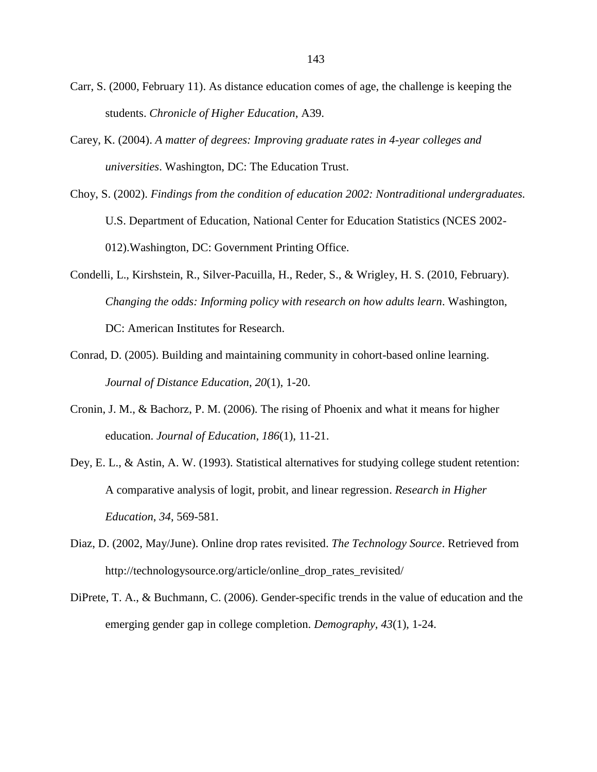- Carr, S. (2000, February 11). As distance education comes of age, the challenge is keeping the students. *Chronicle of Higher Education*, A39.
- Carey, K. (2004). *A matter of degrees: Improving graduate rates in 4-year colleges and universities*. Washington, DC: The Education Trust.
- Choy, S. (2002). *Findings from the condition of education 2002: Nontraditional undergraduates.* U.S. Department of Education, National Center for Education Statistics (NCES 2002- 012).Washington, DC: Government Printing Office.
- Condelli, L., Kirshstein, R., Silver-Pacuilla, H., Reder, S., & Wrigley, H. S. (2010, February). *Changing the odds: Informing policy with research on how adults learn*. Washington, DC: American Institutes for Research.
- Conrad, D. (2005). Building and maintaining community in cohort-based online learning. *Journal of Distance Education*, *20*(1), 1-20.
- Cronin, J. M., & Bachorz, P. M. (2006). The rising of Phoenix and what it means for higher education. *Journal of Education*, *186*(1), 11-21.
- Dey, E. L., & Astin, A. W. (1993). Statistical alternatives for studying college student retention: A comparative analysis of logit, probit, and linear regression. *Research in Higher Education*, *34*, 569-581.
- Diaz, D. (2002, May/June). Online drop rates revisited. *The Technology Source*. Retrieved from http://technologysource.org/article/online\_drop\_rates\_revisited/
- DiPrete, T. A., & Buchmann, C. (2006). Gender-specific trends in the value of education and the emerging gender gap in college completion. *Demography, 43*(1), 1-24.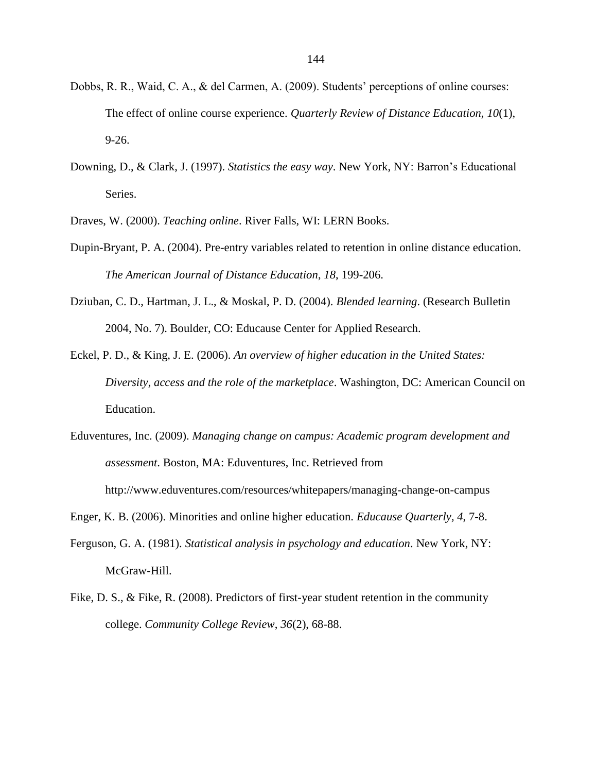- Dobbs, R. R., Waid, C. A., & del Carmen, A. (2009). Students' perceptions of online courses: The effect of online course experience. *Quarterly Review of Distance Education, 10*(1), 9-26.
- Downing, D., & Clark, J. (1997). *Statistics the easy way*. New York, NY: Barron's Educational Series.
- Draves, W. (2000). *Teaching online*. River Falls, WI: LERN Books.
- Dupin-Bryant, P. A. (2004). Pre-entry variables related to retention in online distance education. *The American Journal of Distance Education*, *18*, 199-206.
- Dziuban, C. D., Hartman, J. L., & Moskal, P. D. (2004). *Blended learning*. (Research Bulletin 2004, No. 7). Boulder, CO: Educause Center for Applied Research.
- Eckel, P. D., & King, J. E. (2006). *An overview of higher education in the United States: Diversity, access and the role of the marketplace*. Washington, DC: American Council on Education.
- Eduventures, Inc. (2009). *Managing change on campus: Academic program development and assessment*. Boston, MA: Eduventures, Inc. Retrieved from http://www.eduventures.com/resources/whitepapers/managing-change-on-campus
- Enger, K. B. (2006). Minorities and online higher education. *Educause Quarterly, 4*, 7-8.
- Ferguson, G. A. (1981). *Statistical analysis in psychology and education*. New York, NY: McGraw-Hill.
- Fike, D. S., & Fike, R. (2008). Predictors of first-year student retention in the community college. *Community College Review*, *36*(2), 68-88.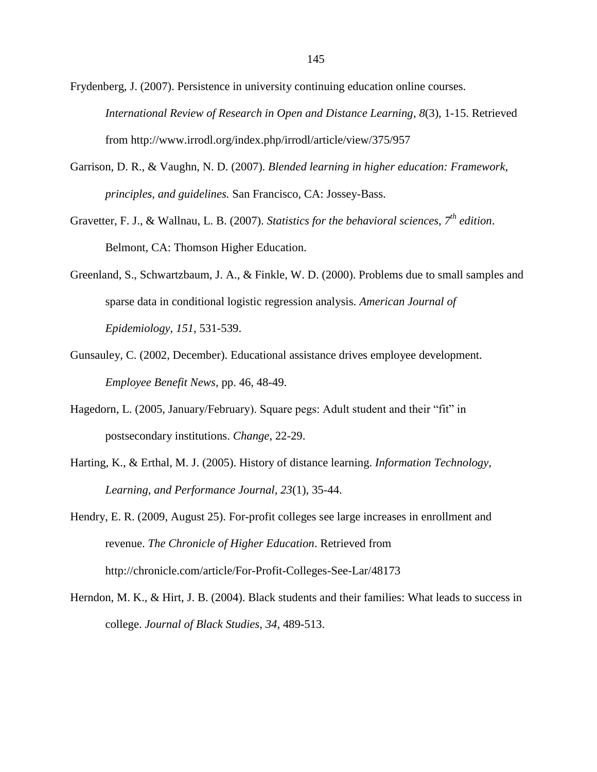Frydenberg, J. (2007). Persistence in university continuing education online courses. *International Review of Research in Open and Distance Learning*, *8*(3), 1-15. Retrieved from http://www.irrodl.org/index.php/irrodl/article/view/375/957

- Garrison, D. R., & Vaughn, N. D. (2007). *Blended learning in higher education: Framework, principles, and guidelines.* San Francisco, CA: Jossey-Bass.
- Gravetter, F. J., & Wallnau, L. B. (2007). *Statistics for the behavioral sciences, 7th edition*. Belmont, CA: Thomson Higher Education.
- Greenland, S., Schwartzbaum, J. A., & Finkle, W. D. (2000). Problems due to small samples and sparse data in conditional logistic regression analysis. *American Journal of Epidemiology*, *151*, 531-539.
- Gunsauley, C. (2002, December). Educational assistance drives employee development. *Employee Benefit News*, pp. 46, 48-49.
- Hagedorn, L. (2005, January/February). Square pegs: Adult student and their "fit" in postsecondary institutions. *Change*, 22-29.
- Harting, K., & Erthal, M. J. (2005). History of distance learning. *Information Technology, Learning, and Performance Journal, 23*(1), 35-44.
- Hendry, E. R. (2009, August 25). For-profit colleges see large increases in enrollment and revenue. *The Chronicle of Higher Education*. Retrieved from http://chronicle.com/article/For-Profit-Colleges-See-Lar/48173
- Herndon, M. K., & Hirt, J. B. (2004). Black students and their families: What leads to success in college. *Journal of Black Studies*, *34*, 489-513.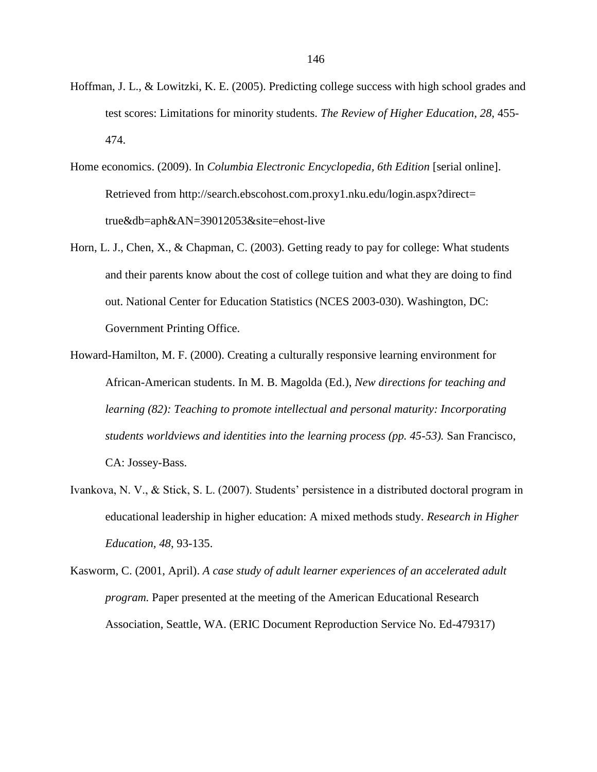- Hoffman, J. L., & Lowitzki, K. E. (2005). Predicting college success with high school grades and test scores: Limitations for minority students. *The Review of Higher Education*, *28*, 455- 474.
- Home economics. (2009). In *Columbia Electronic Encyclopedia, 6th Edition* [serial online]. Retrieved from http://search.ebscohost.com.proxy1.nku.edu/login.aspx?direct= true&db=aph&AN=39012053&site=ehost-live
- Horn, L. J., Chen, X., & Chapman, C. (2003). Getting ready to pay for college: What students and their parents know about the cost of college tuition and what they are doing to find out. National Center for Education Statistics (NCES 2003-030). Washington, DC: Government Printing Office.
- Howard-Hamilton, M. F. (2000). Creating a culturally responsive learning environment for African-American students. In M. B. Magolda (Ed.), *New directions for teaching and learning (82): Teaching to promote intellectual and personal maturity: Incorporating students worldviews and identities into the learning process (pp. 45-53).* San Francisco, CA: Jossey-Bass.
- Ivankova, N. V., & Stick, S. L. (2007). Students' persistence in a distributed doctoral program in educational leadership in higher education: A mixed methods study. *Research in Higher Education, 48*, 93-135.
- Kasworm, C. (2001, April). *A case study of adult learner experiences of an accelerated adult program.* Paper presented at the meeting of the American Educational Research Association, Seattle, WA. (ERIC Document Reproduction Service No. Ed-479317)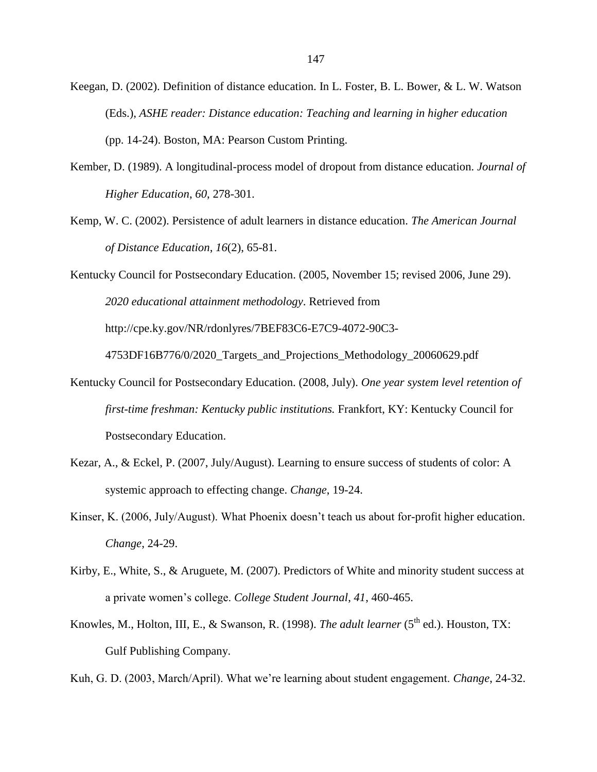- Keegan, D. (2002). Definition of distance education. In L. Foster, B. L. Bower, & L. W. Watson (Eds.), *ASHE reader: Distance education: Teaching and learning in higher education* (pp. 14-24). Boston, MA: Pearson Custom Printing.
- Kember, D. (1989). A longitudinal-process model of dropout from distance education. *Journal of Higher Education*, *60*, 278-301.
- Kemp, W. C. (2002). Persistence of adult learners in distance education. *The American Journal of Distance Education*, *16*(2), 65-81.
- Kentucky Council for Postsecondary Education. (2005, November 15; revised 2006, June 29). *2020 educational attainment methodology*. Retrieved from http://cpe.ky.gov/NR/rdonlyres/7BEF83C6-E7C9-4072-90C3-

4753DF16B776/0/2020\_Targets\_and\_Projections\_Methodology\_20060629.pdf

- Kentucky Council for Postsecondary Education. (2008, July). *One year system level retention of first-time freshman: Kentucky public institutions.* Frankfort, KY: Kentucky Council for Postsecondary Education.
- Kezar, A., & Eckel, P. (2007, July/August). Learning to ensure success of students of color: A systemic approach to effecting change. *Change*, 19-24.
- Kinser, K. (2006, July/August). What Phoenix doesn't teach us about for-profit higher education. *Change*, 24-29.
- Kirby, E., White, S., & Aruguete, M. (2007). Predictors of White and minority student success at a private women's college. *College Student Journal*, *41*, 460-465.
- Knowles, M., Holton, III, E., & Swanson, R. (1998). *The adult learner* (5<sup>th</sup> ed.). Houston, TX: Gulf Publishing Company.

Kuh, G. D. (2003, March/April). What we're learning about student engagement. *Change*, 24-32.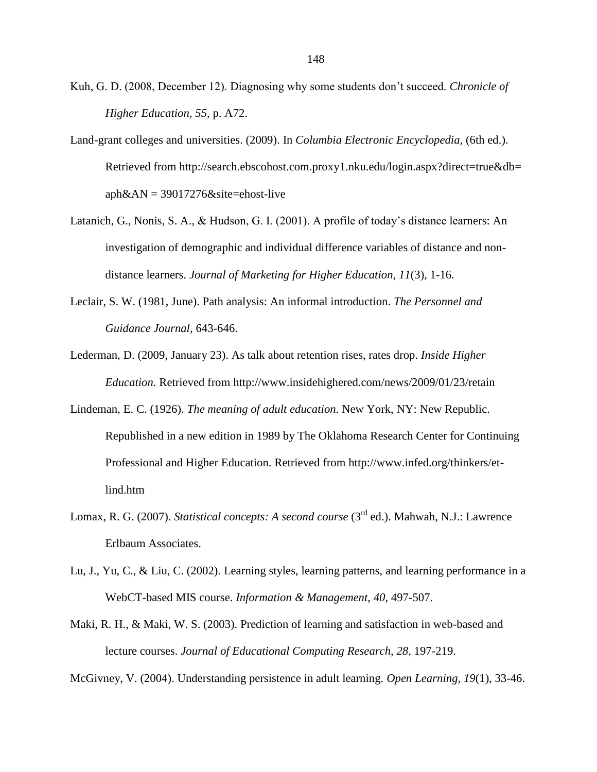- Kuh, G. D. (2008, December 12). Diagnosing why some students don't succeed. *Chronicle of Higher Education, 55*, p. A72.
- Land-grant colleges and universities. (2009). In *Columbia Electronic Encyclopedia,* (6th ed.). Retrieved from http://search.ebscohost.com.proxy1.nku.edu/login.aspx?direct=true&db=  $aph&AN = 39017276&site=ehost-like$
- Latanich, G., Nonis, S. A., & Hudson, G. I. (2001). A profile of today's distance learners: An investigation of demographic and individual difference variables of distance and nondistance learners. *Journal of Marketing for Higher Education*, *11*(3), 1-16.
- Leclair, S. W. (1981, June). Path analysis: An informal introduction. *The Personnel and Guidance Journal*, 643-646.
- Lederman, D. (2009, January 23). As talk about retention rises, rates drop. *Inside Higher Education.* Retrieved from http://www.insidehighered.com/news/2009/01/23/retain
- Lindeman, E. C. (1926). *The meaning of adult education*. New York, NY: New Republic. Republished in a new edition in 1989 by The Oklahoma Research Center for Continuing Professional and Higher Education. Retrieved from http://www.infed.org/thinkers/etlind.htm
- Lomax, R. G. (2007). *Statistical concepts: A second course* (3rd ed.). Mahwah, N.J.: Lawrence Erlbaum Associates.
- Lu, J., Yu, C., & Liu, C. (2002). Learning styles, learning patterns, and learning performance in a WebCT-based MIS course. *Information & Management*, *40*, 497-507.
- Maki, R. H., & Maki, W. S. (2003). Prediction of learning and satisfaction in web-based and lecture courses. *Journal of Educational Computing Research*, *28*, 197-219.

McGivney, V. (2004). Understanding persistence in adult learning. *Open Learning*, *19*(1), 33-46.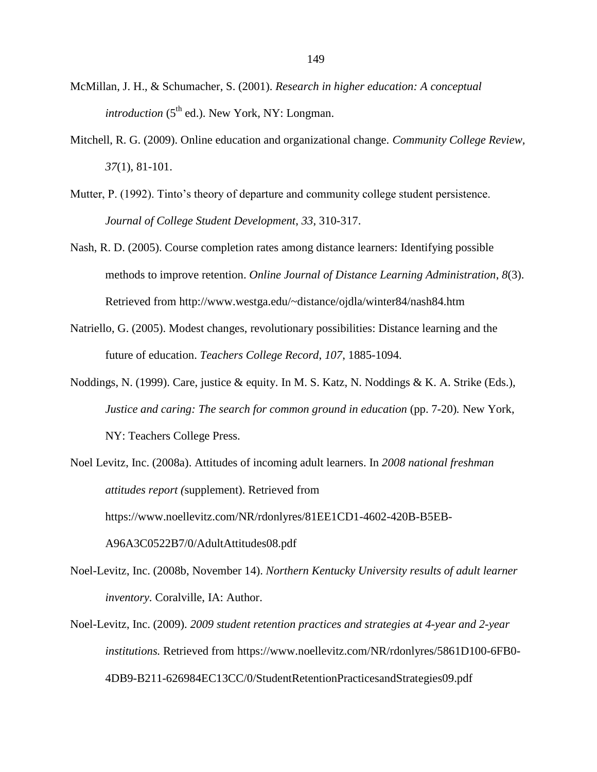- McMillan, J. H., & Schumacher, S. (2001). *Research in higher education: A conceptual introduction* (5<sup>th</sup> ed.). New York, NY: Longman.
- Mitchell, R. G. (2009). Online education and organizational change. *Community College Review, 37*(1), 81-101.
- Mutter, P. (1992). Tinto's theory of departure and community college student persistence. *Journal of College Student Development*, *33*, 310-317.
- Nash, R. D. (2005). Course completion rates among distance learners: Identifying possible methods to improve retention. *Online Journal of Distance Learning Administration*, *8*(3). Retrieved from http://www.westga.edu/~distance/ojdla/winter84/nash84.htm
- Natriello, G. (2005). Modest changes, revolutionary possibilities: Distance learning and the future of education. *Teachers College Record*, *107*, 1885-1094.
- Noddings, N. (1999). Care, justice & equity. In M. S. Katz, N. Noddings & K. A. Strike (Eds.), *Justice and caring: The search for common ground in education* (pp. 7-20)*.* New York, NY: Teachers College Press.
- Noel Levitz, Inc. (2008a). Attitudes of incoming adult learners. In *2008 national freshman attitudes report (*supplement). Retrieved from https://www.noellevitz.com/NR/rdonlyres/81EE1CD1-4602-420B-B5EB-A96A3C0522B7/0/AdultAttitudes08.pdf
- Noel-Levitz, Inc. (2008b, November 14). *Northern Kentucky University results of adult learner inventory.* Coralville, IA: Author.
- Noel-Levitz, Inc. (2009). *2009 student retention practices and strategies at 4-year and 2-year institutions.* Retrieved from https://www.noellevitz.com/NR/rdonlyres/5861D100-6FB0- 4DB9-B211-626984EC13CC/0/StudentRetentionPracticesandStrategies09.pdf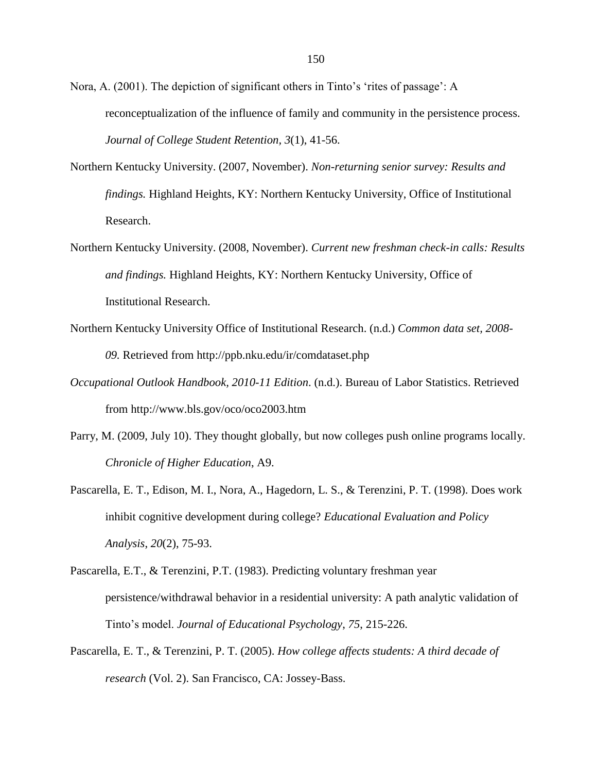Nora, A. (2001). The depiction of significant others in Tinto's 'rites of passage': A reconceptualization of the influence of family and community in the persistence process. *Journal of College Student Retention, 3*(1), 41-56.

- Northern Kentucky University. (2007, November). *Non-returning senior survey: Results and findings.* Highland Heights, KY: Northern Kentucky University, Office of Institutional Research.
- Northern Kentucky University. (2008, November). *Current new freshman check-in calls: Results and findings.* Highland Heights, KY: Northern Kentucky University, Office of Institutional Research.
- Northern Kentucky University Office of Institutional Research. (n.d.) *Common data set, 2008- 09.* Retrieved from http://ppb.nku.edu/ir/comdataset.php
- *Occupational Outlook Handbook, 2010-11 Edition*. (n.d.). Bureau of Labor Statistics. Retrieved from http://www.bls.gov/oco/oco2003.htm
- Parry, M. (2009, July 10). They thought globally, but now colleges push online programs locally. *Chronicle of Higher Education*, A9.
- Pascarella, E. T., Edison, M. I., Nora, A., Hagedorn, L. S., & Terenzini, P. T. (1998). Does work inhibit cognitive development during college? *Educational Evaluation and Policy Analysis*, *20*(2), 75-93.
- Pascarella, E.T., & Terenzini, P.T. (1983). Predicting voluntary freshman year persistence/withdrawal behavior in a residential university: A path analytic validation of Tinto's model. *Journal of Educational Psychology*, *75*, 215-226.
- Pascarella, E. T., & Terenzini, P. T. (2005). *How college affects students: A third decade of research* (Vol. 2). San Francisco, CA: Jossey-Bass.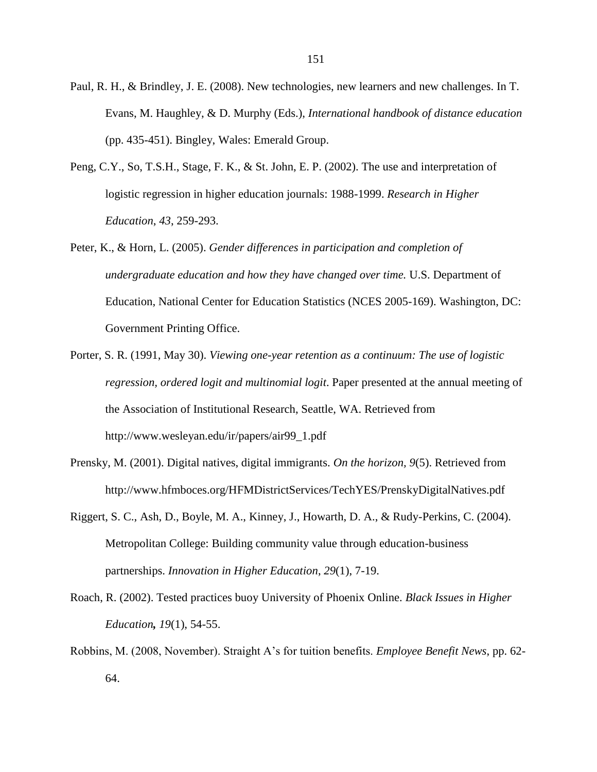- Paul, R. H., & Brindley, J. E. (2008). New technologies, new learners and new challenges. In T. Evans, M. Haughley, & D. Murphy (Eds.), *International handbook of distance education* (pp. 435-451). Bingley, Wales: Emerald Group.
- Peng, C.Y., So, T.S.H., Stage, F. K., & St. John, E. P. (2002). The use and interpretation of logistic regression in higher education journals: 1988-1999. *Research in Higher Education*, *43*, 259-293.
- Peter, K., & Horn, L. (2005). *Gender differences in participation and completion of undergraduate education and how they have changed over time.* U.S. Department of Education, National Center for Education Statistics (NCES 2005-169). Washington, DC: Government Printing Office.
- Porter, S. R. (1991, May 30). *Viewing one-year retention as a continuum: The use of logistic regression, ordered logit and multinomial logit*. Paper presented at the annual meeting of the Association of Institutional Research, Seattle, WA. Retrieved from http://www.wesleyan.edu/ir/papers/air99\_1.pdf
- Prensky, M. (2001). Digital natives, digital immigrants. *On the horizon, 9*(5). Retrieved from http://www.hfmboces.org/HFMDistrictServices/TechYES/PrenskyDigitalNatives.pdf
- Riggert, S. C., Ash, D., Boyle, M. A., Kinney, J., Howarth, D. A., & Rudy-Perkins, C. (2004). Metropolitan College: Building community value through education-business partnerships. *Innovation in Higher Education*, *29*(1), 7-19.
- Roach, R. (2002). Tested practices buoy University of Phoenix Online. *Black Issues in Higher Education, 19*(1), 54-55.
- Robbins, M. (2008, November). Straight A's for tuition benefits. *Employee Benefit News*, pp. 62- 64.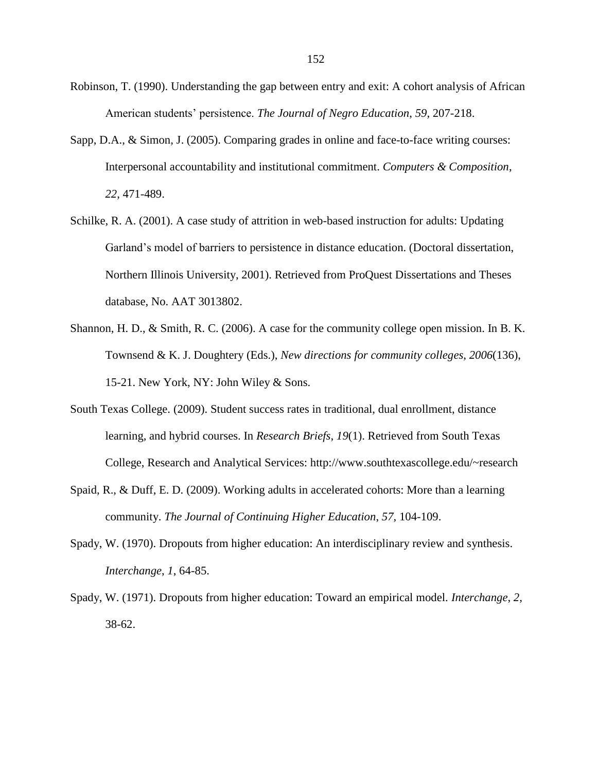- Robinson, T. (1990). Understanding the gap between entry and exit: A cohort analysis of African American students' persistence. *The Journal of Negro Education*, *59*, 207-218.
- Sapp, D.A., & Simon, J. (2005). Comparing grades in online and face-to-face writing courses: Interpersonal accountability and institutional commitment. *Computers & Composition*, *22*, 471-489.
- Schilke, R. A. (2001). A case study of attrition in web-based instruction for adults: Updating Garland's model of barriers to persistence in distance education. (Doctoral dissertation, Northern Illinois University, 2001). Retrieved from ProQuest Dissertations and Theses database, No. AAT 3013802.
- Shannon, H. D., & Smith, R. C. (2006). A case for the community college open mission. In B. K. Townsend & K. J. Doughtery (Eds.), *New directions for community colleges*, *2006*(136), 15-21. New York, NY: John Wiley & Sons.
- South Texas College. (2009). Student success rates in traditional, dual enrollment, distance learning, and hybrid courses. In *Research Briefs*, *19*(1). Retrieved from South Texas College, Research and Analytical Services: http://www.southtexascollege.edu/~research
- Spaid, R., & Duff, E. D. (2009). Working adults in accelerated cohorts: More than a learning community. *The Journal of Continuing Higher Education*, *57*, 104-109.
- Spady, W. (1970). Dropouts from higher education: An interdisciplinary review and synthesis. *Interchange*, *1*, 64-85.
- Spady, W. (1971). Dropouts from higher education: Toward an empirical model. *Interchange*, *2*, 38-62.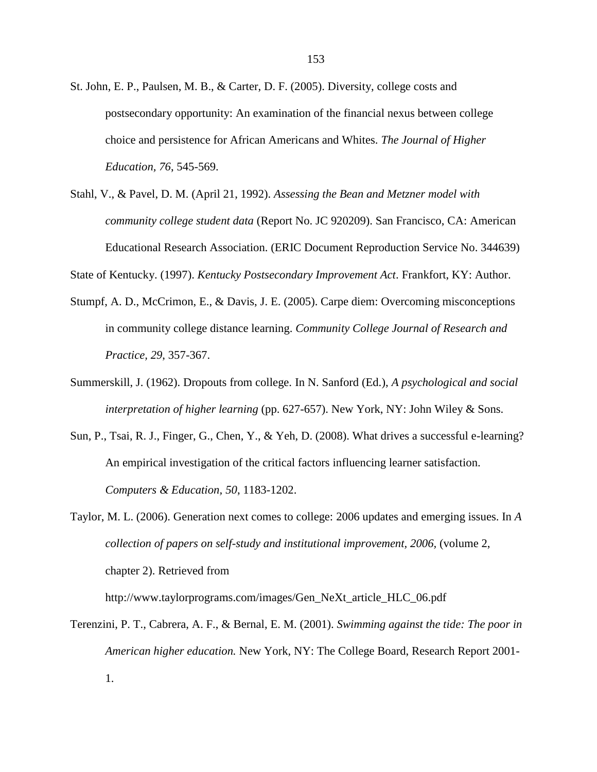- St. John, E. P., Paulsen, M. B., & Carter, D. F. (2005). Diversity, college costs and postsecondary opportunity: An examination of the financial nexus between college choice and persistence for African Americans and Whites. *The Journal of Higher Education, 76*, 545-569.
- Stahl, V., & Pavel, D. M. (April 21, 1992). *Assessing the Bean and Metzner model with community college student data* (Report No. JC 920209). San Francisco, CA: American Educational Research Association. (ERIC Document Reproduction Service No. 344639)

State of Kentucky. (1997). *Kentucky Postsecondary Improvement Act*. Frankfort, KY: Author.

- Stumpf, A. D., McCrimon, E., & Davis, J. E. (2005). Carpe diem: Overcoming misconceptions in community college distance learning. *Community College Journal of Research and Practice, 29*, 357-367.
- Summerskill, J. (1962). Dropouts from college. In N. Sanford (Ed.), *A psychological and social interpretation of higher learning* (pp. 627-657). New York, NY: John Wiley & Sons.
- Sun, P., Tsai, R. J., Finger, G., Chen, Y., & Yeh, D. (2008). What drives a successful e-learning? An empirical investigation of the critical factors influencing learner satisfaction. *Computers & Education, 50*, 1183-1202.
- Taylor, M. L. (2006). Generation next comes to college: 2006 updates and emerging issues. In *A collection of papers on self-study and institutional improvement, 2006,* (volume 2, chapter 2). Retrieved from http://www.taylorprograms.com/images/Gen\_NeXt\_article\_HLC\_06.pdf
- Terenzini, P. T., Cabrera, A. F., & Bernal, E. M. (2001). *Swimming against the tide: The poor in American higher education.* New York, NY: The College Board, Research Report 2001- 1.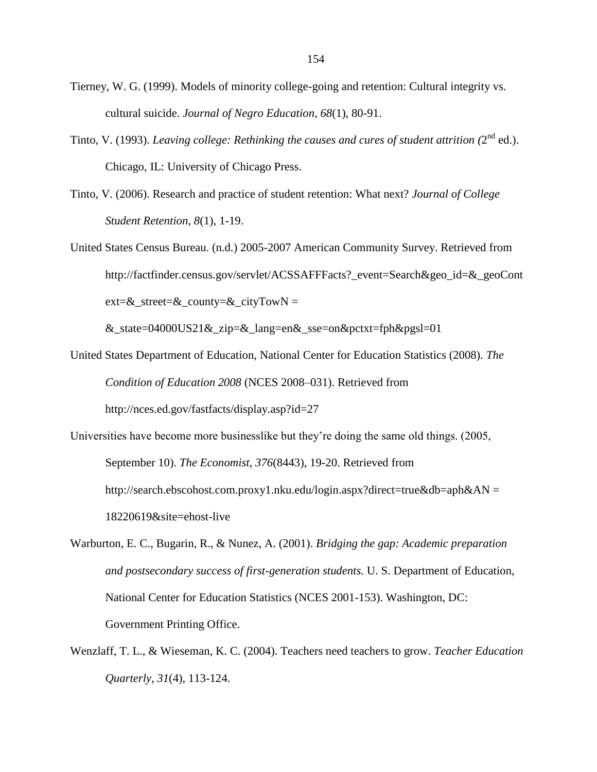- Tierney, W. G. (1999). Models of minority college-going and retention: Cultural integrity vs. cultural suicide. *Journal of Negro Education*, *68*(1), 80-91.
- Tinto, V. (1993). *Leaving college: Rethinking the causes and cures of student attrition (2<sup>nd</sup> ed.).* Chicago, IL: University of Chicago Press.
- Tinto, V. (2006). Research and practice of student retention: What next? *Journal of College Student Retention*, *8*(1), 1-19.
- United States Census Bureau. (n.d.) 2005-2007 American Community Survey. Retrieved from http://factfinder.census.gov/servlet/ACSSAFFFacts? event=Search&geo\_id=&\_geoCont  $ext = \&_structure = \&_cityTowN =$

&\_state=04000US21&\_zip=&\_lang=en&\_sse=on&pctxt=fph&pgsl=01

- United States Department of Education, National Center for Education Statistics (2008). *The Condition of Education 2008* (NCES 2008–031). Retrieved from http://nces.ed.gov/fastfacts/display.asp?id=27
- Universities have become more businesslike but they're doing the same old things. (2005, September 10). *The Economist*, *376*(8443), 19-20. Retrieved from http://search.ebscohost.com.proxy1.nku.edu/login.aspx?direct=true&db=aph&AN = 18220619&site=ehost-live
- Warburton, E. C., Bugarin, R., & Nunez, A. (2001). *Bridging the gap: Academic preparation and postsecondary success of first-generation students.* U. S. Department of Education, National Center for Education Statistics (NCES 2001-153). Washington, DC: Government Printing Office.
- Wenzlaff, T. L., & Wieseman, K. C. (2004). Teachers need teachers to grow. *Teacher Education Quarterly*, *31*(4), 113-124.